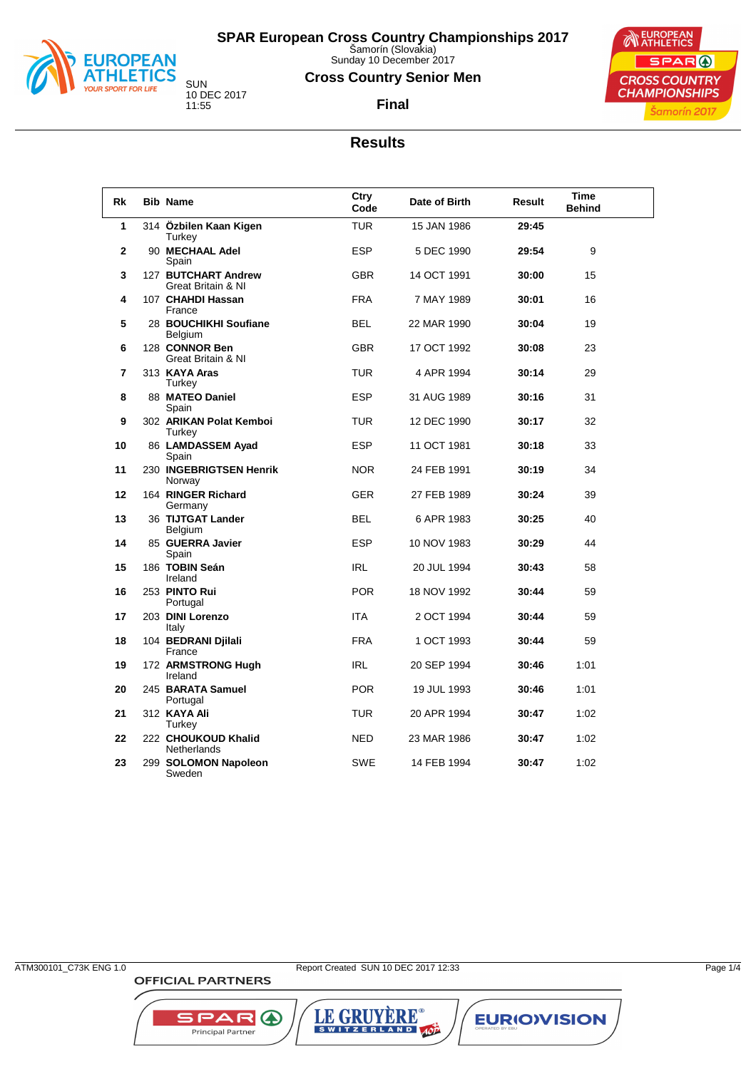

Sunday 10 December 2017

#### **Cross Country Senior Men**



**Final**

#### **Results**

| Rk           | <b>Bib Name</b>                           | Ctry<br>Code | Date of Birth | Result | <b>Time</b><br><b>Behind</b> |
|--------------|-------------------------------------------|--------------|---------------|--------|------------------------------|
| 1            | 314 Özbilen Kaan Kigen<br>Turkey          | <b>TUR</b>   | 15 JAN 1986   | 29:45  |                              |
| $\mathbf{2}$ | 90 MECHAAL Adel<br>Spain                  | <b>ESP</b>   | 5 DEC 1990    | 29:54  | 9                            |
| 3            | 127 BUTCHART Andrew<br>Great Britain & NI | <b>GBR</b>   | 14 OCT 1991   | 30:00  | 15                           |
| 4            | 107 CHAHDI Hassan<br>France               | <b>FRA</b>   | 7 MAY 1989    | 30:01  | 16                           |
| 5            | 28 BOUCHIKHI Soufiane<br>Belgium          | <b>BEL</b>   | 22 MAR 1990   | 30:04  | 19                           |
| 6            | 128 CONNOR Ben<br>Great Britain & NI      | <b>GBR</b>   | 17 OCT 1992   | 30:08  | 23                           |
| 7            | 313 KAYA Aras<br>Turkey                   | <b>TUR</b>   | 4 APR 1994    | 30:14  | 29                           |
| 8            | 88 MATEO Daniel<br>Spain                  | <b>ESP</b>   | 31 AUG 1989   | 30:16  | 31                           |
| 9            | 302 ARIKAN Polat Kemboi<br>Turkey         | <b>TUR</b>   | 12 DEC 1990   | 30:17  | 32                           |
| 10           | 86 LAMDASSEM Ayad<br>Spain                | <b>ESP</b>   | 11 OCT 1981   | 30.18  | 33                           |
| 11           | 230 INGEBRIGTSEN Henrik<br>Norway         | <b>NOR</b>   | 24 FEB 1991   | 30:19  | 34                           |
| 12           | 164 RINGER Richard<br>Germany             | <b>GER</b>   | 27 FEB 1989   | 30:24  | 39                           |
| 13           | 36 TIJTGAT Lander<br><b>Belgium</b>       | <b>BEL</b>   | 6 APR 1983    | 30.25  | 40                           |
| 14           | 85 GUERRA Javier<br>Spain                 | <b>ESP</b>   | 10 NOV 1983   | 30:29  | 44                           |
| 15           | 186 TOBIN Seán<br>Ireland                 | <b>IRL</b>   | 20 JUL 1994   | 30:43  | 58                           |
| 16           | 253 PINTO Rui<br>Portugal                 | <b>POR</b>   | 18 NOV 1992   | 30:44  | 59                           |
| 17           | 203 DINI Lorenzo<br>Italy                 | <b>ITA</b>   | 2 OCT 1994    | 30:44  | 59                           |
| 18           | 104 BEDRANI Djilali<br>France             | <b>FRA</b>   | 1 OCT 1993    | 30:44  | 59                           |
| 19           | 172 ARMSTRONG Hugh<br>Ireland             | <b>IRL</b>   | 20 SEP 1994   | 30:46  | 1:01                         |
| 20           | 245 BARATA Samuel<br>Portugal             | <b>POR</b>   | 19 JUL 1993   | 30:46  | 1:01                         |
| 21           | 312 KAYA Ali<br>Turkey                    | <b>TUR</b>   | 20 APR 1994   | 30:47  | 1:02                         |
| 22           | 222 CHOUKOUD Khalid<br>Netherlands        | <b>NED</b>   | 23 MAR 1986   | 30:47  | 1:02                         |
| 23           | 299 SOLOMON Napoleon<br>Sweden            | <b>SWE</b>   | 14 FEB 1994   | 30:47  | 1:02                         |

**OFFICIAL PARTNERS** 

**SPAR A** 

Principal Partner

LE GRUYÈRE®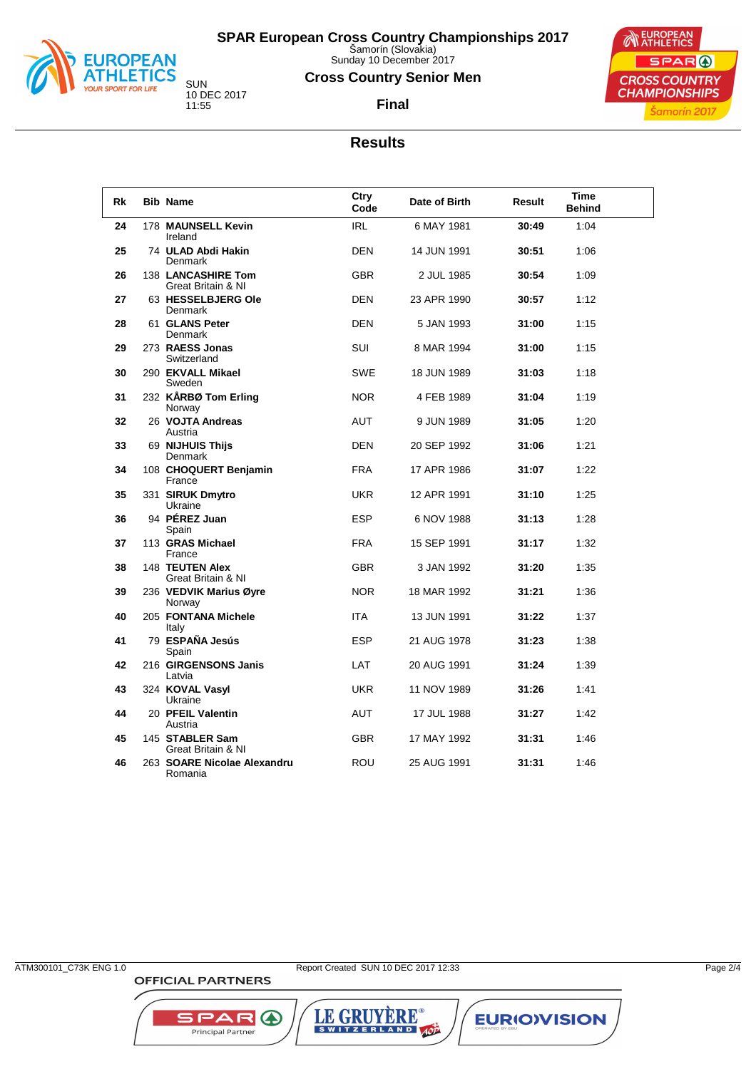

Sunday 10 December 2017

#### **Cross Country Senior Men**

**Final**



#### **Results**

| Rk | <b>Bib Name</b>                          | Ctry<br>Code | Date of Birth | Result | <b>Time</b><br><b>Behind</b> |  |
|----|------------------------------------------|--------------|---------------|--------|------------------------------|--|
| 24 | 178 MAUNSELL Kevin<br>Ireland            | <b>IRL</b>   | 6 MAY 1981    | 30:49  | 1:04                         |  |
| 25 | 74 ULAD Abdi Hakin<br>Denmark            | <b>DEN</b>   | 14 JUN 1991   | 30.51  | 1:06                         |  |
| 26 | 138 LANCASHIRE Tom<br>Great Britain & NI | <b>GBR</b>   | 2 JUL 1985    | 30:54  | 1:09                         |  |
| 27 | 63 HESSELBJERG Ole<br>Denmark            | <b>DEN</b>   | 23 APR 1990   | 30:57  | 1:12                         |  |
| 28 | 61 GLANS Peter<br>Denmark                | <b>DEN</b>   | 5 JAN 1993    | 31:00  | 1:15                         |  |
| 29 | 273 RAESS Jonas<br>Switzerland           | <b>SUI</b>   | 8 MAR 1994    | 31:00  | 1:15                         |  |
| 30 | 290 EKVALL Mikael<br>Sweden              | <b>SWE</b>   | 18 JUN 1989   | 31:03  | 1:18                         |  |
| 31 | 232 KÅRBØ Tom Erling<br>Norway           | <b>NOR</b>   | 4 FEB 1989    | 31:04  | 1:19                         |  |
| 32 | 26 VOJTA Andreas<br>Austria              | AUT          | 9 JUN 1989    | 31:05  | 1:20                         |  |
| 33 | 69 NIJHUIS Thijs<br>Denmark              | <b>DEN</b>   | 20 SEP 1992   | 31:06  | 1:21                         |  |
| 34 | 108 CHOQUERT Benjamin<br>France          | <b>FRA</b>   | 17 APR 1986   | 31:07  | 1:22                         |  |
| 35 | 331 SIRUK Dmytro<br>Ukraine              | <b>UKR</b>   | 12 APR 1991   | 31:10  | 1:25                         |  |
| 36 | 94 PÉREZ Juan<br>Spain                   | <b>ESP</b>   | 6 NOV 1988    | 31.13  | 1:28                         |  |
| 37 | 113 GRAS Michael<br>France               | <b>FRA</b>   | 15 SEP 1991   | 31:17  | 1:32                         |  |
| 38 | 148 TEUTEN Alex<br>Great Britain & NI    | <b>GBR</b>   | 3 JAN 1992    | 31:20  | 1:35                         |  |
| 39 | 236 VEDVIK Marius Øyre<br>Norway         | <b>NOR</b>   | 18 MAR 1992   | 31:21  | 1:36                         |  |
| 40 | 205 FONTANA Michele<br>Italy             | <b>ITA</b>   | 13 JUN 1991   | 31:22  | 1:37                         |  |
| 41 | 79 ESPAÑA Jesús<br>Spain                 | <b>ESP</b>   | 21 AUG 1978   | 31.23  | 1:38                         |  |
| 42 | 216 GIRGENSONS Janis<br>Latvia           | <b>LAT</b>   | 20 AUG 1991   | 31:24  | 1:39                         |  |
| 43 | 324 KOVAL Vasyl<br>Ukraine               | <b>UKR</b>   | 11 NOV 1989   | 31:26  | 1:41                         |  |
| 44 | 20 PFEIL Valentin<br>Austria             | <b>AUT</b>   | 17 JUL 1988   | 31:27  | 1:42                         |  |
| 45 | 145 STABLER Sam<br>Great Britain & NI    | <b>GBR</b>   | 17 MAY 1992   | 31:31  | 1:46                         |  |
| 46 | 263 SOARE Nicolae Alexandru<br>Romania   | <b>ROU</b>   | 25 AUG 1991   | 31:31  | 1:46                         |  |

**OFFICIAL PARTNERS** 

**SPAR A** 

Principal Partner

LE GRUYÈRE®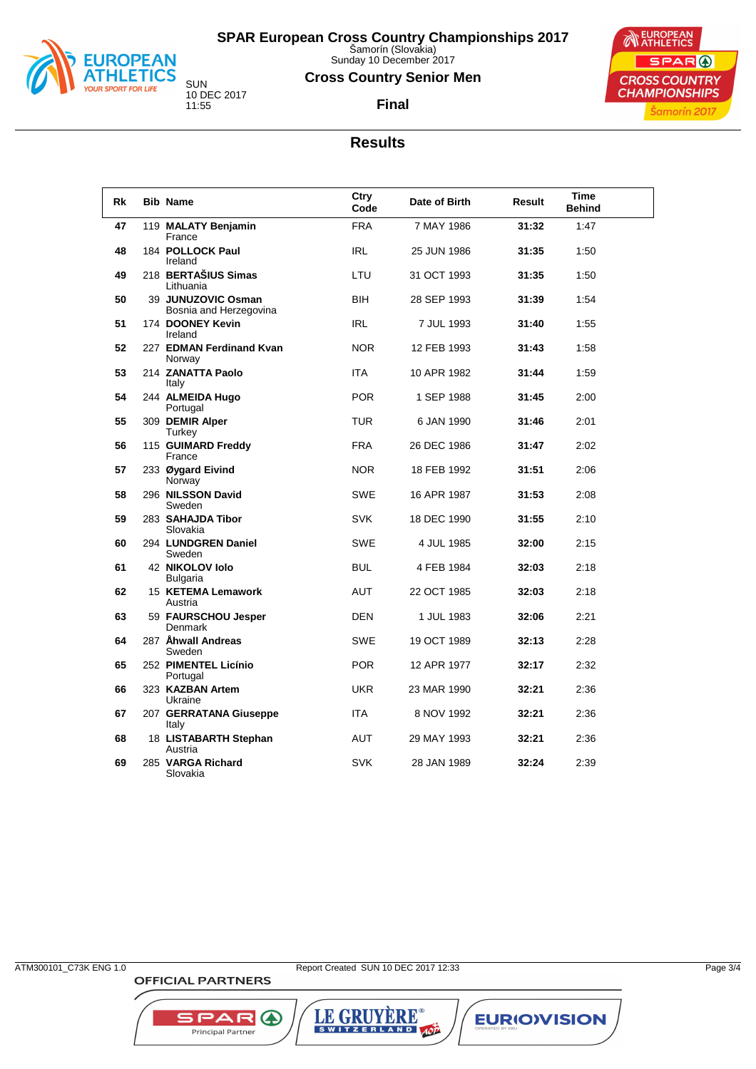

Sunday 10 December 2017

#### **Cross Country Senior Men**

**Final**



## **Results**

| Rk | <b>Bib Name</b>                              | Ctry<br>Code | Date of Birth | Result | <b>Time</b><br><b>Behind</b> |  |
|----|----------------------------------------------|--------------|---------------|--------|------------------------------|--|
| 47 | 119 MALATY Benjamin<br>France                | <b>FRA</b>   | 7 MAY 1986    | 31:32  | 1:47                         |  |
| 48 | 184 POLLOCK Paul<br>Ireland                  | <b>IRL</b>   | 25 JUN 1986   | 31:35  | 1:50                         |  |
| 49 | 218 BERTAŠIUS Simas<br>Lithuania             | LTU          | 31 OCT 1993   | 31:35  | 1:50                         |  |
| 50 | 39 JUNUZOVIC Osman<br>Bosnia and Herzegovina | <b>BIH</b>   | 28 SEP 1993   | 31:39  | 1:54                         |  |
| 51 | 174 DOONEY Kevin<br>Ireland                  | <b>IRL</b>   | 7 JUL 1993    | 31:40  | 1:55                         |  |
| 52 | 227 EDMAN Ferdinand Kvan<br>Norway           | <b>NOR</b>   | 12 FEB 1993   | 31:43  | 1:58                         |  |
| 53 | 214 ZANATTA Paolo<br>Italy                   | <b>ITA</b>   | 10 APR 1982   | 31:44  | 1:59                         |  |
| 54 | 244 ALMEIDA Hugo<br>Portugal                 | <b>POR</b>   | 1 SEP 1988    | 31:45  | 2:00                         |  |
| 55 | 309 DEMIR Alper<br>Turkey                    | <b>TUR</b>   | 6 JAN 1990    | 31:46  | 2:01                         |  |
| 56 | 115 GUIMARD Freddy<br>France                 | <b>FRA</b>   | 26 DEC 1986   | 31:47  | 2:02                         |  |
| 57 | 233 Øygard Eivind<br>Norway                  | <b>NOR</b>   | 18 FEB 1992   | 31:51  | 2:06                         |  |
| 58 | 296 NILSSON David<br>Sweden                  | <b>SWE</b>   | 16 APR 1987   | 31:53  | 2:08                         |  |
| 59 | 283 SAHAJDA Tibor<br>Slovakia                | <b>SVK</b>   | 18 DEC 1990   | 31:55  | 2:10                         |  |
| 60 | 294 LUNDGREN Daniel<br>Sweden                | <b>SWE</b>   | 4 JUL 1985    | 32:00  | 2:15                         |  |
| 61 | 42 NIKOLOV lolo<br><b>Bulgaria</b>           | <b>BUL</b>   | 4 FEB 1984    | 32:03  | 2:18                         |  |
| 62 | 15 KETEMA Lemawork<br>Austria                | <b>AUT</b>   | 22 OCT 1985   | 32:03  | 2:18                         |  |
| 63 | 59 FAURSCHOU Jesper<br>Denmark               | <b>DEN</b>   | 1 JUL 1983    | 32:06  | 2:21                         |  |
| 64 | 287 Åhwall Andreas<br>Sweden                 | <b>SWE</b>   | 19 OCT 1989   | 32:13  | 2:28                         |  |
| 65 | 252 PIMENTEL Licínio<br>Portugal             | <b>POR</b>   | 12 APR 1977   | 32:17  | 2:32                         |  |
| 66 | 323 KAZBAN Artem<br>Ukraine                  | <b>UKR</b>   | 23 MAR 1990   | 32:21  | 2:36                         |  |
| 67 | 207 GERRATANA Giuseppe<br>Italy              | <b>ITA</b>   | 8 NOV 1992    | 32.21  | 2:36                         |  |
| 68 | 18 LISTABARTH Stephan<br>Austria             | AUT          | 29 MAY 1993   | 32:21  | 2:36                         |  |
| 69 | 285 VARGA Richard<br>Slovakia                | <b>SVK</b>   | 28 JAN 1989   | 32:24  | 2:39                         |  |

**OFFICIAL PARTNERS** 

**SPAR A** 

Principal Partner

LE GRUYÈRE®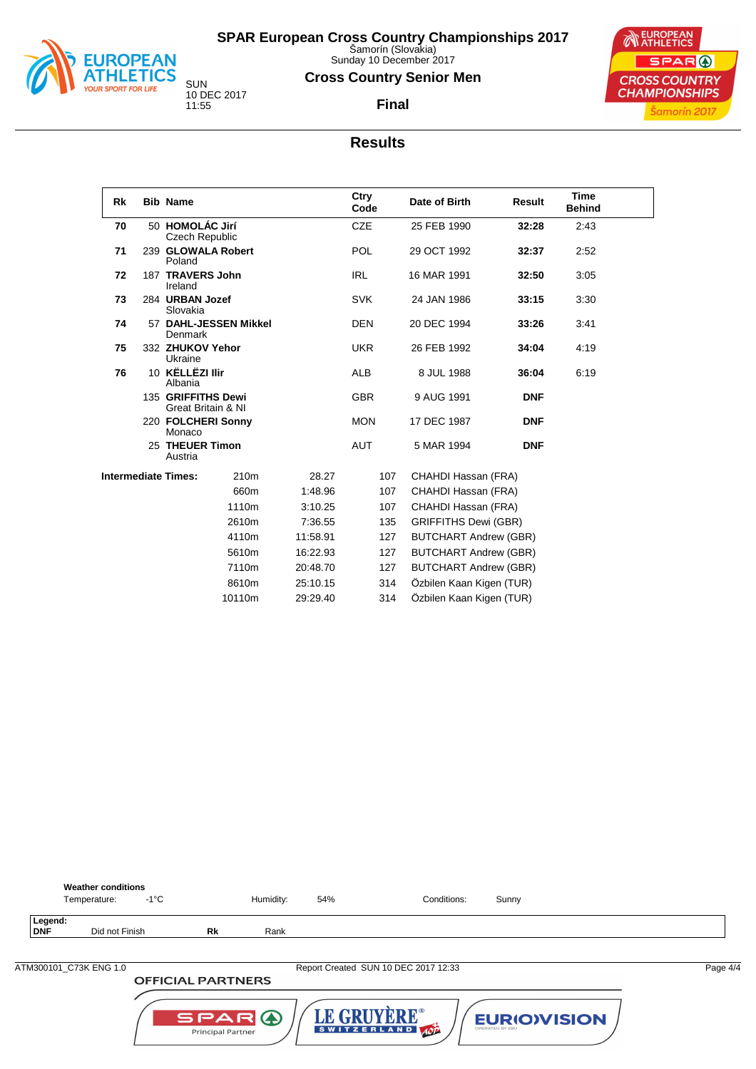

Sunday 10 December 2017

#### **Cross Country Senior Men**

**Final**



#### **Results**

| Rk | <b>Bib Name</b>                          |        | Ctry<br>Code | Date of Birth | Result                       | <b>Time</b><br><b>Behind</b> |      |  |
|----|------------------------------------------|--------|--------------|---------------|------------------------------|------------------------------|------|--|
| 70 | 50 HOMOLÁC Jirí<br><b>Czech Republic</b> |        |              | <b>CZE</b>    | 25 FEB 1990                  | 32:28                        | 2:43 |  |
| 71 | 239 GLOWALA Robert<br>Poland             |        |              | <b>POL</b>    | 29 OCT 1992                  | 32:37                        | 2:52 |  |
| 72 | 187 TRAVERS John<br>Ireland              |        |              | <b>IRL</b>    | 16 MAR 1991                  | 32:50                        | 3:05 |  |
| 73 | 284 URBAN Jozef<br>Slovakia              |        |              | <b>SVK</b>    | 24 JAN 1986                  | 33.15                        | 3:30 |  |
| 74 | 57 DAHL-JESSEN Mikkel<br>Denmark         |        |              | <b>DEN</b>    | 20 DEC 1994                  | 33.26                        | 3:41 |  |
| 75 | 332 ZHUKOV Yehor<br>Ukraine              |        |              | <b>UKR</b>    | 26 FEB 1992                  | 34:04                        | 4:19 |  |
| 76 | 10 KËLLËZI Ilir<br>Albania               |        |              | <b>ALB</b>    | 8 JUL 1988                   | 36:04                        | 6:19 |  |
|    | 135 GRIFFITHS Dewi<br>Great Britain & NI |        |              | <b>GBR</b>    | 9 AUG 1991                   | <b>DNF</b>                   |      |  |
|    | 220 FOLCHERI Sonny<br>Monaco             |        |              | <b>MON</b>    | 17 DEC 1987                  | <b>DNF</b>                   |      |  |
|    | 25 THEUER Timon<br>Austria               |        |              | <b>AUT</b>    | 5 MAR 1994                   | <b>DNF</b>                   |      |  |
|    | <b>Intermediate Times:</b>               | 210m   | 28.27        | 107           | CHAHDI Hassan (FRA)          |                              |      |  |
|    |                                          | 660m   | 1:48.96      | 107           | CHAHDI Hassan (FRA)          |                              |      |  |
|    |                                          | 1110m  | 3:10.25      | 107           | CHAHDI Hassan (FRA)          |                              |      |  |
|    |                                          | 2610m  | 7:36.55      | 135           | <b>GRIFFITHS Dewi (GBR)</b>  |                              |      |  |
|    |                                          | 4110m  | 11:58.91     | 127           | <b>BUTCHART Andrew (GBR)</b> |                              |      |  |
|    |                                          | 5610m  | 16:22.93     | 127           | <b>BUTCHART Andrew (GBR)</b> |                              |      |  |
|    |                                          | 7110m  | 20:48.70     | 127           | <b>BUTCHART Andrew (GBR)</b> |                              |      |  |
|    |                                          | 8610m  | 25:10.15     | 314           | Özbilen Kaan Kigen (TUR)     |                              |      |  |
|    |                                          | 10110m | 29:29.40     | 314           | Özbilen Kaan Kigen (TUR)     |                              |      |  |



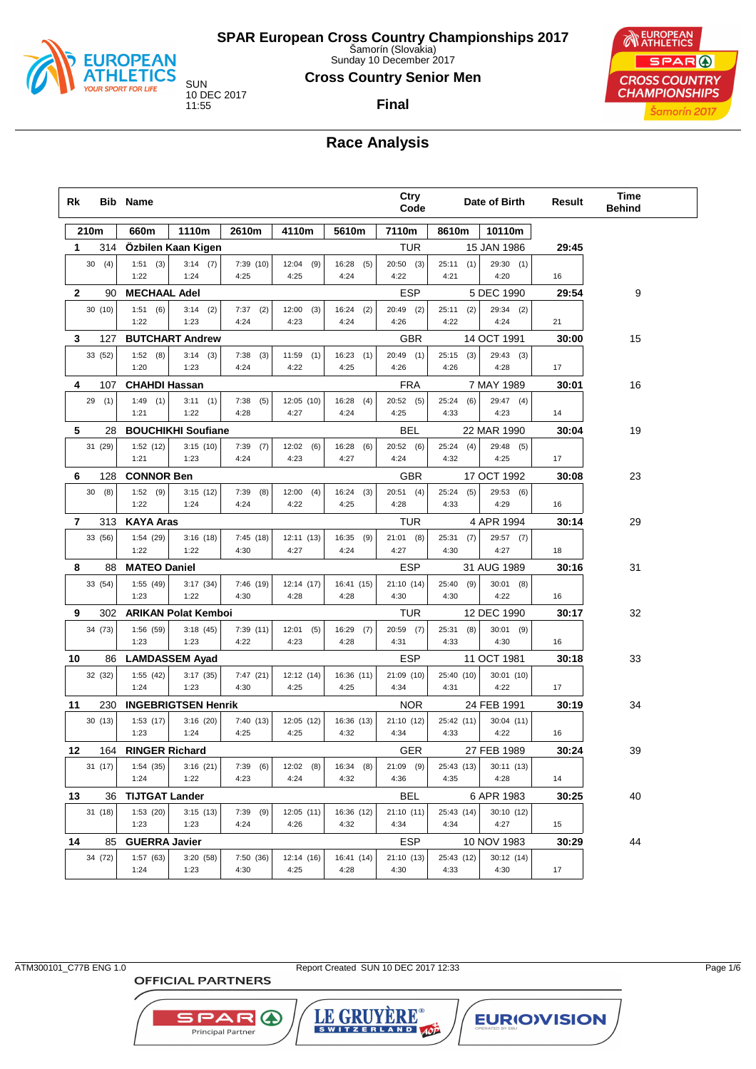

Sunday 10 December 2017

#### **Cross Country Senior Men**

**Final**

10 DEC 2017

EUROPEAN SPAR ( **CROSS COUNTRY CHAMPIONSHIPS** Šamorín 2017

## **Race Analysis**

| Rk           |              | <b>Bib Name</b>       |                            |                     |                      |                      | Ctry<br>Code        |                      | Date of Birth            | Result | <b>Time</b><br><b>Behind</b> |
|--------------|--------------|-----------------------|----------------------------|---------------------|----------------------|----------------------|---------------------|----------------------|--------------------------|--------|------------------------------|
|              | 210m         | 660m                  | 1110m                      | 2610m               | 4110m                | 5610m                | 7110m               | 8610m                | 10110m                   |        |                              |
| 1.           | 314          |                       | Ozbilen Kaan Kigen         |                     |                      |                      | TUR                 |                      | 15 JAN 1986              | 29:45  |                              |
|              | 30(4)        | 1:51(3)<br>1:22       | 3:14(7)<br>1:24            | 7:39(10)<br>4:25    | 12:04<br>(9)<br>4:25 | 16:28<br>(5)<br>4:24 | 20:50(3)<br>4:22    | 25:11<br>(1)<br>4:21 | 29:30(1)<br>4:20         | 16     |                              |
| $\mathbf{2}$ | 90           | <b>MECHAAL Adel</b>   |                            |                     |                      |                      | <b>ESP</b>          |                      | 5 DEC 1990               | 29:54  | 9                            |
|              | 30(10)       | 1:51(6)<br>1:22       | 3:14(2)<br>1:23            | (2)<br>7:37<br>4:24 | 12:00<br>(3)<br>4:23 | 16:24<br>(2)<br>4:24 | 20:49 (2)<br>4:26   | (2)<br>25:11<br>4:22 | $29:34$ (2)<br>4:24      | 21     |                              |
| 3            | 127          |                       | <b>BUTCHART Andrew</b>     |                     |                      |                      | GBR                 |                      | 14 OCT 1991              | 30:00  | 15                           |
|              | 33 (52)      | 1:52(8)               | 3:14(3)                    | (3)<br>7:38         | 11:59<br>(1)         | 16:23(1)             | 20:49 (1)           | $25:15$ (3)          | 29:43 (3)                |        |                              |
|              |              | 1:20                  | 1:23                       | 4:24                | 4:22                 | 4:25                 | 4:26                | 4:26                 | 4:28                     | 17     |                              |
| 4            | 107          | <b>CHAHDI Hassan</b>  |                            |                     |                      |                      | <b>FRA</b>          |                      | 7 MAY 1989               | 30:01  | 16                           |
|              | 29(1)        | $1:49$ (1)<br>1:21    | 3:11(1)<br>1:22            | (5)<br>7:38<br>4:28 | 12:05 (10)<br>4:27   | 16:28<br>(4)<br>4:24 | 20:52(5)<br>4:25    | (6)<br>25:24<br>4:33 | $29:47$ (4)<br>4:23      | 14     |                              |
| 5            | 28           |                       | <b>BOUCHIKHI Soufiane</b>  |                     |                      |                      | BEL                 |                      | 22 MAR 1990              | 30:04  | 19                           |
|              | 31 (29)      | 1:52(12)              | 3:15(10)                   | 7:39<br>(7)         | 12:02(6)             | 16:28<br>(6)         | 20:52 (6)           | 25:24<br>(4)         | 29:48 (5)                |        |                              |
|              |              | 1:21                  | 1:23                       | 4:24                | 4:23                 | 4:27                 | 4:24                | 4:32                 | 4:25                     | 17     |                              |
| 6            | 128          | <b>CONNOR Ben</b>     |                            |                     |                      |                      | <b>GBR</b>          |                      | 17 OCT 1992              | 30:08  | 23                           |
|              | 30(8)        | 1:52(9)<br>1:22       | 3:15(12)<br>1:24           | (8)<br>7:39<br>4:24 | 12:00<br>(4)<br>4:22 | 16:24<br>(3)<br>4:25 | $20:51$ (4)<br>4:28 | 25:24<br>(5)<br>4:33 | 29:53(6)<br>4:29         | 16     |                              |
| 7            | 313          | <b>KAYA Aras</b>      |                            |                     |                      |                      | TUR                 |                      | 4 APR 1994               | 30:14  | 29                           |
|              | 33 (56)      | 1:54(29)<br>1:22      | 3:16(18)<br>1:22           | 7:45(18)<br>4:30    | 12:11 (13)<br>4:27   | 16:35<br>(9)<br>4:24 | $21:01$ (8)<br>4:27 | 25:31(7)<br>4:30     | 29:57 (7)<br>4:27        | 18     |                              |
| 8            | 88           | <b>MATEO Daniel</b>   |                            |                     |                      |                      | <b>ESP</b>          |                      | 31 AUG 1989              | 30:16  | 31                           |
|              | 33 (54)      | 1:55(49)<br>1:23      | 3:17(34)<br>1:22           | 7:46 (19)<br>4:30   | 12:14 (17)<br>4:28   | 16:41 (15)<br>4:28   | 21:10 (14)<br>4:30  | 25:40<br>(9)<br>4:30 | $30:01$ (8)<br>4:22      | 16     |                              |
| 9            | 302          |                       | <b>ARIKAN Polat Kemboi</b> |                     |                      |                      | TUR                 |                      | 12 DEC 1990              | 30:17  | 32                           |
|              | 34 (73)      | 1:56(59)<br>1:23      | 3:18(45)<br>1:23           | 7:39(11)<br>4:22    | 12:01<br>(5)<br>4:23 | 16:29<br>(7)<br>4:28 | 20:59 (7)<br>4:31   | 25:31<br>(8)<br>4:33 | $30:01$ (9)<br>4:30      | 16     |                              |
| 10           | 86           |                       | <b>LAMDASSEM Ayad</b>      |                     |                      |                      | <b>ESP</b>          |                      | 11 OCT 1981              | 30:18  | 33                           |
|              | 32 (32)      | 1:55(42)<br>1:24      | 3:17(35)<br>1:23           | 7:47(21)<br>4:30    | 12:12 (14)<br>4:25   | 16:36 (11)<br>4:25   | 21:09 (10)<br>4:34  | 25:40 (10)<br>4:31   | 30:01 (10)<br>4:22       | 17     |                              |
| 11           | 230          |                       | <b>INGEBRIGTSEN Henrik</b> |                     |                      |                      | <b>NOR</b>          |                      | 24 FEB 1991              | 30:19  | 34                           |
|              | 30(13)       | 1:53(17)              | 3:16(20)                   | 7:40 (13)           | 12:05(12)            | 16:36 (13)           | 21:10 (12)          | 25:42 (11)           | 30:04 (11)               |        |                              |
|              |              | 1:23                  | 1:24                       | 4:25                | 4:25                 | 4:32                 | 4:34                | 4:33                 | 4:22                     | 16     |                              |
| 12           |              | 164 RINGER Richard    |                            |                     |                      |                      | <b>GER</b>          |                      | 27 FEB 1989              | 30:24  | 39                           |
|              | 31 (17)      | 1:54(35)<br>1:24      | 3:16(21)<br>1:22           | 7:39<br>(6)<br>4:23 | $12:02$ (8)<br>4:24  | 16:34 (8)<br>4:32    | 21:09 (9)<br>4:36   | 25:43 (13)<br>4:35   | 30:11 (13)<br>4:28       | 14     |                              |
|              |              | <b>TIJTGAT Lander</b> |                            |                     |                      |                      | BEL                 |                      |                          | 30:25  | 40                           |
| 13           | 36<br>31(18) | 1:53(20)              | 3:15(13)                   | $7:39$ (9)          | 12:05(11)            | 16:36 (12)           | 21:10 (11)          | 25:43 (14)           | 6 APR 1983<br>30:10 (12) |        |                              |
|              |              | 1:23                  | 1:23                       | 4:24                | 4:26                 | 4:32                 | 4:34                | 4:34                 | 4:27                     | 15     |                              |
| 14           | 85           | <b>GUERRA Javier</b>  |                            |                     |                      |                      | ESP                 |                      | 10 NOV 1983              | 30:29  | 44                           |
|              | 34 (72)      | 1:57 (63)<br>1:24     | 3:20(58)<br>1:23           | 7:50 (36)<br>4:30   | 12:14 (16)<br>4:25   | 16:41 (14)<br>4:28   | 21:10 (13)<br>4:30  | 25:43 (12)<br>4:33   | 30:12 (14)<br>4:30       | 17     |                              |

**OFFICIAL PARTNERS** 

SPAR A

Principal Partner

ATM300101\_C77B ENG 1.0 Report Created SUN 10 DEC 2017 12:33 Page 1/6

LE GRUYERE®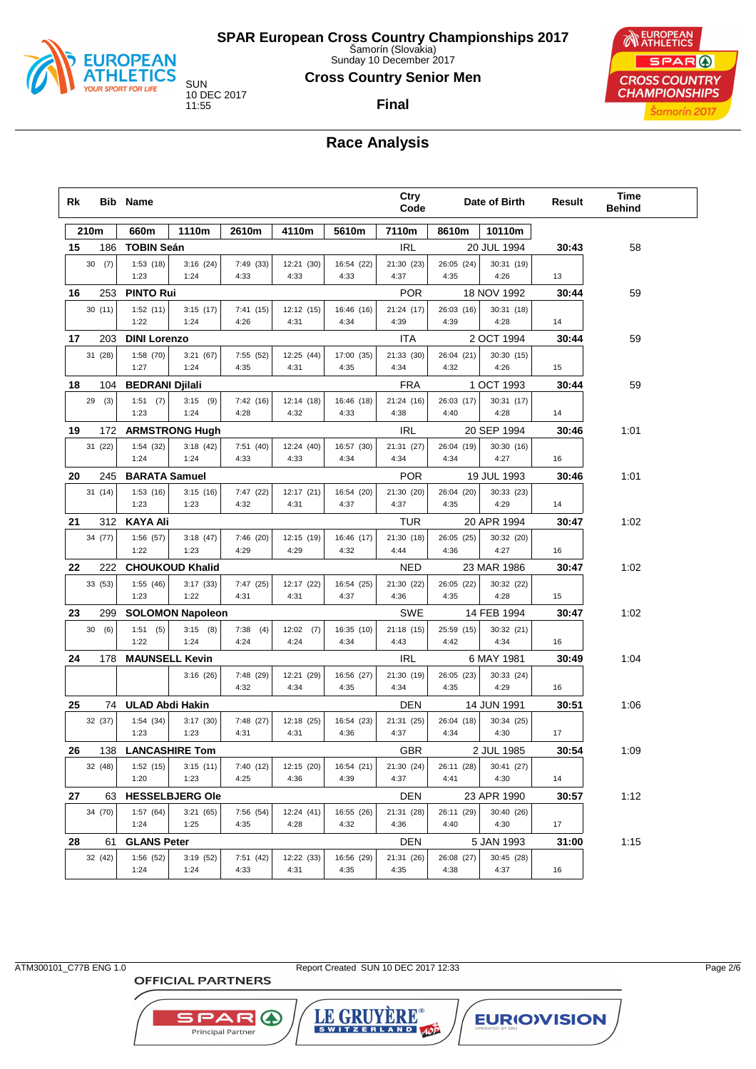

Sunday 10 December 2017

#### **Cross Country Senior Men**

**Final**

10 DEC 2017



## **Race Analysis**

| Rk |                | <b>Bib Name</b>        |                         |                   |                    |                    | Ctry<br>Code       |                    | Date of Birth             | Result | <b>Time</b><br><b>Behind</b> |  |
|----|----------------|------------------------|-------------------------|-------------------|--------------------|--------------------|--------------------|--------------------|---------------------------|--------|------------------------------|--|
|    | 210m           | 660m                   | 1110m                   | 2610m             | 4110m              | 5610m              | 7110m              | 8610m              | 10110m                    |        |                              |  |
| 15 | 186            | <b>TOBIN Seán</b>      |                         |                   |                    |                    | <b>IRL</b>         |                    | 20 JUL 1994               | 30:43  | 58                           |  |
|    | 30(7)          | 1:53(18)<br>1:23       | 3:16(24)<br>1:24        | 7:49 (33)<br>4:33 | 12:21 (30)<br>4:33 | 16:54 (22)<br>4:33 | 21:30 (23)<br>4:37 | 26:05 (24)<br>4:35 | 30:31 (19)<br>4:26        | 13     |                              |  |
| 16 | 253            | <b>PINTO Rui</b>       |                         |                   |                    |                    | <b>POR</b>         |                    | 18 NOV 1992               | 30:44  | 59                           |  |
|    | 30(11)         | 1:52(11)               | 3:15(17)                | 7:41(15)          | 12:12 (15)         | 16:46 (16)         | 21:24 (17)         | 26:03 (16)         | 30:31 (18)                |        |                              |  |
|    |                | 1:22                   | 1:24                    | 4:26              | 4:31               | 4:34               | 4:39               | 4:39               | 4:28                      | 14     |                              |  |
| 17 | 203            | <b>DINI Lorenzo</b>    |                         |                   |                    |                    | ITA                |                    | 2 OCT 1994                | 30:44  | 59                           |  |
|    | 31 (28)        | 1:58(70)               | 3:21(67)                | 7:55 (52)         | 12:25 (44)         | 17:00 (35)         | 21:33 (30)         | 26:04 (21)         | 30:30 (15)                |        |                              |  |
|    |                | 1:27                   | 1:24                    | 4:35              | 4:31               | 4:35               | 4:34               | 4:32               | 4:26                      | 15     |                              |  |
| 18 | 104            | <b>BEDRANI Djilali</b> |                         |                   |                    |                    | <b>FRA</b>         |                    | 1 OCT 1993                | 30:44  | 59                           |  |
|    | 29(3)          | 1:51(7)<br>1:23        | $3:15$ (9)<br>1:24      | 7:42(16)<br>4:28  | 12:14 (18)<br>4:32 | 16:46 (18)<br>4:33 | 21:24 (16)<br>4:38 | 26:03 (17)<br>4:40 | 30:31 (17)<br>4:28        | 14     |                              |  |
| 19 | 172            |                        | <b>ARMSTRONG Hugh</b>   |                   |                    |                    | IRL                |                    | 20 SEP 1994               | 30:46  | 1:01                         |  |
|    | 31 (22)        | 1:54(32)               | 3:18(42)                | 7:51(40)          | 12:24 (40)         | 16:57 (30)         | 21:31 (27)         | 26:04 (19)         | 30:30 (16)                |        |                              |  |
|    |                | 1:24                   | 1:24                    | 4:33              | 4:33               | 4:34               | 4:34               | 4:34               | 4:27                      | 16     |                              |  |
| 20 | 245            | <b>BARATA Samuel</b>   |                         |                   |                    |                    | <b>POR</b>         |                    | 19 JUL 1993               | 30:46  | 1:01                         |  |
|    | 31(14)         | 1:53(16)<br>1:23       | 3:15(16)<br>1:23        | 7:47 (22)<br>4:32 | 12:17 (21)<br>4:31 | 16:54 (20)<br>4:37 | 21:30 (20)<br>4:37 | 26:04 (20)<br>4:35 | 30:33 (23)<br>4:29        | 14     |                              |  |
|    |                |                        |                         |                   |                    |                    |                    |                    |                           |        |                              |  |
| 21 | 312<br>34 (77) | <b>KAYA Ali</b>        |                         | 7:46 (20)         |                    | 16:46 (17)         | TUR<br>21:30 (18)  |                    | 20 APR 1994<br>30:32 (20) | 30:47  | 1:02                         |  |
|    |                | 1:56(57)<br>1:22       | 3:18(47)<br>1:23        | 4:29              | 12:15 (19)<br>4:29 | 4:32               | 4:44               | 26:05 (25)<br>4:36 | 4:27                      | 16     |                              |  |
| 22 | 222.           |                        | <b>CHOUKOUD Khalid</b>  |                   |                    |                    | <b>NED</b>         |                    | 23 MAR 1986               | 30:47  | 1:02                         |  |
|    | 33 (53)        | 1:55(46)               | 3:17(33)                | 7:47 (25)         | 12:17 (22)         | 16:54 (25)         | 21:30 (22)         | 26:05 (22)         | 30:32 (22)                |        |                              |  |
|    |                | 1:23                   | 1:22                    | 4:31              | 4:31               | 4:37               | 4:36               | 4:35               | 4:28                      | 15     |                              |  |
| 23 | 299            |                        | <b>SOLOMON Napoleon</b> |                   |                    |                    | <b>SWE</b>         |                    | 14 FEB 1994               | 30:47  | 1:02                         |  |
|    | 30<br>(6)      | 1:51(5)                | 3:15(8)                 | 7:38<br>(4)       | $12:02$ (7)        | 16:35 (10)         | 21:18 (15)         | 25:59 (15)         | 30:32 (21)                |        |                              |  |
|    |                | 1:22                   | 1:24                    | 4:24              | 4:24               | 4:34               | 4:43               | 4:42               | 4:34                      | 16     |                              |  |
| 24 | 178            | <b>MAUNSELL Kevin</b>  |                         |                   |                    |                    | <b>IRL</b>         |                    | 6 MAY 1981                | 30:49  | 1:04                         |  |
|    |                |                        | 3:16(26)                | 7:48 (29)         | 12:21 (29)         | 16:56 (27)         | 21:30 (19)         | 26:05 (23)         | 30:33 (24)                |        |                              |  |
|    |                |                        |                         | 4:32              | 4:34               | 4:35               | 4:34               | 4:35               | 4:29                      | 16     |                              |  |
| 25 |                | 74 ULAD Abdi Hakin     |                         |                   |                    |                    | DEN                |                    | 14 JUN 1991               | 30:51  | 1:06                         |  |
|    | 32 (37)        | 1:54(34)<br>1:23       | 3:17(30)<br>1:23        | 7:48 (27)<br>4:31 | 12:18 (25)<br>4:31 | 16:54 (23)<br>4:36 | 21:31 (25)<br>4:37 | 26:04 (18)<br>4:34 | 30:34 (25)<br>4:30        | 17     |                              |  |
| 26 | 138            | <b>LANCASHIRE Tom</b>  |                         |                   |                    |                    | <b>GBR</b>         |                    | 2 JUL 1985                | 30:54  | 1:09                         |  |
|    | 32 (48)        | 1:52(15)               | 3:15(11)                | 7:40 (12)         | 12:15 (20)         | 16:54 (21)         | 21:30 (24)         | 26:11 (28)         | 30:41 (27)                |        |                              |  |
|    |                | 1:20                   | 1:23                    | 4:25              | 4:36               | 4:39               | 4:37               | 4:41               | 4:30                      | 14     |                              |  |
| 27 | 63             |                        | <b>HESSELBJERG Ole</b>  |                   |                    |                    | DEN                |                    | 23 APR 1990               | 30:57  | 1:12                         |  |
|    | 34 (70)        | 1:57(64)               | 3:21(65)                | 7:56 (54)         | 12:24 (41)         | 16:55 (26)         | 21:31 (28)         | 26:11 (29)         | 30:40 (26)                |        |                              |  |
|    |                | 1:24                   | 1:25                    | 4:35              | 4:28               | 4:32               | 4:36               | 4:40               | 4:30                      | 17     |                              |  |
| 28 | 61             | <b>GLANS Peter</b>     |                         |                   |                    |                    | DEN                |                    | 5 JAN 1993                | 31:00  | 1:15                         |  |
|    | 32 (42)        | 1:56(52)<br>1:24       | 3:19(52)<br>1:24        | 7:51 (42)<br>4:33 | 12:22 (33)<br>4:31 | 16:56 (29)<br>4:35 | 21:31 (26)<br>4:35 | 26:08 (27)<br>4:38 | 30:45 (28)<br>4:37        | 16     |                              |  |

**OFFICIAL PARTNERS** 

**SPAR A** 

Principal Partner

ATM300101\_C77B ENG 1.0 Report Created SUN 10 DEC 2017 12:33

LE GRUYERE®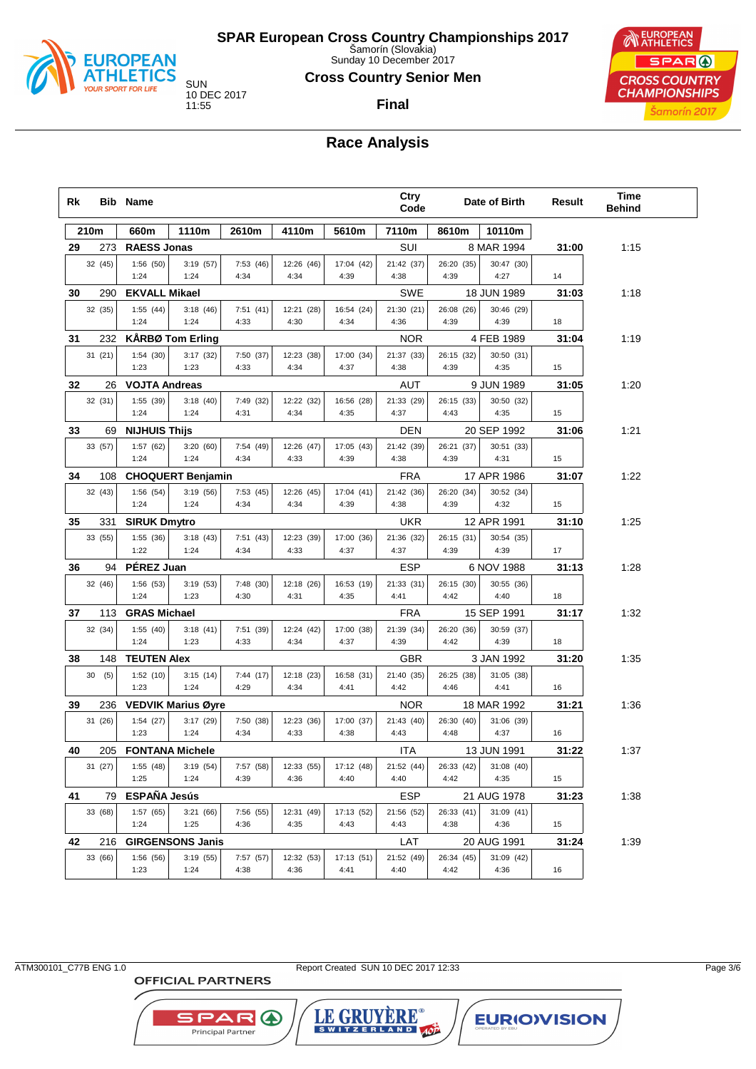

Sunday 10 December 2017

#### **Cross Country Senior Men**

**Final**

10 DEC 2017



# **Race Analysis**

| Rk |         |    | <b>Bib Name</b>      |                                       |                  |                    |                    | Ctry<br>Code       |                    | Date of Birth      | Result | <b>Time</b><br><b>Behind</b> |  |
|----|---------|----|----------------------|---------------------------------------|------------------|--------------------|--------------------|--------------------|--------------------|--------------------|--------|------------------------------|--|
|    | 210m    |    | 660m                 | 1110m                                 | 2610m            | 4110m              | 5610m              | 7110m              | 8610m              | 10110m             |        |                              |  |
| 29 | 273     |    | <b>RAESS Jonas</b>   |                                       |                  |                    |                    | SUI                |                    | 8 MAR 1994         | 31:00  | 1:15                         |  |
|    | 32 (45) |    | 1:56(50)<br>1:24     | 3:19(57)<br>1:24                      | 7:53(46)<br>4:34 | 12:26 (46)<br>4:34 | 17:04 (42)<br>4:39 | 21:42 (37)<br>4:38 | 26:20 (35)<br>4:39 | 30:47 (30)<br>4:27 | 14     |                              |  |
| 30 | 290     |    | <b>EKVALL Mikael</b> |                                       |                  |                    |                    | SWE                |                    | 18 JUN 1989        | 31:03  | 1:18                         |  |
|    | 32 (35) |    | 1:55(44)             | 3:18(46)                              | 7:51(41)         | 12:21 (28)         | 16:54 (24)         | 21:30 (21)         | 26:08 (26)         | 30:46 (29)         |        |                              |  |
|    |         |    | 1:24                 | 1:24                                  | 4:33             | 4:30               | 4:34               | 4:36               | 4:39               | 4:39               | 18     |                              |  |
| 31 | 232     |    |                      | <b>KÅRBØ Tom Erling</b>               |                  |                    |                    | <b>NOR</b>         |                    | 4 FEB 1989         | 31:04  | 1:19                         |  |
|    | 31(21)  |    | 1:54(30)             | 3:17(32)                              | 7:50 (37)        | 12:23 (38)         | 17:00 (34)         | 21:37 (33)         | 26:15 (32)         | 30:50 (31)         |        |                              |  |
|    |         |    | 1:23                 | 1:23                                  | 4:33             | 4:34               | 4:37               | 4:38               | 4:39               | 4:35               | 15     |                              |  |
| 32 | 26      |    | <b>VOJTA Andreas</b> |                                       |                  |                    |                    | AUT                |                    | 9 JUN 1989         | 31:05  | 1:20                         |  |
|    | 32 (31) |    | 1:55 (39)            | 3:18(40)                              | 7:49 (32)        | 12:22 (32)         | 16:56 (28)         | 21:33 (29)         | 26:15 (33)         | 30:50 (32)         |        |                              |  |
|    |         |    | 1:24                 | 1:24                                  | 4:31             | 4:34               | 4:35               | 4:37               | 4:43               | 4:35               | 15     |                              |  |
| 33 |         | 69 | <b>NIJHUIS Thijs</b> |                                       |                  |                    |                    | DEN                |                    | 20 SEP 1992        | 31:06  | 1:21                         |  |
|    | 33 (57) |    | 1:57(62)             | 3:20(60)                              | 7:54 (49)        | 12:26 (47)         | 17:05 (43)         | 21:42 (39)         | 26:21 (37)         | 30:51 (33)         |        |                              |  |
|    |         |    | 1:24                 | 1:24                                  | 4:34             | 4:33               | 4:39               | 4:38               | 4:39               | 4:31               | 15     |                              |  |
| 34 | 108     |    |                      | <b>CHOQUERT Benjamin</b>              |                  |                    |                    | <b>FRA</b>         |                    | 17 APR 1986        | 31:07  | 1:22                         |  |
|    | 32 (43) |    | 1:56(54)<br>1:24     | 3:19(56)<br>1:24                      | 7:53(45)<br>4:34 | 12:26 (45)<br>4:34 | 17:04 (41)<br>4:39 | 21:42 (36)<br>4:38 | 26:20 (34)<br>4:39 | 30:52 (34)<br>4:32 | 15     |                              |  |
| 35 | 331     |    | <b>SIRUK Dmytro</b>  |                                       |                  |                    |                    | <b>UKR</b>         |                    | 12 APR 1991        | 31:10  | 1:25                         |  |
|    | 33 (55) |    | 1:55(36)             | 3:18(43)                              | 7:51(43)         | 12:23 (39)         | 17:00 (36)         | 21:36 (32)         | 26:15 (31)         | 30:54 (35)         |        |                              |  |
|    |         |    | 1:22                 | 1:24                                  | 4:34             | 4:33               | 4:37               | 4:37               | 4:39               | 4:39               | 17     |                              |  |
| 36 | 94      |    | PÉREZ Juan           |                                       |                  |                    |                    | <b>ESP</b>         |                    | 6 NOV 1988         | 31:13  | 1:28                         |  |
|    | 32 (46) |    | 1:56 (53)            | 3:19(53)                              | 7:48 (30)        | 12:18 (26)         | 16:53 (19)         | 21:33 (31)         | 26:15 (30)         | 30:55 (36)         |        |                              |  |
|    |         |    | 1:24                 | 1:23                                  | 4:30             | 4:31               | 4:35               | 4:41               | 4:42               | 4:40               | 18     |                              |  |
| 37 | 113     |    | <b>GRAS Michael</b>  |                                       |                  |                    |                    | <b>FRA</b>         |                    | 15 SEP 1991        | 31:17  | 1:32                         |  |
|    | 32 (34) |    | 1:55(40)             | 3:18(41)                              | 7:51 (39)        | 12:24 (42)         | 17:00 (38)         | 21:39 (34)         | 26:20 (36)         | 30:59 (37)         |        |                              |  |
|    |         |    | 1:24                 | 1:23                                  | 4:33             | 4:34               | 4:37               | 4:39               | 4:42               | 4:39               | 18     |                              |  |
| 38 | 148     |    | <b>TEUTEN Alex</b>   |                                       |                  |                    |                    | <b>GBR</b>         |                    | 3 JAN 1992         | 31:20  | 1:35                         |  |
|    | 30(5)   |    | 1:52(10)<br>1:23     | 3:15(14)<br>1:24                      | 7:44(17)<br>4:29 | 12:18 (23)<br>4:34 | 16:58 (31)<br>4:41 | 21:40 (35)<br>4:42 | 26:25 (38)<br>4:46 | 31:05 (38)<br>4:41 | 16     |                              |  |
| 39 |         |    |                      |                                       |                  |                    |                    | <b>NOR</b>         |                    | 18 MAR 1992        | 31:21  | 1:36                         |  |
|    | 236     |    | 1:54(27)             | <b>VEDVIK Marius Øyre</b><br>3:17(29) | 7:50 (38)        | 12:23 (36)         | 17:00 (37)         | 21:43 (40)         | 26:30 (40)         | 31:06 (39)         |        |                              |  |
|    | 31 (26) |    | 1:23                 | 1:24                                  | 4:34             | 4:33               | 4:38               | 4:43               | 4:48               | 4:37               | 16     |                              |  |
| 40 |         |    |                      | 205 FONTANA Michele                   |                  |                    |                    | ITA                |                    | 13 JUN 1991        | 31:22  | 1:37                         |  |
|    | 31 (27) |    | 1:55(48)             | 3:19(54)                              | 7:57 (58)        | 12:33 (55)         | 17:12 (48)         | 21:52 (44)         | 26:33 (42)         | 31:08 (40)         |        |                              |  |
|    |         |    | 1:25                 | 1:24                                  | 4:39             | 4:36               | 4:40               | 4:40               | 4:42               | 4:35               | 15     |                              |  |
| 41 | 79      |    | <b>ESPAÑA Jesús</b>  |                                       |                  |                    |                    | ESP                |                    | 21 AUG 1978        | 31:23  | 1:38                         |  |
|    | 33 (68) |    | 1:57(65)             | 3:21(66)                              | 7:56 (55)        | 12:31 (49)         | 17:13 (52)         | 21:56 (52)         | 26:33 (41)         | 31:09 (41)         |        |                              |  |
|    |         |    | 1:24                 | 1:25                                  | 4:36             | 4:35               | 4:43               | 4:43               | 4:38               | 4:36               | 15     |                              |  |
| 42 | 216     |    |                      | <b>GIRGENSONS Janis</b>               |                  |                    |                    | LAT                |                    | 20 AUG 1991        | 31:24  | 1:39                         |  |
|    | 33 (66) |    | 1:56 (56)            | 3:19(55)                              | 7:57 (57)        | 12:32 (53)         | 17:13 (51)         | 21:52 (49)         | 26:34 (45)         | 31:09 (42)         |        |                              |  |
|    |         |    | 1:23                 | 1:24                                  | 4:38             | 4:36               | 4:41               | 4:40               | 4:42               | 4:36               | 16     |                              |  |

**OFFICIAL PARTNERS** 

**SPAR A** Principal Partner

ATM300101\_C77B ENG 1.0 Report Created SUN 10 DEC 2017 12:33

LE GRUYERE®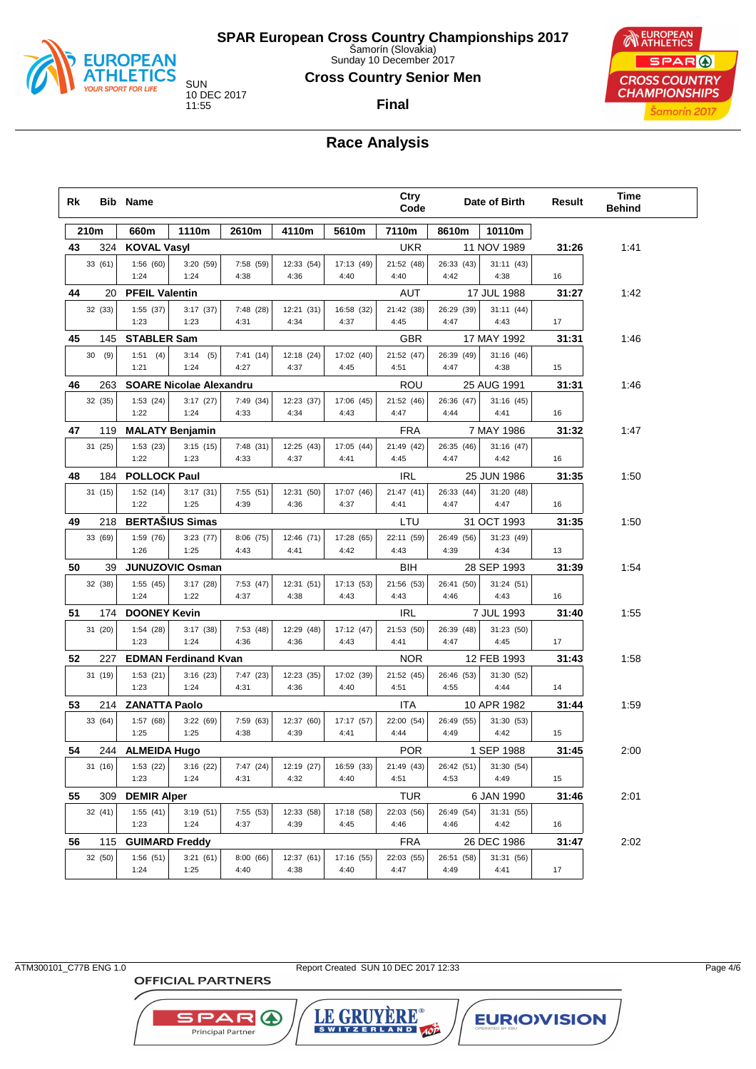

Sunday 10 December 2017

#### **Cross Country Senior Men**

**Final**

10 DEC 2017



**Race Analysis**

| Rk |         | <b>Bib Name</b>       |                                |                   |                    |                    | Ctry<br>Code       |                    | Date of Birth      | Result | Time<br><b>Behind</b> |
|----|---------|-----------------------|--------------------------------|-------------------|--------------------|--------------------|--------------------|--------------------|--------------------|--------|-----------------------|
|    | 210m    | 660m                  | 1110m                          | 2610m             | 4110m              | 5610m              | 7110m              | 8610m              | 10110m             |        |                       |
| 43 | 324     | <b>KOVAL Vasyl</b>    |                                |                   |                    |                    | <b>UKR</b>         |                    | 11 NOV 1989        | 31:26  | 1:41                  |
|    | 33 (61) | 1:56(60)<br>1:24      | 3:20 (59)<br>1:24              | 7:58 (59)<br>4:38 | 12:33 (54)<br>4:36 | 17:13 (49)<br>4:40 | 21:52 (48)<br>4:40 | 26:33 (43)<br>4:42 | 31:11(43)<br>4:38  | 16     |                       |
| 44 | 20      | <b>PFEIL Valentin</b> |                                |                   |                    |                    | AUT                |                    | 17 JUL 1988        | 31:27  | 1:42                  |
|    | 32 (33) | 1:55(37)<br>1:23      | 3:17(37)<br>1:23               | 7:48 (28)<br>4:31 | 12:21 (31)<br>4:34 | 16:58 (32)<br>4:37 | 21:42 (38)<br>4:45 | 26:29 (39)<br>4:47 | 31:11(44)<br>4:43  | 17     |                       |
| 45 | 145     | <b>STABLER Sam</b>    |                                |                   |                    |                    | <b>GBR</b>         |                    | 17 MAY 1992        | 31:31  | 1:46                  |
|    | 30(9)   | 1:51(4)               | 3:14(5)                        | 7:41(14)          | 12:18 (24)         | 17:02 (40)         | 21:52 (47)         | 26:39 (49)         | 31:16(46)          |        |                       |
|    |         | 1:21                  | 1:24                           | 4:27              | 4:37               | 4:45               | 4:51               | 4:47               | 4:38               | 15     |                       |
| 46 | 263     |                       | <b>SOARE Nicolae Alexandru</b> |                   |                    |                    | ROU                |                    | 25 AUG 1991        | 31:31  | 1:46                  |
|    | 32 (35) | 1:53(24)<br>1:22      | 3:17(27)<br>1:24               | 7:49 (34)<br>4:33 | 12:23 (37)<br>4:34 | 17:06 (45)<br>4:43 | 21:52 (46)<br>4:47 | 26:36 (47)<br>4:44 | 31:16(45)<br>4:41  | 16     |                       |
| 47 | 119     |                       | <b>MALATY Benjamin</b>         |                   |                    |                    | <b>FRA</b>         |                    | 7 MAY 1986         | 31:32  | 1:47                  |
|    | 31 (25) | 1:53(23)<br>1:22      | 3:15(15)<br>1:23               | 7:48 (31)<br>4:33 | 12:25 (43)<br>4:37 | 17:05 (44)<br>4:41 | 21:49 (42)<br>4:45 | 26:35 (46)<br>4:47 | 31:16(47)<br>4:42  | 16     |                       |
| 48 | 184     | <b>POLLOCK Paul</b>   |                                |                   |                    |                    | <b>IRL</b>         |                    | 25 JUN 1986        | 31:35  | 1:50                  |
|    | 31(15)  | 1:52(14)<br>1:22      | 3:17(31)<br>1:25               | 7:55(51)<br>4:39  | 12:31 (50)<br>4:36 | 17:07 (46)<br>4:37 | 21:47(41)<br>4:41  | 26:33 (44)<br>4:47 | 31:20 (48)<br>4:47 | 16     |                       |
| 49 | 218     |                       | <b>BERTAŠIUS Simas</b>         |                   |                    |                    | LTU                |                    | 31 OCT 1993        | 31:35  | 1:50                  |
|    | 33 (69) | 1:59(76)<br>1:26      | 3:23(77)<br>1:25               | 8:06(75)<br>4:43  | 12:46 (71)<br>4:41 | 17:28 (65)<br>4:42 | 22:11 (59)<br>4:43 | 26:49 (56)<br>4:39 | 31:23 (49)<br>4:34 | 13     |                       |
| 50 | 39      |                       | <b>JUNUZOVIC Osman</b>         |                   |                    |                    | BIH                |                    | 28 SEP 1993        | 31:39  | 1:54                  |
|    | 32 (38) | 1:55(45)              | 3:17(28)                       | 7:53 (47)         | 12:31 (51)         | 17:13 (53)         | 21:56 (53)         | 26:41 (50)         | 31:24(51)          |        |                       |
|    |         | 1:24                  | 1:22                           | 4:37              | 4:38               | 4:43               | 4:43               | 4:46               | 4:43               | 16     |                       |
| 51 | 174     | <b>DOONEY Kevin</b>   |                                |                   |                    |                    | <b>IRL</b>         |                    | 7 JUL 1993         | 31:40  | 1:55                  |
|    | 31 (20) | 1:54(28)<br>1:23      | 3:17(38)<br>1:24               | 7:53 (48)<br>4:36 | 12:29 (48)<br>4:36 | 17:12 (47)<br>4:43 | 21:53 (50)<br>4:41 | 26:39 (48)<br>4:47 | 31:23 (50)<br>4:45 | 17     |                       |
| 52 | 227     |                       | <b>EDMAN Ferdinand Kvan</b>    |                   |                    |                    | <b>NOR</b>         |                    | 12 FEB 1993        | 31:43  | 1:58                  |
|    | 31 (19) | 1:53(21)<br>1:23      | 3:16(23)<br>1:24               | 7:47 (23)<br>4:31 | 12:23 (35)<br>4:36 | 17:02 (39)<br>4:40 | 21:52 (45)<br>4:51 | 26:46 (53)<br>4:55 | 31:30 (52)<br>4:44 | 14     |                       |
| 53 | 214     | <b>ZANATTA Paolo</b>  |                                |                   |                    |                    | ITA                |                    | 10 APR 1982        | 31:44  | 1:59                  |
|    | 33 (64) | 1:57 (68)             | 3:22 (69)                      | 7:59 (63)         | 12:37 (60)         | 17:17 (57)         | 22:00 (54)         | 26:49 (55)         | 31:30 (53)         |        |                       |
|    |         | 1:25                  | 1:25                           | 4:38              | 4:39               | 4:41               | 4:44               | 4:49               | 4:42               | 15     |                       |
| 54 |         | 244 ALMEIDA Hugo      |                                |                   |                    |                    | <b>POR</b>         |                    | 1 SEP 1988         | 31:45  | 2:00                  |
|    | 31 (16) | 1:53(22)<br>1:23      | 3:16(22)<br>1:24               | 7:47 (24)<br>4:31 | 12:19 (27)<br>4:32 | 16:59 (33)<br>4:40 | 21:49 (43)<br>4:51 | 26:42 (51)<br>4:53 | 31:30 (54)<br>4:49 | 15     |                       |
| 55 | 309     | <b>DEMIR Alper</b>    |                                |                   |                    |                    | <b>TUR</b>         |                    | 6 JAN 1990         | 31:46  | 2:01                  |
|    | 32 (41) | 1:55(41)<br>1:23      | 3:19(51)<br>1:24               | 7:55 (53)<br>4:37 | 12:33 (58)<br>4:39 | 17:18 (58)<br>4:45 | 22:03 (56)<br>4:46 | 26:49 (54)<br>4:46 | 31:31 (55)<br>4:42 | 16     |                       |
| 56 | 115     | <b>GUIMARD Freddy</b> |                                |                   |                    |                    | <b>FRA</b>         |                    | 26 DEC 1986        | 31:47  | 2:02                  |
|    | 32 (50) | 1:56(51)<br>1:24      | 3:21(61)<br>1:25               | 8:00(66)<br>4:40  | 12:37 (61)<br>4:38 | 17:16 (55)<br>4:40 | 22:03 (55)<br>4:47 | 26:51 (58)<br>4:49 | 31:31 (56)<br>4:41 | 17     |                       |

**OFFICIAL PARTNERS** 

**SPARO** 

Principal Partner

ATM300101\_C77B ENG 1.0 Report Created SUN 10 DEC 2017 12:33

LE GRUYERE®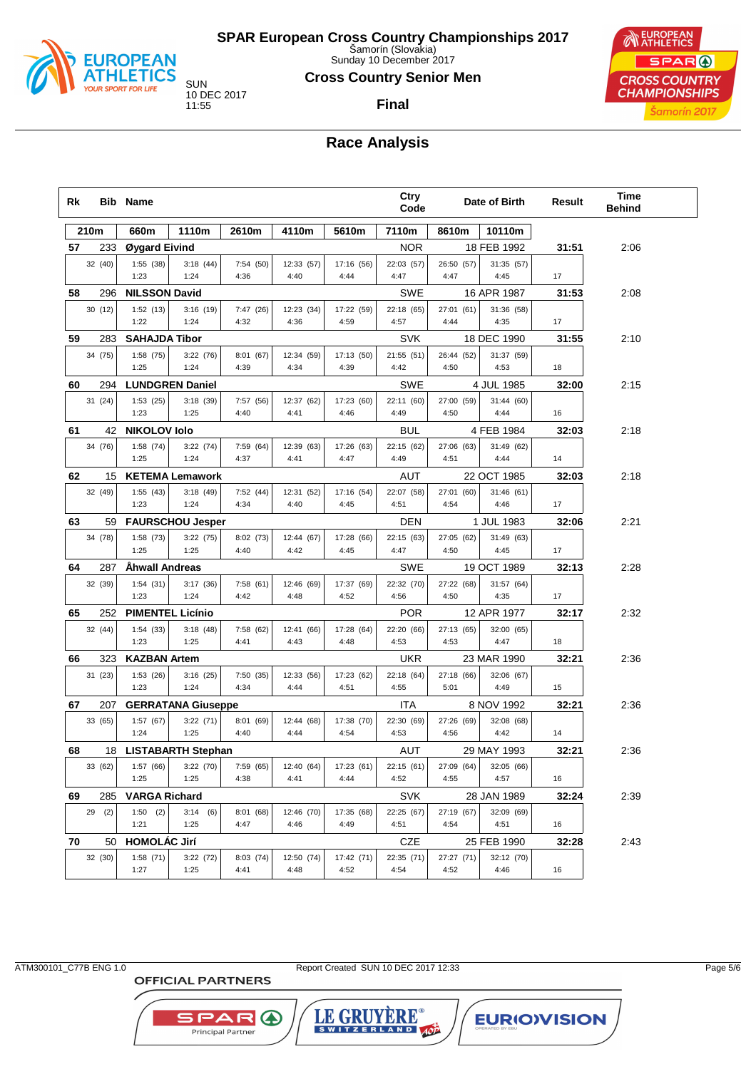

Sunday 10 December 2017

#### **Cross Country Senior Men**

**Final**

10 DEC 2017

EUROPEAN SPAR ( **CROSS COUNTRY CHAMPIONSHIPS** Šamorín 2017

# **Race Analysis**

| Rk |         | <b>Bib Name</b>         |                           |                   |                    |                    | Ctry<br>Code       |                    | Date of Birth      | Result | Time<br><b>Behind</b> |
|----|---------|-------------------------|---------------------------|-------------------|--------------------|--------------------|--------------------|--------------------|--------------------|--------|-----------------------|
|    | 210m    | 660m                    | 1110m                     | 2610m             | 4110m              | 5610m              | 7110m              | 8610m              | 10110m             |        |                       |
| 57 | 233     | Øygard Eivind           |                           |                   |                    |                    | <b>NOR</b>         |                    | 18 FEB 1992        | 31:51  | 2:06                  |
|    | 32 (40) | 1:55(38)<br>1:23        | 3:18(44)<br>1:24          | 7:54 (50)<br>4:36 | 12:33 (57)<br>4:40 | 17:16 (56)<br>4:44 | 22:03 (57)<br>4:47 | 26:50 (57)<br>4:47 | 31:35 (57)<br>4:45 | 17     |                       |
| 58 | 296     | <b>NILSSON David</b>    |                           |                   |                    |                    | SWE                |                    | 16 APR 1987        | 31:53  | 2:08                  |
|    | 30 (12) | 1:52(13)<br>1:22        | 3:16(19)<br>1:24          | 7:47 (26)<br>4:32 | 12:23 (34)<br>4:36 | 17:22 (59)<br>4:59 | 22:18 (65)<br>4:57 | 27:01 (61)<br>4:44 | 31:36 (58)<br>4:35 | 17     |                       |
| 59 | 283     | <b>SAHAJDA Tibor</b>    |                           |                   |                    |                    | <b>SVK</b>         |                    | 18 DEC 1990        | 31:55  | 2:10                  |
|    | 34 (75) | 1:58(75)                | 3:22(76)                  | 8:01(67)          | 12:34 (59)         | 17:13 (50)         | 21:55 (51)         | 26:44 (52)         | 31:37 (59)         |        |                       |
|    |         | 1:25                    | 1:24                      | 4:39              | 4:34               | 4:39               | 4:42               | 4:50               | 4:53               | 18     |                       |
| 60 | 294     |                         | <b>LUNDGREN Daniel</b>    |                   |                    |                    | SWE                |                    | 4 JUL 1985         | 32:00  | 2:15                  |
|    | 31 (24) | 1:53(25)<br>1:23        | 3:18(39)<br>1:25          | 7:57 (56)<br>4:40 | 12:37 (62)<br>4:41 | 17:23 (60)<br>4:46 | 22:11 (60)<br>4:49 | 27:00 (59)<br>4:50 | 31:44 (60)<br>4:44 | 16     |                       |
| 61 | 42      | <b>NIKOLOV lolo</b>     |                           |                   |                    |                    | BUL                |                    | 4 FEB 1984         | 32:03  | 2:18                  |
|    | 34 (76) | 1:58(74)<br>1:25        | 3:22(74)<br>1:24          | 7:59 (64)<br>4:37 | 12:39 (63)<br>4:41 | 17:26 (63)<br>4:47 | 22:15 (62)<br>4:49 | 27:06 (63)<br>4:51 | 31:49 (62)<br>4:44 | 14     |                       |
| 62 | 15      |                         | <b>KETEMA Lemawork</b>    |                   |                    |                    | AUT                |                    | 22 OCT 1985        | 32:03  | 2:18                  |
|    | 32 (49) | 1:55(43)<br>1:23        | 3:18(49)<br>1:24          | 7:52 (44)<br>4:34 | 12:31 (52)<br>4:40 | 17:16 (54)<br>4:45 | 22:07 (58)<br>4:51 | 27:01 (60)<br>4:54 | 31:46 (61)<br>4:46 | 17     |                       |
| 63 | 59      |                         | <b>FAURSCHOU Jesper</b>   |                   |                    |                    | DEN                |                    | 1 JUL 1983         | 32:06  | 2:21                  |
|    | 34 (78) | 1:58(73)<br>1:25        | 3:22(75)<br>1:25          | 8:02 (73)<br>4:40 | 12:44 (67)<br>4:42 | 17:28 (66)<br>4:45 | 22:15 (63)<br>4:47 | 27:05 (62)<br>4:50 | 31:49 (63)<br>4:45 | 17     |                       |
| 64 | 287     | <b>Ahwall Andreas</b>   |                           |                   |                    |                    | SWE                |                    | 19 OCT 1989        | 32:13  | 2:28                  |
|    | 32 (39) | 1:54(31)                | 3:17(36)                  | 7:58(61)          | 12:46 (69)         | 17:37 (69)         | 22:32 (70)         | 27:22 (68)         | 31:57 (64)         |        |                       |
|    |         | 1:23                    | 1:24                      | 4:42              | 4:48               | 4:52               | 4:56               | 4:50               | 4:35               | 17     |                       |
| 65 | 252     | <b>PIMENTEL Licínio</b> |                           |                   |                    |                    | <b>POR</b>         |                    | 12 APR 1977        | 32:17  | 2:32                  |
|    | 32 (44) | 1:54(33)<br>1:23        | 3:18(48)<br>1:25          | 7:58 (62)<br>4:41 | 12:41 (66)<br>4:43 | 17:28 (64)<br>4:48 | 22:20 (66)<br>4:53 | 27:13 (65)<br>4:53 | 32:00 (65)<br>4:47 | 18     |                       |
| 66 | 323     | <b>KAZBAN Artem</b>     |                           |                   |                    |                    | <b>UKR</b>         |                    | 23 MAR 1990        | 32:21  | 2:36                  |
|    | 31 (23) | 1:53(26)<br>1:23        | 3:16(25)<br>1:24          | 7:50 (35)<br>4:34 | 12:33 (56)<br>4:44 | 17:23 (62)<br>4:51 | 22:18 (64)<br>4:55 | 27:18 (66)<br>5:01 | 32:06 (67)<br>4:49 | 15     |                       |
| 67 | 207     |                         | <b>GERRATANA Giuseppe</b> |                   |                    |                    | <b>ITA</b>         |                    | 8 NOV 1992         | 32:21  | 2:36                  |
|    | 33 (65) | 1:57(67)                | 3:22(71)                  | 8:01 (69)         | 12:44 (68)         | 17:38 (70)         | 22:30 (69)         | 27:26 (69)         | 32:08 (68)         |        |                       |
|    |         | 1:24                    | 1:25                      | 4:40              | 4:44               | 4:54               | 4:53               | 4:56               | 4:42               | 14     |                       |
| 68 |         |                         | 18 LISTABARTH Stephan     |                   |                    |                    | AUT                |                    | 29 MAY 1993        | 32:21  | 2:36                  |
|    | 33 (62) | 1:57(66)<br>1:25        | 3:22(70)<br>1:25          | 7:59 (65)<br>4:38 | 12:40 (64)<br>4:41 | 17:23 (61)<br>4:44 | 22:15 (61)<br>4:52 | 27:09 (64)<br>4:55 | 32:05 (66)<br>4:57 | 16     |                       |
| 69 | 285     | <b>VARGA Richard</b>    |                           |                   |                    |                    | SVK                |                    | 28 JAN 1989        | 32:24  | 2:39                  |
|    | 29(2)   | 1:50(2)<br>1:21         | 3:14(6)<br>1:25           | 8:01 (68)<br>4:47 | 12:46 (70)<br>4:46 | 17:35 (68)<br>4:49 | 22:25 (67)<br>4:51 | 27:19 (67)<br>4:54 | 32:09 (69)<br>4:51 | 16     |                       |
| 70 | 50      | <b>HOMOLÁC Jirí</b>     |                           |                   |                    |                    | CZE                |                    | 25 FEB 1990        | 32:28  | 2:43                  |
|    | 32 (30) | 1:58(71)                | 3:22(72)                  | 8:03 (74)         | 12:50 (74)         | 17:42 (71)         | 22:35 (71)         | 27:27 (71)         | 32:12 (70)         |        |                       |

**OFFICIAL PARTNERS** 

**SPAR A** 

Principal Partner

ATM300101\_C77B ENG 1.0 Report Created SUN 10 DEC 2017 12:33

LE GRUYERE®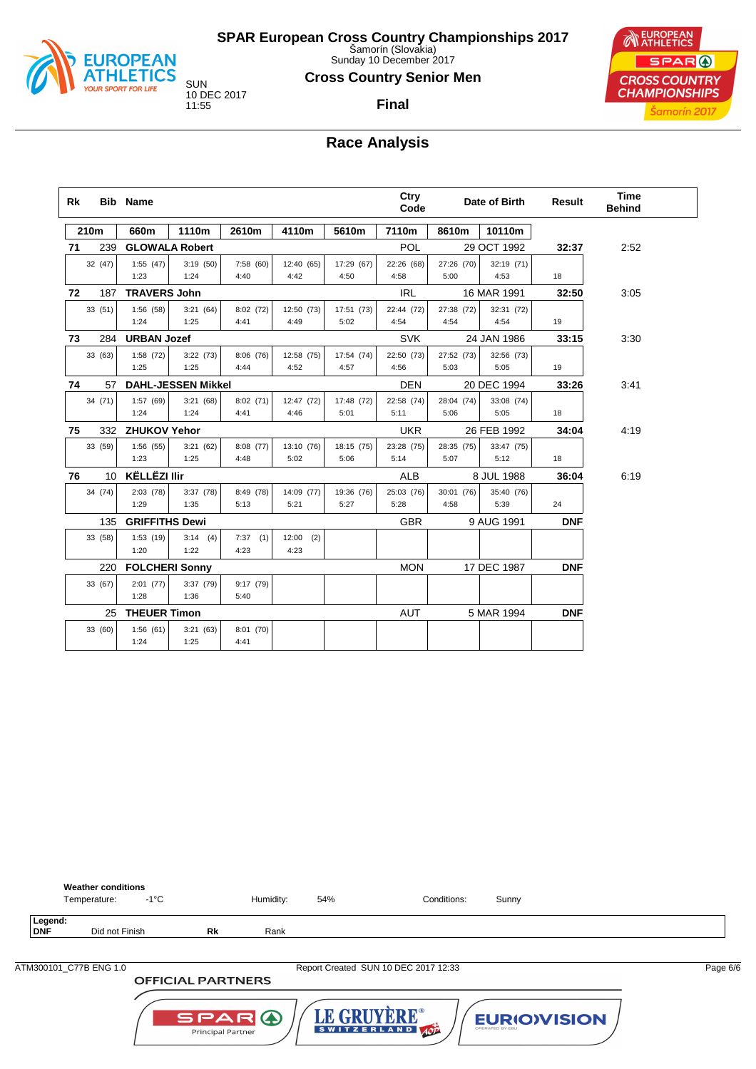

Sunday 10 December 2017

#### **Cross Country Senior Men**

**Final**

10 DEC 2017



# **Race Analysis**

| Rk |         | <b>Bib Name</b>       |                           |           |             |            | Ctry<br>Code |            | Date of Birth | <b>Result</b> | <b>Time</b><br><b>Behind</b> |  |
|----|---------|-----------------------|---------------------------|-----------|-------------|------------|--------------|------------|---------------|---------------|------------------------------|--|
|    | 210m    | 660m                  | 1110m                     | 2610m     | 4110m       | 5610m      | 7110m        | 8610m      | 10110m        |               |                              |  |
| 71 | 239     |                       | <b>GLOWALA Robert</b>     |           |             |            | POL          |            | 29 OCT 1992   | 32:37         | 2:52                         |  |
|    | 32 (47) | 1:55(47)              | 3:19(50)                  | 7:58 (60) | 12:40 (65)  | 17:29 (67) | 22:26 (68)   | 27:26 (70) | 32:19 (71)    |               |                              |  |
|    |         | 1:23                  | 1:24                      | 4:40      | 4:42        | 4:50       | 4:58         | 5:00       | 4:53          | 18            |                              |  |
| 72 | 187     | <b>TRAVERS John</b>   |                           |           |             |            | IRL          |            | 16 MAR 1991   | 32:50         | 3:05                         |  |
|    | 33 (51) | 1:56(58)              | 3:21(64)                  | 8:02(72)  | 12:50 (73)  | 17:51 (73) | 22:44 (72)   | 27:38 (72) | 32:31 (72)    |               |                              |  |
|    |         | 1:24                  | 1:25                      | 4:41      | 4:49        | 5:02       | 4:54         | 4:54       | 4:54          | 19            |                              |  |
| 73 | 284     | <b>URBAN Jozef</b>    |                           |           |             |            | <b>SVK</b>   |            | 24 JAN 1986   | 33:15         | 3:30                         |  |
|    | 33 (63) | 1:58(72)              | 3:22(73)                  | 8:06(76)  | 12:58 (75)  | 17:54 (74) | 22:50 (73)   | 27:52 (73) | 32:56 (73)    |               |                              |  |
|    |         | 1:25                  | 1:25                      | 4:44      | 4:52        | 4:57       | 4:56         | 5:03       | 5:05          | 19            |                              |  |
| 74 | 57      |                       | <b>DAHL-JESSEN Mikkel</b> |           |             |            | <b>DEN</b>   |            | 20 DEC 1994   | 33:26         | 3:41                         |  |
|    | 34 (71) | 1:57(69)              | 3:21(68)                  | 8:02(71)  | 12:47 (72)  | 17:48 (72) | 22:58 (74)   | 28:04 (74) | 33:08 (74)    |               |                              |  |
|    |         | 1:24                  | 1:24                      | 4:41      | 4:46        | 5:01       | 5:11         | 5:06       | 5:05          | 18            |                              |  |
| 75 | 332     | <b>ZHUKOV Yehor</b>   |                           |           |             |            | <b>UKR</b>   |            | 26 FEB 1992   | 34:04         | 4:19                         |  |
|    | 33 (59) | 1:56(55)              | 3:21(62)                  | 8:08 (77) | 13:10 (76)  | 18:15 (75) | 23:28 (75)   | 28:35 (75) | 33:47 (75)    |               |                              |  |
|    |         | 1:23                  | 1:25                      | 4:48      | 5:02        | 5:06       | 5:14         | 5:07       | 5:12          | 18            |                              |  |
| 76 | 10      | <b>KËLLËZI Ilir</b>   |                           |           |             |            | <b>ALB</b>   |            | 8 JUL 1988    | 36:04         | 6:19                         |  |
|    | 34 (74) | 2:03(78)              | 3:37(78)                  | 8:49 (78) | 14:09 (77)  | 19:36 (76) | 25:03 (76)   | 30:01 (76) | 35:40 (76)    |               |                              |  |
|    |         | 1:29                  | 1:35                      | 5:13      | 5:21        | 5:27       | 5:28         | 4:58       | 5:39          | 24            |                              |  |
|    | 135     | <b>GRIFFITHS Dewi</b> |                           |           |             |            | <b>GBR</b>   |            | 9 AUG 1991    | <b>DNF</b>    |                              |  |
|    | 33 (58) | 1:53(19)              | 3:14(4)                   | 7:37(1)   | $12:00$ (2) |            |              |            |               |               |                              |  |
|    |         | 1:20                  | 1:22                      | 4:23      | 4:23        |            |              |            |               |               |                              |  |
|    | 220     | <b>FOLCHERI Sonny</b> |                           |           |             |            | <b>MON</b>   |            | 17 DEC 1987   | <b>DNF</b>    |                              |  |
|    | 33 (67) | 2:01(77)              | 3:37(79)                  | 9:17 (79) |             |            |              |            |               |               |                              |  |
|    |         | 1:28                  | 1:36                      | 5:40      |             |            |              |            |               |               |                              |  |
|    | 25      | <b>THEUER Timon</b>   |                           |           |             |            | <b>AUT</b>   |            | 5 MAR 1994    | <b>DNF</b>    |                              |  |
|    | 33 (60) | 1:56(61)              | 3:21(63)                  | 8:01 (70) |             |            |              |            |               |               |                              |  |
|    |         | 1:24                  | 1:25                      | 4:41      |             |            |              |            |               |               |                              |  |

**Weather conditions**<br>Temperature: -1°C Temperature: -1°C Humidity: 54% Conditions: Sunny **Legend: Did not Finish <b>Rk** Rank

**OFFICIAL PARTNERS** 

ATM300101\_C77B ENG 1.0 Report Created SUN 10 DEC 2017 12:33 Page 6/6

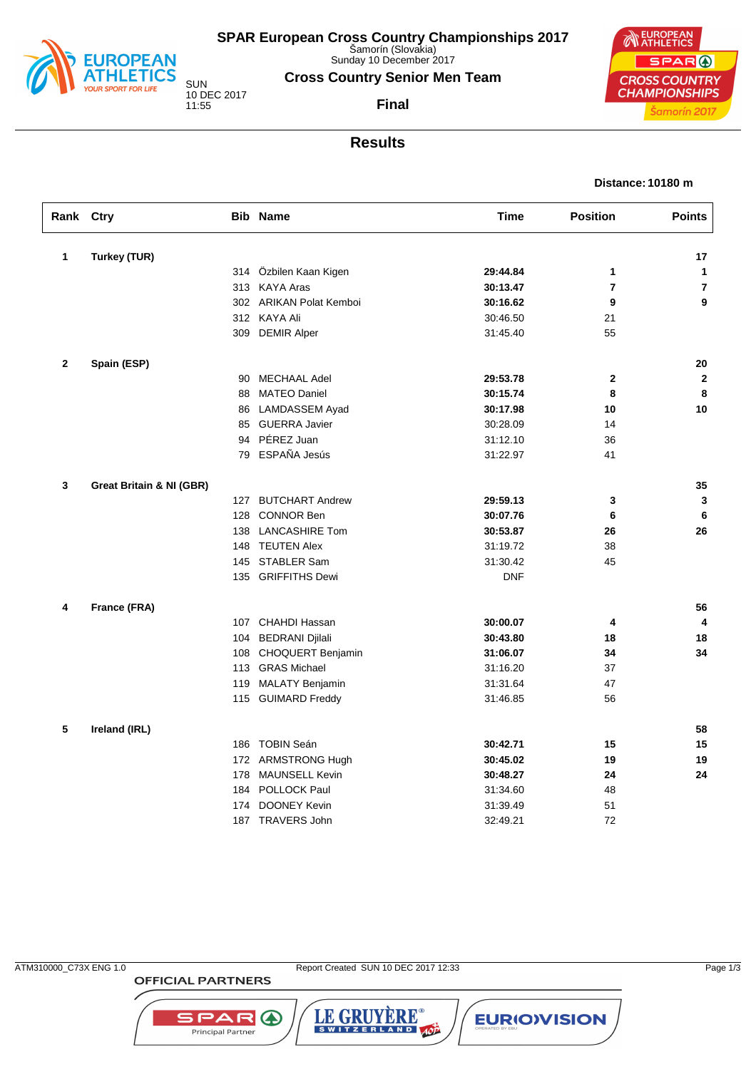

Sunday 10 December 2017

**Cross Country Senior Men Team**

**Final**

10 DEC 2017

**CROSS COUNTRY CHAMPIONSHIPS** 

## **Results**

#### **Distance: 10180 m**

**NEUROPEAN** 

SPAR (

Šamorín 2017

| Rank Ctry    |                                     |     | <b>Bib Name</b>         | <b>Time</b> | <b>Position</b> | <b>Points</b>  |
|--------------|-------------------------------------|-----|-------------------------|-------------|-----------------|----------------|
| 1            | Turkey (TUR)                        |     |                         |             |                 | 17             |
|              |                                     |     | 314 Özbilen Kaan Kigen  | 29:44.84    | 1               | $\mathbf{1}$   |
|              |                                     |     | 313 KAYA Aras           | 30:13.47    | $\overline{7}$  | $\overline{7}$ |
|              |                                     |     | 302 ARIKAN Polat Kemboi | 30:16.62    | 9               | 9              |
|              |                                     |     | 312 KAYA Ali            | 30:46.50    | 21              |                |
|              |                                     |     | 309 DEMIR Alper         | 31:45.40    | 55              |                |
| $\mathbf{2}$ | Spain (ESP)                         |     |                         |             |                 | 20             |
|              |                                     | 90  | <b>MECHAAL Adel</b>     | 29:53.78    | $\mathbf{2}$    | $\mathbf{2}$   |
|              |                                     | 88  | <b>MATEO Daniel</b>     | 30:15.74    | 8               | 8              |
|              |                                     | 86  | LAMDASSEM Ayad          | 30:17.98    | 10              | 10             |
|              |                                     |     | 85 GUERRA Javier        | 30:28.09    | 14              |                |
|              |                                     | 94  | PÉREZ Juan              | 31:12.10    | 36              |                |
|              |                                     |     | 79 ESPAÑA Jesús         | 31:22.97    | 41              |                |
| 3            | <b>Great Britain &amp; NI (GBR)</b> |     |                         |             |                 | 35             |
|              |                                     |     | 127 BUTCHART Andrew     | 29:59.13    | 3               | 3              |
|              |                                     | 128 | <b>CONNOR Ben</b>       | 30:07.76    | 6               | 6              |
|              |                                     | 138 | <b>LANCASHIRE Tom</b>   | 30:53.87    | 26              | 26             |
|              |                                     |     | 148 TEUTEN Alex         | 31:19.72    | 38              |                |
|              |                                     |     | 145 STABLER Sam         | 31:30.42    | 45              |                |
|              |                                     |     | 135 GRIFFITHS Dewi      | <b>DNF</b>  |                 |                |
| 4            | France (FRA)                        |     |                         |             |                 | 56             |
|              |                                     |     | 107 CHAHDI Hassan       | 30:00.07    | 4               | $\overline{4}$ |
|              |                                     | 104 | <b>BEDRANI Djilali</b>  | 30:43.80    | 18              | 18             |
|              |                                     |     | 108 CHOQUERT Benjamin   | 31:06.07    | 34              | 34             |
|              |                                     |     | 113 GRAS Michael        | 31:16.20    | 37              |                |
|              |                                     | 119 | <b>MALATY Benjamin</b>  | 31:31.64    | 47              |                |
|              |                                     |     | 115 GUIMARD Freddy      | 31:46.85    | 56              |                |
| 5            | Ireland (IRL)                       |     |                         |             |                 | 58             |
|              |                                     |     | 186 TOBIN Seán          | 30:42.71    | 15              | 15             |
|              |                                     |     | 172 ARMSTRONG Hugh      | 30:45.02    | 19              | 19             |
|              |                                     | 178 | MAUNSELL Kevin          | 30:48.27    | 24              | 24             |
|              |                                     | 184 | POLLOCK Paul            | 31:34.60    | 48              |                |
|              |                                     | 174 | DOONEY Kevin            | 31:39.49    | 51              |                |
|              |                                     |     | 187 TRAVERS John        | 32:49.21    | 72              |                |

**OFFICIAL PARTNERS** 

SPAR A

Principal Partner

ATM310000\_C73X ENG 1.0 Report Created SUN 10 DEC 2017 12:33

LE GRUYÈRE®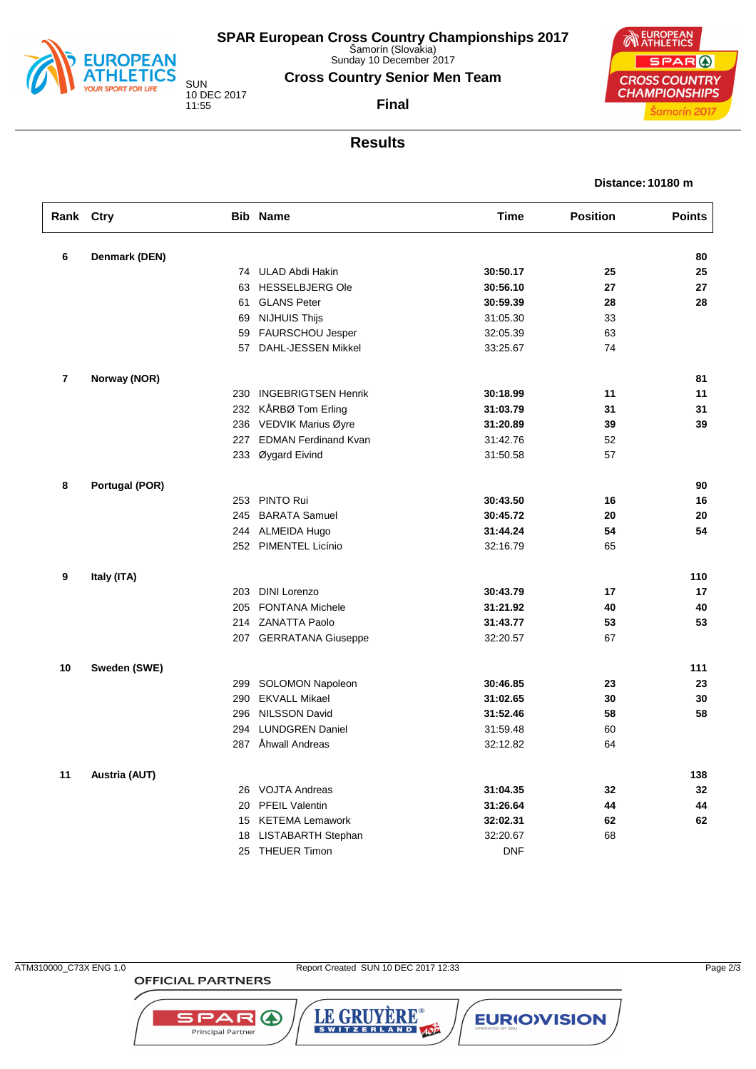

Sunday 10 December 2017

**Cross Country Senior Men Team**

**Final**

10 DEC 2017

**NEUROPEAN** SPAR ( **CROSS COUNTRY CHAMPIONSHIPS** Šamorín 2017

## **Results**

#### **Distance: 10180 m**

| Rank Ctry               |                       |     | <b>Bib Name</b>          | <b>Time</b> | <b>Position</b> | <b>Points</b> |
|-------------------------|-----------------------|-----|--------------------------|-------------|-----------------|---------------|
| 6                       | Denmark (DEN)         |     |                          |             |                 | 80            |
|                         |                       |     | 74 ULAD Abdi Hakin       | 30:50.17    | 25              | 25            |
|                         |                       | 63  | <b>HESSELBJERG Ole</b>   | 30:56.10    | 27              | 27            |
|                         |                       | 61  | <b>GLANS Peter</b>       | 30:59.39    | 28              | 28            |
|                         |                       | 69  | <b>NIJHUIS Thijs</b>     | 31:05.30    | 33              |               |
|                         |                       |     | 59 FAURSCHOU Jesper      | 32:05.39    | 63              |               |
|                         |                       |     | 57 DAHL-JESSEN Mikkel    | 33:25.67    | 74              |               |
| $\overline{\mathbf{r}}$ | Norway (NOR)          |     |                          |             |                 | 81            |
|                         |                       |     | 230 INGEBRIGTSEN Henrik  | 30:18.99    | 11              | 11            |
|                         |                       |     | 232 KÅRBØ Tom Erling     | 31:03.79    | 31              | 31            |
|                         |                       |     | 236 VEDVIK Marius Øyre   | 31:20.89    | 39              | 39            |
|                         |                       |     | 227 EDMAN Ferdinand Kvan | 31:42.76    | 52              |               |
|                         |                       |     | 233 Øygard Eivind        | 31:50.58    | 57              |               |
| 8                       | <b>Portugal (POR)</b> |     |                          |             |                 | 90            |
|                         |                       |     | 253 PINTO Rui            | 30:43.50    | 16              | 16            |
|                         |                       | 245 | <b>BARATA Samuel</b>     | 30:45.72    | 20              | 20            |
|                         |                       | 244 | ALMEIDA Hugo             | 31:44.24    | 54              | 54            |
|                         |                       |     | 252 PIMENTEL Licínio     | 32:16.79    | 65              |               |
| 9                       | Italy (ITA)           |     |                          |             |                 | 110           |
|                         |                       | 203 | <b>DINI Lorenzo</b>      | 30:43.79    | 17              | 17            |
|                         |                       | 205 | <b>FONTANA Michele</b>   | 31:21.92    | 40              | 40            |
|                         |                       | 214 | <b>ZANATTA Paolo</b>     | 31:43.77    | 53              | 53            |
|                         |                       |     | 207 GERRATANA Giuseppe   | 32:20.57    | 67              |               |
| 10                      | Sweden (SWE)          |     |                          |             |                 | 111           |
|                         |                       |     | 299 SOLOMON Napoleon     | 30:46.85    | 23              | 23            |
|                         |                       |     | 290 EKVALL Mikael        | 31:02.65    | 30              | 30            |
|                         |                       | 296 | <b>NILSSON David</b>     | 31:52.46    | 58              | 58            |
|                         |                       | 294 | <b>LUNDGREN Daniel</b>   | 31:59.48    | 60              |               |
|                         |                       |     | 287 Åhwall Andreas       | 32:12.82    | 64              |               |
| 11                      | Austria (AUT)         |     |                          |             |                 | 138           |
|                         |                       | 26  | <b>VOJTA Andreas</b>     | 31:04.35    | 32              | 32            |
|                         |                       |     | 20 PFEIL Valentin        | 31:26.64    | 44              | 44            |
|                         |                       |     | 15 KETEMA Lemawork       | 32:02.31    | 62              | 62            |
|                         |                       | 18  | LISTABARTH Stephan       | 32:20.67    | 68              |               |
|                         |                       |     | 25 THEUER Timon          | <b>DNF</b>  |                 |               |

**OFFICIAL PARTNERS** 

**SPAR A** 

Principal Partner

LE GRUYÈRE®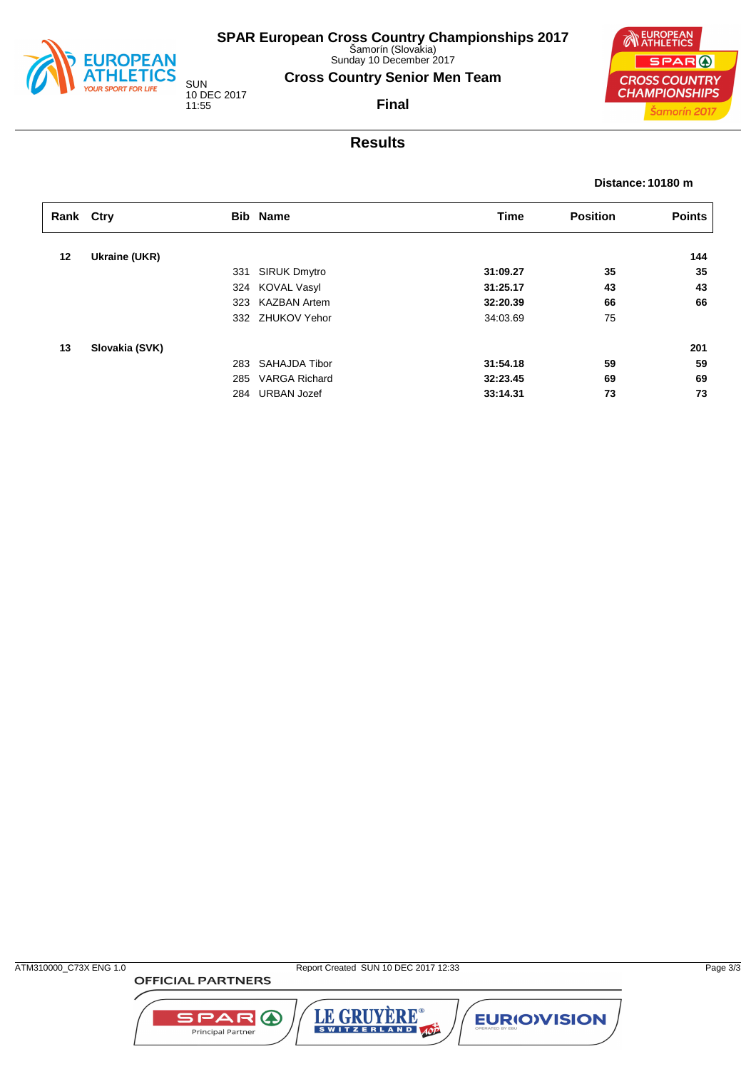

Sunday 10 December 2017

**Cross Country Senior Men Team**

**Final**

10 DEC 2017 11:55

**NEUROPEAN** SPAR ( **CROSS COUNTRY CHAMPIONSHIPS** Šamorín 2017

## **Results**

#### **Distance: 10180 m**

| Rank Ctry |                |     | <b>Bib Name</b>      | <b>Time</b> | <b>Position</b> | <b>Points</b> |
|-----------|----------------|-----|----------------------|-------------|-----------------|---------------|
| 12        | Ukraine (UKR)  |     |                      |             |                 | 144           |
|           |                | 331 | SIRUK Dmytro         | 31:09.27    | 35              | 35            |
|           |                |     | 324 KOVAL Vasyl      | 31:25.17    | 43              | 43            |
|           |                | 323 | <b>KAZBAN Artem</b>  | 32:20.39    | 66              | 66            |
|           |                |     | 332 ZHUKOV Yehor     | 34:03.69    | 75              |               |
|           |                |     |                      |             |                 |               |
| 13        | Slovakia (SVK) |     |                      |             |                 | 201           |
|           |                | 283 | SAHAJDA Tibor        | 31:54.18    | 59              | 59            |
|           |                | 285 | <b>VARGA Richard</b> | 32:23.45    | 69              | 69            |
|           |                |     | 284 URBAN Jozef      | 33:14.31    | 73              | 73            |

**OFFICIAL PARTNERS** 



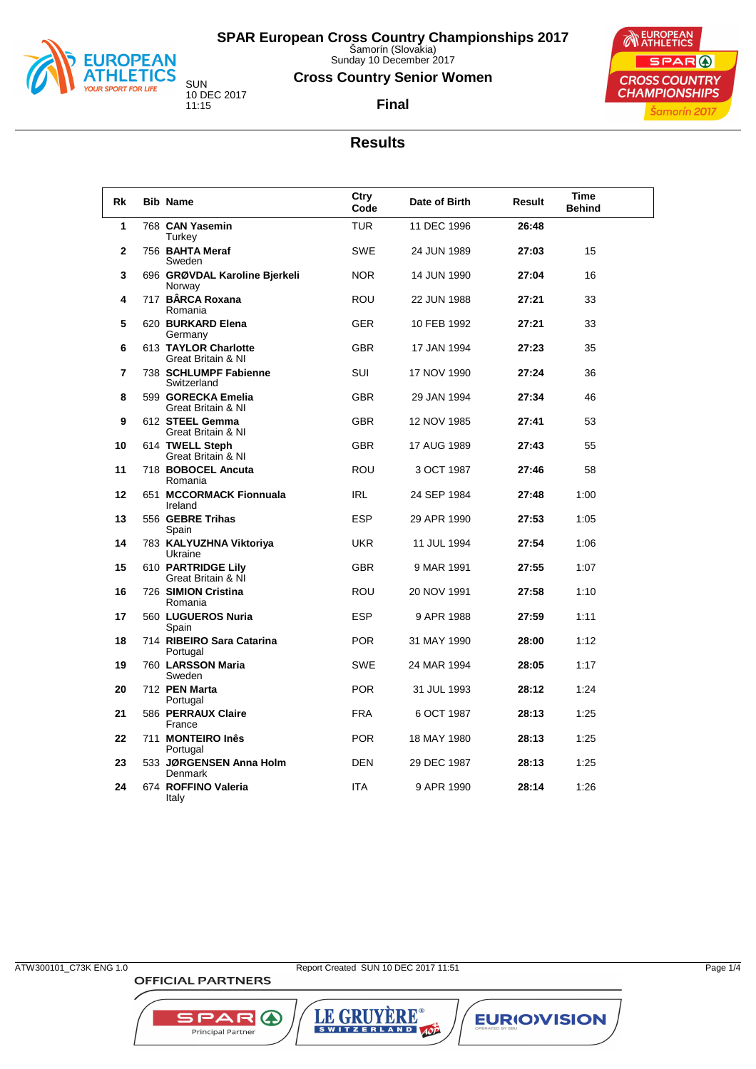

Sunday 10 December 2017

#### **Cross Country Senior Women**

**Final**



## **Results**

| Rk             | <b>Bib Name</b>                            | Ctry<br>Code | Date of Birth | Result | <b>Time</b><br><b>Behind</b> |
|----------------|--------------------------------------------|--------------|---------------|--------|------------------------------|
| 1              | 768 CAN Yasemin<br>Turkey                  | <b>TUR</b>   | 11 DEC 1996   | 26:48  |                              |
| $\mathbf{2}$   | 756 BAHTA Meraf<br>Sweden                  | <b>SWE</b>   | 24 JUN 1989   | 27:03  | 15                           |
| 3              | 696 GRØVDAL Karoline Bjerkeli<br>Norway    | <b>NOR</b>   | 14 JUN 1990   | 27:04  | 16                           |
| 4              | 717 BÂRCA Roxana<br>Romania                | <b>ROU</b>   | 22 JUN 1988   | 27:21  | 33                           |
| 5              | 620 BURKARD Elena<br>Germany               | <b>GER</b>   | 10 FEB 1992   | 27:21  | 33                           |
| 6              | 613 TAYLOR Charlotte<br>Great Britain & NI | <b>GBR</b>   | 17 JAN 1994   | 27:23  | 35                           |
| $\overline{7}$ | 738 SCHLUMPF Fabienne<br>Switzerland       | <b>SUI</b>   | 17 NOV 1990   | 27:24  | 36                           |
| 8              | 599 GORECKA Emelia<br>Great Britain & NI   | <b>GBR</b>   | 29 JAN 1994   | 27:34  | 46                           |
| 9              | 612 STEEL Gemma<br>Great Britain & NI      | <b>GBR</b>   | 12 NOV 1985   | 27:41  | 53                           |
| 10             | 614 TWELL Steph<br>Great Britain & NI      | <b>GBR</b>   | 17 AUG 1989   | 27:43  | 55                           |
| 11             | 718 BOBOCEL Ancuta<br>Romania              | ROU          | 3 OCT 1987    | 27:46  | 58                           |
| 12             | 651 MCCORMACK Fionnuala<br>Ireland         | IRL          | 24 SEP 1984   | 27:48  | 1:00                         |
| 13             | 556 GEBRE Trihas<br>Spain                  | <b>ESP</b>   | 29 APR 1990   | 27:53  | 1:05                         |
| 14             | 783 KALYUZHNA Viktoriya<br>Ukraine         | <b>UKR</b>   | 11 JUL 1994   | 27:54  | 1:06                         |
| 15             | 610 PARTRIDGE Lily<br>Great Britain & NI   | <b>GBR</b>   | 9 MAR 1991    | 27:55  | 1:07                         |
| 16             | 726 SIMION Cristina<br>Romania             | <b>ROU</b>   | 20 NOV 1991   | 27:58  | 1:10                         |
| 17             | 560 LUGUEROS Nuria<br>Spain                | <b>ESP</b>   | 9 APR 1988    | 27:59  | 1:11                         |
| 18             | 714 RIBEIRO Sara Catarina<br>Portugal      | <b>POR</b>   | 31 MAY 1990   | 28:00  | 1:12                         |
| 19             | 760 LARSSON Maria<br>Sweden                | <b>SWE</b>   | 24 MAR 1994   | 28:05  | 1:17                         |
| 20             | 712 PEN Marta<br>Portugal                  | <b>POR</b>   | 31 JUL 1993   | 28:12  | 1:24                         |
| 21             | 586 PERRAUX Claire<br>France               | <b>FRA</b>   | 6 OCT 1987    | 28:13  | 1:25                         |
| 22             | 711 MONTEIRO Inês<br>Portugal              | <b>POR</b>   | 18 MAY 1980   | 28:13  | 1:25                         |
| 23             | 533 JØRGENSEN Anna Holm<br>Denmark         | <b>DEN</b>   | 29 DEC 1987   | 28:13  | 1:25                         |
| 24             | 674 ROFFINO Valeria<br>Italy               | <b>ITA</b>   | 9 APR 1990    | 28:14  | 1:26                         |

LE GRUYÈRE®

**EURIOVISION** 

SPAR A

Principal Partner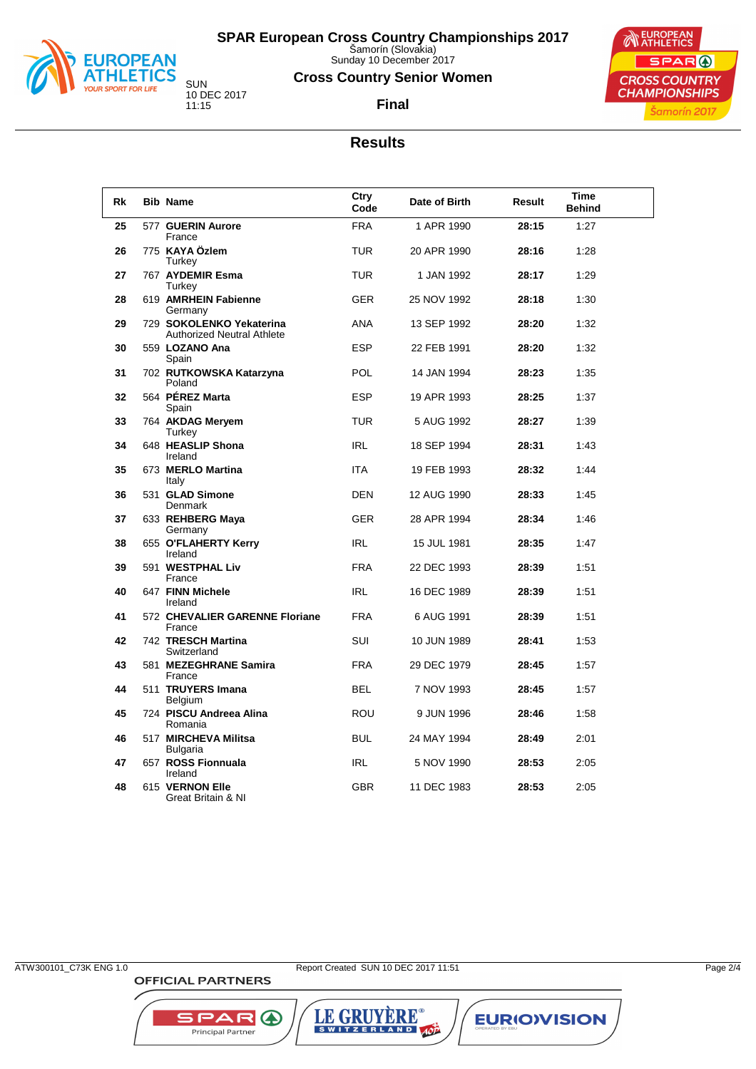

Sunday 10 December 2017

#### **Cross Country Senior Women**

**Final**



SUN 10 DEC 2017 11:15

| <b>Rk</b> | <b>Bib Name</b>                                               | Ctry<br>Code | Date of Birth | Result | Time<br><b>Behind</b> |
|-----------|---------------------------------------------------------------|--------------|---------------|--------|-----------------------|
| 25        | 577 GUERIN Aurore<br>France                                   | <b>FRA</b>   | 1 APR 1990    | 28:15  | 1:27                  |
| 26        | 775 KAYA Özlem<br>Turkey                                      | TUR          | 20 APR 1990   | 28:16  | 1:28                  |
| 27        | 767 AYDEMIR Esma<br>Turkey                                    | <b>TUR</b>   | 1 JAN 1992    | 28:17  | 1:29                  |
| 28        | 619 AMRHEIN Fabienne<br>Germany                               | <b>GER</b>   | 25 NOV 1992   | 28:18  | 1:30                  |
| 29        | 729 SOKOLENKO Yekaterina<br><b>Authorized Neutral Athlete</b> | <b>ANA</b>   | 13 SEP 1992   | 28:20  | 1:32                  |
| 30        | 559 LOZANO Ana<br>Spain                                       | <b>ESP</b>   | 22 FEB 1991   | 28:20  | 1:32                  |
| 31        | 702 RUTKOWSKA Katarzyna<br>Poland                             | POL          | 14 JAN 1994   | 28:23  | 1:35                  |
| 32        | 564 PÉREZ Marta<br>Spain                                      | <b>ESP</b>   | 19 APR 1993   | 28.25  | 1:37                  |
| 33        | 764 AKDAG Meryem<br>Turkey                                    | <b>TUR</b>   | 5 AUG 1992    | 28:27  | 1:39                  |
| 34        | 648 HEASLIP Shona<br>Ireland                                  | <b>IRL</b>   | 18 SEP 1994   | 28:31  | 1:43                  |
| 35        | 673 MERLO Martina<br>Italy                                    | <b>ITA</b>   | 19 FEB 1993   | 28:32  | 1:44                  |
| 36        | 531 GLAD Simone<br>Denmark                                    | <b>DEN</b>   | 12 AUG 1990   | 28:33  | 1:45                  |
| 37        | 633 REHBERG Maya<br>Germany                                   | <b>GER</b>   | 28 APR 1994   | 28:34  | 1:46                  |
| 38        | 655 O'FLAHERTY Kerry<br>Ireland                               | <b>IRL</b>   | 15 JUL 1981   | 28:35  | 1:47                  |
| 39        | 591 WESTPHAL Liv<br>France                                    | <b>FRA</b>   | 22 DEC 1993   | 28:39  | 1:51                  |
| 40        | 647 FINN Michele<br>Ireland                                   | <b>IRL</b>   | 16 DEC 1989   | 28:39  | 1:51                  |
| 41        | 572 CHEVALIER GARENNE Floriane<br>France                      | <b>FRA</b>   | 6 AUG 1991    | 28:39  | 1:51                  |
| 42        | 742 TRESCH Martina<br>Switzerland                             | SUI          | 10 JUN 1989   | 28:41  | 1:53                  |
| 43        | 581 MEZEGHRANE Samira<br>France                               | <b>FRA</b>   | 29 DEC 1979   | 28:45  | 1:57                  |
| 44        | 511 TRUYERS Imana<br>Belgium                                  | <b>BEL</b>   | 7 NOV 1993    | 28:45  | 1:57                  |
| 45        | 724 PISCU Andreea Alina<br>Romania                            | <b>ROU</b>   | 9 JUN 1996    | 28:46  | 1:58                  |
| 46        | 517 MIRCHEVA Militsa<br><b>Bulgaria</b>                       | <b>BUL</b>   | 24 MAY 1994   | 28:49  | 2:01                  |
| 47        | 657 ROSS Fionnuala<br>Ireland                                 | IRL          | 5 NOV 1990    | 28.53  | 2:05                  |
| 48        | 615 VERNON Elle<br>Great Britain & NI                         | <b>GBR</b>   | 11 DEC 1983   | 28:53  | 2:05                  |

LE GRUYÈRE®

**EURIOVISION** 

SPAR A

Principal Partner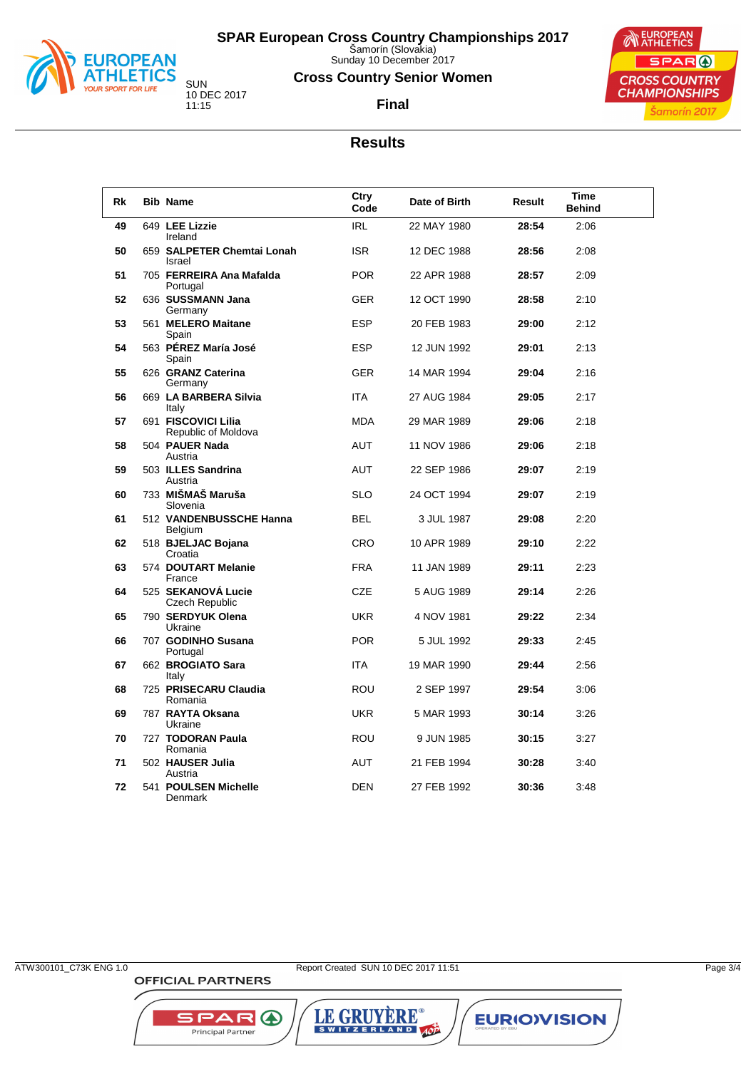

Sunday 10 December 2017

#### **Cross Country Senior Women**



SUN 10 DEC 2017 11:15

**Final**

## **Results**

| Rk | <b>Bib Name</b>                             | Ctry<br>Code | Date of Birth | Result | <b>Time</b><br><b>Behind</b> |
|----|---------------------------------------------|--------------|---------------|--------|------------------------------|
| 49 | 649 LEE Lizzie<br>Ireland                   | <b>IRL</b>   | 22 MAY 1980   | 28:54  | 2:06                         |
| 50 | 659 SALPETER Chemtai Lonah<br>Israel        | <b>ISR</b>   | 12 DEC 1988   | 28:56  | 2:08                         |
| 51 | 705 FERREIRA Ana Mafalda<br>Portugal        | <b>POR</b>   | 22 APR 1988   | 28:57  | 2:09                         |
| 52 | 636 SUSSMANN Jana<br>Germany                | <b>GER</b>   | 12 OCT 1990   | 28.58  | 2:10                         |
| 53 | 561 MELERO Maitane<br>Spain                 | <b>ESP</b>   | 20 FEB 1983   | 29:00  | 2:12                         |
| 54 | 563 PÉREZ María José<br>Spain               | <b>ESP</b>   | 12 JUN 1992   | 29:01  | 2:13                         |
| 55 | 626 GRANZ Caterina<br>Germany               | <b>GER</b>   | 14 MAR 1994   | 29:04  | 2:16                         |
| 56 | 669 LA BARBERA Silvia<br>Italy              | <b>ITA</b>   | 27 AUG 1984   | 29:05  | 2:17                         |
| 57 | 691 FISCOVICI Lilia<br>Republic of Moldova  | <b>MDA</b>   | 29 MAR 1989   | 29:06  | 2:18                         |
| 58 | 504 PAUER Nada<br>Austria                   | <b>AUT</b>   | 11 NOV 1986   | 29:06  | 2:18                         |
| 59 | 503 ILLES Sandrina<br>Austria               | <b>AUT</b>   | 22 SEP 1986   | 29:07  | 2:19                         |
| 60 | 733 MIŠMAŠ Maruša<br>Slovenia               | <b>SLO</b>   | 24 OCT 1994   | 29:07  | 2:19                         |
| 61 | 512 VANDENBUSSCHE Hanna<br>Belgium          | <b>BEL</b>   | 3 JUL 1987    | 29:08  | 2:20                         |
| 62 | 518 BJELJAC Bojana<br>Croatia               | <b>CRO</b>   | 10 APR 1989   | 29:10  | 2:22                         |
| 63 | 574 DOUTART Melanie<br>France               | <b>FRA</b>   | 11 JAN 1989   | 29:11  | 2:23                         |
| 64 | 525 SEKANOVÁ Lucie<br><b>Czech Republic</b> | <b>CZE</b>   | 5 AUG 1989    | 29:14  | 2:26                         |
| 65 | 790 SERDYUK Olena<br>Ukraine                | <b>UKR</b>   | 4 NOV 1981    | 29:22  | 2:34                         |
| 66 | 707 GODINHO Susana<br>Portugal              | <b>POR</b>   | 5 JUL 1992    | 29.33  | 2:45                         |
| 67 | 662 BROGIATO Sara<br>Italy                  | <b>ITA</b>   | 19 MAR 1990   | 29:44  | 2:56                         |
| 68 | 725 PRISECARU Claudia<br>Romania            | <b>ROU</b>   | 2 SEP 1997    | 29:54  | 3:06                         |
| 69 | 787 RAYTA Oksana<br>Ukraine                 | <b>UKR</b>   | 5 MAR 1993    | 30:14  | 3:26                         |
| 70 | 727 TODORAN Paula<br>Romania                | <b>ROU</b>   | 9 JUN 1985    | 30:15  | 3:27                         |
| 71 | 502 HAUSER Julia<br>Austria                 | AUT          | 21 FEB 1994   | 30:28  | 3:40                         |
| 72 | 541 POULSEN Michelle<br>Denmark             | <b>DEN</b>   | 27 FEB 1992   | 30:36  | 3:48                         |

LE GRUYÈRE®

**EURIOVISION** 

SPAR A

Principal Partner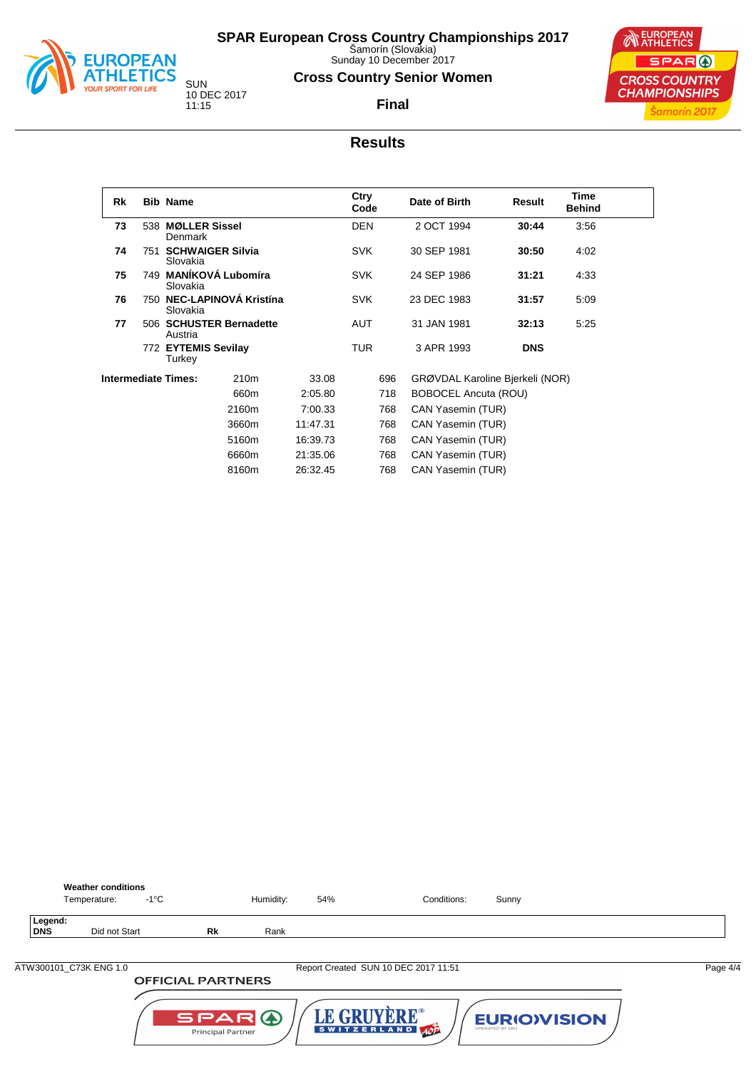

Sunday 10 December 2017

#### **Cross Country Senior Women**

**Final**



SUN 10 DEC 2017 11:15

#### **Results**

| Rk |     | <b>Bib Name</b>                       |                         |          | Ctry<br>Code |     | Date of Birth                   | Result     | <b>Time</b><br><b>Behind</b> |  |
|----|-----|---------------------------------------|-------------------------|----------|--------------|-----|---------------------------------|------------|------------------------------|--|
| 73 |     | 538 MØLLER Sissel<br>Denmark          |                         |          | <b>DEN</b>   |     | 2 OCT 1994                      | 30:44      | 3:56                         |  |
| 74 | 751 | Slovakia                              | <b>SCHWAIGER Silvia</b> |          | <b>SVK</b>   |     | 30 SEP 1981                     | 30.50      | 4:02                         |  |
| 75 |     | Slovakia                              | 749 MANÍKOVÁ Lubomíra   |          | <b>SVK</b>   |     | 24 SEP 1986                     | 31:21      | 4:33                         |  |
| 76 |     | 750 NEC-LAPINOVÁ Kristína<br>Slovakia |                         |          | <b>SVK</b>   |     | 23 DEC 1983                     | 31:57      | 5:09                         |  |
| 77 |     | 506 SCHUSTER Bernadette<br>Austria    |                         |          | <b>AUT</b>   |     | 31 JAN 1981                     | 32:13      | 5:25                         |  |
|    |     | 772 EYTEMIS Sevilay<br>Turkey         |                         |          | <b>TUR</b>   |     | 3 APR 1993                      | <b>DNS</b> |                              |  |
|    |     | <b>Intermediate Times:</b>            | 210 <sub>m</sub>        | 33.08    |              | 696 | GRØVDAL Karoline Bjerkeli (NOR) |            |                              |  |
|    |     |                                       | 660m                    | 2:05.80  |              | 718 | <b>BOBOCEL Ancuta (ROU)</b>     |            |                              |  |
|    |     |                                       | 2160m                   | 7:00.33  |              | 768 | CAN Yasemin (TUR)               |            |                              |  |
|    |     |                                       | 3660m                   | 11:47.31 |              | 768 | CAN Yasemin (TUR)               |            |                              |  |
|    |     |                                       | 5160m                   | 16:39.73 |              | 768 | CAN Yasemin (TUR)               |            |                              |  |
|    |     |                                       | 6660m                   | 21:35.06 |              | 768 | CAN Yasemin (TUR)               |            |                              |  |
|    |     |                                       | 8160m                   | 26:32.45 |              | 768 | CAN Yasemin (TUR)               |            |                              |  |

|                       | <b>Weather conditions</b><br>Temperature: | -1°C |                          | Humidity: | 54% | Conditions:                          | Sunny |          |
|-----------------------|-------------------------------------------|------|--------------------------|-----------|-----|--------------------------------------|-------|----------|
| Legend:<br><b>DNS</b> | Did not Start                             |      | <b>Rk</b>                | Rank      |     |                                      |       |          |
|                       |                                           |      |                          |           |     |                                      |       |          |
|                       | ATW300101 C73K ENG 1.0                    |      |                          |           |     | Report Created SUN 10 DEC 2017 11:51 |       | Page 4/4 |
|                       |                                           |      | <b>OFFICIAL PARTNERS</b> |           |     |                                      |       |          |
|                       |                                           |      |                          |           |     |                                      |       |          |

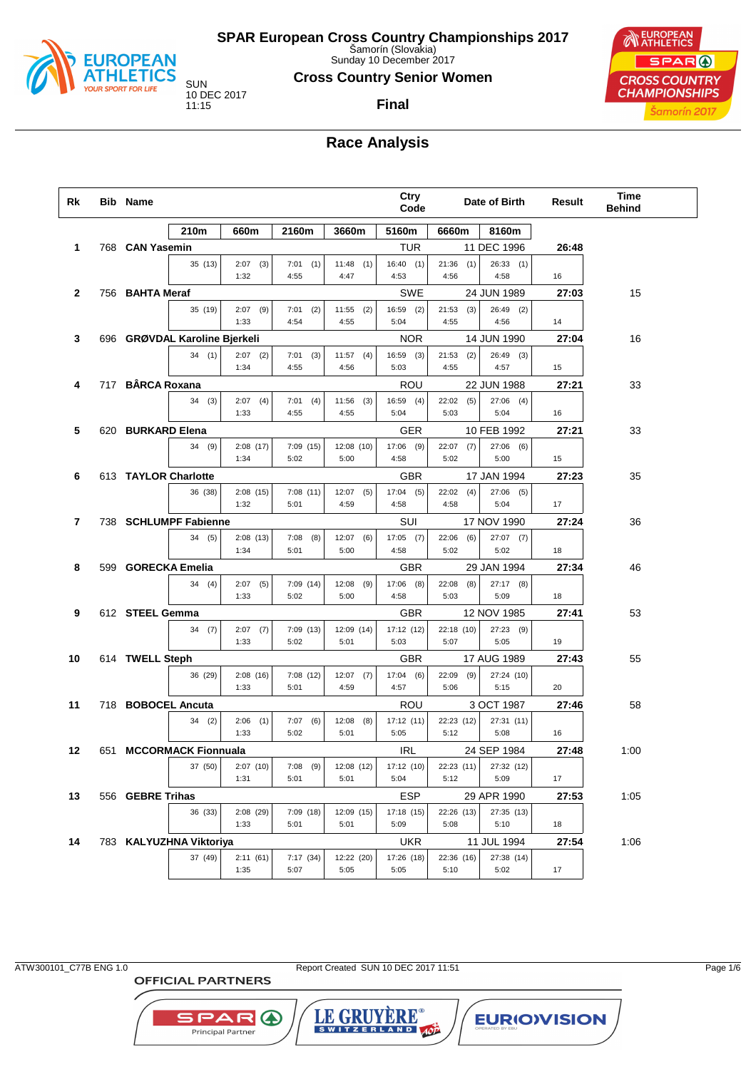

Sunday 10 December 2017

**Cross Country Senior Women**

**Final**



# **Race Analysis**

| Rk           | Bib Name           |                               |                    |                     |                     | Ctry<br>Code        |                      | Date of Birth       | <b>Result</b> | Time<br><b>Behind</b> |
|--------------|--------------------|-------------------------------|--------------------|---------------------|---------------------|---------------------|----------------------|---------------------|---------------|-----------------------|
|              |                    | 210m                          | 660m               | 2160m               | 3660m               | 5160m               | 6660m                | 8160m               |               |                       |
| 1            | 768 CAN Yasemin    |                               |                    |                     |                     | TUR                 |                      | 11 DEC 1996         | 26:48         |                       |
|              |                    | 35 (13)                       | $2:07$ (3)         | $7:01$ (1)          | $11:48$ (1)         | 16:40(1)            | 21:36<br>(1)         | 26:33(1)            |               |                       |
|              |                    |                               | 1:32               | 4:55                | 4:47                | 4:53                | 4:56                 | 4:58                | 16            |                       |
| $\mathbf{2}$ | 756 BAHTA Meraf    |                               |                    |                     |                     | SWE                 |                      | 24 JUN 1989         | 27:03         | 15                    |
|              |                    | 35 (19)                       | $2:07$ (9)<br>1:33 | $7:01$ (2)<br>4:54  | $11:55$ (2)<br>4:55 | $16:59$ (2)<br>5:04 | 21:53<br>(3)<br>4:55 | 26:49 (2)<br>4:56   | 14            |                       |
| 3            |                    | 696 GRØVDAL Karoline Bjerkeli |                    |                     |                     | <b>NOR</b>          |                      | 14 JUN 1990         | 27:04         | 16                    |
|              |                    | 34(1)                         | $2:07$ (2)         | $7:01$ (3)          | $11:57$ (4)         | 16:59 (3)           | 21:53<br>(2)         | 26:49 (3)           |               |                       |
|              |                    |                               | 1:34               | 4:55                | 4:56                | 5:03                | 4:55                 | 4:57                | 15            |                       |
| 4            | 717 BÂRCA Roxana   |                               |                    |                     |                     | ROU                 |                      | 22 JUN 1988         | 27:21         | 33                    |
|              |                    | 34(3)                         | $2:07$ (4)         | $7:01$ (4)          | $11:56$ (3)         | $16:59$ (4)         | 22:02<br>(5)         | $27:06$ (4)         |               |                       |
|              |                    |                               | 1:33               | 4:55                | 4:55                | 5:04                | 5:03                 | 5:04                | 16            |                       |
| 5            | 620 BURKARD Elena  |                               |                    |                     |                     | GER                 |                      | 10 FEB 1992         | 27:21         | 33                    |
|              |                    | 34(9)                         | 2:08(17)           | 7:09(15)            | 12:08 (10)          | $17:06$ (9)         | 22:07<br>(7)         | $27:06$ (6)         |               |                       |
|              |                    |                               | 1:34               | 5:02                | 5:00                | 4:58                | 5:02                 | 5:00                | 15            |                       |
| 6            |                    | 613 TAYLOR Charlotte          |                    |                     |                     | <b>GBR</b>          |                      | 17 JAN 1994         | 27:23         | 35                    |
|              |                    | 36 (38)                       | 2:08(15)           | 7:08(11)            | $12:07$ (5)         | 17:04(5)            | $22:02$ (4)          | $27:06$ (5)         |               |                       |
|              |                    |                               | 1:32               | 5:01                | 4:59                | 4:58                | 4:58                 | 5:04                | 17            |                       |
| 7            |                    | 738 SCHLUMPF Fabienne         |                    |                     |                     | SUI                 |                      | 17 NOV 1990         | 27:24         | 36                    |
|              |                    | 34(5)                         | 2:08(13)<br>1:34   | (8)<br>7:08<br>5:01 | $12:07$ (6)<br>5:00 | $17:05$ (7)<br>4:58 | 22:06<br>(6)<br>5:02 | $27:07$ (7)<br>5:02 | 18            |                       |
| 8            | 599 GORECKA Emelia |                               |                    |                     |                     | GBR                 |                      | 29 JAN 1994         | 27:34         | 46                    |
|              |                    | 34(4)                         | $2:07$ (5)         | 7:09(14)            | $12:08$ (9)         | $17:06$ (8)         | 22:08<br>(8)         | $27:17$ (8)         |               |                       |
|              |                    |                               | 1:33               | 5:02                | 5:00                | 4:58                | 5:03                 | 5:09                | 18            |                       |
| 9            | 612 STEEL Gemma    |                               |                    |                     |                     | <b>GBR</b>          |                      | 12 NOV 1985         | 27:41         | 53                    |
|              |                    | 34(7)                         | $2:07$ (7)         | 7:09(13)            | 12:09 (14)          | 17:12 (12)          | 22:18 (10)           | 27:23 (9)           |               |                       |
|              |                    |                               | 1:33               | 5:02                | 5:01                | 5:03                | 5:07                 | 5:05                | 19            |                       |
| 10           | 614 TWELL Steph    |                               |                    |                     |                     | <b>GBR</b>          |                      | 17 AUG 1989         | 27:43         | 55                    |
|              |                    | 36 (29)                       | 2:08(16)           | 7:08(12)            | $12:07$ (7)         | 17:04(6)            | 22:09<br>(9)         | 27:24 (10)          |               |                       |
|              |                    |                               | 1:33               | 5:01                | 4:59                | 4:57                | 5:06                 | 5:15                | 20            |                       |
| 11           | 718 BOBOCEL Ancuta |                               |                    |                     |                     | ROU                 |                      | 3 OCT 1987          | 27:46         | 58                    |
|              |                    | 34(2)                         | 2:06<br>(1)        | 7:07(6)             | $12:08$ (8)         | 17:12(11)           | 22:23 (12)           | 27:31 (11)          |               |                       |
|              |                    |                               | 1:33               | 5:02                | 5:01                | 5:05                | 5:12                 | 5:08                | 16            |                       |
| 12           |                    | 651 MCCORMACK Fionnuala       |                    |                     |                     | <b>IRL</b>          |                      | 24 SEP 1984         | 27:48         | 1:00                  |
|              |                    | 37 (50)                       | 2:07(10)<br>1:31   | $7:08$ (9)<br>5:01  | 12:08 (12)<br>5:01  | 17:12 (10)<br>5:04  | 22:23 (11)<br>5:12   | 27:32 (12)<br>5:09  | 17            |                       |
| 13           | 556 GEBRE Trihas   |                               |                    |                     |                     | ESP                 |                      | 29 APR 1990         | 27:53         | 1:05                  |
|              |                    | 36 (33)                       | 2:08(29)           | 7:09(18)            | 12:09 (15)          | 17:18 (15)          | 22:26 (13)           | 27:35 (13)          |               |                       |
|              |                    |                               | 1:33               | 5:01                | 5:01                | 5:09                | 5:08                 | 5:10                | 18            |                       |
| 14           |                    | 783 KALYUZHNA Viktoriya       |                    |                     |                     | UKR                 |                      | 11 JUL 1994         | 27:54         | 1:06                  |
|              |                    | 37 (49)                       | 2:11(61)           | 7:17(34)            | 12:22 (20)          | 17:26 (18)          | 22:36 (16)           | 27:38 (14)          |               |                       |
|              |                    |                               | 1:35               | 5:07                | 5:05                | 5:05                | 5:10                 | 5:02                | 17            |                       |

**OFFICIAL PARTNERS** 

**SPAR A** Principal Partner

ATW300101\_C77B ENG 1.0 Report Created SUN 10 DEC 2017 11:51 Page 1/6

LE GRUYÈRE®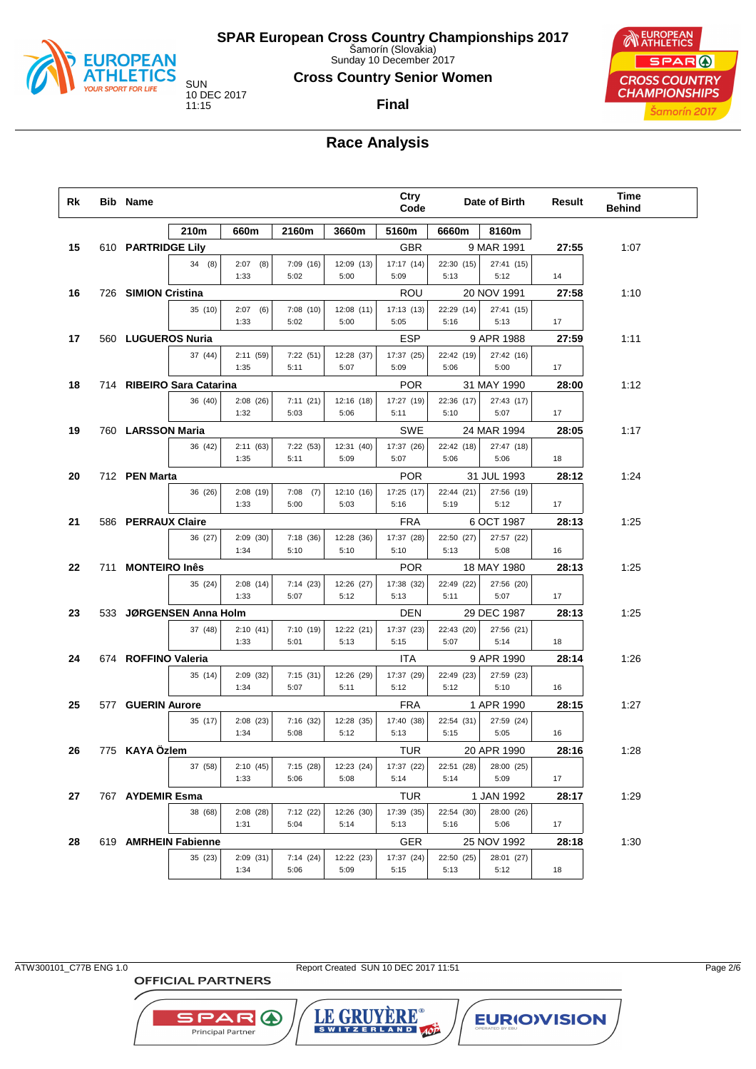

Sunday 10 December 2017

**Cross Country Senior Women**

**Final**



## **Race Analysis**

| Rk | <b>Bib Name</b>           |                     |                     |                    | Ctry<br>Code       |                    | Date of Birth      | Result | Time<br><b>Behind</b> |
|----|---------------------------|---------------------|---------------------|--------------------|--------------------|--------------------|--------------------|--------|-----------------------|
|    | 210m                      | 660m                | 2160m               | 3660m              | 5160m              | 6660m              | 8160m              |        |                       |
| 15 | 610 PARTRIDGE Lily        |                     |                     |                    | <b>GBR</b>         |                    | 9 MAR 1991         | 27:55  | 1:07                  |
|    | 34(8)                     | 2:07<br>(8)<br>1:33 | 7:09(16)<br>5:02    | 12:09 (13)<br>5:00 | 17:17 (14)<br>5:09 | 22:30 (15)<br>5:13 | 27:41 (15)<br>5:12 | 14     |                       |
| 16 | 726 SIMION Cristina       |                     |                     |                    | ROU                |                    | 20 NOV 1991        | 27:58  | 1:10                  |
|    | 35 (10)                   | 2:07<br>(6)<br>1:33 | 7:08(10)<br>5:02    | 12:08 (11)<br>5:00 | 17:13 (13)<br>5:05 | 22:29 (14)<br>5:16 | 27:41 (15)<br>5:13 | 17     |                       |
| 17 | 560 LUGUEROS Nuria        |                     |                     |                    | ESP                |                    | 9 APR 1988         | 27:59  | 1:11                  |
|    | 37 (44)                   | 2:11 (59)           | 7:22(51)            | 12:28 (37)         | 17:37 (25)         | 22:42 (19)         | 27:42 (16)         |        |                       |
|    |                           | 1:35                | 5:11                | 5:07               | 5:09               | 5:06               | 5:00               | 17     |                       |
| 18 | 714 RIBEIRO Sara Catarina |                     |                     |                    | <b>POR</b>         |                    | 31 MAY 1990        | 28:00  | 1:12                  |
|    | 36 (40)                   | 2:08(26)<br>1:32    | 7:11(21)<br>5:03    | 12:16 (18)<br>5:06 | 17:27 (19)<br>5:11 | 22:36 (17)<br>5:10 | 27:43 (17)<br>5:07 | 17     |                       |
| 19 | 760 LARSSON Maria         |                     |                     |                    | SWE                |                    | 24 MAR 1994        | 28:05  | 1:17                  |
|    | 36 (42)                   | 2:11(63)<br>1:35    | 7:22(53)<br>5:11    | 12:31 (40)<br>5:09 | 17:37 (26)<br>5:07 | 22:42 (18)<br>5:06 | 27:47 (18)<br>5:06 | 18     |                       |
| 20 | 712 PEN Marta             |                     |                     |                    | <b>POR</b>         |                    | 31 JUL 1993        | 28:12  | 1:24                  |
|    | 36 (26)                   | 2:08(19)<br>1:33    | 7:08<br>(7)<br>5:00 | 12:10 (16)<br>5:03 | 17:25 (17)<br>5:16 | 22:44 (21)<br>5:19 | 27:56 (19)<br>5:12 | 17     |                       |
| 21 | 586 PERRAUX Claire        |                     |                     |                    | <b>FRA</b>         |                    | 6 OCT 1987         | 28:13  | 1:25                  |
|    | 36 (27)                   | 2:09(30)<br>1:34    | 7:18(36)<br>5:10    | 12:28 (36)<br>5:10 | 17:37 (28)<br>5:10 | 22:50 (27)<br>5:13 | 27:57 (22)<br>5:08 | 16     |                       |
| 22 | 711 MONTEIRO Inês         |                     |                     |                    | <b>POR</b>         |                    | 18 MAY 1980        | 28:13  | 1:25                  |
|    | 35 (24)                   | 2:08(14)            | 7:14(23)            | 12:26 (27)         | 17:38 (32)         | 22:49 (22)         | 27:56 (20)         |        |                       |
|    |                           | 1:33                | 5:07                | 5:12               | 5:13               | 5:11               | 5:07               | 17     |                       |
| 23 | 533 JØRGENSEN Anna Holm   |                     |                     |                    | DEN                |                    | 29 DEC 1987        | 28:13  | 1:25                  |
|    | 37 (48)                   | 2:10(41)<br>1:33    | 7:10(19)<br>5:01    | 12:22 (21)<br>5:13 | 17:37 (23)<br>5:15 | 22:43 (20)<br>5:07 | 27:56 (21)<br>5:14 | 18     |                       |
| 24 | 674 ROFFINO Valeria       |                     |                     |                    | ITA                |                    | 9 APR 1990         | 28:14  | 1:26                  |
|    | 35 (14)                   | 2:09(32)<br>1:34    | 7:15(31)<br>5:07    | 12:26 (29)<br>5:11 | 17:37 (29)<br>5:12 | 22:49 (23)<br>5:12 | 27:59 (23)<br>5:10 | 16     |                       |
| 25 | 577 GUERIN Aurore         |                     |                     |                    | <b>FRA</b>         |                    | 1 APR 1990         | 28:15  | 1:27                  |
|    | 35 (17)                   | 2:08(23)            | 7:16(32)            | 12:28 (35)         | 17:40 (38)         | 22:54 (31)         | 27:59 (24)         |        |                       |
|    |                           | 1:34                | 5:08                | 5:12               | 5:13               | 5:15               | 5:05               | 16     |                       |
| 26 | 775 KAYA Özlem            |                     |                     |                    | TUR                |                    | 20 APR 1990        | 28:16  | 1:28                  |
|    | 37 (58)                   | 2:10(45)<br>1:33    | 7:15(28)<br>5:06    | 12:23 (24)<br>5:08 | 17:37 (22)<br>5:14 | 22:51 (28)<br>5:14 | 28:00 (25)<br>5:09 | 17     |                       |
| 27 | 767 AYDEMIR Esma          |                     |                     |                    | <b>TUR</b>         |                    | 1 JAN 1992         | 28:17  | 1:29                  |
|    | 38 (68)                   | 2:08(28)            | 7:12(22)            | 12:26 (30)         | 17:39 (35)         | 22:54 (30)         | 28:00 (26)         |        |                       |
|    |                           | 1:31                | 5:04                | 5:14               | 5:13               | 5:16               | 5:06               | 17     |                       |
| 28 | 619 AMRHEIN Fabienne      |                     |                     |                    | GER                |                    | 25 NOV 1992        | 28:18  | 1:30                  |
|    | 35 (23)                   | 2:09(31)<br>1:34    | 7:14(24)<br>5:06    | 12:22 (23)<br>5:09 | 17:37 (24)<br>5:15 | 22:50 (25)<br>5:13 | 28:01 (27)<br>5:12 | 18     |                       |

**OFFICIAL PARTNERS** 

SPAR A

Principal Partner

ATW300101\_C77B ENG 1.0 Report Created SUN 10 DEC 2017 11:51 Page 2/6

LE GRUYERE®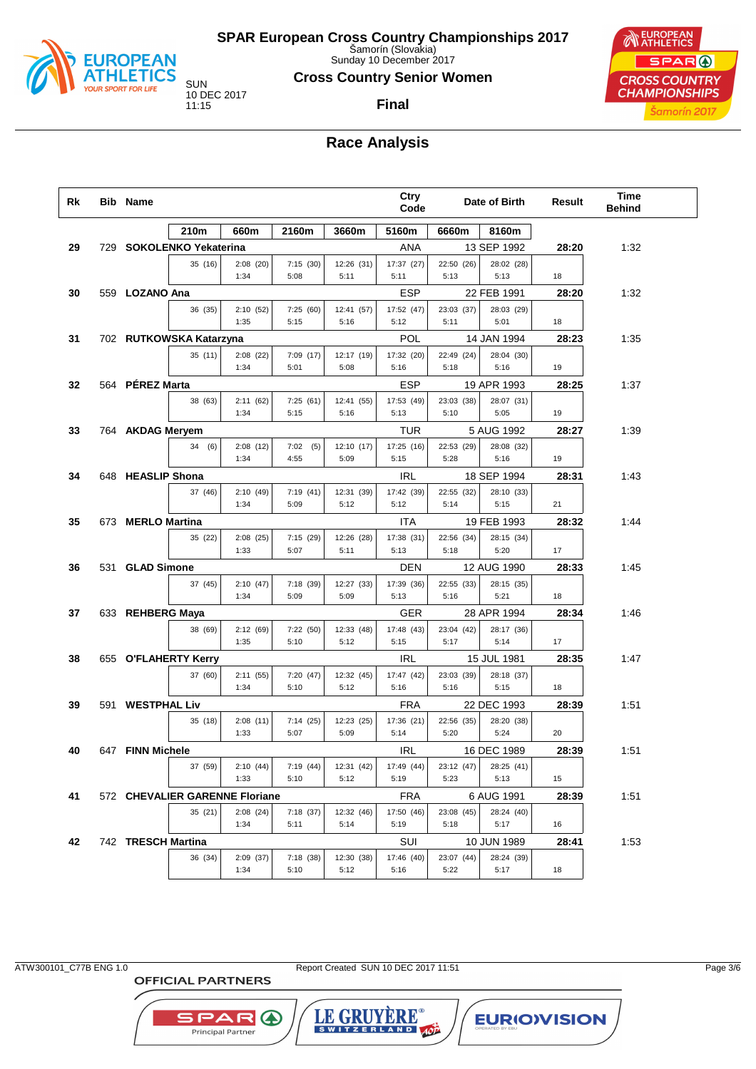

Sunday 10 December 2017

**Cross Country Senior Women**

# **Final**



## **Race Analysis**

| Rk | <b>Bib Name</b>    |                                |                  |                  |                    | Ctry<br>Code       |                    | Date of Birth      | Result | <b>Time</b><br><b>Behind</b> |  |
|----|--------------------|--------------------------------|------------------|------------------|--------------------|--------------------|--------------------|--------------------|--------|------------------------------|--|
|    |                    | 210m                           | 660m             | 2160m            | 3660m              | 5160m              | 6660m              | 8160m              |        |                              |  |
| 29 |                    | 729 SOKOLENKO Yekaterina       |                  |                  |                    | ANA                |                    | 13 SEP 1992        | 28:20  | 1:32                         |  |
|    |                    | 35 (16)                        | 2:08(20)         | 7:15(30)         | 12:26 (31)         | 17:37 (27)         | 22:50 (26)         | 28:02 (28)         |        |                              |  |
|    |                    |                                | 1:34             | 5:08             | 5:11               | 5:11               | 5:13               | 5:13               | 18     |                              |  |
| 30 | 559 LOZANO Ana     |                                |                  |                  |                    | ESP                |                    | 22 FEB 1991        | 28:20  | 1:32                         |  |
|    |                    | 36 (35)                        | 2:10(52)<br>1:35 | 7:25(60)<br>5:15 | 12:41 (57)<br>5:16 | 17:52 (47)<br>5:12 | 23:03 (37)<br>5:11 | 28:03 (29)<br>5:01 | 18     |                              |  |
| 31 |                    | 702 RUTKOWSKA Katarzyna        |                  |                  |                    | POL                |                    | 14 JAN 1994        | 28:23  | 1:35                         |  |
|    |                    | 35(11)                         | 2:08(22)         | 7:09(17)         | 12:17 (19)         | 17:32 (20)         | 22:49 (24)         | 28:04 (30)         |        |                              |  |
|    |                    |                                | 1:34             | 5:01             | 5:08               | 5:16               | 5:18               | 5:16               | 19     |                              |  |
| 32 | 564 PÉREZ Marta    |                                |                  |                  |                    | ESP                |                    | 19 APR 1993        | 28:25  | 1:37                         |  |
|    |                    | 38 (63)                        | 2:11(62)         | 7:25(61)         | 12:41 (55)         | 17:53 (49)         | 23:03 (38)         | 28:07 (31)         |        |                              |  |
|    |                    |                                | 1:34             | 5:15             | 5:16               | 5:13               | 5:10               | 5:05               | 19     |                              |  |
| 33 | 764 AKDAG Meryem   |                                |                  |                  |                    | TUR                |                    | 5 AUG 1992         | 28:27  | 1:39                         |  |
|    |                    | 34(6)                          | 2:08(12)         | 7:02(5)          | 12:10 (17)         | 17:25 (16)         | 22:53 (29)         | 28:08 (32)         |        |                              |  |
|    |                    |                                | 1:34             | 4:55             | 5:09               | 5:15               | 5:28               | 5:16               | 19     |                              |  |
| 34 | 648 HEASLIP Shona  |                                |                  |                  |                    | <b>IRL</b>         |                    | 18 SEP 1994        | 28:31  | 1:43                         |  |
|    |                    | 37 (46)                        | 2:10(49)<br>1:34 | 7:19(41)<br>5:09 | 12:31 (39)<br>5:12 | 17:42 (39)<br>5:12 | 22:55 (32)<br>5:14 | 28:10 (33)<br>5:15 | 21     |                              |  |
|    |                    |                                |                  |                  |                    |                    |                    |                    |        |                              |  |
| 35 | 673 MERLO Martina  |                                |                  |                  |                    | <b>ITA</b>         |                    | 19 FEB 1993        | 28:32  | 1:44                         |  |
|    |                    | 35 (22)                        | 2:08(25)<br>1:33 | 7:15(29)<br>5:07 | 12:26 (28)<br>5:11 | 17:38 (31)<br>5:13 | 22:56 (34)<br>5:18 | 28:15 (34)<br>5:20 | 17     |                              |  |
| 36 | 531 GLAD Simone    |                                |                  |                  |                    | DEN                |                    | 12 AUG 1990        | 28:33  | 1:45                         |  |
|    |                    | 37 (45)                        | 2:10(47)         | 7:18(39)         | 12:27 (33)         | 17:39 (36)         | 22:55 (33)         | 28:15 (35)         |        |                              |  |
|    |                    |                                | 1:34             | 5:09             | 5:09               | 5:13               | 5:16               | 5:21               | 18     |                              |  |
| 37 | 633 REHBERG Maya   |                                |                  |                  |                    | GER                |                    | 28 APR 1994        | 28:34  | 1:46                         |  |
|    |                    | 38 (69)                        | 2:12(69)         | 7:22(50)         | 12:33 (48)         | 17:48 (43)         | 23:04 (42)         | 28:17 (36)         |        |                              |  |
|    |                    |                                | 1:35             | 5:10             | 5:12               | 5:15               | 5:17               | 5:14               | 17     |                              |  |
| 38 |                    | 655 O'FLAHERTY Kerry           |                  |                  |                    | IRL                |                    | 15 JUL 1981        | 28:35  | 1:47                         |  |
|    |                    | 37 (60)                        | 2:11(55)         | 7:20(47)         | 12:32 (45)         | 17:47 (42)         | 23:03 (39)         | 28:18 (37)         |        |                              |  |
|    |                    |                                | 1:34             | 5:10             | 5:12               | 5:16               | 5:16               | 5:15               | 18     |                              |  |
| 39 | 591 WESTPHAL Liv   |                                |                  |                  |                    | FRA                |                    | 22 DEC 1993        | 28:39  | 1:51                         |  |
|    |                    | 35 (18)                        | 2:08(11)<br>1:33 | 7:14(25)<br>5:07 | 12:23 (25)<br>5:09 | 17:36 (21)<br>5:14 | 22:56 (35)<br>5:20 | 28:20 (38)<br>5:24 | 20     |                              |  |
| 40 | 647 FINN Michele   |                                |                  |                  |                    | <b>IRL</b>         |                    | 16 DEC 1989        | 28:39  | 1:51                         |  |
|    |                    | 37 (59)                        | 2:10(44)         | 7:19(44)         | 12:31 (42)         | 17:49 (44)         | 23:12 (47)         | 28:25 (41)         |        |                              |  |
|    |                    |                                | 1:33             | 5:10             | 5:12               | 5:19               | 5:23               | 5:13               | 15     |                              |  |
| 41 |                    | 572 CHEVALIER GARENNE Floriane |                  |                  |                    | <b>FRA</b>         |                    | 6 AUG 1991         | 28:39  | 1:51                         |  |
|    |                    | 35 (21)                        | 2:08(24)         | 7:18(37)         | 12:32 (46)         | 17:50 (46)         | 23:08 (45)         | 28:24 (40)         |        |                              |  |
|    |                    |                                | 1:34             | 5:11             | 5:14               | 5:19               | 5:18               | 5:17               | 16     |                              |  |
| 42 | 742 TRESCH Martina |                                |                  |                  |                    | SUI                |                    | 10 JUN 1989        | 28:41  | 1:53                         |  |
|    |                    | 36 (34)                        | 2:09 (37)        | 7:18 (38)        | 12:30 (38)         | 17:46 (40)         | 23:07 (44)         | 28:24 (39)         |        |                              |  |
|    |                    |                                | 1:34             | 5:10             | 5:12               | 5:16               | 5:22               | 5:17               | 18     |                              |  |

**OFFICIAL PARTNERS** 

SPAR A

Principal Partner

ATW300101\_C77B ENG 1.0 Report Created SUN 10 DEC 2017 11:51 Page 3/6

LE GRUYERE®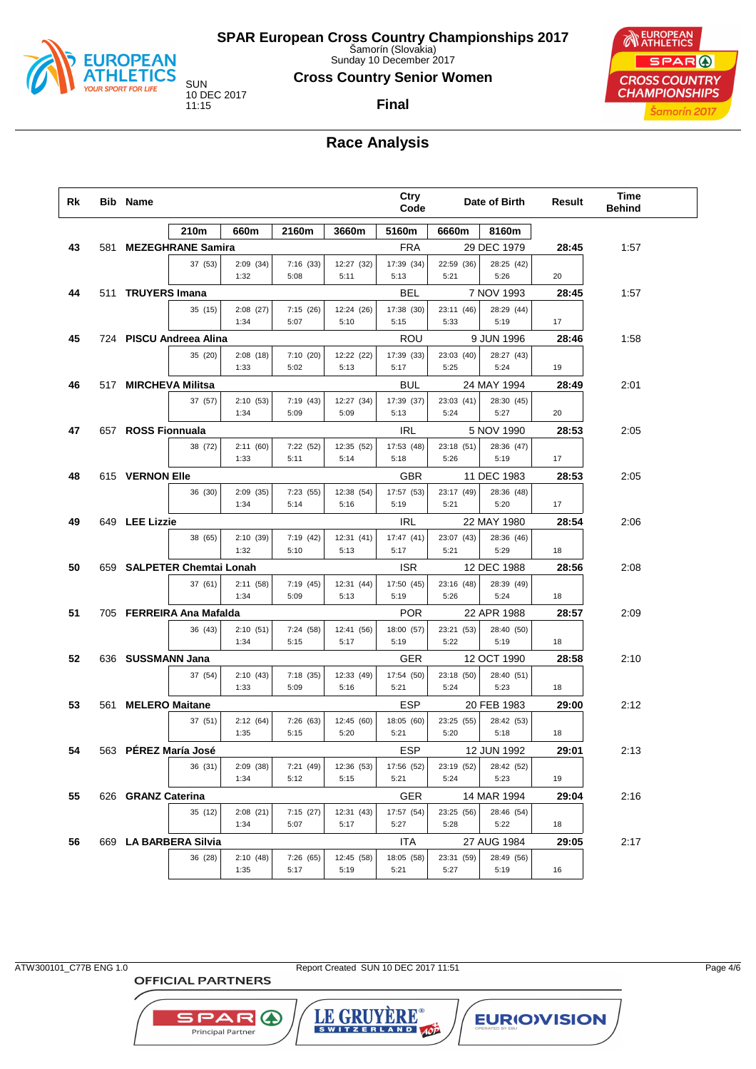

Sunday 10 December 2017

**Cross Country Senior Women**

**Final**

# **EUROPEAN** SPAR ( **CROSS COUNTRY CHAMPIONSHIPS** Šamorín 2017

# **Race Analysis**

| Rk | <b>Bib Name</b>    |                            |                  |                   |                    | Ctry<br>Code       |                    | Date of Birth      | Result | Time<br><b>Behind</b> |  |
|----|--------------------|----------------------------|------------------|-------------------|--------------------|--------------------|--------------------|--------------------|--------|-----------------------|--|
|    |                    | 210m                       | 660m             | 2160m             | 3660m              | 5160m              | 6660m              | 8160m              |        |                       |  |
| 43 |                    | 581 MEZEGHRANE Samira      |                  |                   |                    | <b>FRA</b>         |                    | 29 DEC 1979        | 28:45  | 1:57                  |  |
|    |                    | 37 (53)                    | 2:09(34)<br>1:32 | 7:16 (33)<br>5:08 | 12:27 (32)<br>5:11 | 17:39 (34)<br>5:13 | 22:59 (36)<br>5:21 | 28:25 (42)<br>5:26 | 20     |                       |  |
| 44 | 511 TRUYERS Imana  |                            |                  |                   |                    | BEL                |                    | 7 NOV 1993         | 28:45  | 1:57                  |  |
|    |                    | 35 (15)                    | 2:08(27)<br>1:34 | 7:15(26)<br>5:07  | 12:24 (26)<br>5:10 | 17:38 (30)<br>5:15 | 23:11 (46)<br>5:33 | 28:29 (44)<br>5:19 | 17     |                       |  |
| 45 |                    | 724 PISCU Andreea Alina    |                  |                   |                    | ROU                |                    | 9 JUN 1996         | 28:46  | 1:58                  |  |
|    |                    | 35 (20)                    | 2:08(18)<br>1:33 | 7:10(20)<br>5:02  | 12:22 (22)<br>5:13 | 17:39 (33)<br>5:17 | 23:03 (40)<br>5:25 | 28:27 (43)<br>5:24 | 19     |                       |  |
| 46 |                    | 517 MIRCHEVA Militsa       |                  |                   |                    | BUL                |                    | 24 MAY 1994        | 28:49  | 2:01                  |  |
|    |                    | 37 (57)                    | 2:10(53)<br>1:34 | 7:19 (43)<br>5:09 | 12:27 (34)<br>5:09 | 17:39 (37)<br>5:13 | 23:03 (41)<br>5:24 | 28:30 (45)<br>5:27 | 20     |                       |  |
| 47 | 657 ROSS Fionnuala |                            |                  |                   |                    | IRL                |                    | 5 NOV 1990         | 28:53  | 2:05                  |  |
|    |                    | 38 (72)                    | 2:11(60)<br>1:33 | 7:22 (52)<br>5:11 | 12:35 (52)<br>5:14 | 17:53 (48)<br>5:18 | 23:18 (51)<br>5:26 | 28:36 (47)<br>5:19 | 17     |                       |  |
| 48 | 615 VERNON Elle    |                            |                  |                   |                    | GBR                |                    | 11 DEC 1983        | 28:53  | 2:05                  |  |
|    |                    | 36 (30)                    | 2:09(35)<br>1:34 | 7:23 (55)<br>5:14 | 12:38 (54)<br>5:16 | 17:57 (53)<br>5:19 | 23:17 (49)<br>5:21 | 28:36 (48)<br>5:20 | 17     |                       |  |
| 49 | 649 LEE Lizzie     |                            |                  |                   |                    | IRL                |                    | 22 MAY 1980        | 28:54  | 2:06                  |  |
|    |                    | 38 (65)                    | 2:10(39)<br>1:32 | 7:19(42)<br>5:10  | 12:31(41)<br>5:13  | 17:47(41)<br>5:17  | 23:07 (43)<br>5:21 | 28:36 (46)<br>5:29 | 18     |                       |  |
| 50 |                    | 659 SALPETER Chemtai Lonah |                  |                   |                    | <b>ISR</b>         |                    | 12 DEC 1988        | 28:56  | 2:08                  |  |
|    |                    | 37 (61)                    | 2:11(58)<br>1:34 | 7:19(45)<br>5:09  | 12:31 (44)<br>5:13 | 17:50 (45)<br>5:19 | 23:16 (48)<br>5:26 | 28:39 (49)<br>5:24 | 18     |                       |  |
| 51 |                    | 705 FERREIRA Ana Mafalda   |                  |                   |                    | <b>POR</b>         |                    | 22 APR 1988        | 28:57  | 2:09                  |  |
|    |                    | 36 (43)                    | 2:10(51)<br>1:34 | 7:24 (58)<br>5:15 | 12:41 (56)<br>5:17 | 18:00 (57)<br>5:19 | 23:21 (53)<br>5:22 | 28:40 (50)<br>5:19 | 18     |                       |  |
| 52 | 636 SUSSMANN Jana  |                            |                  |                   |                    | GER                |                    | 12 OCT 1990        | 28:58  | 2:10                  |  |
|    |                    | 37 (54)                    | 2:10(43)<br>1:33 | 7:18(35)<br>5:09  | 12:33 (49)<br>5:16 | 17:54 (50)<br>5:21 | 23:18 (50)<br>5:24 | 28:40 (51)<br>5:23 | 18     |                       |  |
| 53 | 561 MELERO Maitane |                            |                  |                   |                    | ESP                |                    | 20 FEB 1983        | 29:00  | 2:12                  |  |
|    |                    | 37 (51)                    | 2:12(64)<br>1:35 | 7:26(63)<br>5:15  | 12:45 (60)<br>5:20 | 18:05 (60)<br>5:21 | 23:25 (55)<br>5:20 | 28:42 (53)<br>5:18 | 18     |                       |  |
| 54 |                    | 563 PÉREZ María José       |                  |                   |                    | ESP                |                    | 12 JUN 1992        | 29:01  | 2:13                  |  |
|    |                    | 36 (31)                    | 2:09(38)<br>1:34 | 7:21 (49)<br>5:12 | 12:36 (53)<br>5:15 | 17:56 (52)<br>5:21 | 23:19 (52)<br>5:24 | 28:42 (52)<br>5:23 | 19     |                       |  |
| 55 | 626 GRANZ Caterina |                            |                  |                   |                    | <b>GER</b>         |                    | 14 MAR 1994        | 29:04  | 2:16                  |  |
|    |                    | 35 (12)                    | 2:08(21)<br>1:34 | 7:15(27)<br>5:07  | 12:31 (43)<br>5:17 | 17:57 (54)<br>5:27 | 23:25 (56)<br>5:28 | 28:46 (54)<br>5:22 | 18     |                       |  |
| 56 |                    | 669 LA BARBERA Silvia      |                  |                   |                    | ITA                |                    | 27 AUG 1984        | 29:05  | 2:17                  |  |
|    |                    | 36 (28)                    | 2:10(48)<br>1:35 | 7:26 (65)<br>5:17 | 12:45 (58)<br>5:19 | 18:05 (58)<br>5:21 | 23:31 (59)<br>5:27 | 28:49 (56)<br>5:19 | 16     |                       |  |

**OFFICIAL PARTNERS** 

**SPAR A** Principal Partner

ATW300101\_C77B ENG 1.0 Report Created SUN 10 DEC 2017 11:51 Page 4/6

LE GRUYÈRE®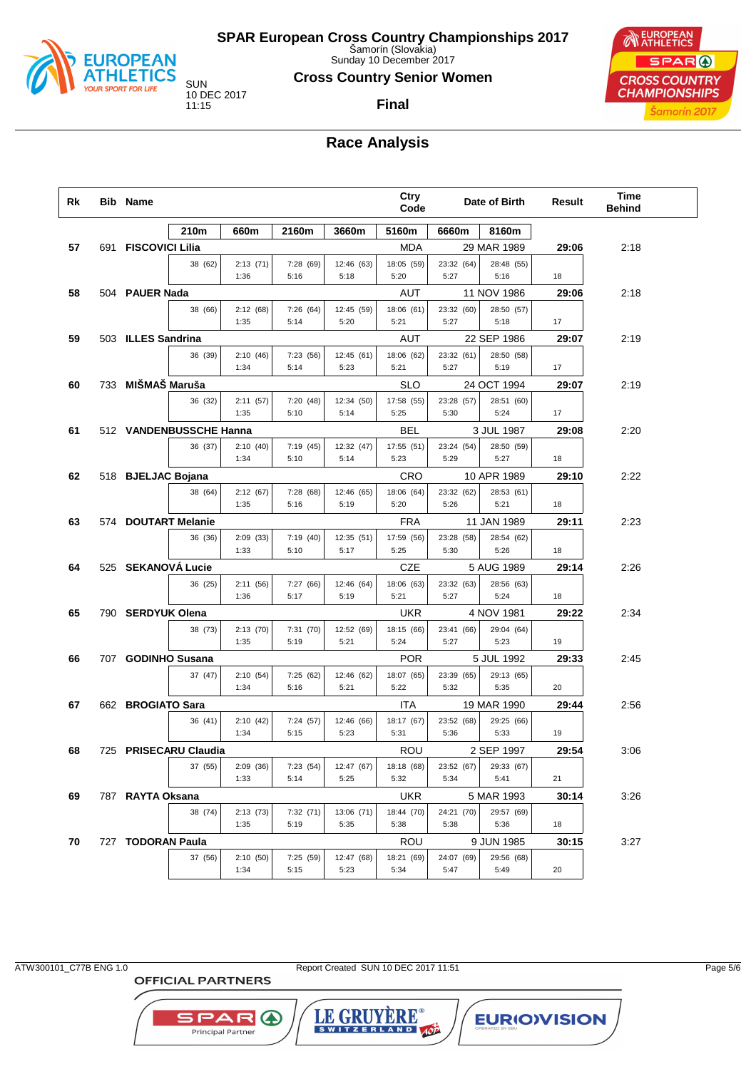

Sunday 10 December 2017

**Cross Country Senior Women**

**Final**



# **Race Analysis**

| Rk | <b>Bib Name</b>     |                         |                  |                   |                    | Ctry<br>Code                     |                    | Date of Birth                     | Result      | Time<br><b>Behind</b> |  |
|----|---------------------|-------------------------|------------------|-------------------|--------------------|----------------------------------|--------------------|-----------------------------------|-------------|-----------------------|--|
|    |                     | 210m                    | 660m             | 2160m             | 3660m              | 5160m                            | 6660m              | 8160m                             |             |                       |  |
| 57 | 691 FISCOVICI Lilia |                         |                  |                   |                    | MDA                              |                    | 29 MAR 1989                       | 29:06       | 2:18                  |  |
|    |                     | 38 (62)                 | 2:13(71)<br>1:36 | 7:28 (69)<br>5:16 | 12:46 (63)<br>5:18 | 18:05 (59)<br>5:20               | 23:32 (64)<br>5:27 | 28:48 (55)<br>5:16                | 18          |                       |  |
| 58 | 504 PAUER Nada      |                         |                  |                   |                    | AUT                              |                    | 11 NOV 1986                       | 29:06       | 2:18                  |  |
|    |                     | 38 (66)                 | 2:12(68)<br>1:35 | 7:26 (64)<br>5:14 | 12:45 (59)<br>5:20 | 18:06 (61)<br>5:21               | 23:32 (60)<br>5:27 | 28:50 (57)<br>5:18                | 17          |                       |  |
| 59 | 503 ILLES Sandrina  |                         |                  |                   |                    | AUT                              |                    | 22 SEP 1986                       | 29:07       | 2:19                  |  |
|    |                     | 36 (39)                 | 2:10(46)<br>1:34 | 7:23(56)          | 12:45 (61)<br>5:23 | 18:06 (62)<br>5:21               | 23:32 (61)<br>5:27 | 28:50 (58)<br>5:19                | 17          |                       |  |
|    | 733 MIŠMAŠ Maruša   |                         |                  | 5:14              |                    |                                  |                    |                                   |             |                       |  |
| 60 |                     | 36 (32)                 | 2:11(57)<br>1:35 | 7:20(48)<br>5:10  | 12:34 (50)<br>5:14 | <b>SLO</b><br>17:58 (55)<br>5:25 | 23:28 (57)<br>5:30 | 24 OCT 1994<br>28:51 (60)<br>5:24 | 29:07<br>17 | 2:19                  |  |
| 61 |                     | 512 VANDENBUSSCHE Hanna |                  |                   |                    | BEL                              |                    | 3 JUL 1987                        | 29:08       | 2:20                  |  |
|    |                     | 36 (37)                 | 2:10(40)         | 7:19(45)          | 12:32 (47)         | 17:55 (51)                       | 23:24 (54)         | 28:50 (59)                        |             |                       |  |
|    |                     |                         | 1:34             | 5:10              | 5:14               | 5:23                             | 5:29               | 5:27                              | 18          |                       |  |
| 62 | 518 BJELJAC Bojana  |                         |                  |                   |                    | CRO                              |                    | 10 APR 1989                       | 29:10       | 2:22                  |  |
|    |                     | 38 (64)                 | 2:12(67)<br>1:35 | 7:28(68)<br>5:16  | 12:46 (65)<br>5:19 | 18:06 (64)<br>5:20               | 23:32 (62)<br>5:26 | 28:53 (61)<br>5:21                | 18          |                       |  |
| 63 |                     | 574 DOUTART Melanie     |                  |                   |                    | <b>FRA</b>                       |                    | 11 JAN 1989                       | 29:11       | 2:23                  |  |
|    |                     | 36 (36)                 | 2:09(33)<br>1:33 | 7:19(40)<br>5:10  | 12:35 (51)<br>5:17 | 17:59 (56)<br>5:25               | 23:28 (58)<br>5:30 | 28:54 (62)<br>5:26                | 18          |                       |  |
| 64 | 525 SEKANOVÁ Lucie  |                         |                  |                   |                    | CZE                              |                    | 5 AUG 1989                        | 29:14       | 2:26                  |  |
|    |                     | 36 (25)                 | 2:11(56)         | 7:27(66)          | 12:46 (64)         | 18:06 (63)                       | 23:32 (63)         | 28:56 (63)                        |             |                       |  |
|    |                     |                         | 1:36             | 5:17              | 5:19               | 5:21                             | 5:27               | 5:24                              | 18          |                       |  |
| 65 | 790 SERDYUK Olena   |                         |                  |                   |                    | <b>UKR</b>                       |                    | 4 NOV 1981                        | 29:22       | 2:34                  |  |
|    |                     | 38 (73)                 | 2:13(70)<br>1:35 | 7:31(70)<br>5:19  | 12:52 (69)<br>5:21 | 18:15 (66)<br>5:24               | 23:41 (66)<br>5:27 | 29:04 (64)<br>5:23                | 19          |                       |  |
| 66 |                     | 707 GODINHO Susana      |                  |                   |                    | <b>POR</b>                       |                    | 5 JUL 1992                        | 29:33       | 2:45                  |  |
|    |                     | 37 (47)                 | 2:10(54)<br>1:34 | 7:25(62)<br>5:16  | 12:46 (62)<br>5:21 | 18:07 (65)<br>5:22               | 23:39 (65)<br>5:32 | 29:13 (65)<br>5:35                | 20          |                       |  |
| 67 | 662 BROGIATO Sara   |                         |                  |                   |                    | <b>ITA</b>                       |                    | 19 MAR 1990                       | 29:44       | 2:56                  |  |
|    |                     | 36 (41)                 | 2:10(42)         | 7:24 (57)         | 12:46 (66)         | 18:17 (67)                       | 23:52 (68)         | 29:25 (66)                        |             |                       |  |
|    |                     |                         | 1:34             | 5:15              | 5:23               | 5:31                             | 5:36               | 5:33                              | 19          |                       |  |
| 68 |                     | 725 PRISECARU Claudia   |                  |                   |                    | ROU                              |                    | 2 SEP 1997                        | 29:54       | 3:06                  |  |
|    |                     | 37 (55)                 | 2:09(36)         | 7:23(54)          | 12:47 (67)         | 18:18 (68)                       | 23:52 (67)         | 29:33 (67)                        |             |                       |  |
|    |                     |                         | 1:33             | 5:14              | 5:25               | 5:32                             | 5:34               | 5:41                              | 21          |                       |  |
| 69 | 787 RAYTA Oksana    |                         |                  |                   |                    | UKR                              |                    | 5 MAR 1993                        | 30:14       | 3:26                  |  |
|    |                     | 38 (74)                 | 2:13(73)<br>1:35 | 7:32(71)<br>5:19  | 13:06 (71)<br>5:35 | 18:44 (70)<br>5:38               | 24:21 (70)<br>5:38 | 29:57 (69)<br>5:36                | 18          |                       |  |
| 70 | 727 TODORAN Paula   |                         |                  |                   |                    | ROU                              |                    | 9 JUN 1985                        | 30:15       | 3:27                  |  |
|    |                     | 37 (56)                 | 2:10(50)         | 7:25 (59)         | 12:47 (68)         | 18:21 (69)                       | 24:07 (69)         | 29:56 (68)                        |             |                       |  |
|    |                     |                         | 1:34             | 5:15              | 5:23               | 5:34                             | 5:47               | 5:49                              | 20          |                       |  |

**OFFICIAL PARTNERS** 

**SPAR A** Principal Partner

ATW300101\_C77B ENG 1.0 Report Created SUN 10 DEC 2017 11:51 Page 5/6

LE GRUYÈRE®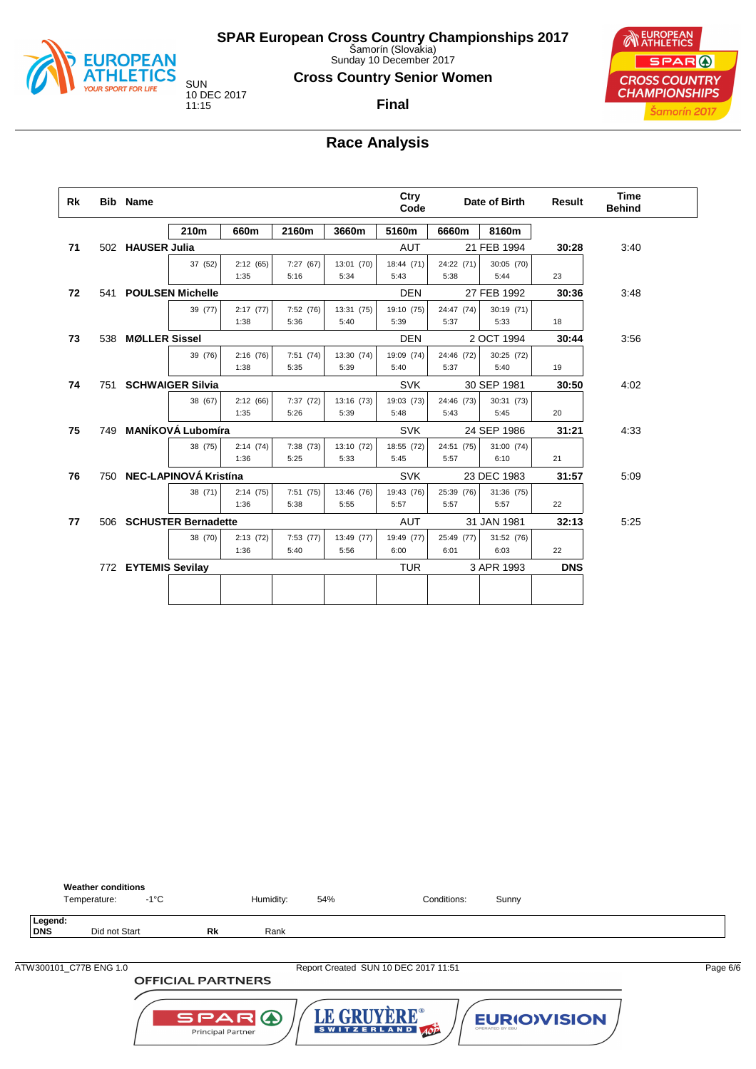

Sunday 10 December 2017

**Cross Country Senior Women**

**Final**



## **Race Analysis**

| Rk |     | <b>Bib</b> Name      |                           |          |           |            | Ctry<br>Code |            | Date of Birth | <b>Result</b> | <b>Time</b><br><b>Behind</b> |  |
|----|-----|----------------------|---------------------------|----------|-----------|------------|--------------|------------|---------------|---------------|------------------------------|--|
|    |     |                      | 210m                      | 660m     | 2160m     | 3660m      | 5160m        | 6660m      | 8160m         |               |                              |  |
| 71 |     | 502 HAUSER Julia     |                           |          |           |            | <b>AUT</b>   |            | 21 FEB 1994   | 30:28         | 3:40                         |  |
|    |     |                      | 37 (52)                   | 2:12(65) | 7:27 (67) | 13:01 (70) | 18:44 (71)   | 24:22 (71) | 30:05 (70)    |               |                              |  |
|    |     |                      |                           | 1:35     | 5:16      | 5:34       | 5:43         | 5:38       | 5:44          | 23            |                              |  |
| 72 | 541 |                      | <b>POULSEN Michelle</b>   |          |           |            | <b>DEN</b>   |            | 27 FEB 1992   | 30:36         | 3:48                         |  |
|    |     |                      | 39 (77)                   | 2:17(77) | 7:52 (76) | 13:31 (75) | 19:10 (75)   | 24:47 (74) | 30:19 (71)    |               |                              |  |
|    |     |                      |                           | 1:38     | 5:36      | 5:40       | 5:39         | 5:37       | 5:33          | 18            |                              |  |
| 73 | 538 | <b>MØLLER Sissel</b> |                           |          |           |            | <b>DEN</b>   |            | 2 OCT 1994    | 30:44         | 3:56                         |  |
|    |     |                      | 39 (76)                   | 2:16(76) | 7:51(74)  | 13:30 (74) | 19:09 (74)   | 24:46 (72) | 30:25 (72)    |               |                              |  |
|    |     |                      |                           | 1:38     | 5:35      | 5:39       | 5:40         | 5:37       | 5:40          | 19            |                              |  |
| 74 | 751 |                      | <b>SCHWAIGER Silvia</b>   |          |           |            | <b>SVK</b>   |            | 30 SEP 1981   | 30:50         | 4:02                         |  |
|    |     |                      | 38 (67)                   | 2:12(66) | 7:37 (72) | 13:16 (73) | 19:03 (73)   | 24:46 (73) | 30:31 (73)    |               |                              |  |
|    |     |                      |                           | 1:35     | 5:26      | 5:39       | 5:48         | 5:43       | 5:45          | 20            |                              |  |
| 75 | 749 |                      | <b>MANÍKOVÁ Lubomíra</b>  |          |           |            | <b>SVK</b>   |            | 24 SEP 1986   | 31:21         | 4:33                         |  |
|    |     |                      | 38 (75)                   | 2:14(74) | 7:38 (73) | 13:10 (72) | 18:55 (72)   | 24:51 (75) | 31:00 (74)    |               |                              |  |
|    |     |                      |                           | 1:36     | 5:25      | 5:33       | 5:45         | 5:57       | 6:10          | 21            |                              |  |
| 76 |     |                      | 750 NEC-LAPINOVÁ Kristína |          |           |            | <b>SVK</b>   |            | 23 DEC 1983   | 31:57         | 5:09                         |  |
|    |     |                      | 38 (71)                   | 2:14(75) | 7:51(75)  | 13:46 (76) | 19:43 (76)   | 25:39 (76) | 31:36 (75)    |               |                              |  |
|    |     |                      |                           | 1:36     | 5:38      | 5:55       | 5:57         | 5:57       | 5:57          | 22            |                              |  |
| 77 |     |                      | 506 SCHUSTER Bernadette   |          |           |            | AUT          |            | 31 JAN 1981   | 32:13         | 5:25                         |  |
|    |     |                      | 38 (70)                   | 2:13(72) | 7:53(77)  | 13:49 (77) | 19:49 (77)   | 25:49 (77) | 31:52 (76)    |               |                              |  |
|    |     |                      |                           | 1:36     | 5:40      | 5:56       | 6:00         | 6:01       | 6:03          | 22            |                              |  |
|    |     | 772 EYTEMIS Sevilay  |                           |          |           |            | <b>TUR</b>   |            | 3 APR 1993    | <b>DNS</b>    |                              |  |
|    |     |                      |                           |          |           |            |              |            |               |               |                              |  |
|    |     |                      |                           |          |           |            |              |            |               |               |                              |  |

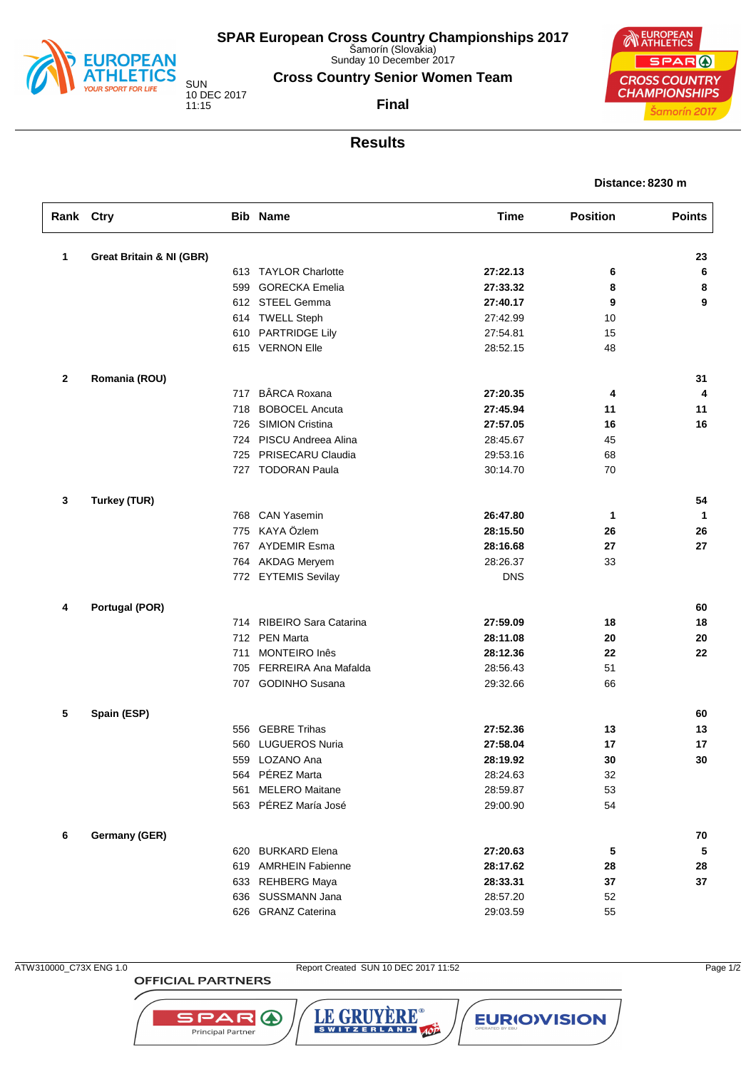

Sunday 10 December 2017

**Cross Country Senior Women Team**

**Final**

10 DEC 2017

**EUROPEAN** SPAR ( **CROSS COUNTRY CHAMPIONSHIPS** Šamorín 2017

# **Results**

#### **Distance: 8230 m**

| Rank Ctry    |                                     |     | <b>Bib Name</b>             | <b>Time</b> | <b>Position</b> | <b>Points</b> |
|--------------|-------------------------------------|-----|-----------------------------|-------------|-----------------|---------------|
| 1            | <b>Great Britain &amp; NI (GBR)</b> |     |                             |             |                 | 23            |
|              |                                     |     | 613 TAYLOR Charlotte        | 27:22.13    | 6               | 6             |
|              |                                     | 599 | <b>GORECKA Emelia</b>       | 27:33.32    | 8               | 8             |
|              |                                     |     | 612 STEEL Gemma             | 27:40.17    | 9               | 9             |
|              |                                     | 614 | <b>TWELL Steph</b>          | 27:42.99    | 10              |               |
|              |                                     | 610 | <b>PARTRIDGE Lily</b>       | 27:54.81    | 15              |               |
|              |                                     |     | 615 VERNON Elle             | 28:52.15    | 48              |               |
| $\mathbf{2}$ | Romania (ROU)                       |     |                             |             |                 | 31            |
|              |                                     | 717 | <b>BÂRCA Roxana</b>         | 27:20.35    | 4               | 4             |
|              |                                     | 718 | <b>BOBOCEL Ancuta</b>       | 27:45.94    | 11              | 11            |
|              |                                     | 726 | <b>SIMION Cristina</b>      | 27:57.05    | 16              | 16            |
|              |                                     | 724 | PISCU Andreea Alina         | 28:45.67    | 45              |               |
|              |                                     | 725 | PRISECARU Claudia           | 29:53.16    | 68              |               |
|              |                                     |     | 727 TODORAN Paula           | 30:14.70    | 70              |               |
| 3            | <b>Turkey (TUR)</b>                 |     |                             |             |                 | 54            |
|              |                                     |     | 768 CAN Yasemin             | 26:47.80    | 1               | $\mathbf{1}$  |
|              |                                     | 775 | KAYA Özlem                  | 28:15.50    | 26              | 26            |
|              |                                     | 767 | <b>AYDEMIR Esma</b>         | 28:16.68    | 27              | 27            |
|              |                                     |     | 764 AKDAG Meryem            | 28:26.37    | 33              |               |
|              |                                     |     | 772 EYTEMIS Sevilay         | <b>DNS</b>  |                 |               |
| 4            | <b>Portugal (POR)</b>               |     |                             |             |                 | 60            |
|              |                                     | 714 | RIBEIRO Sara Catarina       | 27:59.09    | 18              | 18            |
|              |                                     |     | 712 PEN Marta               | 28:11.08    | 20              | 20            |
|              |                                     | 711 | MONTEIRO Inês               | 28:12.36    | 22              | 22            |
|              |                                     | 705 | <b>FERREIRA Ana Mafalda</b> | 28:56.43    | 51              |               |
|              |                                     |     | 707 GODINHO Susana          | 29:32.66    | 66              |               |
| 5            | Spain (ESP)                         |     |                             |             |                 | 60            |
|              |                                     | 556 | <b>GEBRE Trihas</b>         | 27:52.36    | 13              | 13            |
|              |                                     | 560 | <b>LUGUEROS Nuria</b>       | 27:58.04    | 17              | 17            |
|              |                                     |     | 559 LOZANO Ana              | 28:19.92    | 30              | 30            |
|              |                                     |     | 564 PEREZ Marta             | 28:24.63    | 32              |               |
|              |                                     | 561 | <b>MELERO Maitane</b>       | 28:59.87    | 53              |               |
|              |                                     |     | 563 PÉREZ María José        | 29:00.90    | 54              |               |
| 6            | Germany (GER)                       |     |                             |             |                 | 70            |
|              |                                     |     | 620 BURKARD Elena           | 27:20.63    | 5               | 5             |
|              |                                     |     | 619 AMRHEIN Fabienne        | 28:17.62    | 28              | 28            |
|              |                                     |     | 633 REHBERG Maya            | 28:33.31    | 37              | 37            |
|              |                                     | 636 | SUSSMANN Jana               | 28:57.20    | 52              |               |
|              |                                     |     | 626 GRANZ Caterina          | 29:03.59    | 55              |               |

**OFFICIAL PARTNERS** 

**SPAR A** 

Principal Partner

ATW310000\_C73X ENG 1.0 Report Created SUN 10 DEC 2017 11:52 Page 1/2

LE GRUYERE®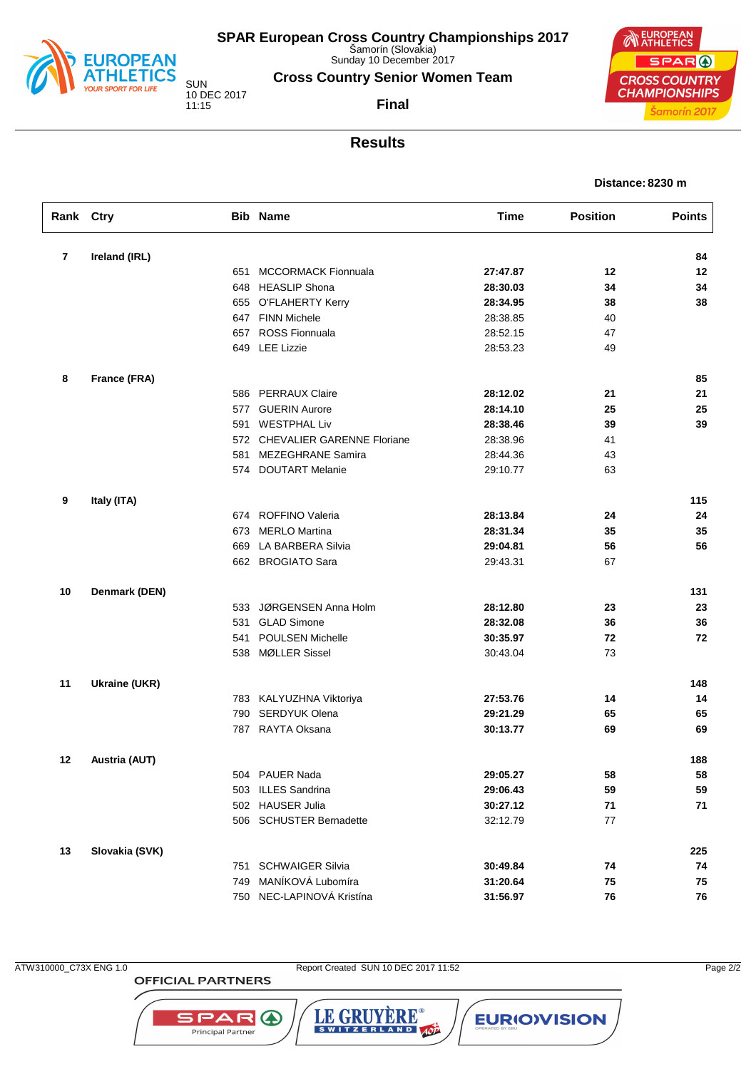

Sunday 10 December 2017

**Cross Country Senior Women Team**

10 DEC 2017 11:15

**Final**



## **Results**

| Distance: 8230 m |  |
|------------------|--|
|                  |  |

| Rank Ctry               |                      |     | <b>Bib Name</b>                | <b>Time</b> | <b>Position</b> | <b>Points</b> |
|-------------------------|----------------------|-----|--------------------------------|-------------|-----------------|---------------|
| $\overline{\mathbf{r}}$ | Ireland (IRL)        |     |                                |             |                 | 84            |
|                         |                      | 651 | <b>MCCORMACK Fionnuala</b>     | 27:47.87    | 12              | 12            |
|                         |                      |     | 648 HEASLIP Shona              | 28:30.03    | 34              | 34            |
|                         |                      |     | 655 O'FLAHERTY Kerry           | 28:34.95    | 38              | 38            |
|                         |                      |     | 647 FINN Michele               | 28:38.85    | 40              |               |
|                         |                      |     | 657 ROSS Fionnuala             | 28:52.15    | 47              |               |
|                         |                      |     | 649 LEE Lizzie                 | 28:53.23    | 49              |               |
| 8                       | France (FRA)         |     |                                |             |                 | 85            |
|                         |                      |     | 586 PERRAUX Claire             | 28:12.02    | 21              | 21            |
|                         |                      |     | 577 GUERIN Aurore              | 28:14.10    | 25              | 25            |
|                         |                      |     | 591 WESTPHAL Liv               | 28:38.46    | 39              | 39            |
|                         |                      |     | 572 CHEVALIER GARENNE Floriane | 28:38.96    | 41              |               |
|                         |                      | 581 | MEZEGHRANE Samira              | 28:44.36    | 43              |               |
|                         |                      |     | 574 DOUTART Melanie            | 29:10.77    | 63              |               |
| 9                       | Italy (ITA)          |     |                                |             |                 | 115           |
|                         |                      |     | 674 ROFFINO Valeria            | 28:13.84    | 24              | 24            |
|                         |                      |     | 673 MERLO Martina              | 28:31.34    | 35              | 35            |
|                         |                      | 669 | LA BARBERA Silvia              | 29:04.81    | 56              | 56            |
|                         |                      |     | 662 BROGIATO Sara              | 29:43.31    | 67              |               |
| 10                      | Denmark (DEN)        |     |                                |             |                 | 131           |
|                         |                      |     | 533 JØRGENSEN Anna Holm        | 28:12.80    | 23              | 23            |
|                         |                      |     | 531 GLAD Simone                | 28:32.08    | 36              | 36            |
|                         |                      |     | 541 POULSEN Michelle           | 30:35.97    | 72              | 72            |
|                         |                      |     | 538 MØLLER Sissel              | 30:43.04    | 73              |               |
| 11                      | <b>Ukraine (UKR)</b> |     |                                |             |                 | 148           |
|                         |                      |     | 783 KALYUZHNA Viktoriya        | 27:53.76    | 14              | 14            |
|                         |                      | 790 | <b>SERDYUK Olena</b>           | 29:21.29    | 65              | 65            |
|                         |                      |     | 787 RAYTA Oksana               | 30:13.77    | 69              | 69            |
| 12                      | Austria (AUT)        |     |                                |             |                 | 188           |
|                         |                      |     | 504 PAUER Nada                 | 29:05.27    | 58              | 58            |
|                         |                      |     | 503 ILLES Sandrina             | 29:06.43    | 59              | 59            |
|                         |                      |     | 502 HAUSER Julia               | 30:27.12    | 71              | 71            |
|                         |                      |     | 506 SCHUSTER Bernadette        | 32:12.79    | 77              |               |
| 13                      | Slovakia (SVK)       |     |                                |             |                 | 225           |
|                         |                      |     | 751 SCHWAIGER Silvia           | 30:49.84    | 74              | 74            |
|                         |                      | 749 | MANÍKOVÁ Lubomíra              | 31:20.64    | 75              | 75            |
|                         |                      |     | 750 NEC-LAPINOVÁ Kristína      | 31:56.97    | 76              | 76            |

**OFFICIAL PARTNERS** 

**SPAR A** Principal Partner

ATW310000\_C73X ENG 1.0 Report Created SUN 10 DEC 2017 11:52 Page 2/2

LE GRUYÈRE®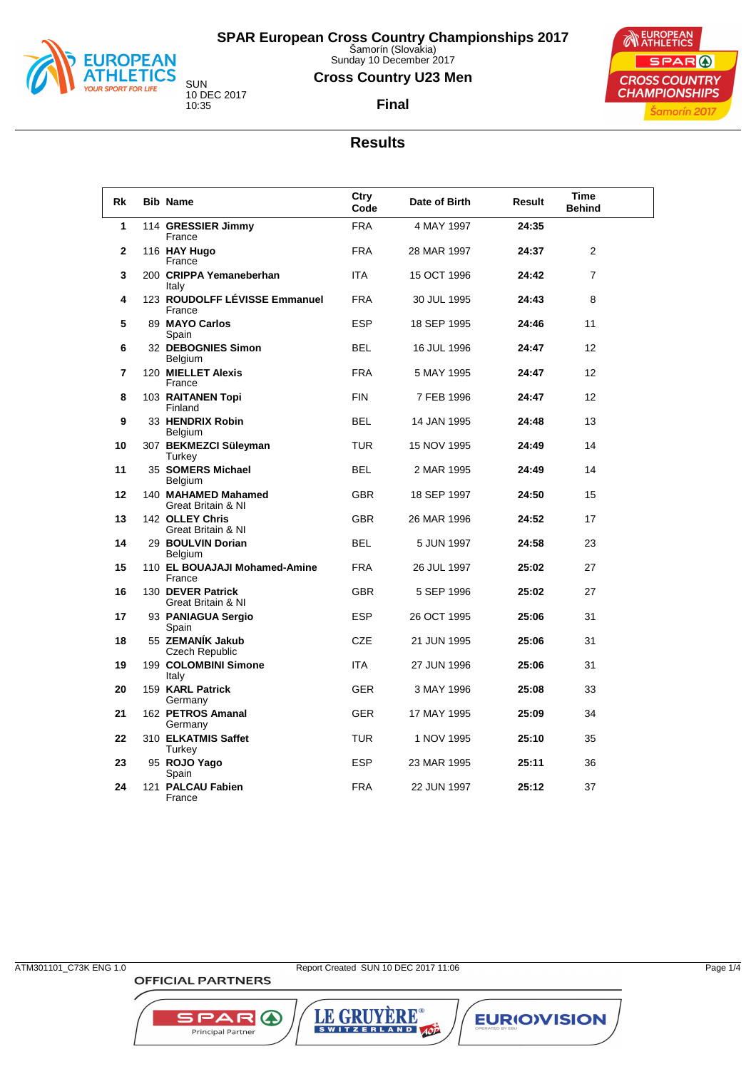

Sunday 10 December 2017

## **Cross Country U23 Men**





**Final**

#### **Results**

| Rk | <b>Bib Name</b>                           | Ctry<br>Code | Date of Birth | <b>Result</b> | <b>Time</b><br><b>Behind</b> |  |
|----|-------------------------------------------|--------------|---------------|---------------|------------------------------|--|
| 1  | 114 GRESSIER Jimmy<br>France              | <b>FRA</b>   | 4 MAY 1997    | 24:35         |                              |  |
| 2  | 116 HAY Hugo<br>France                    | <b>FRA</b>   | 28 MAR 1997   | 24:37         | $\overline{2}$               |  |
| 3  | 200 CRIPPA Yemaneberhan<br>Italy          | <b>ITA</b>   | 15 OCT 1996   | 24:42         | $\overline{7}$               |  |
| 4  | 123 ROUDOLFF LÉVISSE Emmanuel<br>France   | <b>FRA</b>   | 30 JUL 1995   | 24:43         | 8                            |  |
| 5  | 89 MAYO Carlos<br>Spain                   | <b>ESP</b>   | 18 SEP 1995   | 24:46         | 11                           |  |
| 6  | 32 DEBOGNIES Simon<br>Belgium             | <b>BEL</b>   | 16 JUL 1996   | 24:47         | 12                           |  |
| 7  | 120 MIELLET Alexis<br>France              | <b>FRA</b>   | 5 MAY 1995    | 24:47         | 12                           |  |
| 8  | 103 RAITANEN Topi<br>Finland              | <b>FIN</b>   | 7 FEB 1996    | 24:47         | 12                           |  |
| 9  | 33 HENDRIX Robin<br>Belgium               | <b>BEL</b>   | 14 JAN 1995   | 24:48         | 13                           |  |
| 10 | 307 BEKMEZCI Süleyman<br>Turkey           | <b>TUR</b>   | 15 NOV 1995   | 24:49         | 14                           |  |
| 11 | 35 SOMERS Michael<br>Belgium              | <b>BEL</b>   | 2 MAR 1995    | 24:49         | 14                           |  |
| 12 | 140 MAHAMED Mahamed<br>Great Britain & NI | <b>GBR</b>   | 18 SEP 1997   | 24:50         | 15                           |  |
| 13 | 142 OLLEY Chris<br>Great Britain & NI     | <b>GBR</b>   | 26 MAR 1996   | 24:52         | 17                           |  |
| 14 | 29 BOULVIN Dorian<br>Belgium              | <b>BEL</b>   | 5 JUN 1997    | 24:58         | 23                           |  |
| 15 | 110 EL BOUAJAJI Mohamed-Amine<br>France   | <b>FRA</b>   | 26 JUL 1997   | 25:02         | 27                           |  |
| 16 | 130 DEVER Patrick<br>Great Britain & NI   | <b>GBR</b>   | 5 SEP 1996    | 25:02         | 27                           |  |
| 17 | 93 PANIAGUA Sergio<br>Spain               | <b>ESP</b>   | 26 OCT 1995   | 25:06         | 31                           |  |
| 18 | 55 ZEMANÍK Jakub<br>Czech Republic        | <b>CZE</b>   | 21 JUN 1995   | 25:06         | 31                           |  |
| 19 | 199 COLOMBINI Simone<br>Italy             | <b>ITA</b>   | 27 JUN 1996   | 25:06         | 31                           |  |
| 20 | 159 KARL Patrick<br>Germany               | <b>GER</b>   | 3 MAY 1996    | 25:08         | 33                           |  |
| 21 | 162 PETROS Amanal<br>Germany              | <b>GER</b>   | 17 MAY 1995   | 25:09         | 34                           |  |
| 22 | 310 ELKATMIS Saffet<br>Turkey             | <b>TUR</b>   | 1 NOV 1995    | 25:10         | 35                           |  |
| 23 | 95 ROJO Yago<br>Spain                     | ESP          | 23 MAR 1995   | 25:11         | 36                           |  |
| 24 | 121 PALCAU Fabien<br>France               | <b>FRA</b>   | 22 JUN 1997   | 25:12         | 37                           |  |

**OFFICIAL PARTNERS** 

SPAR A

Principal Partner

LE GRUYÈRE®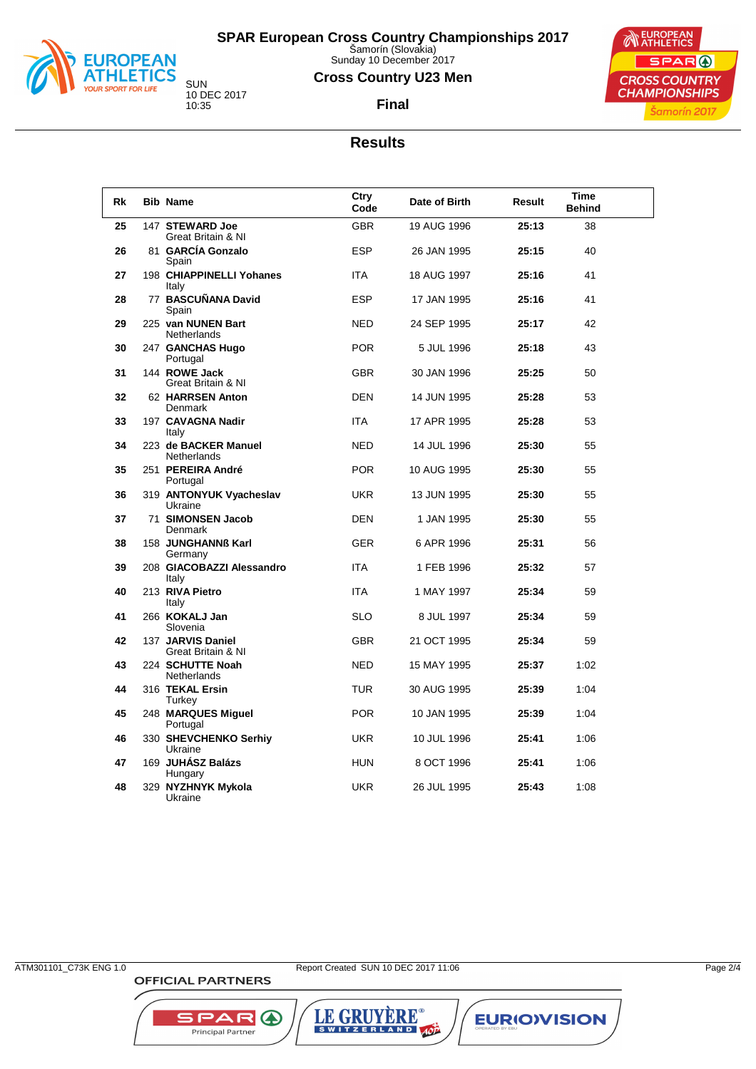

Sunday 10 December 2017

## **Cross Country U23 Men**

**Final**



## **Results**

| Rk | <b>Bib Name</b>                         | Ctry<br>Code | Date of Birth | Result | <b>Time</b><br><b>Behind</b> |
|----|-----------------------------------------|--------------|---------------|--------|------------------------------|
| 25 | 147 STEWARD Joe<br>Great Britain & NI   | <b>GBR</b>   | 19 AUG 1996   | 25:13  | 38                           |
| 26 | 81 GARCÍA Gonzalo<br>Spain              | <b>ESP</b>   | 26 JAN 1995   | 25:15  | 40                           |
| 27 | 198 CHIAPPINELLI Yohanes<br>Italy       | <b>ITA</b>   | 18 AUG 1997   | 25:16  | 41                           |
| 28 | 77 BASCUÑANA David<br>Spain             | <b>ESP</b>   | 17 JAN 1995   | 25:16  | 41                           |
| 29 | 225 van NUNEN Bart<br>Netherlands       | <b>NED</b>   | 24 SEP 1995   | 25:17  | 42                           |
| 30 | 247 GANCHAS Hugo<br>Portugal            | <b>POR</b>   | 5 JUL 1996    | 25:18  | 43                           |
| 31 | 144 ROWE Jack<br>Great Britain & NI     | <b>GBR</b>   | 30 JAN 1996   | 25.25  | 50                           |
| 32 | 62 HARRSEN Anton<br>Denmark             | <b>DEN</b>   | 14 JUN 1995   | 25:28  | 53                           |
| 33 | 197 CAVAGNA Nadir<br>Italy              | <b>ITA</b>   | 17 APR 1995   | 25:28  | 53                           |
| 34 | 223 de BACKER Manuel<br>Netherlands     | <b>NED</b>   | 14 JUL 1996   | 25:30  | 55                           |
| 35 | 251 PEREIRA André<br>Portugal           | <b>POR</b>   | 10 AUG 1995   | 25:30  | 55                           |
| 36 | 319 ANTONYUK Vyacheslav<br>Ukraine      | <b>UKR</b>   | 13 JUN 1995   | 25:30  | 55                           |
| 37 | 71 SIMONSEN Jacob<br>Denmark            | <b>DEN</b>   | 1 JAN 1995    | 25:30  | 55                           |
| 38 | 158 JUNGHANNß Karl<br>Germany           | <b>GER</b>   | 6 APR 1996    | 25:31  | 56                           |
| 39 | 208 GIACOBAZZI Alessandro<br>Italy      | <b>ITA</b>   | 1 FEB 1996    | 25:32  | 57                           |
| 40 | 213 RIVA Pietro<br>Italy                | <b>ITA</b>   | 1 MAY 1997    | 25:34  | 59                           |
| 41 | 266 KOKALJ Jan<br>Slovenia              | <b>SLO</b>   | 8 JUL 1997    | 25:34  | 59                           |
| 42 | 137 JARVIS Daniel<br>Great Britain & NI | <b>GBR</b>   | 21 OCT 1995   | 25:34  | 59                           |
| 43 | 224 SCHUTTE Noah<br>Netherlands         | <b>NED</b>   | 15 MAY 1995   | 25:37  | 1:02                         |
| 44 | 316 TEKAL Ersin<br>Turkey               | <b>TUR</b>   | 30 AUG 1995   | 25:39  | 1:04                         |
| 45 | 248 MARQUES Miguel<br>Portugal          | <b>POR</b>   | 10 JAN 1995   | 25:39  | 1:04                         |
| 46 | 330 SHEVCHENKO Serhiy<br>Ukraine        | <b>UKR</b>   | 10 JUL 1996   | 25:41  | 1:06                         |
| 47 | 169 JUHÁSZ Balázs<br>Hungary            | <b>HUN</b>   | 8 OCT 1996    | 25:41  | 1:06                         |
| 48 | 329 NYZHNYK Mykola<br>Ukraine           | <b>UKR</b>   | 26 JUL 1995   | 25:43  | 1:08                         |

**OFFICIAL PARTNERS** 

SPAR A

Principal Partner

LE GRUYÈRE®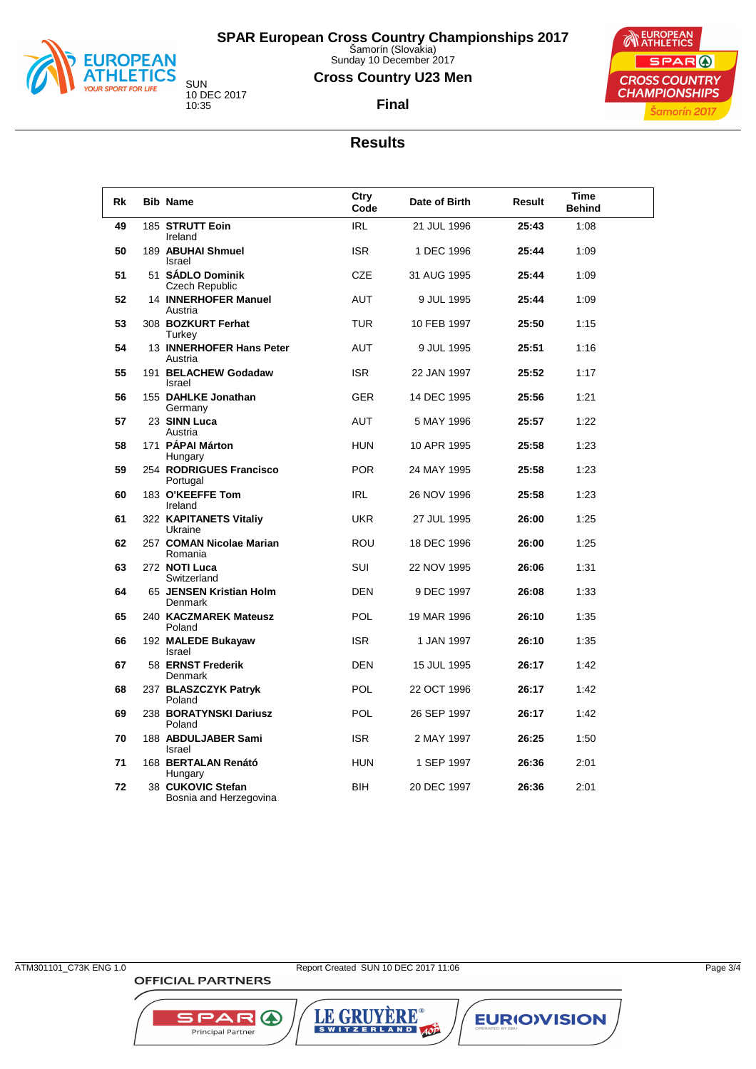

Sunday 10 December 2017

## **Cross Country U23 Men**





**Final**

#### **Results**

| Rk | <b>Bib Name</b>                             | Ctry<br>Code | Date of Birth | Result | Time<br><b>Behind</b> |
|----|---------------------------------------------|--------------|---------------|--------|-----------------------|
| 49 | 185 STRUTT Eoin<br>Ireland                  | <b>IRL</b>   | 21 JUL 1996   | 25:43  | 1:08                  |
| 50 | 189 ABUHAI Shmuel<br>Israel                 | <b>ISR</b>   | 1 DEC 1996    | 25:44  | 1:09                  |
| 51 | 51 SÁDLO Dominik<br>Czech Republic          | <b>CZE</b>   | 31 AUG 1995   | 25:44  | 1:09                  |
| 52 | <b>14 INNERHOFER Manuel</b><br>Austria      | <b>AUT</b>   | 9 JUL 1995    | 25:44  | 1:09                  |
| 53 | 308 BOZKURT Ferhat<br>Turkey                | <b>TUR</b>   | 10 FEB 1997   | 25:50  | 1:15                  |
| 54 | 13 INNERHOFER Hans Peter<br>Austria         | <b>AUT</b>   | 9 JUL 1995    | 25:51  | 1:16                  |
| 55 | 191 BELACHEW Godadaw<br>Israel              | <b>ISR</b>   | 22 JAN 1997   | 25:52  | 1:17                  |
| 56 | 155 DAHLKE Jonathan<br>Germany              | <b>GER</b>   | 14 DEC 1995   | 25:56  | 1:21                  |
| 57 | 23 SINN Luca<br>Austria                     | <b>AUT</b>   | 5 MAY 1996    | 25:57  | 1:22                  |
| 58 | 171 PÁPAI Márton<br>Hungary                 | <b>HUN</b>   | 10 APR 1995   | 25:58  | 1:23                  |
| 59 | 254 RODRIGUES Francisco<br>Portugal         | <b>POR</b>   | 24 MAY 1995   | 25:58  | 1:23                  |
| 60 | 183 O'KEEFFE Tom<br>Ireland                 | <b>IRL</b>   | 26 NOV 1996   | 25:58  | 1:23                  |
| 61 | 322 KAPITANETS Vitaliy<br>Ukraine           | <b>UKR</b>   | 27 JUL 1995   | 26:00  | 1:25                  |
| 62 | 257 COMAN Nicolae Marian<br>Romania         | <b>ROU</b>   | 18 DEC 1996   | 26:00  | 1:25                  |
| 63 | 272 NOTI Luca<br>Switzerland                | SUI          | 22 NOV 1995   | 26:06  | 1:31                  |
| 64 | 65 JENSEN Kristian Holm<br>Denmark          | <b>DEN</b>   | 9 DEC 1997    | 26:08  | 1:33                  |
| 65 | 240 KACZMAREK Mateusz<br>Poland             | <b>POL</b>   | 19 MAR 1996   | 26:10  | 1:35                  |
| 66 | 192 MALEDE Bukayaw<br>Israel                | <b>ISR</b>   | 1 JAN 1997    | 26:10  | 1:35                  |
| 67 | 58 ERNST Frederik<br>Denmark                | <b>DEN</b>   | 15 JUL 1995   | 26:17  | 1:42                  |
| 68 | 237 BLASZCZYK Patryk<br>Poland              | <b>POL</b>   | 22 OCT 1996   | 26:17  | 1:42                  |
| 69 | 238 BORATYNSKI Dariusz<br>Poland            | <b>POL</b>   | 26 SEP 1997   | 26:17  | 1:42                  |
| 70 | 188 ABDULJABER Sami<br>Israel               | <b>ISR</b>   | 2 MAY 1997    | 26:25  | 1:50                  |
| 71 | 168 BERTALAN Renátó<br>Hungary              | <b>HUN</b>   | 1 SEP 1997    | 26:36  | 2:01                  |
| 72 | 38 CUKOVIC Stefan<br>Bosnia and Herzegovina | <b>BIH</b>   | 20 DEC 1997   | 26:36  | 2:01                  |

**OFFICIAL PARTNERS** 

SPAR A

Principal Partner

LE GRUYÈRE®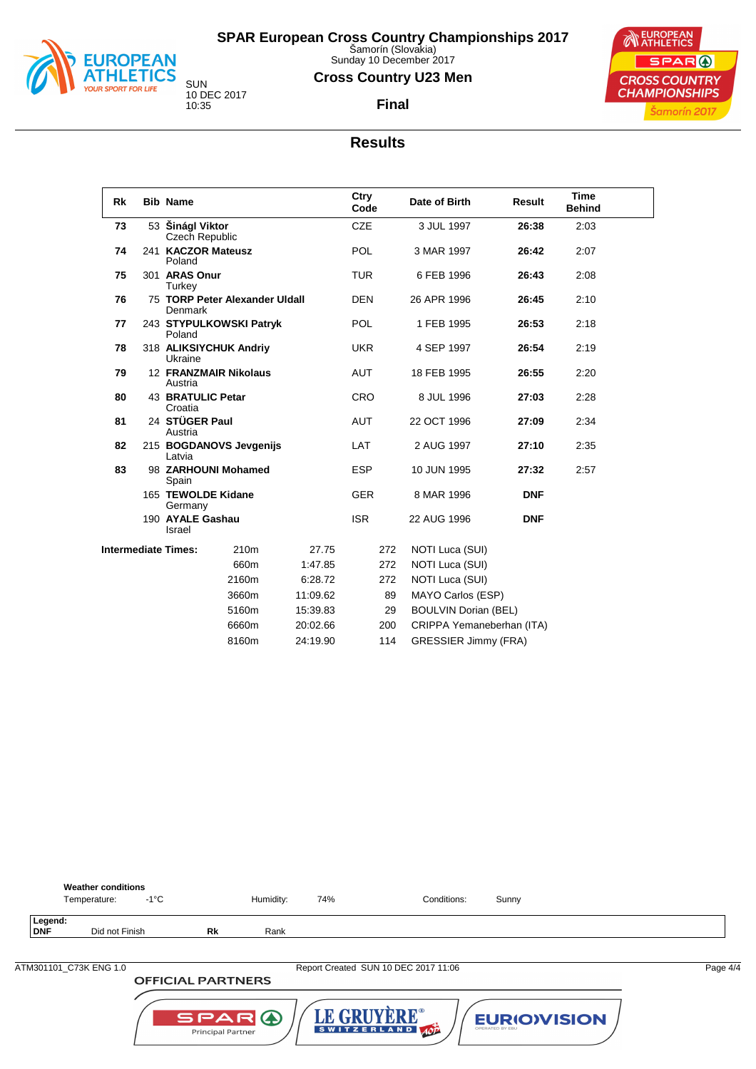

Sunday 10 December 2017

#### **Cross Country U23 Men**

**Final**



10 DEC 2017 10:35

#### **Results**

| Rk | <b>Bib Name</b>                     |                                |          | Ctry<br>Code | Date of Birth               | Result     |      |  |
|----|-------------------------------------|--------------------------------|----------|--------------|-----------------------------|------------|------|--|
| 73 | 53 Šinágl Viktor<br>Czech Republic  |                                |          | <b>CZE</b>   | 3 JUL 1997                  | 26:38      | 2:03 |  |
| 74 | 241 KACZOR Mateusz<br>Poland        |                                |          | <b>POL</b>   | 3 MAR 1997                  | 26:42      | 2:07 |  |
| 75 | 301 ARAS Onur<br>Turkey             |                                |          | <b>TUR</b>   | 6 FEB 1996                  | 26:43      | 2:08 |  |
| 76 | <b>Denmark</b>                      | 75 TORP Peter Alexander Uldall |          | <b>DEN</b>   | 26 APR 1996                 | 26:45      | 2:10 |  |
| 77 | Poland                              | 243 STYPULKOWSKI Patryk        |          | <b>POL</b>   | 1 FEB 1995                  | 26:53      | 2:18 |  |
| 78 | Ukraine                             | 318 ALIKSIYCHUK Andriy         |          | <b>UKR</b>   | 4 SEP 1997                  | 26:54      | 2:19 |  |
| 79 | Austria                             | <b>12 FRANZMAIR Nikolaus</b>   |          | <b>AUT</b>   | 18 FEB 1995                 | 26.55      |      |  |
| 80 | <b>43 BRATULIC Petar</b><br>Croatia |                                |          | <b>CRO</b>   | 8 JUL 1996                  | 27:03      | 2:28 |  |
| 81 | 24 STÜGER Paul<br>Austria           |                                |          | <b>AUT</b>   | 22 OCT 1996                 | 27:09      | 2:34 |  |
| 82 | Latvia                              | 215 BOGDANOVS Jevgenijs        |          | <b>LAT</b>   | 2 AUG 1997                  | 27:10      | 2:35 |  |
| 83 | Spain                               | 98 ZARHOUNI Mohamed            |          | <b>ESP</b>   | 10 JUN 1995                 | 27:32      | 2:57 |  |
|    | 165 TEWOLDE Kidane<br>Germany       |                                |          | <b>GER</b>   | 8 MAR 1996                  | <b>DNF</b> |      |  |
|    | 190 AYALE Gashau<br>Israel          |                                |          | <b>ISR</b>   | 22 AUG 1996                 | <b>DNF</b> |      |  |
|    | <b>Intermediate Times:</b>          | 210m                           | 27.75    | 272          | NOTI Luca (SUI)             |            |      |  |
|    |                                     | 660m                           | 1:47.85  | 272          | NOTI Luca (SUI)             |            |      |  |
|    |                                     | 2160m                          | 6:28.72  | 272          | NOTI Luca (SUI)             |            |      |  |
|    |                                     | 3660m                          | 11:09.62 | 89           | MAYO Carlos (ESP)           |            |      |  |
|    |                                     | 5160m                          | 15:39.83 | 29           | <b>BOULVIN Dorian (BEL)</b> |            |      |  |
|    |                                     | 6660m                          | 20:02.66 | 200          | CRIPPA Yemaneberhan (ITA)   |            |      |  |
|    |                                     | 8160m                          | 24:19.90 | 114          | <b>GRESSIER Jimmy (FRA)</b> |            |      |  |



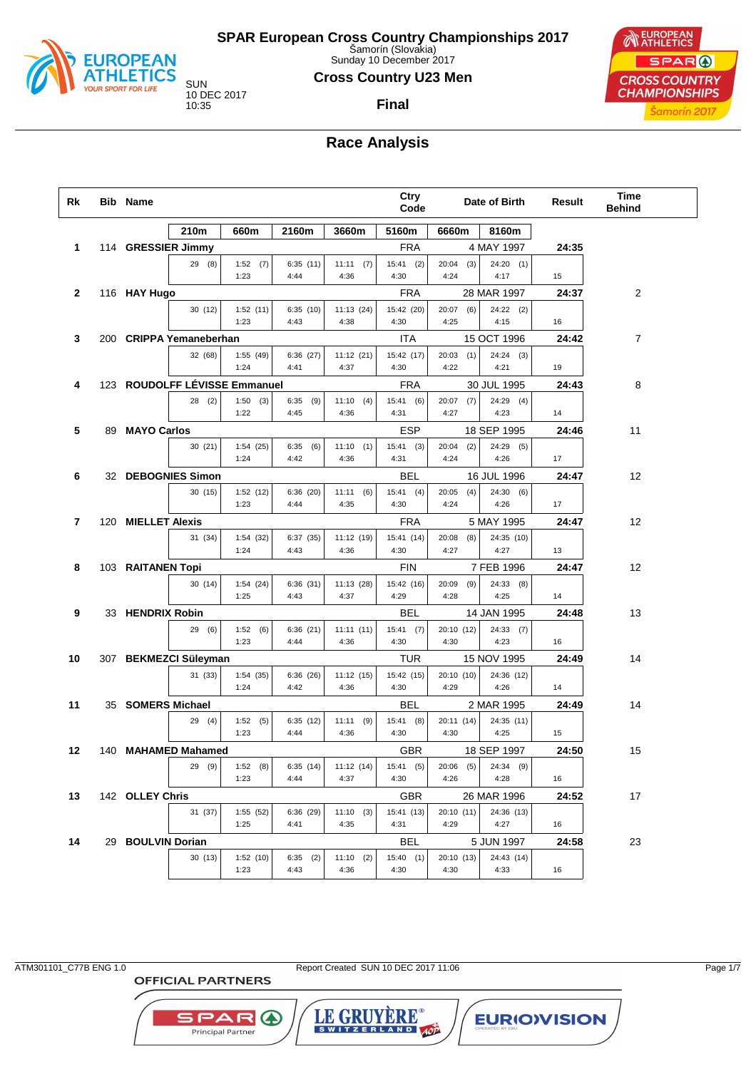

Sunday 10 December 2017

#### **Cross Country U23 Men**

**Final**

10 DEC 2017

EUROPEAN SPAR ( **CROSS COUNTRY CHAMPIONSHIPS** Šamorín 2017

# **Race Analysis**

| Rk | Bib Name           |                               |                     |                     |                      | Ctry<br>Code         |                      | Date of Birth       | Result | Time<br><b>Behind</b> |  |
|----|--------------------|-------------------------------|---------------------|---------------------|----------------------|----------------------|----------------------|---------------------|--------|-----------------------|--|
|    |                    | 210m                          | 660m                | 2160m               | 3660m                | 5160m                | 6660m                | 8160m               |        |                       |  |
| 1  | 114 GRESSIER Jimmy |                               |                     |                     |                      | <b>FRA</b>           |                      | 4 MAY 1997          | 24:35  |                       |  |
|    |                    | 29(8)                         | 1:52(7)<br>1:23     | 6:35(11)<br>4:44    | 11:11(7)<br>4:36     | $15:41$ (2)<br>4:30  | (3)<br>20:04<br>4:24 | $24:20$ (1)<br>4:17 | 15     |                       |  |
| 2  | 116 HAY Hugo       |                               |                     |                     |                      | <b>FRA</b>           |                      | 28 MAR 1997         | 24:37  | 2                     |  |
|    |                    | 30(12)                        | 1:52(11)<br>1:23    | 6:35(10)<br>4:43    | 11:13(24)<br>4:38    | 15:42 (20)<br>4:30   | $20:07$ (6)<br>4:25  | $24:22$ (2)<br>4:15 | 16     |                       |  |
| 3  |                    | 200 CRIPPA Yemaneberhan       |                     |                     |                      | ITA                  |                      | 15 OCT 1996         | 24:42  | 7                     |  |
|    |                    | 32 (68)                       | 1:55(49)<br>1:24    | 6:36(27)<br>4:41    | 11:12(21)<br>4:37    | 15:42 (17)<br>4:30   | $20:03$ (1)<br>4:22  | 24:24(3)<br>4:21    | 19     |                       |  |
| 4  |                    | 123 ROUDOLFF LÉVISSE Emmanuel |                     |                     |                      | <b>FRA</b>           |                      | 30 JUL 1995         | 24:43  | 8                     |  |
|    |                    | 28(2)                         | 1:50<br>(3)<br>1:22 | 6:35<br>(9)<br>4:45 | 11:10(4)<br>4:36     | 15:41(6)<br>4:31     | 20:07<br>(7)<br>4:27 | $24:29$ (4)<br>4:23 | 14     |                       |  |
| 5  | 89 MAYO Carlos     |                               |                     |                     |                      | <b>ESP</b>           |                      | 18 SEP 1995         | 24:46  | 11                    |  |
|    |                    | 30(21)                        | 1:54(25)<br>1:24    | 6:35<br>(6)<br>4:42 | 11:10(1)<br>4:36     | $15:41$ (3)<br>4:31  | 20:04<br>(2)<br>4:24 | $24:29$ (5)<br>4:26 | 17     |                       |  |
| 6  | 32 DEBOGNIES Simon |                               |                     |                     |                      | BEL                  |                      | 16 JUL 1996         | 24:47  | 12                    |  |
|    |                    | 30(15)                        | 1:52(12)<br>1:23    | 6:36(20)<br>4:44    | 11:11<br>(6)<br>4:35 | $15:41$ (4)<br>4:30  | 20:05<br>(4)<br>4:24 | 24:30(6)<br>4:26    | 17     |                       |  |
| 7  | 120 MIELLET Alexis |                               |                     |                     |                      | <b>FRA</b>           |                      | 5 MAY 1995          | 24:47  | 12                    |  |
|    |                    | 31 (34)                       | 1:54(32)<br>1:24    | 6:37(35)<br>4:43    | 11:12 (19)<br>4:36   | 15:41 (14)<br>4:30   | 20:08<br>(8)<br>4:27 | 24:35 (10)<br>4:27  | 13     |                       |  |
| 8  | 103 RAITANEN Topi  |                               |                     |                     |                      | <b>FIN</b>           |                      | 7 FEB 1996          | 24:47  | 12                    |  |
|    |                    | 30(14)                        | 1:54(24)<br>1:25    | 6:36(31)<br>4:43    | 11:13 (28)<br>4:37   | 15:42 (16)<br>4:29   | 20:09<br>(9)<br>4:28 | 24:33(8)<br>4:25    | 14     |                       |  |
| 9  | 33 HENDRIX Robin   |                               |                     |                     |                      | BEL                  |                      | 14 JAN 1995         | 24:48  | 13                    |  |
|    |                    | 29 (6)                        | 1:52(6)<br>1:23     | 6:36(21)<br>4:44    | 11:11(11)<br>4:36    | 15:41(7)<br>4:30     | 20:10 (12)<br>4:30   | 24:33(7)<br>4:23    | 16     |                       |  |
| 10 |                    | 307 BEKMEZCI Süleyman         |                     |                     |                      | TUR                  |                      | 15 NOV 1995         | 24:49  | 14                    |  |
|    |                    | 31 (33)                       | 1:54(35)<br>1:24    | 6:36(26)<br>4:42    | 11:12(15)<br>4:36    | 15:42 (15)<br>4:30   | 20:10 (10)<br>4:29   | 24:36 (12)<br>4:26  | 14     |                       |  |
| 11 | 35 SOMERS Michael  |                               |                     |                     |                      | BEL                  |                      | 2 MAR 1995          | 24:49  | 14                    |  |
|    |                    | 29(4)                         | 1:52(5)<br>1:23     | 6:35(12)<br>4:44    | (9)<br>11:11<br>4:36 | 15:41(8)<br>4:30     | 20:11 (14)<br>4:30   | 24:35 (11)<br>4:25  | 15     |                       |  |
| 12 |                    | 140 MAHAMED Mahamed           |                     |                     |                      | <b>GBR</b>           |                      | 18 SEP 1997         | 24:50  | 15                    |  |
|    |                    | 29(9)                         | (8)<br>1:52<br>1:23 | 6:35(14)<br>4:44    | 11:12(14)<br>4:37    | 15:41<br>(5)<br>4:30 | 20:06<br>(5)<br>4:26 | 24:34 (9)<br>4:28   | 16     |                       |  |
| 13 | 142 OLLEY Chris    |                               |                     |                     |                      | GBR                  |                      | 26 MAR 1996         | 24:52  | 17                    |  |
|    |                    | 31 (37)                       | 1:55 (52)<br>1:25   | 6:36 (29)<br>4:41   | 11:10(3)<br>4:35     | 15:41 (13)<br>4:31   | 20:10 (11)<br>4:29   | 24:36 (13)<br>4:27  | 16     |                       |  |
| 14 | 29 BOULVIN Dorian  |                               |                     |                     |                      | BEL                  |                      | 5 JUN 1997          | 24:58  | 23                    |  |
|    |                    | 30(13)                        | 1:52(10)<br>1:23    | $6:35$ (2)<br>4:43  | 11:10(2)<br>4:36     | 15:40(1)<br>4:30     | 20:10 (13)<br>4:30   | 24:43 (14)<br>4:33  | 16     |                       |  |

**OFFICIAL PARTNERS** 

**SPAR A** Principal Partner

ATM301101\_C77B ENG 1.0 Report Created SUN 10 DEC 2017 11:06 Page 1/7

LE GRUYERE®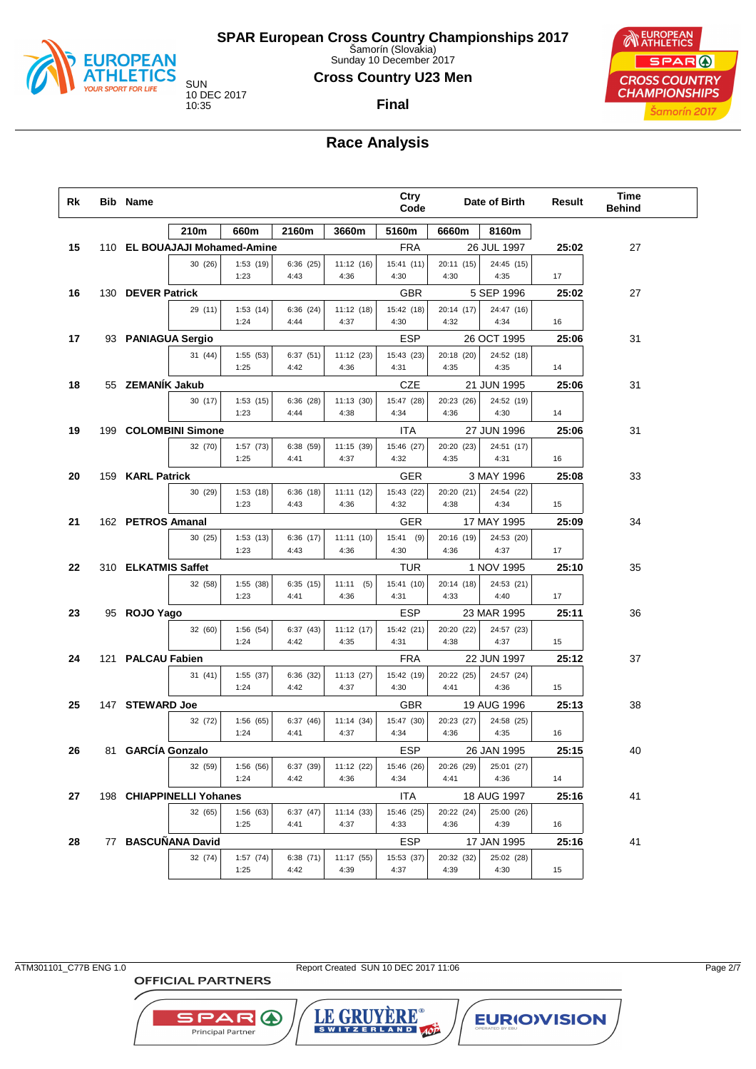

Sunday 10 December 2017

#### **Cross Country U23 Men**

**Final**

EUROPEAN SPAR ( **CROSS COUNTRY CHAMPIONSHIPS** Šamorín 2017

## **Race Analysis**

| Rk | <b>Bib Name</b>     |                               |                  |                   |                      | Ctry<br>Code       |                    | Date of Birth      | Result | Time<br><b>Behind</b> |  |
|----|---------------------|-------------------------------|------------------|-------------------|----------------------|--------------------|--------------------|--------------------|--------|-----------------------|--|
|    |                     | 210m                          | 660m             | 2160m             | 3660m                | 5160m              | 6660m              | 8160m              |        |                       |  |
| 15 |                     | 110 EL BOUAJAJI Mohamed-Amine |                  |                   |                      | <b>FRA</b>         |                    | 26 JUL 1997        | 25:02  | 27                    |  |
|    |                     | 30 (26)                       | 1:53(19)<br>1:23 | 6:36(25)<br>4:43  | 11:12(16)<br>4:36    | 15:41 (11)<br>4:30 | 20:11 (15)<br>4:30 | 24:45 (15)<br>4:35 | 17     |                       |  |
| 16 | 130 DEVER Patrick   |                               |                  |                   |                      | <b>GBR</b>         |                    | 5 SEP 1996         | 25:02  | 27                    |  |
|    |                     | 29 (11)                       | 1:53(14)<br>1:24 | 6:36(24)<br>4:44  | 11:12(18)<br>4:37    | 15:42 (18)<br>4:30 | 20:14 (17)<br>4:32 | 24:47 (16)<br>4:34 | 16     |                       |  |
| 17 |                     | 93 PANIAGUA Sergio            |                  |                   |                      | <b>ESP</b>         |                    | 26 OCT 1995        | 25:06  | 31                    |  |
|    |                     | 31 (44)                       | 1:55(53)<br>1:25 | 6:37(51)<br>4:42  | 11:12 (23)<br>4:36   | 15:43 (23)<br>4:31 | 20:18 (20)<br>4:35 | 24:52 (18)<br>4:35 | 14     |                       |  |
| 18 | 55 ZEMANIK Jakub    |                               |                  |                   |                      | CZE                |                    | 21 JUN 1995        | 25:06  | 31                    |  |
|    |                     | 30(17)                        | 1:53(15)<br>1:23 | 6:36(28)<br>4:44  | 11:13 (30)<br>4:38   | 15:47 (28)<br>4:34 | 20:23 (26)<br>4:36 | 24:52 (19)<br>4:30 | 14     |                       |  |
| 19 |                     | 199 COLOMBINI Simone          |                  |                   |                      | ITA                |                    | 27 JUN 1996        | 25:06  | 31                    |  |
|    |                     | 32 (70)                       | 1:57(73)<br>1:25 | 6:38(59)<br>4:41  | 11:15 (39)<br>4:37   | 15:46 (27)<br>4:32 | 20:20 (23)<br>4:35 | 24:51 (17)<br>4:31 | 16     |                       |  |
|    |                     |                               |                  |                   |                      |                    |                    |                    |        |                       |  |
| 20 | 159 KARL Patrick    |                               |                  |                   |                      | GER                |                    | 3 MAY 1996         | 25:08  | 33                    |  |
|    |                     | 30 (29)                       | 1:53(18)<br>1:23 | 6:36(18)<br>4:43  | 11:11(12)<br>4:36    | 15:43 (22)<br>4:32 | 20:20 (21)<br>4:38 | 24:54 (22)<br>4:34 | 15     |                       |  |
| 21 | 162 PETROS Amanal   |                               |                  |                   |                      | GER                |                    | 17 MAY 1995        | 25:09  | 34                    |  |
|    |                     | 30 (25)                       | 1:53(13)<br>1:23 | 6:36 (17)<br>4:43 | 11:11(10)<br>4:36    | 15:41 (9)<br>4:30  | 20:16 (19)<br>4:36 | 24:53 (20)<br>4:37 | 17     |                       |  |
| 22 | 310 ELKATMIS Saffet |                               |                  |                   |                      | TUR                |                    | 1 NOV 1995         | 25:10  | 35                    |  |
|    |                     | 32 (58)                       | 1:55(38)<br>1:23 | 6:35(15)<br>4:41  | 11:11<br>(5)<br>4:36 | 15:41 (10)<br>4:31 | 20:14 (18)<br>4:33 | 24:53 (21)<br>4:40 | 17     |                       |  |
| 23 | 95 ROJO Yago        |                               |                  |                   |                      | <b>ESP</b>         |                    | 23 MAR 1995        | 25:11  | 36                    |  |
|    |                     | 32 (60)                       | 1:56(54)<br>1:24 | 6:37(43)<br>4:42  | 11:12(17)<br>4:35    | 15:42 (21)<br>4:31 | 20:20 (22)<br>4:38 | 24:57 (23)<br>4:37 | 15     |                       |  |
| 24 |                     |                               |                  |                   |                      |                    |                    |                    |        |                       |  |
|    | 121 PALCAU Fabien   |                               |                  |                   |                      | <b>FRA</b>         |                    | 22 JUN 1997        | 25:12  | 37                    |  |
|    |                     | 31(41)                        | 1:55(37)<br>1:24 | 6:36 (32)<br>4:42 | 11:13(27)<br>4:37    | 15:42 (19)<br>4:30 | 20:22 (25)<br>4:41 | 24:57 (24)<br>4:36 | 15     |                       |  |
| 25 | 147 STEWARD Joe     |                               |                  |                   |                      | <b>GBR</b>         |                    | 19 AUG 1996        | 25:13  | 38                    |  |
|    |                     | 32 (72)                       | 1:56(65)<br>1:24 | 6:37(46)<br>4:41  | 11:14(34)<br>4:37    | 15:47 (30)<br>4:34 | 20:23 (27)<br>4:36 | 24:58 (25)<br>4:35 | 16     |                       |  |
| 26 | 81 GARCÍA Gonzalo   |                               |                  |                   |                      | <b>ESP</b>         |                    | 26 JAN 1995        | 25:15  | 40                    |  |
|    |                     | 32 (59)                       | 1:56 (56)        | 6:37 (39)         | 11:12 (22)           | 15:46 (26)         | 20:26 (29)         | 25:01 (27)         |        |                       |  |
|    |                     |                               | 1:24             | 4:42              | 4:36                 | 4:34               | 4:41               | 4:36               | 14     |                       |  |
| 27 |                     | 198 CHIAPPINELLI Yohanes      |                  |                   |                      | ITA                |                    | 18 AUG 1997        | 25:16  | 41                    |  |
|    |                     | 32 (65)                       | 1:56(63)<br>1:25 | 6:37(47)<br>4:41  | 11:14 (33)<br>4:37   | 15:46 (25)<br>4:33 | 20:22 (24)<br>4:36 | 25:00 (26)<br>4:39 | 16     |                       |  |
| 28 |                     | 77 BASCUÑANA David            |                  |                   |                      | ESP                |                    | 17 JAN 1995        | 25:16  | 41                    |  |
|    |                     | 32 (74)                       | 1:57(74)<br>1:25 | 6:38 (71)<br>4:42 | 11:17 (55)<br>4:39   | 15:53 (37)<br>4:37 | 20:32 (32)<br>4:39 | 25:02 (28)<br>4:30 | 15     |                       |  |
|    |                     |                               |                  |                   |                      |                    |                    |                    |        |                       |  |

**OFFICIAL PARTNERS** 

**SPAR A** Principal Partner

ATM301101\_C77B ENG 1.0 Report Created SUN 10 DEC 2017 11:06 Page 2/7

LE GRUYERE®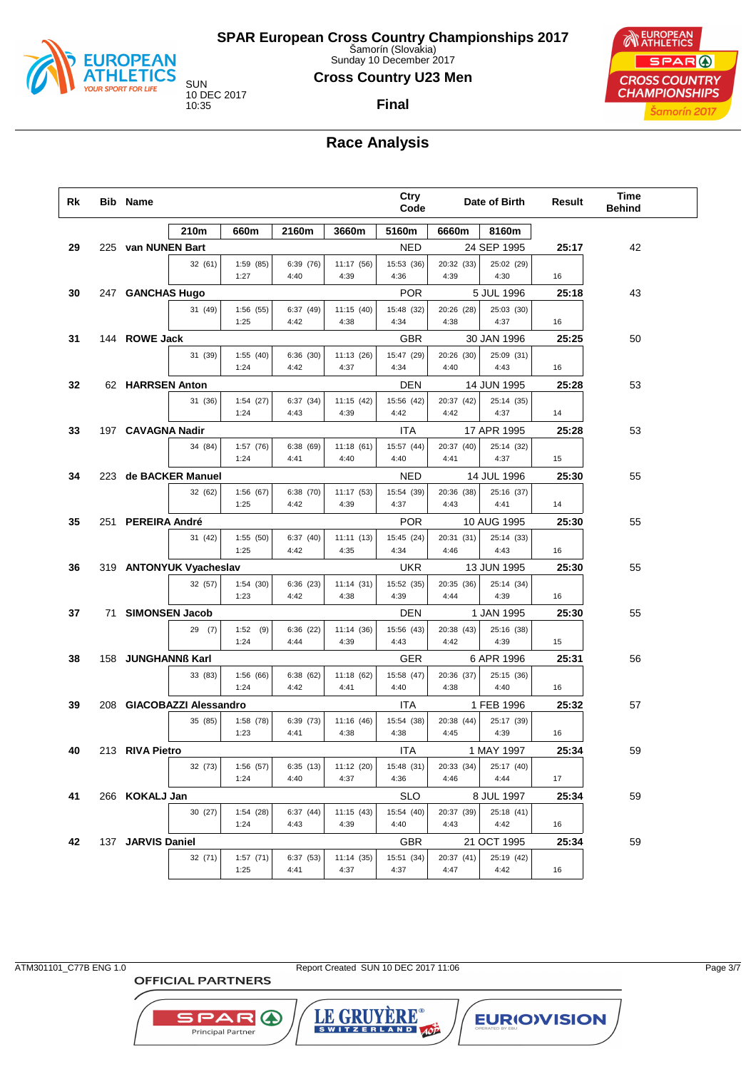

Sunday 10 December 2017

#### **Cross Country U23 Men**

**Final**

10 DEC 2017

EUROPEAN SPAR ( **CROSS COUNTRY CHAMPIONSHIPS** Šamorín 2017

# **Race Analysis**

| Rk | <b>Bib Name</b>    |                           |                  |                   |                   | Ctry<br>Code       |                    | Date of Birth      | Result | Time<br><b>Behind</b> |  |
|----|--------------------|---------------------------|------------------|-------------------|-------------------|--------------------|--------------------|--------------------|--------|-----------------------|--|
|    |                    | 210m                      | 660m             | 2160m             | 3660m             | 5160m              | 6660m              | 8160m              |        |                       |  |
| 29 | 225 van NUNEN Bart |                           |                  |                   |                   | <b>NED</b>         |                    | 24 SEP 1995        | 25:17  | 42                    |  |
|    |                    | 32 (61)                   | 1:59 (85)        | 6:39 (76)         | 11:17 (56)        | 15:53 (36)         | 20:32 (33)         | 25:02 (29)         |        |                       |  |
|    |                    |                           | 1:27             | 4:40              | 4:39              | 4:36               | 4:39               | 4:30               | 16     |                       |  |
| 30 | 247 GANCHAS Hugo   |                           |                  |                   |                   | <b>POR</b>         |                    | 5 JUL 1996         | 25:18  | 43                    |  |
|    |                    | 31 (49)                   | 1:56(55)<br>1:25 | 6:37 (49)<br>4:42 | 11:15(40)<br>4:38 | 15:48 (32)<br>4:34 | 20:26 (28)<br>4:38 | 25:03 (30)<br>4:37 | 16     |                       |  |
| 31 | 144 ROWE Jack      |                           |                  |                   |                   | <b>GBR</b>         |                    | 30 JAN 1996        | 25:25  | 50                    |  |
|    |                    | 31 (39)                   | 1:55(40)         | 6:36(30)          | 11:13(26)         | 15:47 (29)         | 20:26 (30)         | 25:09 (31)         |        |                       |  |
|    |                    |                           | 1:24             | 4:42              | 4:37              | 4:34               | 4:40               | 4:43               | 16     |                       |  |
| 32 | 62 HARRSEN Anton   |                           |                  |                   |                   | <b>DEN</b>         |                    | 14 JUN 1995        | 25:28  | 53                    |  |
|    |                    | 31 (36)                   | 1:54(27)         | 6:37 (34)         | 11:15(42)         | 15:56 (42)         | 20:37 (42)         | 25:14 (35)         |        |                       |  |
|    |                    |                           | 1:24             | 4:43              | 4:39              | 4:42               | 4:42               | 4:37               | 14     |                       |  |
| 33 | 197 CAVAGNA Nadir  |                           |                  |                   |                   | <b>ITA</b>         |                    | 17 APR 1995        | 25:28  | 53                    |  |
|    |                    | 34 (84)                   | 1:57 (76)        | 6:38 (69)         | 11:18(61)         | 15:57 (44)         | 20:37 (40)         | 25:14 (32)         |        |                       |  |
|    |                    |                           | 1:24             | 4:41              | 4:40              | 4:40               | 4:41               | 4:37               | 15     |                       |  |
| 34 |                    | 223 de BACKER Manuel      |                  |                   |                   | <b>NED</b>         |                    | 14 JUL 1996        | 25:30  | 55                    |  |
|    |                    | 32 (62)                   | 1:56(67)         | 6:38 (70)         | 11:17 (53)        | 15:54 (39)         | 20:36 (38)         | 25:16 (37)         |        |                       |  |
|    |                    |                           | 1:25             | 4:42              | 4:39              | 4:37               | 4:43               | 4:41               | 14     |                       |  |
| 35 | 251 PEREIRA André  |                           |                  |                   |                   | <b>POR</b>         |                    | 10 AUG 1995        | 25:30  | 55                    |  |
|    |                    | 31 (42)                   | 1:55(50)         | 6:37(40)          | 11:11(13)         | 15:45 (24)         | 20:31 (31)         | 25:14 (33)         |        |                       |  |
|    |                    |                           | 1:25             | 4:42              | 4:35              | 4:34               | 4:46               | 4:43               | 16     |                       |  |
| 36 |                    | 319 ANTONYUK Vyacheslav   |                  |                   |                   | <b>UKR</b>         |                    | 13 JUN 1995        | 25:30  | 55                    |  |
|    |                    | 32 (57)                   | 1:54(30)<br>1:23 | 6:36(23)<br>4:42  | 11:14(31)<br>4:38 | 15:52 (35)<br>4:39 | 20:35 (36)<br>4:44 | 25:14 (34)<br>4:39 | 16     |                       |  |
| 37 | 71 SIMONSEN Jacob  |                           |                  |                   |                   | <b>DEN</b>         |                    | 1 JAN 1995         | 25:30  | 55                    |  |
|    |                    | 29(7)                     | 1:52(9)          | 6:36 (22)         | 11:14(36)         | 15:56 (43)         | 20:38 (43)         | 25:16 (38)         |        |                       |  |
|    |                    |                           | 1:24             | 4:44              | 4:39              | 4:43               | 4:42               | 4:39               | 15     |                       |  |
| 38 | 158 JUNGHANNB Karl |                           |                  |                   |                   | <b>GER</b>         |                    | 6 APR 1996         | 25:31  | 56                    |  |
|    |                    | 33 (83)                   | 1:56(66)         | 6:38(62)          | 11:18(62)         | 15:58 (47)         | 20:36 (37)         | 25:15 (36)         |        |                       |  |
|    |                    |                           | 1:24             | 4:42              | 4:41              | 4:40               | 4:38               | 4:40               | 16     |                       |  |
| 39 |                    | 208 GIACOBAZZI Alessandro |                  |                   |                   | <b>ITA</b>         |                    | 1 FEB 1996         | 25:32  | 57                    |  |
|    |                    | 35 (85)                   | 1:58(78)         | 6:39 (73)         | 11:16(46)         | 15:54 (38)         | 20:38 (44)         | 25:17 (39)         |        |                       |  |
|    |                    |                           | 1:23             | 4:41              | 4:38              | 4:38               | 4:45               | 4:39               | 16     |                       |  |
| 40 | 213 RIVA Pietro    |                           |                  |                   |                   | <b>ITA</b>         |                    | 1 MAY 1997         | 25:34  | 59                    |  |
|    |                    | 32 (73)                   | 1:56(57)         | 6:35 (13)         | 11:12 (20)        | 15:48 (31)         | 20:33 (34)         | 25:17 (40)         |        |                       |  |
|    |                    |                           | 1:24             | 4:40              | 4:37              | 4:36               | 4:46               | 4:44               | 17     |                       |  |
| 41 | 266 KOKALJ Jan     |                           |                  |                   |                   | <b>SLO</b>         |                    | 8 JUL 1997         | 25:34  | 59                    |  |
|    |                    | 30(27)                    | 1:54(28)         | 6:37(44)          | 11:15(43)         | 15:54 (40)         | 20:37 (39)         | 25:18 (41)         |        |                       |  |
|    |                    |                           | 1:24             | 4:43              | 4:39              | 4:40               | 4:43               | 4:42               | 16     |                       |  |
| 42 | 137 JARVIS Daniel  |                           |                  |                   |                   | <b>GBR</b>         |                    | 21 OCT 1995        | 25:34  | 59                    |  |
|    |                    | 32 (71)                   | 1:57(71)         | 6:37 (53)         | 11:14 (35)        | 15:51 (34)         | 20:37 (41)         | 25:19 (42)         |        |                       |  |
|    |                    |                           | 1:25             | 4:41              | 4:37              | 4:37               | 4:47               | 4:42               | 16     |                       |  |

**OFFICIAL PARTNERS** 

**SPAR A** Principal Partner

ATM301101\_C77B ENG 1.0 Report Created SUN 10 DEC 2017 11:06 Page 3/7

LE GRUYERE®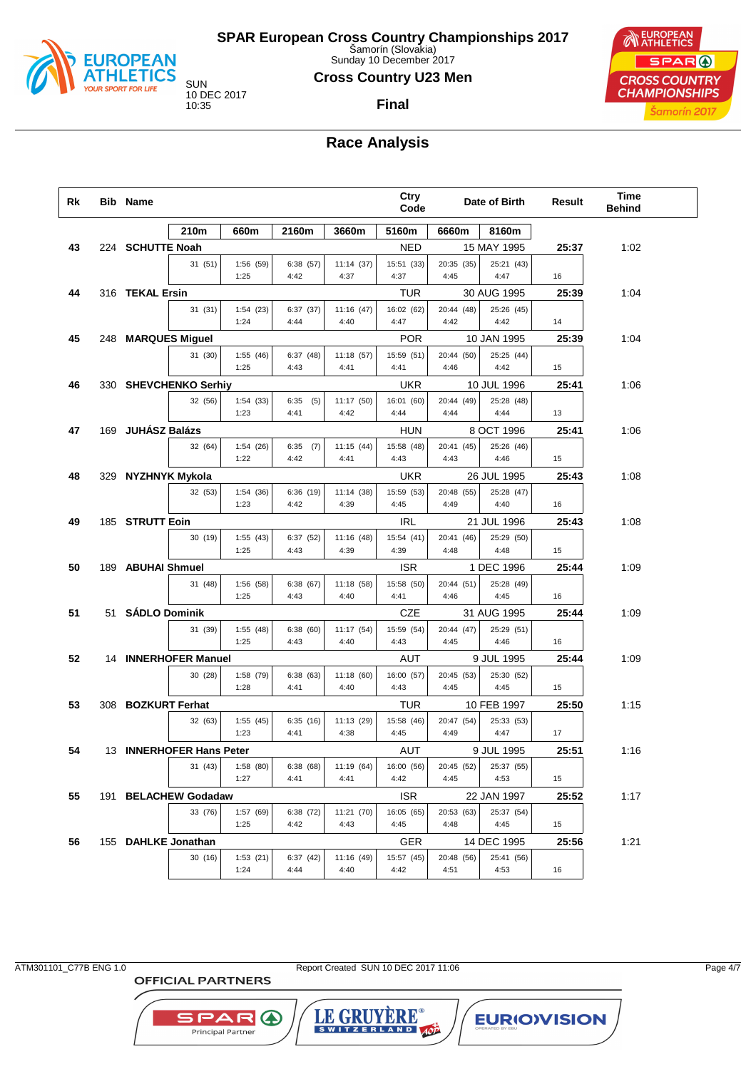

Sunday 10 December 2017

#### **Cross Country U23 Men**

**Final**



## **Race Analysis**

| Rk | <b>Bib Name</b>    |                          |                  |                   |                    | Ctry<br>Code       |                    | Date of Birth            | Result | Time<br><b>Behind</b> |  |
|----|--------------------|--------------------------|------------------|-------------------|--------------------|--------------------|--------------------|--------------------------|--------|-----------------------|--|
|    |                    | 210m                     | 660m             | 2160m             | 3660m              | 5160m              | 6660m              | 8160m                    |        |                       |  |
| 43 | 224 SCHUTTE Noah   |                          |                  |                   |                    | <b>NED</b>         |                    | 15 MAY 1995              | 25:37  | 1:02                  |  |
|    |                    | 31(51)                   | 1:56(59)         | 6:38(57)          | 11:14(37)          | 15:51 (33)         | 20:35 (35)         | 25:21 (43)               |        |                       |  |
|    |                    |                          | 1:25             | 4:42              | 4:37               | 4:37               | 4:45               | 4:47                     | 16     |                       |  |
| 44 | 316 TEKAL Ersin    |                          |                  |                   |                    | TUR                |                    | 30 AUG 1995              | 25:39  | 1:04                  |  |
|    |                    | 31 (31)                  | 1:54(23)<br>1:24 | 6:37(37)<br>4:44  | 11:16(47)<br>4:40  | 16:02 (62)<br>4:47 | 20:44 (48)<br>4:42 | 25:26 (45)<br>4:42       | 14     |                       |  |
| 45 | 248 MARQUES Miguel |                          |                  |                   |                    | <b>POR</b>         |                    | 10 JAN 1995              | 25:39  | 1:04                  |  |
|    |                    | 31 (30)                  | 1:55(46)         | 6:37(48)          | 11:18 (57)         | 15:59 (51)         | 20:44 (50)         | 25:25 (44)               |        |                       |  |
|    |                    |                          | 1:25             | 4:43              | 4:41               | 4:41               | 4:46               | 4:42                     | 15     |                       |  |
| 46 |                    | 330 SHEVCHENKO Serhiy    |                  |                   |                    | <b>UKR</b>         |                    | 10 JUL 1996              | 25:41  | 1:06                  |  |
|    |                    | 32 (56)                  | 1:54(33)         | 6:35<br>(5)       | 11:17(50)          | 16:01 (60)         | 20:44 (49)         | 25:28 (48)               |        |                       |  |
|    |                    |                          | 1:23             | 4:41              | 4:42               | 4:44               | 4:44               | 4:44                     | 13     |                       |  |
| 47 | 169 JUHÁSZ Balázs  |                          |                  |                   |                    | HUN                |                    | 8 OCT 1996               | 25:41  | 1:06                  |  |
|    |                    | 32 (64)                  | 1:54(26)         | $6:35$ (7)        | 11:15(44)          | 15:58 (48)         | 20:41 (45)         | 25:26 (46)               |        |                       |  |
|    |                    |                          | 1:22             | 4:42              | 4:41               | 4:43               | 4:43               | 4:46                     | 15     |                       |  |
| 48 | 329 NYZHNYK Mykola |                          |                  |                   |                    | <b>UKR</b>         |                    | 26 JUL 1995              | 25:43  | 1:08                  |  |
|    |                    | 32 (53)                  | 1:54(36)         | 6:36(19)          | 11:14 (38)         | 15:59 (53)         | 20:48 (55)         | 25:28 (47)               |        |                       |  |
|    |                    |                          | 1:23             | 4:42              | 4:39               | 4:45               | 4:49               | 4:40                     | 16     |                       |  |
| 49 | 185 STRUTT Eoin    |                          |                  |                   |                    | <b>IRL</b>         |                    | 21 JUL 1996              | 25:43  | 1:08                  |  |
|    |                    | 30 (19)                  | 1:55(43)<br>1:25 | 6:37(52)<br>4:43  | 11:16 (48)<br>4:39 | 15:54 (41)<br>4:39 | 20:41 (46)<br>4:48 | 25:29 (50)<br>4:48       | 15     |                       |  |
|    |                    |                          |                  |                   |                    |                    |                    |                          |        |                       |  |
| 50 | 189 ABUHAI Shmuel  |                          |                  |                   |                    | <b>ISR</b>         |                    | 1 DEC 1996<br>25:28 (49) | 25:44  | 1:09                  |  |
|    |                    | 31 (48)                  | 1:56(58)<br>1:25 | 6:38(67)<br>4:43  | 11:18 (58)<br>4:40 | 15:58 (50)<br>4:41 | 20:44 (51)<br>4:46 | 4:45                     | 16     |                       |  |
| 51 | 51 SÁDLO Dominik   |                          |                  |                   |                    | CZE                |                    | 31 AUG 1995              | 25:44  | 1:09                  |  |
|    |                    | 31 (39)                  | 1:55(48)         | 6:38(60)          | 11:17 (54)         | 15:59 (54)         | 20:44 (47)         | 25:29 (51)               |        |                       |  |
|    |                    |                          | 1:25             | 4:43              | 4:40               | 4:43               | 4:45               | 4:46                     | 16     |                       |  |
| 52 |                    | 14 INNERHOFER Manuel     |                  |                   |                    | AUT                |                    | 9 JUL 1995               | 25:44  | 1:09                  |  |
|    |                    | 30 (28)                  | 1:58 (79)        | 6:38(63)          | 11:18 (60)         | 16:00 (57)         | 20:45 (53)         | 25:30 (52)               |        |                       |  |
|    |                    |                          | 1:28             | 4:41              | 4:40               | 4:43               | 4:45               | 4:45                     | 15     |                       |  |
| 53 | 308 BOZKURT Ferhat |                          |                  |                   |                    | TUR                |                    | 10 FEB 1997              | 25:50  | 1:15                  |  |
|    |                    | 32 (63)                  | 1:55(45)         | 6:35(16)          | 11:13 (29)         | 15:58 (46)         | 20:47 (54)         | 25:33 (53)               |        |                       |  |
|    |                    |                          | 1:23             | 4:41              | 4:38               | 4:45               | 4:49               | 4:47                     | 17     |                       |  |
| 54 |                    | 13 INNERHOFER Hans Peter |                  |                   |                    | <b>AUT</b>         |                    | 9 JUL 1995               | 25:51  | 1:16                  |  |
|    |                    | 31 (43)                  | 1:58(80)         | 6:38(68)          | 11:19(64)          | 16:00 (56)         | 20:45 (52)         | 25:37 (55)               |        |                       |  |
|    |                    |                          | 1:27             | 4:41              | 4:41               | 4:42               | 4:45               | 4:53                     | 15     |                       |  |
| 55 |                    | 191 BELACHEW Godadaw     |                  |                   |                    | <b>ISR</b>         |                    | 22 JAN 1997              | 25:52  | 1:17                  |  |
|    |                    | 33 (76)                  | 1:57(69)<br>1:25 | 6:38 (72)<br>4:42 | 11:21 (70)<br>4:43 | 16:05 (65)<br>4:45 | 20:53 (63)<br>4:48 | 25:37 (54)<br>4:45       | 15     |                       |  |
| 56 |                    | 155 DAHLKE Jonathan      |                  |                   |                    | GER                |                    | 14 DEC 1995              | 25:56  | 1:21                  |  |
|    |                    | 30(16)                   | 1:53(21)         | 6:37(42)          | 11:16 (49)         | 15:57 (45)         | 20:48 (56)         | 25:41 (56)               |        |                       |  |
|    |                    |                          | 1:24             | 4:44              | 4:40               | 4:42               | 4:51               | 4:53                     | 16     |                       |  |
|    |                    |                          |                  |                   |                    |                    |                    |                          |        |                       |  |

**OFFICIAL PARTNERS** 

**SPAR A** 

Principal Partner

ATM301101\_C77B ENG 1.0 Report Created SUN 10 DEC 2017 11:06 Page 4/7

LE GRUYERE®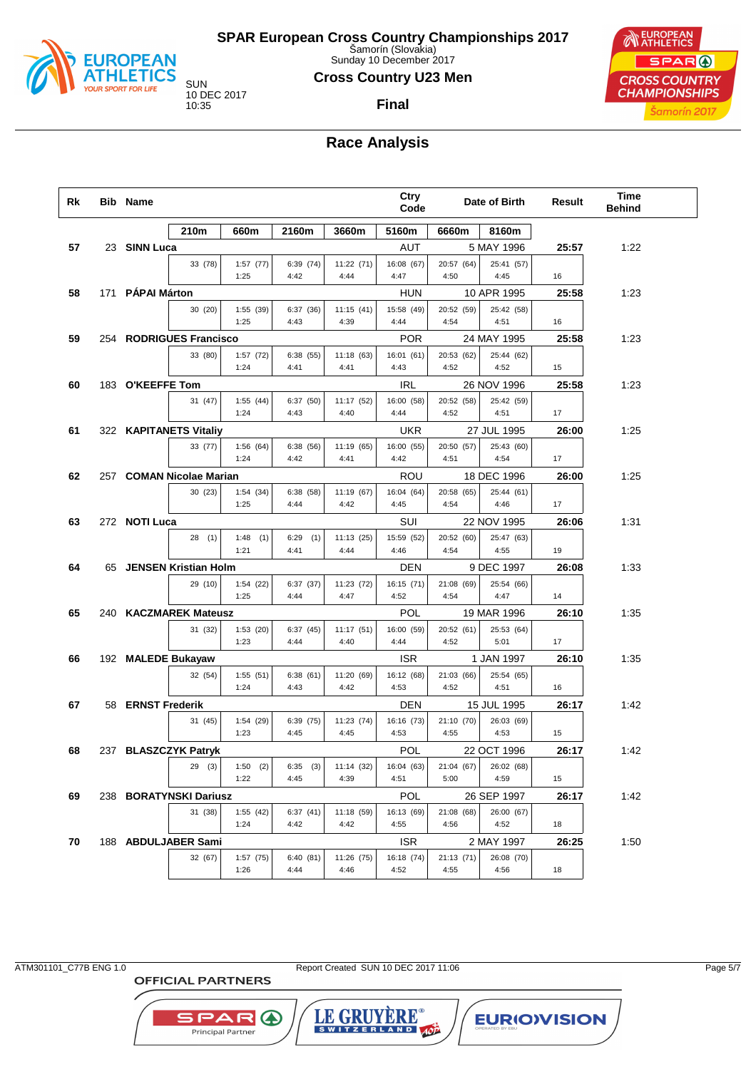

Sunday 10 December 2017

#### **Cross Country U23 Men**

**Final**



## **Race Analysis**

| Rk | <b>Bib Name</b>    |                          |                    |                  |                    | Ctry<br>Code       |                    | Date of Birth      | Result | Time<br><b>Behind</b> |
|----|--------------------|--------------------------|--------------------|------------------|--------------------|--------------------|--------------------|--------------------|--------|-----------------------|
|    |                    | 210m                     | 660m               | 2160m            | 3660m              | 5160m              | 6660m              | 8160m              |        |                       |
| 57 | 23 SINN Luca       |                          |                    |                  |                    | AUT                |                    | 5 MAY 1996         | 25:57  | 1:22                  |
|    |                    | 33 (78)                  | 1:57(77)           | 6:39(74)         | 11:22 (71)         | 16:08 (67)         | 20:57 (64)         | 25:41 (57)         |        |                       |
|    |                    |                          | 1:25               | 4:42             | 4:44               | 4:47               | 4:50               | 4:45               | 16     |                       |
| 58 | 171 PÁPAI Márton   |                          |                    |                  |                    | HUN                |                    | 10 APR 1995        | 25:58  | 1:23                  |
|    |                    | 30 (20)                  | 1:55(39)           | 6:37(36)         | 11:15(41)          | 15:58 (49)         | 20:52 (59)         | 25:42 (58)         |        |                       |
|    |                    |                          | 1:25               | 4:43             | 4:39               | 4:44               | 4:54               | 4:51               | 16     |                       |
| 59 |                    | 254 RODRIGUES Francisco  |                    |                  |                    | <b>POR</b>         |                    | 24 MAY 1995        | 25:58  | 1:23                  |
|    |                    | 33 (80)                  | 1:57(72)<br>1:24   | 6:38(55)<br>4:41 | 11:18(63)<br>4:41  | 16:01 (61)<br>4:43 | 20:53 (62)<br>4:52 | 25:44 (62)<br>4:52 | 15     |                       |
| 60 | 183 O'KEEFFE Tom   |                          |                    |                  |                    | IRL                |                    | 26 NOV 1996        | 25:58  | 1:23                  |
|    |                    | 31 (47)                  | 1:55(44)           | 6:37(50)         | 11:17 (52)         | 16:00 (58)         | 20:52 (58)         | 25:42 (59)         |        |                       |
|    |                    |                          | 1:24               | 4:43             | 4:40               | 4:44               | 4:52               | 4:51               | 17     |                       |
| 61 |                    | 322 KAPITANETS Vitaliy   |                    |                  |                    | UKR                |                    | 27 JUL 1995        | 26:00  | 1:25                  |
|    |                    | 33 (77)                  | 1:56(64)           | 6:38(56)         | 11:19 (65)         | 16:00 (55)         | 20:50 (57)         | 25:43 (60)         |        |                       |
|    |                    |                          | 1:24               | 4:42             | 4:41               | 4:42               | 4:51               | 4:54               | 17     |                       |
| 62 |                    | 257 COMAN Nicolae Marian |                    |                  |                    | ROU                |                    | 18 DEC 1996        | 26:00  | 1:25                  |
|    |                    | 30 (23)                  | 1:54(34)           | 6:38(58)         | 11:19 (67)         | 16:04 (64)         | 20:58 (65)         | 25:44 (61)         |        |                       |
|    |                    |                          | 1:25               | 4:44             | 4:42               | 4:45               | 4:54               | 4:46               | 17     |                       |
| 63 | 272 NOTI Luca      |                          |                    |                  |                    | SUI                |                    | 22 NOV 1995        | 26:06  | 1:31                  |
|    |                    | 28(1)                    | 1:48<br>(1)        | 6:29<br>(1)      | 11:13(25)          | 15:59 (52)         | 20:52 (60)         | 25:47 (63)         |        |                       |
|    |                    |                          | 1:21               | 4:41             | 4:44               | 4:46               | 4:54               | 4:55               | 19     |                       |
| 64 |                    | 65 JENSEN Kristian Holm  |                    |                  |                    | DEN                |                    | 9 DEC 1997         | 26:08  | 1:33                  |
|    |                    | 29 (10)                  | 1:54(22)<br>1:25   | 6:37(37)<br>4:44 | 11:23 (72)<br>4:47 | 16:15 (71)<br>4:52 | 21:08 (69)<br>4:54 | 25:54 (66)<br>4:47 | 14     |                       |
| 65 |                    | 240 KACZMAREK Mateusz    |                    |                  |                    | <b>POL</b>         |                    | 19 MAR 1996        | 26:10  | 1:35                  |
|    |                    | 31 (32)                  | 1:53(20)           | 6:37(45)         | 11:17(51)          | 16:00 (59)         | 20:52 (61)         | 25:53 (64)         |        |                       |
|    |                    |                          | 1:23               | 4:44             | 4:40               | 4:44               | 4:52               | 5:01               | 17     |                       |
| 66 | 192 MALEDE Bukayaw |                          |                    |                  |                    | ISR.               |                    | 1 JAN 1997         | 26:10  | 1:35                  |
|    |                    | 32 (54)                  | 1:55(51)           | 6:38(61)         | 11:20 (69)         | 16:12 (68)         | 21:03 (66)         | 25:54 (65)         |        |                       |
|    |                    |                          | 1:24               | 4:43             | 4:42               | 4:53               | 4:52               | 4:51               | 16     |                       |
| 67 | 58 ERNST Frederik  |                          |                    |                  |                    | DEN                |                    | 15 JUL 1995        | 26:17  | 1:42                  |
|    |                    | 31 (45)                  | 1:54(29)           | 6:39(75)         | 11:23 (74)         | 16:16 (73)         | 21:10 (70)         | 26:03 (69)         |        |                       |
|    |                    |                          | 1:23               | 4:45             | 4:45               | 4:53               | 4:55               | 4:53               | 15     |                       |
| 68 |                    | 237 BLASZCZYK Patryk     |                    |                  |                    | <b>POL</b>         |                    | 22 OCT 1996        | 26:17  | 1:42                  |
|    |                    | 29(3)                    | $1:50$ (2)<br>1:22 | 6:35(3)<br>4:45  | 11:14 (32)<br>4:39 | 16:04 (63)<br>4:51 | 21:04 (67)<br>5:00 | 26:02 (68)<br>4:59 | 15     |                       |
| 69 |                    | 238 BORATYNSKI Dariusz   |                    |                  |                    | POL                |                    | 26 SEP 1997        | 26:17  | 1:42                  |
|    |                    | 31 (38)                  | 1:55(42)           | 6:37(41)         | 11:18 (59)         | 16:13 (69)         | 21:08 (68)         | 26:00 (67)         |        |                       |
|    |                    |                          | 1:24               | 4:42             | 4:42               | 4:55               | 4:56               | 4:52               | 18     |                       |
| 70 |                    | 188 ABDULJABER Sami      |                    |                  |                    | <b>ISR</b>         |                    | 2 MAY 1997         | 26:25  | 1:50                  |
|    |                    | 32 (67)                  | 1:57(75)           | 6:40(81)         | 11:26 (75)         | 16:18 (74)         | 21:13 (71)         | 26:08 (70)         |        |                       |
|    |                    |                          | 1:26               | 4:44             | 4:46               | 4:52               | 4:55               | 4:56               | 18     |                       |

**OFFICIAL PARTNERS** 

**SPAR A** 

Principal Partner

ATM301101\_C77B ENG 1.0 Report Created SUN 10 DEC 2017 11:06 Page 5/7

LE GRUYERE®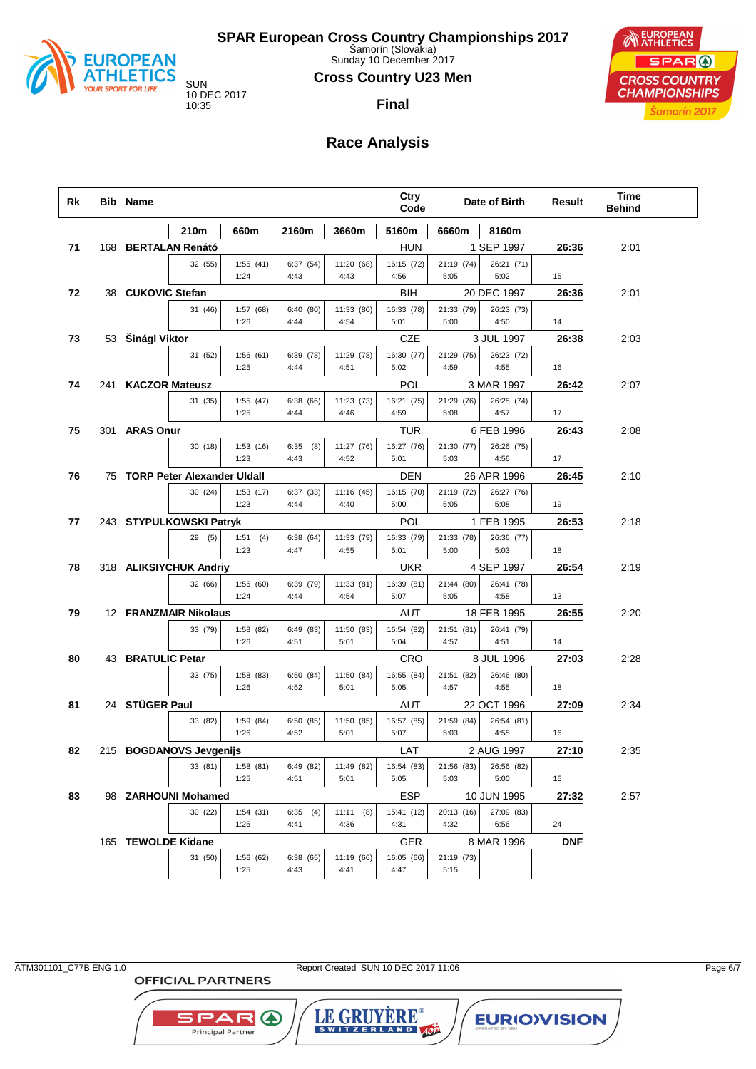

Sunday 10 December 2017

#### **Cross Country U23 Men**

**Final**

10 DEC 2017

EUROPEAN SPAR ( **CROSS COUNTRY CHAMPIONSHIPS** Šamorín 2017

## **Race Analysis**

| Rk |     | <b>Bib Name</b>    |                                |                   |                  |                    | Ctry<br>Code       |                    | Date of Birth      | Result     | Time<br><b>Behind</b> |  |
|----|-----|--------------------|--------------------------------|-------------------|------------------|--------------------|--------------------|--------------------|--------------------|------------|-----------------------|--|
|    |     |                    | 210m                           | 660m              | 2160m            | 3660m              | 5160m              | 6660m              | 8160m              |            |                       |  |
| 71 | 168 |                    | <b>BERTALAN Renátó</b>         |                   |                  |                    | HUN                |                    | 1 SEP 1997         | 26:36      | 2:01                  |  |
|    |     |                    | 32 (55)                        | 1:55(41)          | 6:37(54)         | 11:20 (68)         | 16:15 (72)         | 21:19 (74)         | 26:21 (71)         |            |                       |  |
|    |     |                    |                                | 1:24              | 4:43             | 4:43               | 4:56               | 5:05               | 5:02               | 15         |                       |  |
| 72 |     | 38 CUKOVIC Stefan  |                                |                   |                  |                    | <b>BIH</b>         |                    | 20 DEC 1997        | 26:36      | 2:01                  |  |
|    |     |                    | 31 (46)                        | 1:57(68)<br>1:26  | 6:40(80)<br>4:44 | 11:33 (80)<br>4:54 | 16:33 (78)<br>5:01 | 21:33 (79)<br>5:00 | 26:23 (73)<br>4:50 | 14         |                       |  |
|    |     |                    |                                |                   |                  |                    | <b>CZE</b>         |                    | 3 JUL 1997         |            |                       |  |
| 73 |     | 53 Šinágl Viktor   | 31 (52)                        | 1:56(61)          | 6:39 (78)        | 11:29 (78)         | 16:30 (77)         | 21:29 (75)         | 26:23 (72)         | 26:38      | 2:03                  |  |
|    |     |                    |                                | 1:25              | 4:44             | 4:51               | 5:02               | 4:59               | 4:55               | 16         |                       |  |
| 74 |     | 241 KACZOR Mateusz |                                |                   |                  |                    | POL                |                    | 3 MAR 1997         | 26:42      | 2:07                  |  |
|    |     |                    | 31 (35)                        | 1:55(47)          | 6:38(66)         | 11:23 (73)         | 16:21 (75)         | 21:29 (76)         | 26:25 (74)         |            |                       |  |
|    |     |                    |                                | 1:25              | 4:44             | 4:46               | 4:59               | 5:08               | 4:57               | 17         |                       |  |
| 75 |     | 301 ARAS Onur      |                                |                   |                  |                    | <b>TUR</b>         |                    | 6 FEB 1996         | 26:43      | 2:08                  |  |
|    |     |                    | 30(18)                         | 1:53(16)          | $6:35$ $(8)$     | 11:27 (76)         | 16:27 (76)         | 21:30 (77)         | 26:26 (75)         |            |                       |  |
|    |     |                    |                                | 1:23              | 4:43             | 4:52               | 5:01               | 5:03               | 4:56               | 17         |                       |  |
| 76 |     |                    | 75 TORP Peter Alexander Uldall |                   |                  |                    | <b>DEN</b>         |                    | 26 APR 1996        | 26:45      | 2:10                  |  |
|    |     |                    | 30 (24)                        | 1:53(17)<br>1:23  | 6:37(33)<br>4:44 | 11:16(45)<br>4:40  | 16:15 (70)<br>5:00 | 21:19 (72)<br>5:05 | 26:27 (76)<br>5:08 | 19         |                       |  |
| 77 |     |                    | 243 STYPULKOWSKI Patryk        |                   |                  |                    | POL                |                    | 1 FEB 1995         | 26:53      | 2:18                  |  |
|    |     |                    | 29(5)                          | 1:51(4)           | 6:38(64)         | 11:33 (79)         | 16:33 (79)         | 21:33 (78)         | 26:36 (77)         |            |                       |  |
|    |     |                    |                                | 1:23              | 4:47             | 4:55               | 5:01               | 5:00               | 5:03               | 18         |                       |  |
| 78 |     |                    | 318 ALIKSIYCHUK Andriy         |                   |                  |                    | <b>UKR</b>         |                    | 4 SEP 1997         | 26:54      | 2:19                  |  |
|    |     |                    | 32 (66)                        | 1:56(60)          | 6:39(79)         | 11:33(81)          | 16:39 (81)         | 21:44 (80)         | 26:41 (78)         |            |                       |  |
|    |     |                    |                                | 1:24              | 4:44             | 4:54               | 5:07               | 5:05               | 4:58               | 13         |                       |  |
| 79 |     |                    | 12 FRANZMAIR Nikolaus          |                   |                  |                    | <b>AUT</b>         |                    | 18 FEB 1995        | 26:55      | 2:20                  |  |
|    |     |                    | 33 (79)                        | 1:58(82)          | 6:49(83)         | 11:50 (83)         | 16:54 (82)         | 21:51 (81)         | 26:41 (79)         |            |                       |  |
|    |     |                    |                                | 1:26              | 4:51             | 5:01               | 5:04               | 4:57               | 4:51               | 14         |                       |  |
| 80 |     | 43 BRATULIC Petar  |                                |                   |                  |                    | <b>CRO</b>         |                    | 8 JUL 1996         | 27:03      | 2:28                  |  |
|    |     |                    | 33 (75)                        | 1:58(83)<br>1:26  | 6:50(84)<br>4:52 | 11:50 (84)<br>5:01 | 16:55 (84)<br>5:05 | 21:51 (82)<br>4:57 | 26:46 (80)<br>4:55 | 18         |                       |  |
| 81 |     | 24 STÜGER Paul     |                                |                   |                  |                    | AUT                |                    | 22 OCT 1996        | 27:09      | 2:34                  |  |
|    |     |                    | 33 (82)                        | 1:59 (84)         | 6:50(85)         | 11:50 (85)         | 16:57 (85)         | 21:59 (84)         | 26:54 (81)         |            |                       |  |
|    |     |                    |                                | 1:26              | 4:52             | 5:01               | 5:07               | 5:03               | 4:55               | 16         |                       |  |
| 82 |     |                    | 215 BOGDANOVS Jevgenijs        |                   |                  |                    | LAT                |                    | 2 AUG 1997         | 27:10      | 2:35                  |  |
|    |     |                    | 33 (81)                        | 1:58(81)          | 6:49 (82)        | 11:49 (82)         | 16:54 (83)         | 21:56 (83)         | 26:56 (82)         |            |                       |  |
|    |     |                    |                                | 1:25              | 4:51             | 5:01               | 5:05               | 5:03               | 5:00               | 15         |                       |  |
| 83 |     |                    | 98 ZARHOUNI Mohamed            |                   |                  |                    | <b>ESP</b>         |                    | 10 JUN 1995        | 27:32      | 2:57                  |  |
|    |     |                    | 30 (22)                        | 1:54(31)          | 6:35(4)          | 11:11(8)           | 15:41 (12)         | 20:13 (16)         | 27:09 (83)         |            |                       |  |
|    |     |                    |                                | 1:25              | 4:41             | 4:36               | 4:31               | 4:32               | 6:56               | 24         |                       |  |
|    |     | 165 TEWOLDE Kidane |                                |                   |                  |                    | GER                |                    | 8 MAR 1996         | <b>DNF</b> |                       |  |
|    |     |                    | 31 (50)                        | 1:56 (62)<br>1:25 | 6:38(65)<br>4:43 | 11:19 (66)<br>4:41 | 16:05 (66)<br>4:47 | 21:19 (73)<br>5:15 |                    |            |                       |  |
|    |     |                    |                                |                   |                  |                    |                    |                    |                    |            |                       |  |

**OFFICIAL PARTNERS** 

**SPAR A** Principal Partner

ATM301101\_C77B ENG 1.0 Report Created SUN 10 DEC 2017 11:06 Page 6/7

LE GRUYERE®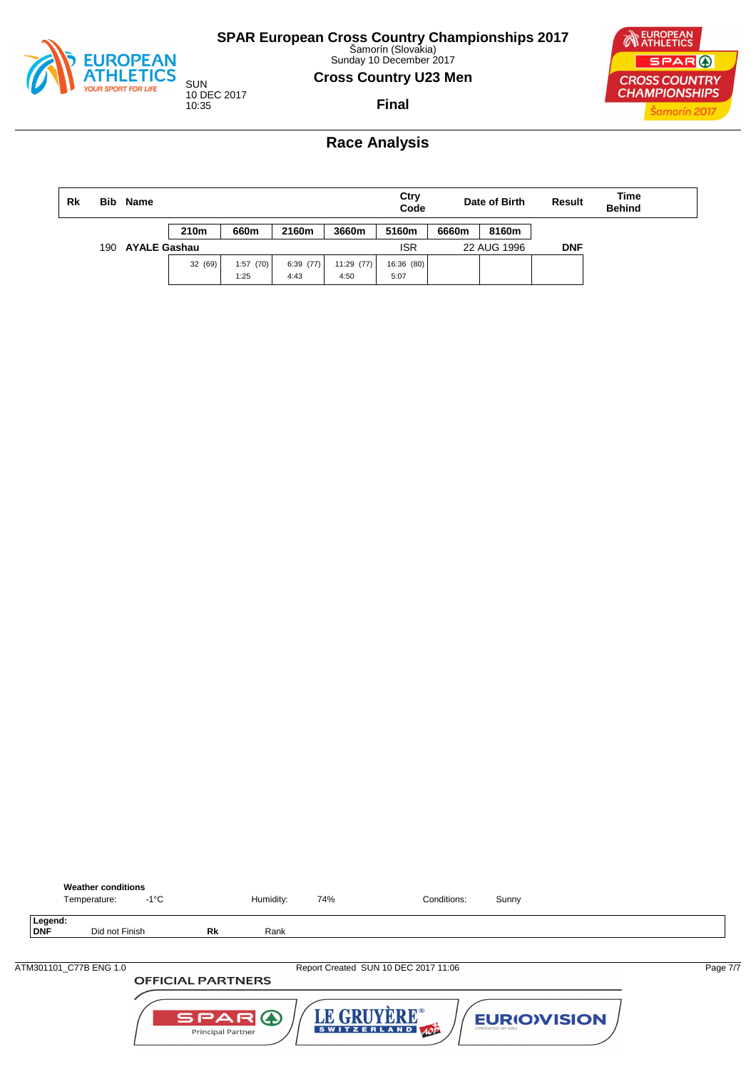

Sunday 10 December 2017

#### **Cross Country U23 Men**



10 DEC 2017 10:35

**Final**

## **Race Analysis**

| Rk                         | Bib. | Name |         |          |          |            | Ctry<br>Date of Birth<br>Code |       |             | Result     | Time<br><b>Behind</b> |
|----------------------------|------|------|---------|----------|----------|------------|-------------------------------|-------|-------------|------------|-----------------------|
|                            |      |      | 210m    | 660m     | 2160m    | 3660m      | 5160m                         | 6660m | 8160m       |            |                       |
| <b>AYALE Gashau</b><br>190 |      |      |         |          |          |            | <b>ISR</b>                    |       | 22 AUG 1996 | <b>DNF</b> |                       |
|                            |      |      | 32 (69) | 1:57(70) | 6:39(77) | 11:29 (77) | 16:36 (80)                    |       |             |            |                       |
|                            |      |      |         | 1:25     | 4:43     | 4:50       | 5:07                          |       |             |            |                       |



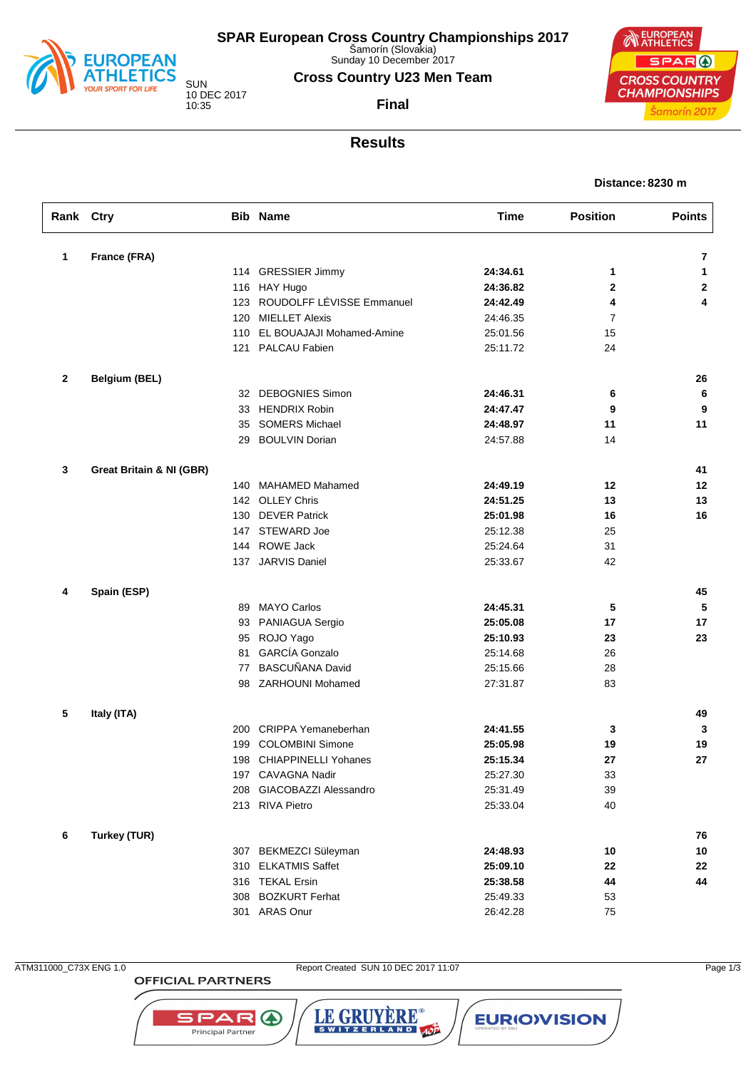

Sunday 10 December 2017

### **Cross Country U23 Men Team**

**Final**

10 DEC 2017 10:35

**CROSS COUNTRY CHAMPIONSHIPS** 





**EUROPEAN** 

SPAR (

Šamorín 2017

| Rank Ctry    |                                     |     | <b>Bib Name</b>               | <b>Time</b> | <b>Position</b> | <b>Points</b> |
|--------------|-------------------------------------|-----|-------------------------------|-------------|-----------------|---------------|
| 1            | France (FRA)                        |     |                               |             |                 | 7             |
|              |                                     |     | 114 GRESSIER Jimmy            | 24:34.61    | 1               | 1             |
|              |                                     |     | 116 HAY Hugo                  | 24:36.82    | 2               | $\mathbf{2}$  |
|              |                                     |     | 123 ROUDOLFF LÉVISSE Emmanuel | 24:42.49    | 4               | 4             |
|              |                                     | 120 | <b>MIELLET Alexis</b>         | 24:46.35    | $\overline{7}$  |               |
|              |                                     | 110 | EL BOUAJAJI Mohamed-Amine     | 25:01.56    | 15              |               |
|              |                                     |     | 121 PALCAU Fabien             | 25:11.72    | 24              |               |
| $\mathbf{2}$ | <b>Belgium (BEL)</b>                |     |                               |             |                 | 26            |
|              |                                     |     | 32 DEBOGNIES Simon            | 24:46.31    | 6               | 6             |
|              |                                     |     | 33 HENDRIX Robin              | 24:47.47    | 9               | 9             |
|              |                                     | 35  | <b>SOMERS Michael</b>         | 24:48.97    | 11              | 11            |
|              |                                     | 29  | <b>BOULVIN Dorian</b>         | 24:57.88    | 14              |               |
| 3            | <b>Great Britain &amp; NI (GBR)</b> |     |                               |             |                 | 41            |
|              |                                     |     | 140 MAHAMED Mahamed           | 24:49.19    | 12              | 12            |
|              |                                     |     | 142 OLLEY Chris               | 24:51.25    | 13              | 13            |
|              |                                     |     | 130 DEVER Patrick             | 25:01.98    | 16              | 16            |
|              |                                     |     | 147 STEWARD Joe               | 25:12.38    | 25              |               |
|              |                                     |     | 144 ROWE Jack                 | 25:24.64    | 31              |               |
|              |                                     |     | 137 JARVIS Daniel             | 25:33.67    | 42              |               |
| 4            | Spain (ESP)                         |     |                               |             |                 | 45            |
|              |                                     | 89  | <b>MAYO Carlos</b>            | 24:45.31    | 5               | 5             |
|              |                                     | 93  | PANIAGUA Sergio               | 25:05.08    | 17              | 17            |
|              |                                     | 95  | ROJO Yago                     | 25:10.93    | 23              | 23            |
|              |                                     | 81  | <b>GARCÍA</b> Gonzalo         | 25:14.68    | 26              |               |
|              |                                     |     | 77 BASCUÑANA David            | 25:15.66    | 28              |               |
|              |                                     |     | 98 ZARHOUNI Mohamed           | 27:31.87    | 83              |               |
| 5            | Italy (ITA)                         |     |                               |             |                 | 49            |
|              |                                     |     | 200 CRIPPA Yemaneberhan       | 24:41.55    | 3               | 3             |
|              |                                     | 199 | <b>COLOMBINI Simone</b>       | 25:05.98    | 19              | 19            |
|              |                                     |     | 198 CHIAPPINELLI Yohanes      | 25:15.34    | 27              | 27            |
|              |                                     |     | 197 CAVAGNA Nadir             | 25:27.30    | 33              |               |
|              |                                     |     | 208 GIACOBAZZI Alessandro     | 25:31.49    | 39              |               |
|              |                                     |     | 213 RIVA Pietro               | 25:33.04    | 40              |               |
| 6            | Turkey (TUR)                        |     |                               |             |                 | 76            |
|              |                                     |     | 307 BEKMEZCI Süleyman         | 24:48.93    | 10              | 10            |
|              |                                     |     | 310 ELKATMIS Saffet           | 25:09.10    | 22              | 22            |
|              |                                     |     | 316 TEKAL Ersin               | 25:38.58    | 44              | 44            |
|              |                                     |     | 308 BOZKURT Ferhat            | 25:49.33    | 53              |               |
|              |                                     |     | 301 ARAS Onur                 | 26:42.28    | 75              |               |

**OFFICIAL PARTNERS** 

SPAR A

Principal Partner

ATM311000\_C73X ENG 1.0 Report Created SUN 10 DEC 2017 11:07 Page 1/3

LE GRUYÈRE®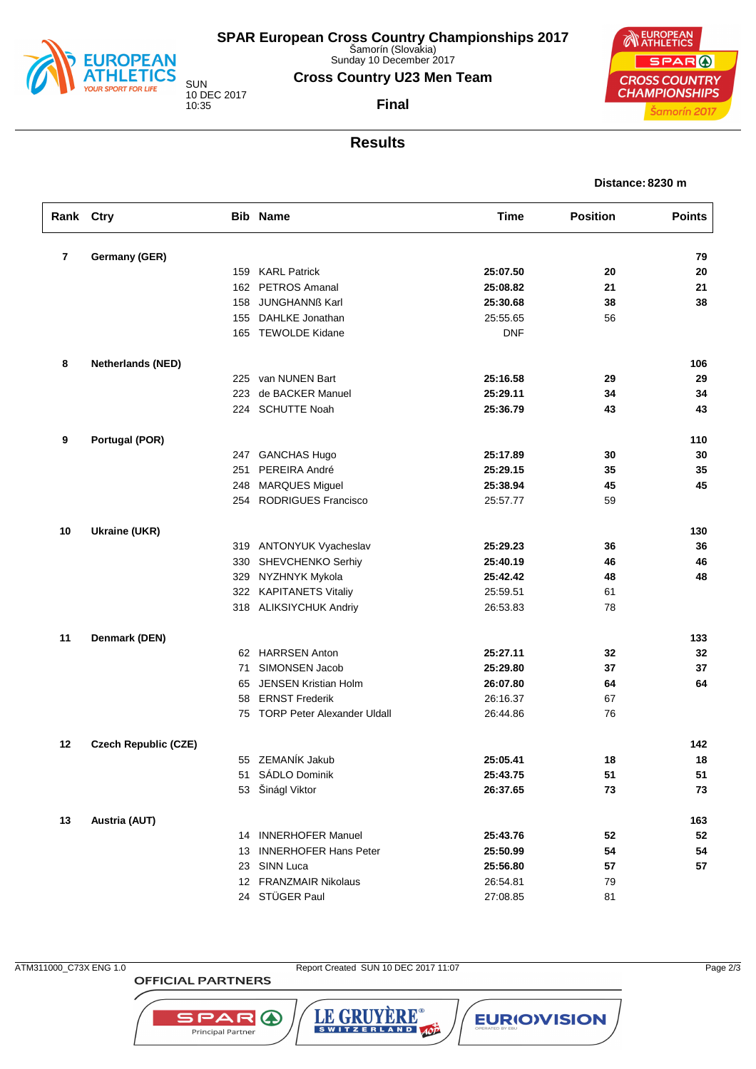

Sunday 10 December 2017

### **Cross Country U23 Men Team**

**Final**

10 DEC 2017 10:35

**NEUROPEAN** SPAR ( **CROSS COUNTRY CHAMPIONSHIPS** Šamorín 2017

# **Results**

#### **Distance: 8230 m**

| Rank Ctry |                             |     | <b>Bib Name</b>                | <b>Time</b> | <b>Position</b> | <b>Points</b> |
|-----------|-----------------------------|-----|--------------------------------|-------------|-----------------|---------------|
| 7         | Germany (GER)               |     |                                |             |                 | 79            |
|           |                             |     | 159 KARL Patrick               | 25:07.50    | 20              | 20            |
|           |                             | 162 | PETROS Amanal                  | 25:08.82    | 21              | 21            |
|           |                             | 158 | <b>JUNGHANNß Karl</b>          | 25:30.68    | 38              | 38            |
|           |                             | 155 | DAHLKE Jonathan                | 25:55.65    | 56              |               |
|           |                             |     | 165 TEWOLDE Kidane             | <b>DNF</b>  |                 |               |
| 8         | <b>Netherlands (NED)</b>    |     |                                |             |                 | 106           |
|           |                             |     | 225 van NUNEN Bart             | 25:16.58    | 29              | 29            |
|           |                             | 223 | de BACKER Manuel               | 25:29.11    | 34              | 34            |
|           |                             |     | 224 SCHUTTE Noah               | 25:36.79    | 43              | 43            |
| 9         | <b>Portugal (POR)</b>       |     |                                |             |                 | 110           |
|           |                             |     | 247 GANCHAS Hugo               | 25:17.89    | 30              | 30            |
|           |                             | 251 | PEREIRA André                  | 25:29.15    | 35              | 35            |
|           |                             | 248 | <b>MARQUES Miguel</b>          | 25:38.94    | 45              | 45            |
|           |                             |     | 254 RODRIGUES Francisco        | 25:57.77    | 59              |               |
| 10        | <b>Ukraine (UKR)</b>        |     |                                |             |                 | 130           |
|           |                             |     | 319 ANTONYUK Vyacheslav        | 25:29.23    | 36              | 36            |
|           |                             | 330 | SHEVCHENKO Serhiy              | 25:40.19    | 46              | 46            |
|           |                             | 329 | NYZHNYK Mykola                 | 25:42.42    | 48              | 48            |
|           |                             |     | 322 KAPITANETS Vitaliy         | 25:59.51    | 61              |               |
|           |                             |     | 318 ALIKSIYCHUK Andriy         | 26:53.83    | 78              |               |
| 11        | Denmark (DEN)               |     |                                |             |                 | 133           |
|           |                             |     | 62 HARRSEN Anton               | 25:27.11    | 32              | 32            |
|           |                             | 71  | SIMONSEN Jacob                 | 25:29.80    | 37              | 37            |
|           |                             | 65  | <b>JENSEN Kristian Holm</b>    | 26:07.80    | 64              | 64            |
|           |                             | 58  | <b>ERNST Frederik</b>          | 26:16.37    | 67              |               |
|           |                             |     | 75 TORP Peter Alexander Uldall | 26:44.86    | 76              |               |
| $12 \,$   | <b>Czech Republic (CZE)</b> |     |                                |             |                 | 142           |
|           |                             |     | 55 ZEMANÍK Jakub               | 25:05.41    | 18              | 18            |
|           |                             |     | 51 SADLO Dominik               | 25:43.75    | 51              | 51            |
|           |                             |     | 53 Šinágl Viktor               | 26:37.65    | 73              | 73            |
| 13        | Austria (AUT)               |     |                                |             |                 | 163           |
|           |                             |     | 14 INNERHOFER Manuel           | 25:43.76    | 52              | 52            |
|           |                             | 13  | <b>INNERHOFER Hans Peter</b>   | 25:50.99    | 54              | 54            |
|           |                             |     | 23 SINN Luca                   | 25:56.80    | 57              | 57            |
|           |                             |     | 12 FRANZMAIR Nikolaus          | 26:54.81    | 79              |               |
|           |                             |     | 24 STÜGER Paul                 | 27:08.85    | 81              |               |

**OFFICIAL PARTNERS** 

SPAR A

Principal Partner

ATM311000\_C73X ENG 1.0 Report Created SUN 10 DEC 2017 11:07 Page 2/3

LE GRUYÈRE®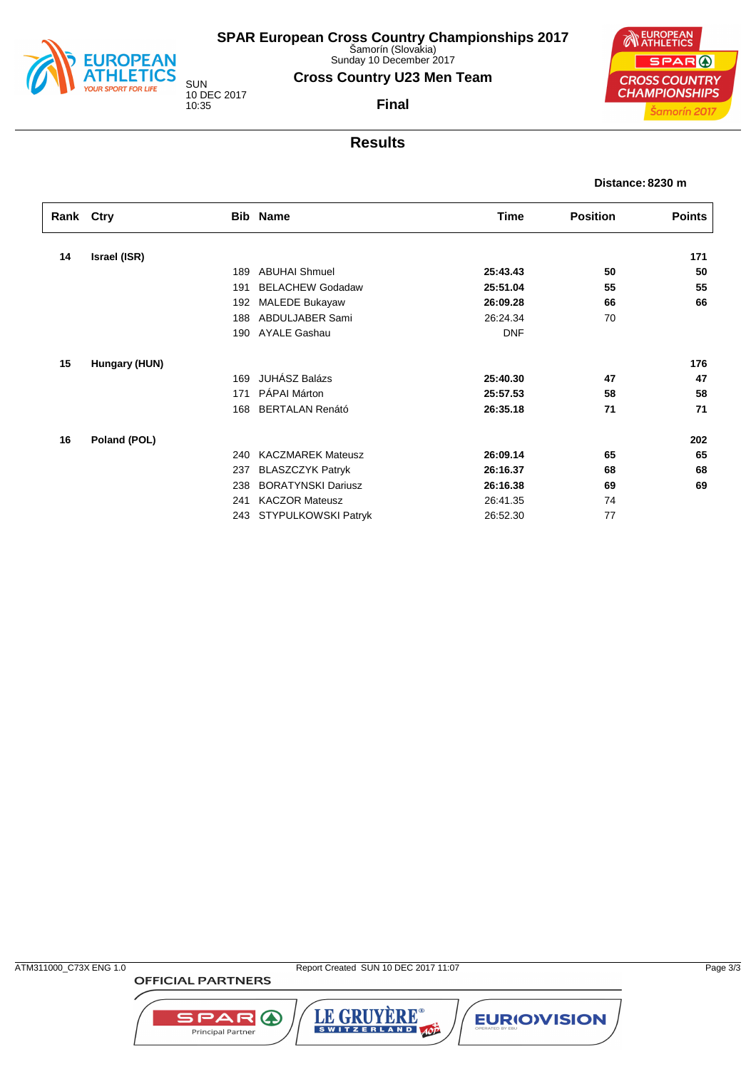

Sunday 10 December 2017

### **Cross Country U23 Men Team**

**Final**

10 DEC 2017 10:35

**EUROPEAN** SPAR ( **CROSS COUNTRY CHAMPIONSHIPS** Šamorín 2017

## **Results**

**Distance: 8230 m**

|    | Rank Ctry<br><b>Bib Name</b> |     |                           | Time       | <b>Position</b> | <b>Points</b> |
|----|------------------------------|-----|---------------------------|------------|-----------------|---------------|
|    |                              |     |                           |            |                 |               |
| 14 | Israel (ISR)                 |     |                           |            |                 | 171           |
|    |                              | 189 | <b>ABUHAI Shmuel</b>      | 25:43.43   | 50              | 50            |
|    |                              | 191 | <b>BELACHEW Godadaw</b>   | 25:51.04   | 55              | 55            |
|    |                              | 192 | <b>MALEDE Bukayaw</b>     | 26:09.28   | 66              | 66            |
|    |                              | 188 | ABDULJABER Sami           | 26:24.34   | 70              |               |
|    |                              | 190 | AYALE Gashau              | <b>DNF</b> |                 |               |
| 15 | Hungary (HUN)                |     |                           |            |                 | 176           |
|    |                              | 169 | <b>JUHÁSZ Balázs</b>      | 25:40.30   | 47              | 47            |
|    |                              | 171 | PÁPAI Márton              | 25:57.53   | 58              | 58            |
|    |                              | 168 | <b>BERTALAN Renátó</b>    | 26:35.18   | 71              | 71            |
| 16 | Poland (POL)                 |     |                           |            |                 | 202           |
|    |                              | 240 | <b>KACZMAREK Mateusz</b>  | 26:09.14   | 65              | 65            |
|    |                              | 237 | <b>BLASZCZYK Patryk</b>   | 26:16.37   | 68              | 68            |
|    |                              | 238 | <b>BORATYNSKI Dariusz</b> | 26:16.38   | 69              | 69            |
|    |                              | 241 | <b>KACZOR Mateusz</b>     | 26:41.35   | 74              |               |
|    |                              | 243 | STYPULKOWSKI Patryk       | 26:52.30   | 77              |               |

**OFFICIAL PARTNERS** 

SPAR A

Principal Partner

LE GRUYÈRE®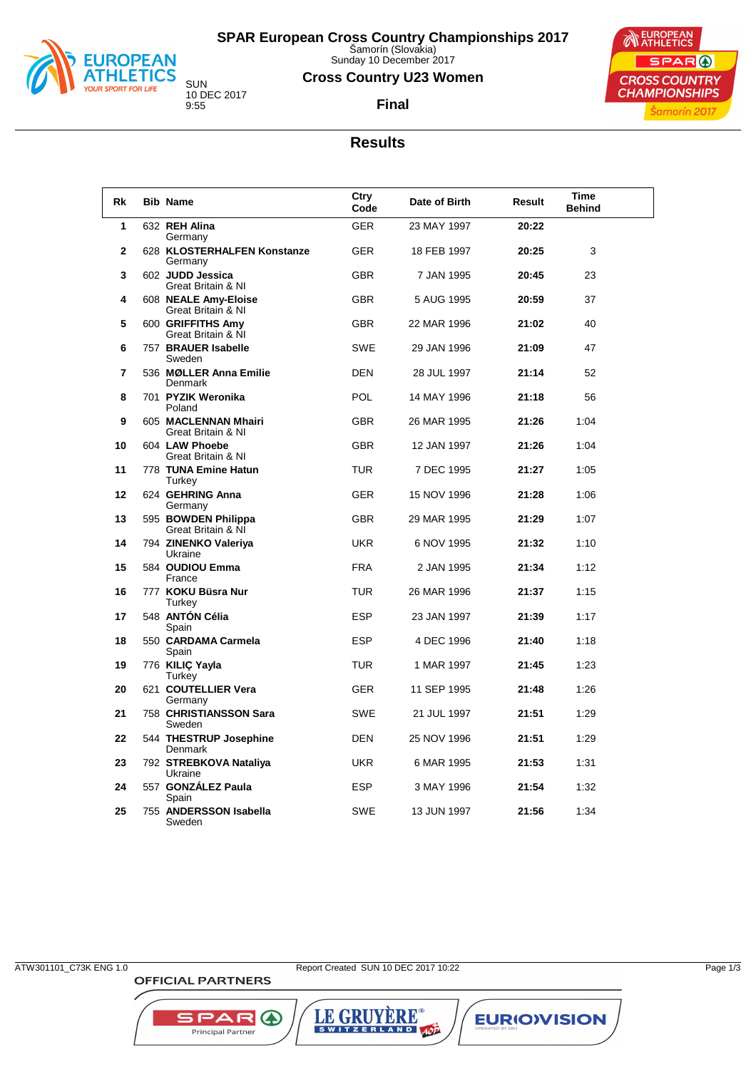

Sunday 10 December 2017

### **Cross Country U23 Women**

**Final**



10 DEC 2017

### **Results**

| Rk              | <b>Bib Name</b>                            | Ctry<br>Code | Date of Birth | Result | Time<br><b>Behind</b> |  |
|-----------------|--------------------------------------------|--------------|---------------|--------|-----------------------|--|
| 1               | 632 REH Alina<br>Germany                   | <b>GER</b>   | 23 MAY 1997   | 20:22  |                       |  |
| $\mathbf{2}$    | 628 KLOSTERHALFEN Konstanze<br>Germany     | <b>GER</b>   | 18 FEB 1997   | 20:25  | 3                     |  |
| 3               | 602 JUDD Jessica<br>Great Britain & NI     | <b>GBR</b>   | 7 JAN 1995    | 20:45  | 23                    |  |
| 4               | 608 NEALE Amy-Eloise<br>Great Britain & NI | <b>GBR</b>   | 5 AUG 1995    | 20:59  | 37                    |  |
| 5               | 600 GRIFFITHS Amy<br>Great Britain & NI    | <b>GBR</b>   | 22 MAR 1996   | 21:02  | 40                    |  |
| 6               | 757 BRAUER Isabelle<br>Sweden              | <b>SWE</b>   | 29 JAN 1996   | 21:09  | 47                    |  |
| $\overline{7}$  | 536 MØLLER Anna Emilie<br><b>Denmark</b>   | <b>DEN</b>   | 28 JUL 1997   | 21:14  | 52                    |  |
| 8               | 701 PYZIK Weronika<br>Poland               | <b>POL</b>   | 14 MAY 1996   | 21:18  | 56                    |  |
| 9               | 605 MACLENNAN Mhairi<br>Great Britain & NI | <b>GBR</b>   | 26 MAR 1995   | 21:26  | 1:04                  |  |
| 10              | 604 LAW Phoebe<br>Great Britain & NI       | <b>GBR</b>   | 12 JAN 1997   | 21:26  | 1:04                  |  |
| 11              | 778 TUNA Emine Hatun<br>Turkey             | <b>TUR</b>   | 7 DEC 1995    | 21:27  | 1:05                  |  |
| 12 <sub>2</sub> | 624 GEHRING Anna<br>Germany                | <b>GER</b>   | 15 NOV 1996   | 21:28  | 1:06                  |  |
| 13              | 595 BOWDEN Philippa<br>Great Britain & NI  | <b>GBR</b>   | 29 MAR 1995   | 21:29  | 1:07                  |  |
| 14              | 794 ZINENKO Valeriya<br>Ukraine            | <b>UKR</b>   | 6 NOV 1995    | 21:32  | 1:10                  |  |
| 15              | 584 OUDIOU Emma<br>France                  | <b>FRA</b>   | 2 JAN 1995    | 21:34  | 1:12                  |  |
| 16              | 777 KOKU Büsra Nur<br>Turkey               | <b>TUR</b>   | 26 MAR 1996   | 21:37  | 1:15                  |  |
| 17              | 548 ANTÓN Célia<br>Spain                   | <b>ESP</b>   | 23 JAN 1997   | 21:39  | 1:17                  |  |
| 18              | 550 CARDAMA Carmela<br>Spain               | <b>ESP</b>   | 4 DEC 1996    | 21:40  | 1:18                  |  |
| 19              | 776 KILIÇ Yayla<br>Turkey                  | <b>TUR</b>   | 1 MAR 1997    | 21:45  | 1:23                  |  |
| 20              | 621 COUTELLIER Vera<br>Germany             | <b>GER</b>   | 11 SEP 1995   | 21:48  | 1:26                  |  |
| 21              | 758 CHRISTIANSSON Sara<br>Sweden           | SWE          | 21 JUL 1997   | 21:51  | 1:29                  |  |
| 22              | 544 THESTRUP Josephine<br>Denmark          | DEN          | 25 NOV 1996   | 21:51  | 1:29                  |  |
| 23              | 792 STREBKOVA Nataliya<br>Ukraine          | <b>UKR</b>   | 6 MAR 1995    | 21:53  | 1:31                  |  |
| 24              | 557 GONZÁLEZ Paula                         | <b>ESP</b>   | 3 MAY 1996    | 21:54  | 1:32                  |  |
| 25              | Spain<br>755 ANDERSSON Isabella<br>Sweden  | <b>SWE</b>   | 13 JUN 1997   | 21:56  | 1:34                  |  |

LE GRUYÈRE®

**EURIOVISION** 

SPAR A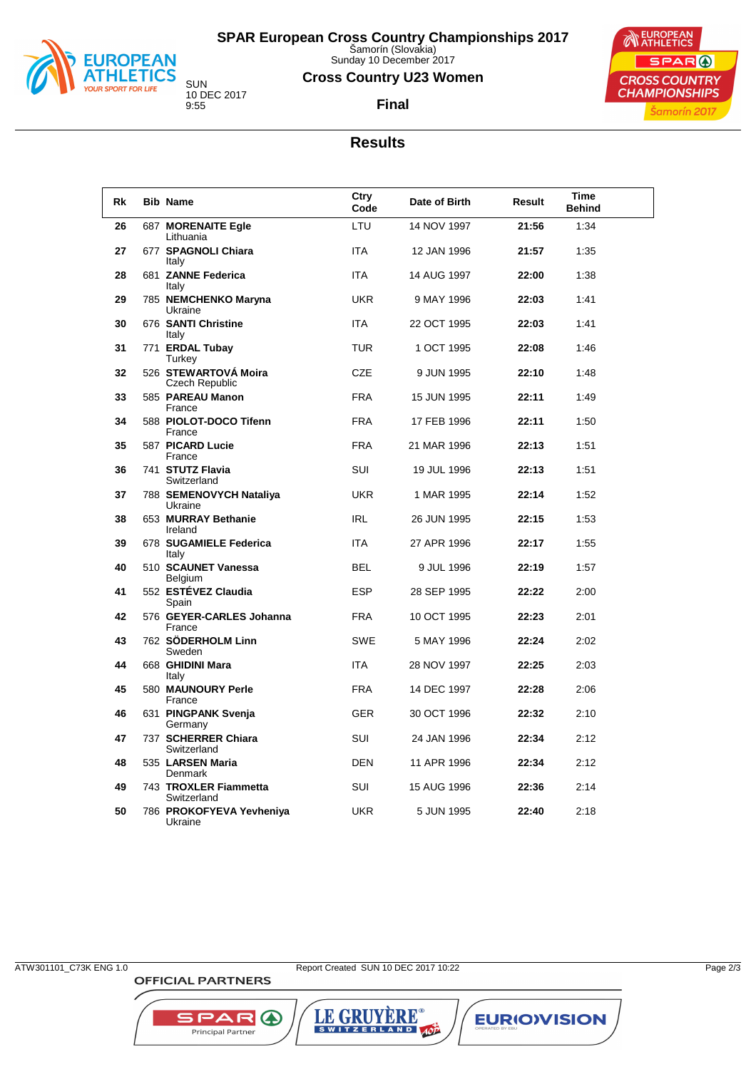

Sunday 10 December 2017

### **Cross Country U23 Women**

**Final**



10 DEC 2017

## **Results**

| <b>Rk</b> | <b>Bib Name</b>                        | Ctry<br>Code | Date of Birth | Result | Time<br><b>Behind</b> |
|-----------|----------------------------------------|--------------|---------------|--------|-----------------------|
| 26        | 687 MORENAITE Egle<br>Lithuania        | LTU          | 14 NOV 1997   | 21:56  | 1:34                  |
| 27        | 677 SPAGNOLI Chiara<br>Italy           | <b>ITA</b>   | 12 JAN 1996   | 21:57  | 1:35                  |
| 28        | 681 ZANNE Federica<br>Italy            | <b>ITA</b>   | 14 AUG 1997   | 22:00  | 1:38                  |
| 29        | 785 NEMCHENKO Maryna<br>Ukraine        | <b>UKR</b>   | 9 MAY 1996    | 22:03  | 1:41                  |
| 30        | 676 SANTI Christine<br>Italy           | <b>ITA</b>   | 22 OCT 1995   | 22:03  | 1:41                  |
| 31        | 771 ERDAL Tubay<br>Turkey              | TUR.         | 1 OCT 1995    | 22:08  | 1:46                  |
| 32        | 526 STEWARTOVA Moira<br>Czech Republic | <b>CZE</b>   | 9 JUN 1995    | 22:10  | 1:48                  |
| 33        | 585 PAREAU Manon<br>France             | <b>FRA</b>   | 15 JUN 1995   | 22:11  | 1:49                  |
| 34        | 588 PIOLOT-DOCO Tifenn<br>France       | <b>FRA</b>   | 17 FEB 1996   | 22:11  | 1:50                  |
| 35        | 587 PICARD Lucie<br>France             | <b>FRA</b>   | 21 MAR 1996   | 22:13  | 1:51                  |
| 36        | 741 STUTZ Flavia<br>Switzerland        | <b>SUI</b>   | 19 JUL 1996   | 22:13  | 1:51                  |
| 37        | 788 SEMENOVYCH Nataliya<br>Ukraine     | <b>UKR</b>   | 1 MAR 1995    | 22:14  | 1:52                  |
| 38        | 653 MURRAY Bethanie<br>Ireland         | <b>IRL</b>   | 26 JUN 1995   | 22:15  | 1:53                  |
| 39        | 678 SUGAMIELE Federica<br>Italy        | <b>ITA</b>   | 27 APR 1996   | 22:17  | 1:55                  |
| 40        | 510 SCAUNET Vanessa<br>Belgium         | BEL          | 9 JUL 1996    | 22:19  | 1:57                  |
| 41        | 552 ESTÉVEZ Claudia<br>Spain           | <b>ESP</b>   | 28 SEP 1995   | 22:22  | 2:00                  |
| 42        | 576 GEYER-CARLES Johanna<br>France     | <b>FRA</b>   | 10 OCT 1995   | 22:23  | 2:01                  |
| 43        | 762 SÖDERHOLM Linn<br>Sweden           | <b>SWE</b>   | 5 MAY 1996    | 22:24  | 2:02                  |
| 44        | 668 GHIDINI Mara<br>Italy              | <b>ITA</b>   | 28 NOV 1997   | 22:25  | 2:03                  |
| 45        | 580 MAUNOURY Perle<br>France           | <b>FRA</b>   | 14 DEC 1997   | 22:28  | 2:06                  |
| 46        | 631 PINGPANK Svenja<br>Germany         | <b>GER</b>   | 30 OCT 1996   | 22:32  | 2:10                  |
| 47        | 737 SCHERRER Chiara<br>Switzerland     | SUI          | 24 JAN 1996   | 22:34  | 2:12                  |
| 48        | 535 LARSEN Maria<br>Denmark            | <b>DEN</b>   | 11 APR 1996   | 22:34  | 2:12                  |
| 49        | 743 TROXLER Fiammetta<br>Switzerland   | SUI          | 15 AUG 1996   | 22:36  | 2:14                  |
| 50        | 786 PROKOFYEVA Yevheniya<br>Ukraine    | <b>UKR</b>   | 5 JUN 1995    | 22:40  | 2:18                  |

**OFFICIAL PARTNERS** 

ATW301101\_C73K ENG 1.0 Report Created SUN 10 DEC 2017 10:22 Page 2/3

LE GRUYÈRE®

**EURIOVISION** 

SPAR A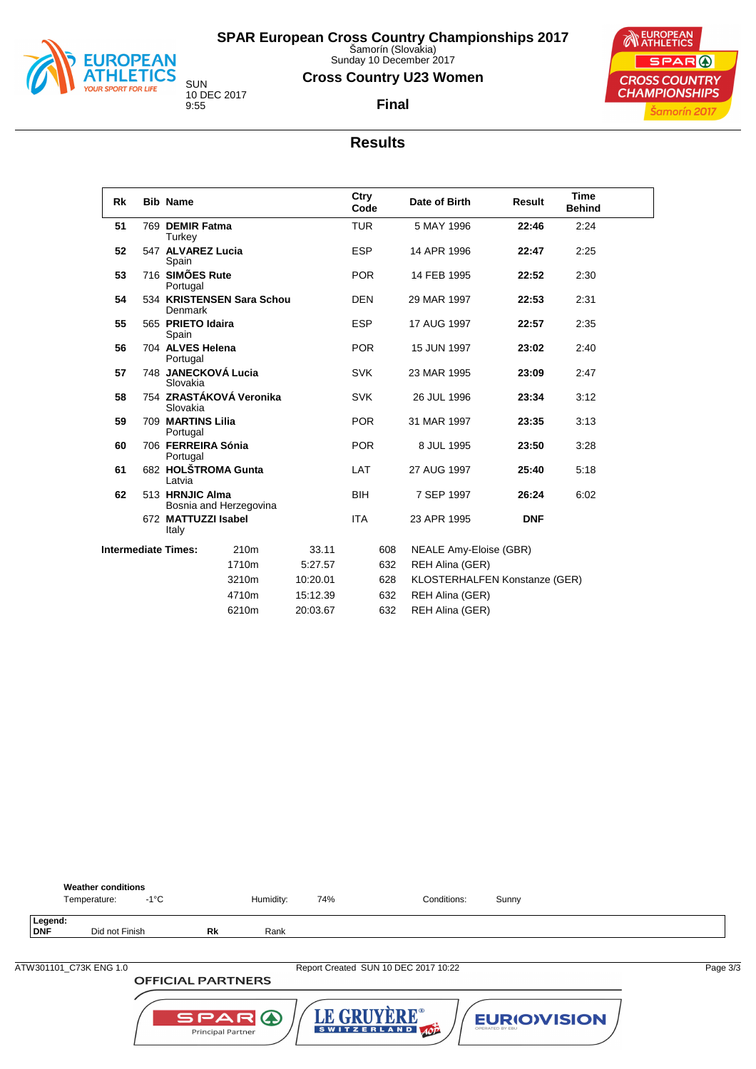

Sunday 10 December 2017

### **Cross Country U23 Women**

**Final**



10 DEC 2017 9:55

## **Results**

| Rk | <b>Bib Name</b>                |                           |          | Ctry<br>Code |     | Date of Birth                 | Result     | <b>Time</b><br><b>Behind</b> |  |
|----|--------------------------------|---------------------------|----------|--------------|-----|-------------------------------|------------|------------------------------|--|
| 51 | 769 DEMIR Fatma<br>Turkey      |                           |          | <b>TUR</b>   |     | 5 MAY 1996                    | 22:46      | 2:24                         |  |
| 52 | 547 ALVAREZ Lucia<br>Spain     |                           |          | <b>ESP</b>   |     | 14 APR 1996                   | 22:47      | 2:25                         |  |
| 53 | 716 SIMÕES Rute<br>Portugal    |                           |          | <b>POR</b>   |     | 14 FEB 1995                   | 22:52      | 2:30                         |  |
| 54 | Denmark                        | 534 KRISTENSEN Sara Schou |          | <b>DEN</b>   |     | 29 MAR 1997                   | 22:53      | 2:31                         |  |
| 55 | 565 PRIETO Idaira<br>Spain     |                           |          | <b>ESP</b>   |     | 17 AUG 1997                   | 22:57      | 2:35                         |  |
| 56 | 704 ALVES Helena<br>Portugal   |                           |          | <b>POR</b>   |     | 15 JUN 1997                   | 23:02      | 2:40                         |  |
| 57 | Slovakia                       | 748 JANECKOVÁ Lucia       |          | <b>SVK</b>   |     | 23 MAR 1995                   | 23:09      | 2:47                         |  |
| 58 | Slovakia                       | 754 ZRASTÁKOVÁ Veronika   |          | <b>SVK</b>   |     | 26 JUL 1996                   | 23:34      | 3:12                         |  |
| 59 | 709 MARTINS Lilia<br>Portugal  |                           |          | <b>POR</b>   |     | 31 MAR 1997                   | 23:35      | 3:13                         |  |
| 60 | 706 FERREIRA Sónia<br>Portugal |                           |          | <b>POR</b>   |     | 8 JUL 1995                    | 23:50      | 3:28                         |  |
| 61 | Latvia                         | 682 HOLŠTROMA Gunta       |          | LAT          |     | 27 AUG 1997                   | 25:40      | 5:18                         |  |
| 62 | 513 HRNJIC Alma                | Bosnia and Herzegovina    |          | <b>BIH</b>   |     | 7 SEP 1997                    | 26:24      | 6:02                         |  |
|    | 672 MATTUZZI Isabel<br>Italy   |                           |          | <b>ITA</b>   |     | 23 APR 1995                   | <b>DNF</b> |                              |  |
|    | <b>Intermediate Times:</b>     | 210 <sub>m</sub>          | 33.11    |              | 608 | NEALE Amy-Eloise (GBR)        |            |                              |  |
|    |                                | 1710m                     | 5:27.57  |              | 632 | REH Alina (GER)               |            |                              |  |
|    |                                | 3210m                     | 10:20.01 |              | 628 | KLOSTERHALFEN Konstanze (GER) |            |                              |  |
|    |                                | 4710m                     | 15:12.39 |              | 632 | REH Alina (GER)               |            |                              |  |
|    |                                | 6210m                     | 20:03.67 |              | 632 | REH Alina (GER)               |            |                              |  |



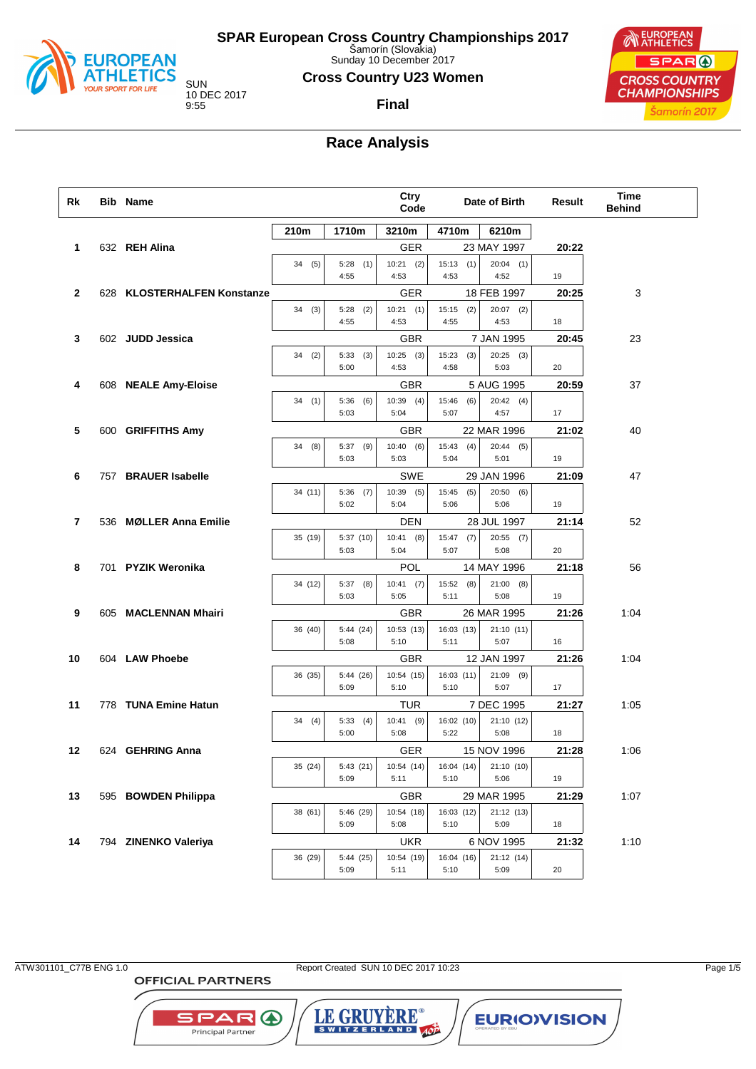

Sunday 10 December 2017

### **Cross Country U23 Women**

10 DEC 2017

### **Final**



## **Race Analysis**

| Rk           | <b>Bib Name</b>             |         |                     | Ctry<br>Code         |                      | Date of Birth       | Result | Time<br><b>Behind</b> |
|--------------|-----------------------------|---------|---------------------|----------------------|----------------------|---------------------|--------|-----------------------|
|              |                             | 210m    | 1710m               | 3210m                | 4710m                | 6210m               |        |                       |
| 1            | 632 REH Alina               |         |                     | GER                  |                      | 23 MAY 1997         | 20:22  |                       |
|              |                             | 34 (5)  | 5:28<br>(1)<br>4:55 | $10:21$ (2)<br>4:53  | 15:13(1)<br>4:53     | $20:04$ (1)<br>4:52 | 19     |                       |
| $\mathbf{2}$ | 628 KLOSTERHALFEN Konstanze |         |                     | GER                  |                      | 18 FEB 1997         | 20:25  | 3                     |
|              |                             | 34(3)   | 5:28<br>(2)<br>4:55 | 10:21(1)<br>4:53     | 15:15<br>(2)<br>4:55 | $20:07$ (2)<br>4:53 | 18     |                       |
| 3            | 602 JUDD Jessica            |         |                     | GBR                  |                      | 7 JAN 1995          | 20:45  | 23                    |
|              |                             | 34(2)   | 5:33<br>(3)<br>5:00 | $10:25$ (3)<br>4:53  | 15:23<br>(3)<br>4:58 | $20:25$ (3)<br>5:03 | 20     |                       |
| 4            | 608 NEALE Amy-Eloise        |         |                     | GBR                  |                      | 5 AUG 1995          | 20:59  | 37                    |
|              |                             | 34(1)   | 5:36<br>(6)<br>5:03 | $10:39$ (4)<br>5:04  | 15:46<br>(6)<br>5:07 | 20:42(4)<br>4:57    | 17     |                       |
| 5            | 600 GRIFFITHS Amy           |         |                     | GBR                  |                      | 22 MAR 1996         | 21:02  | 40                    |
|              |                             | 34 (8)  | $5:37$ (9)<br>5:03  | 10:40(6)<br>5:03     | 15:43<br>(4)<br>5:04 | 20:44(5)<br>5:01    | 19     |                       |
| 6            | 757 BRAUER Isabelle         |         |                     | SWE                  |                      | 29 JAN 1996         | 21:09  | 47                    |
|              |                             | 34 (11) | 5:36<br>(7)<br>5:02 | 10:39<br>(5)<br>5:04 | 15:45<br>(5)<br>5:06 | 20:50(6)<br>5:06    | 19     |                       |
| 7            | 536 MØLLER Anna Emilie      |         |                     | DEN                  |                      | 28 JUL 1997         | 21:14  | 52                    |
|              |                             | 35 (19) | 5:37(10)<br>5:03    | 10:41(8)<br>5:04     | $15:47$ (7)<br>5:07  | $20:55$ (7)<br>5:08 | 20     |                       |
| 8            | 701 PYZIK Weronika          |         |                     | POL                  |                      | 14 MAY 1996         | 21:18  | 56                    |
|              |                             | 34 (12) | $5:37$ (8)<br>5:03  | $10:41$ (7)<br>5:05  | 15:52 (8)<br>5:11    | $21:00$ (8)<br>5:08 | 19     |                       |
| 9            | 605 MACLENNAN Mhairi        |         |                     | GBR                  |                      | 26 MAR 1995         | 21:26  | 1:04                  |
|              |                             | 36 (40) | 5:44(24)<br>5:08    | 10:53 (13)<br>5:10   | 16:03 (13)<br>5:11   | 21:10(11)<br>5:07   | 16     |                       |
| 10           | 604 LAW Phoebe              |         |                     | GBR                  |                      | 12 JAN 1997         | 21:26  | 1:04                  |
|              |                             | 36 (35) | 5:44 (26)<br>5:09   | 10:54 (15)<br>5:10   | 16:03(11)<br>5:10    | $21:09$ (9)<br>5:07 | 17     |                       |
| 11           | 778 TUNA Emine Hatun        |         |                     | TUR                  |                      | 7 DEC 1995          | 21:27  | 1:05                  |
|              |                             | 34 (4)  | 5:33<br>(4)<br>5:00 | $10:41$ (9)<br>5:08  | 16:02 (10)<br>5:22   | 21:10 (12)<br>5:08  | 18     |                       |
| 12           | 624 GEHRING Anna            |         |                     | GER                  |                      | 15 NOV 1996         | 21:28  | 1:06                  |
|              |                             | 35 (24) | 5:43(21)<br>5:09    | 10:54(14)<br>5:11    | 16:04 (14)<br>5:10   | 21:10(10)<br>5:06   | 19     |                       |
| 13           | 595 BOWDEN Philippa         |         |                     | GBR                  |                      | 29 MAR 1995         | 21:29  | 1:07                  |
|              |                             | 38 (61) | 5:46 (29)<br>5:09   | 10:54 (18)<br>5:08   | 16:03 (12)<br>5:10   | 21:12 (13)<br>5:09  | 18     |                       |
| 14           | 794 ZINENKO Valeriya        |         |                     | <b>UKR</b>           |                      | 6 NOV 1995          | 21:32  | 1:10                  |
|              |                             | 36 (29) | 5:44 (25)<br>5:09   | 10:54 (19)<br>5:11   | 16:04 (16)<br>5:10   | 21:12 (14)<br>5:09  | 20     |                       |

ATW301101\_C77B ENG 1.0 Report Created SUN 10 DEC 2017 10:23 Page 1/5

LE GRUYERE®

**EURIOVISION** 

**SPAR A** 

Principal Partner

**OFFICIAL PARTNERS**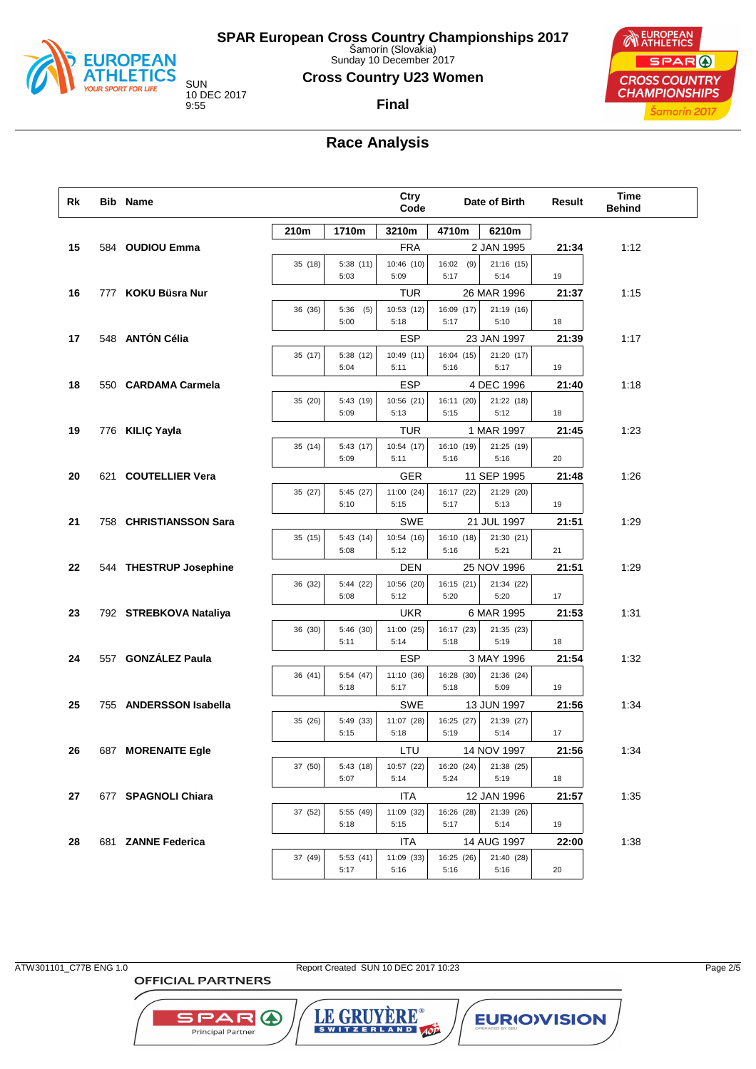

Sunday 10 December 2017

### **Cross Country U23 Women**

**Final**

10 DEC 2017

**EUROPEAN** SPAR ( **CROSS COUNTRY CHAMPIONSHIPS** Šamorín 2017

## **Race Analysis**

| Rk | <b>Bib Name</b>        |         |                     | Ctry<br>Code       |                     | Date of Birth      | Result | <b>Time</b><br><b>Behind</b> |
|----|------------------------|---------|---------------------|--------------------|---------------------|--------------------|--------|------------------------------|
|    |                        | 210m    | 1710m               | 3210m              | 4710m               | 6210m              |        |                              |
| 15 | 584 OUDIOU Emma        |         |                     | <b>FRA</b>         |                     | 2 JAN 1995         | 21:34  | 1:12                         |
|    |                        | 35 (18) | 5:38(11)<br>5:03    | 10:46 (10)<br>5:09 | $16:02$ (9)<br>5:17 | 21:16 (15)<br>5:14 | 19     |                              |
| 16 | 777 KOKU Büsra Nur     |         |                     | TUR                |                     | 26 MAR 1996        | 21:37  | 1:15                         |
|    |                        | 36 (36) | 5:36<br>(5)<br>5:00 | 10:53 (12)<br>5:18 | 16:09 (17)<br>5:17  | 21:19 (16)<br>5:10 | 18     |                              |
| 17 | 548 ANTÓN Célia        |         |                     | ESP                |                     | 23 JAN 1997        | 21:39  | 1:17                         |
|    |                        | 35 (17) | 5:38 (12)<br>5:04   | 10:49 (11)<br>5:11 | 16:04 (15)<br>5:16  | 21:20 (17)<br>5:17 | 19     |                              |
| 18 | 550 CARDAMA Carmela    |         |                     | ESP                |                     | 4 DEC 1996         | 21:40  | 1:18                         |
|    |                        | 35 (20) | 5:43 (19)<br>5:09   | 10:56 (21)<br>5:13 | 16:11 (20)<br>5:15  | 21:22 (18)<br>5:12 | 18     |                              |
| 19 | 776 KILIÇ Yayla        |         |                     | TUR                |                     | 1 MAR 1997         | 21:45  | 1:23                         |
|    |                        | 35 (14) | 5:43 (17)<br>5:09   | 10:54 (17)<br>5:11 | 16:10 (19)<br>5:16  | 21:25 (19)<br>5:16 | 20     |                              |
| 20 | 621 COUTELLIER Vera    |         |                     | GER                |                     | 11 SEP 1995        | 21:48  | 1:26                         |
|    |                        | 35 (27) | 5:45 (27)<br>5:10   | 11:00 (24)<br>5:15 | 16:17 (22)<br>5:17  | 21:29 (20)<br>5:13 | 19     |                              |
| 21 | 758 CHRISTIANSSON Sara |         |                     | SWE                |                     | 21 JUL 1997        | 21:51  | 1:29                         |
|    |                        | 35 (15) | 5:43(14)<br>5:08    | 10:54 (16)<br>5:12 | 16:10 (18)<br>5:16  | 21:30 (21)<br>5:21 | 21     |                              |
| 22 | 544 THESTRUP Josephine |         |                     | DEN                |                     | 25 NOV 1996        | 21:51  | 1:29                         |
|    |                        | 36 (32) | 5:44 (22)<br>5:08   | 10:56 (20)<br>5:12 | 16:15 (21)<br>5:20  | 21:34 (22)<br>5:20 | 17     |                              |
| 23 | 792 STREBKOVA Nataliya |         |                     | <b>UKR</b>         |                     | 6 MAR 1995         | 21:53  | 1:31                         |
|    |                        | 36 (30) | 5:46 (30)<br>5:11   | 11:00 (25)<br>5:14 | 16:17 (23)<br>5:18  | 21:35 (23)<br>5:19 | 18     |                              |
| 24 | 557 GONZÁLEZ Paula     |         |                     | ESP                |                     | 3 MAY 1996         | 21:54  | 1:32                         |
|    |                        | 36 (41) | 5:54 (47)<br>5:18   | 11:10 (36)<br>5:17 | 16:28 (30)<br>5:18  | 21:36 (24)<br>5:09 | 19     |                              |
| 25 | 755 ANDERSSON Isabella |         |                     | SWE                |                     | 13 JUN 1997        | 21:56  | 1:34                         |
|    |                        | 35 (26) | 5:49 (33)<br>5:15   | 11:07 (28)<br>5:18 | 16:25 (27)<br>5:19  | 21:39 (27)<br>5:14 | 17     |                              |
| 26 | 687 MORENAITE Egle     |         |                     | LTU                |                     | 14 NOV 1997        | 21:56  | 1:34                         |
|    |                        | 37 (50) | 5:43(18)<br>5:07    | 10:57 (22)<br>5:14 | 16:20 (24)<br>5:24  | 21:38 (25)<br>5:19 | 18     |                              |
| 27 | 677 SPAGNOLI Chiara    |         |                     | <b>ITA</b>         |                     | 12 JAN 1996        | 21:57  | 1:35                         |
|    |                        | 37 (52) | 5:55 (49)<br>5:18   | 11:09 (32)<br>5:15 | 16:26 (28)<br>5:17  | 21:39 (26)<br>5:14 | 19     |                              |
| 28 | 681 ZANNE Federica     |         |                     | ITA                |                     | 14 AUG 1997        | 22:00  | 1:38                         |
|    |                        | 37 (49) | 5:53(41)<br>5:17    | 11:09 (33)<br>5:16 | 16:25 (26)<br>5:16  | 21:40 (28)<br>5:16 | 20     |                              |

**OFFICIAL PARTNERS** 

**SPAR A** 

Principal Partner

ATW301101\_C77B ENG 1.0 Report Created SUN 10 DEC 2017 10:23 Page 2/5

LE GRUYERE®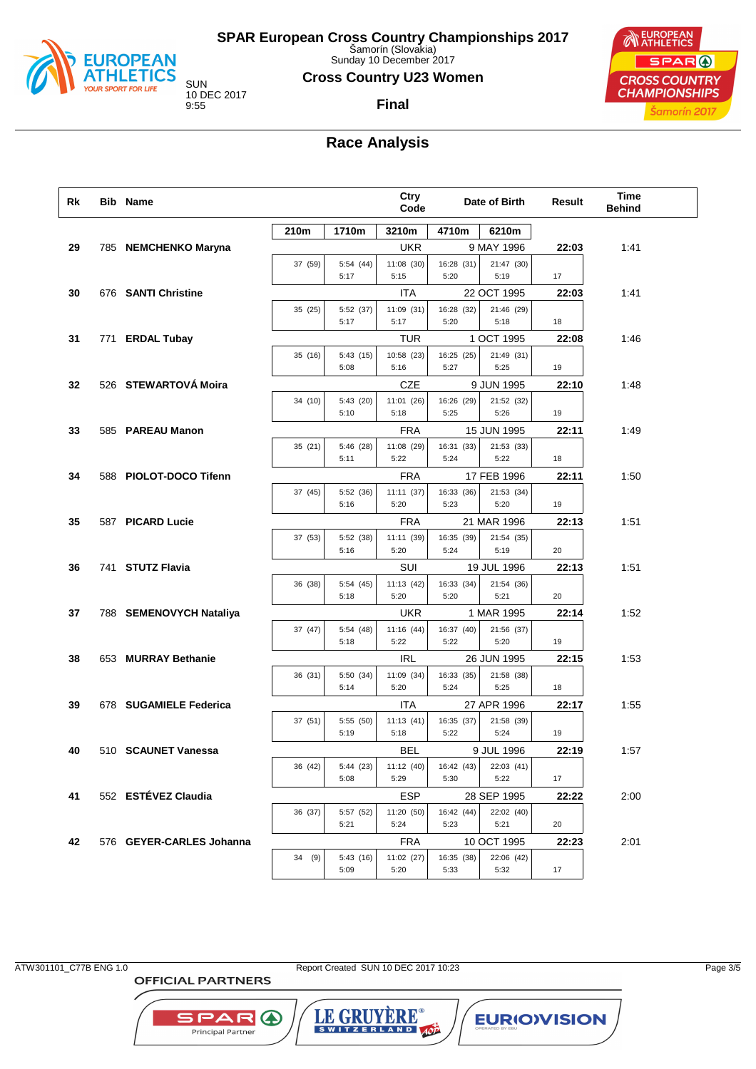

Sunday 10 December 2017

### **Cross Country U23 Women**

10 DEC 2017

### **Final**



## **Race Analysis**

| Rk | <b>Bib Name</b>          |              |                   | <b>Ctry</b><br>Code |                    | Date of Birth      | Result | <b>Time</b><br><b>Behind</b> |
|----|--------------------------|--------------|-------------------|---------------------|--------------------|--------------------|--------|------------------------------|
|    |                          | 210m         | 1710m             | 3210m               | 4710m              | 6210m              |        |                              |
| 29 | 785 NEMCHENKO Maryna     |              |                   | <b>UKR</b>          |                    | 9 MAY 1996         | 22:03  | 1:41                         |
|    |                          | 37 (59)      | 5:54 (44)         | 11:08 (30)          | 16:28 (31)         | 21:47 (30)         |        |                              |
|    |                          |              | 5:17              | 5:15                | 5:20               | 5:19               | 17     |                              |
| 30 | 676 SANTI Christine      |              |                   | ITA                 |                    | 22 OCT 1995        | 22:03  | 1:41                         |
|    |                          | 35 (25)      | 5:52 (37)         | 11:09 (31)          | 16:28 (32)         | 21:46 (29)         |        |                              |
|    |                          |              | 5:17              | 5:17                | 5:20               | 5:18               | 18     |                              |
| 31 | 771 ERDAL Tubay          |              |                   | TUR                 |                    | 1 OCT 1995         | 22:08  | 1:46                         |
|    |                          | 35 (16)      | 5:43(15)<br>5:08  | 10:58 (23)<br>5:16  | 16:25 (25)<br>5:27 | 21:49 (31)<br>5:25 | 19     |                              |
| 32 | 526 STEWARTOVÁ Moira     |              |                   | <b>CZE</b>          |                    | 9 JUN 1995         | 22:10  | 1:48                         |
|    |                          | 34 (10)      | 5:43 (20)         | 11:01 (26)          | 16:26 (29)         | 21:52 (32)         |        |                              |
|    |                          |              | 5:10              | 5:18                | 5:25               | 5:26               | 19     |                              |
| 33 | 585 PAREAU Manon         |              |                   | <b>FRA</b>          |                    | 15 JUN 1995        | 22:11  | 1:49                         |
|    |                          | 35(21)       | 5:46 (28)         | 11:08 (29)          | 16:31 (33)         | 21:53 (33)         |        |                              |
|    |                          |              | 5:11              | 5:22                | 5:24               | 5:22               | 18     |                              |
| 34 | 588 PIOLOT-DOCO Tifenn   |              |                   | <b>FRA</b>          |                    | 17 FEB 1996        | 22:11  | 1:50                         |
|    |                          | 37 (45)      | 5:52 (36)         | 11:11(37)           | 16:33 (36)         | 21:53 (34)         |        |                              |
|    |                          |              | 5:16              | 5:20                | 5:23               | 5:20               | 19     |                              |
| 35 | 587 PICARD Lucie         |              |                   | <b>FRA</b>          |                    | 21 MAR 1996        | 22:13  | 1:51                         |
|    |                          | 37 (53)      | 5:52 (38)<br>5:16 | 11:11 (39)<br>5:20  | 16:35 (39)<br>5:24 | 21:54 (35)<br>5:19 | 20     |                              |
| 36 | 741 STUTZ Flavia         |              |                   | SUI                 |                    | 19 JUL 1996        | 22:13  | 1:51                         |
|    |                          | 36 (38)      | 5:54 (45)         | 11:13(42)           | 16:33 (34)         | 21:54 (36)         |        |                              |
|    |                          |              | 5:18              | 5:20                | 5:20               | 5:21               | 20     |                              |
| 37 | 788 SEMENOVYCH Nataliya  |              |                   | <b>UKR</b>          |                    | 1 MAR 1995         | 22:14  | 1:52                         |
|    |                          | 37 (47)      | 5:54 (48)         | 11:16 (44)          | 16:37 (40)         | 21:56 (37)         |        |                              |
|    |                          |              | 5:18              | 5:22                | 5:22               | 5:20               | 19     |                              |
| 38 | 653 MURRAY Bethanie      |              |                   | <b>IRL</b>          |                    | 26 JUN 1995        | 22:15  | 1:53                         |
|    |                          | 36 (31)      | 5:50 (34)<br>5:14 | 11:09 (34)<br>5:20  | 16:33 (35)<br>5:24 | 21:58 (38)<br>5:25 | 18     |                              |
| 39 | 678 SUGAMIELE Federica   |              |                   | ITA                 |                    | 27 APR 1996        | 22:17  | 1:55                         |
|    |                          | 37 (51)      | 5:55 (50)         | 11:13(41)           | 16:35 (37)         | 21:58 (39)         |        |                              |
|    |                          |              | 5:19              | 5:18                | 5:22               | 5:24               | 19     |                              |
| 40 | 510 SCAUNET Vanessa      |              |                   | BEL                 |                    | 9 JUL 1996         | 22:19  | 1:57                         |
|    |                          | ┍<br>36 (42) | 5:44 (23)         | 11:12(40)           | 16:42 (43)         | 22:03 (41)         |        |                              |
|    |                          |              | 5:08              | 5:29                | 5:30               | 5:22               | 17     |                              |
| 41 | 552 ESTÉVEZ Claudia      |              |                   | <b>ESP</b>          |                    | 28 SEP 1995        | 22:22  | 2:00                         |
|    |                          | 36 (37)      | 5:57 (52)         | 11:20 (50)          | 16:42 (44)         | 22:02 (40)         |        |                              |
|    |                          |              | 5:21              | 5:24                | 5:23               | 5:21               | 20     |                              |
| 42 | 576 GEYER-CARLES Johanna |              |                   | <b>FRA</b>          |                    | 10 OCT 1995        | 22:23  | 2:01                         |
|    |                          | 34 (9)       | 5:43 (16)<br>5:09 | 11:02 (27)<br>5:20  | 16:35 (38)<br>5:33 | 22:06 (42)<br>5:32 | 17     |                              |
|    |                          |              |                   |                     |                    |                    |        |                              |

**OFFICIAL PARTNERS** 

**SPAR A** 

Principal Partner

ATW301101\_C77B ENG 1.0 Report Created SUN 10 DEC 2017 10:23 Page 3/5

LE GRUYERE®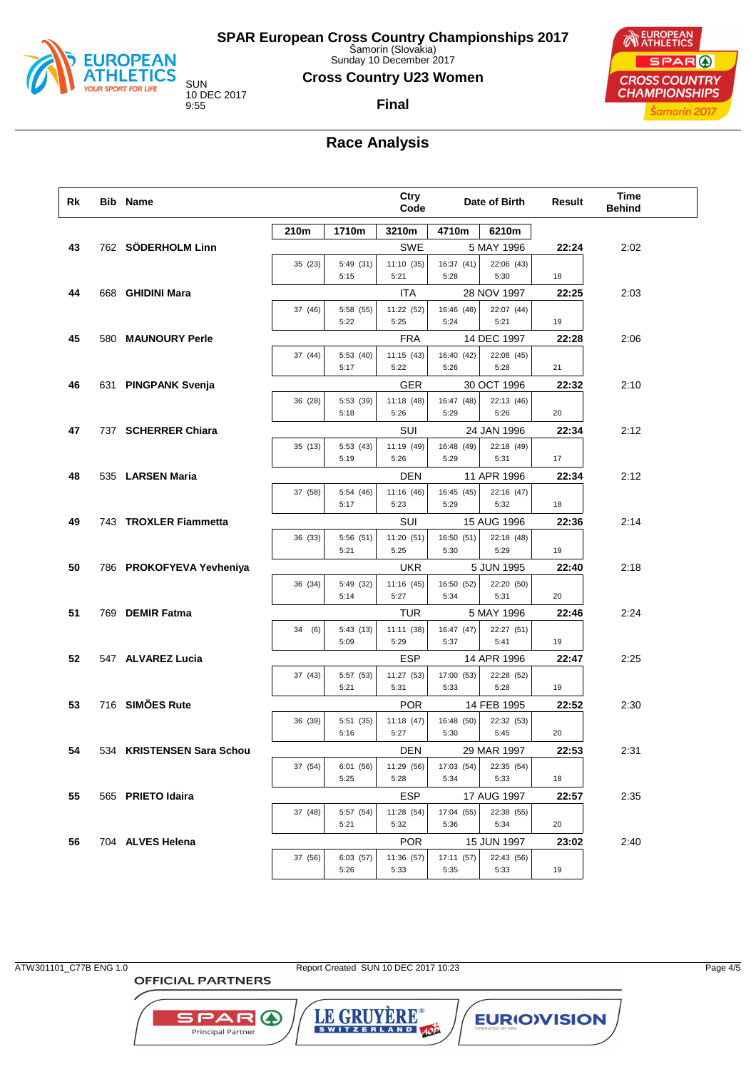

Sunday 10 December 2017

### **Cross Country U23 Women**

10 DEC 2017

**Final**



## **Race Analysis**

| Rk | Bib Name                  |         |                   | Ctry<br>Code       |                    | Date of Birth             | Result | <b>Time</b><br><b>Behind</b> |  |
|----|---------------------------|---------|-------------------|--------------------|--------------------|---------------------------|--------|------------------------------|--|
|    |                           | 210m    | 1710m             | 3210m              | 4710m              | 6210m                     |        |                              |  |
| 43 | 762 SÖDERHOLM Linn        |         |                   | <b>SWE</b>         |                    | 5 MAY 1996                | 22:24  | 2:02                         |  |
|    |                           | 35 (23) | 5:49(31)          | 11:10(35)          | 16:37 (41)         | 22:06 (43)                |        |                              |  |
|    |                           |         | 5:15              | 5:21               | 5:28               | 5:30                      | 18     |                              |  |
| 44 | 668 GHIDINI Mara          |         |                   | ITA                |                    | 28 NOV 1997               | 22:25  | 2:03                         |  |
|    |                           | 37 (46) | 5:58 (55)<br>5:22 | 11:22 (52)<br>5:25 | 16:46 (46)<br>5:24 | 22:07 (44)<br>5:21        | 19     |                              |  |
| 45 | 580 MAUNOURY Perle        |         |                   | <b>FRA</b>         |                    | 14 DEC 1997               | 22:28  | 2:06                         |  |
|    |                           | 37 (44) | 5:53 (40)         | 11:15(43)          | 16:40 (42)         | 22:08 (45)                |        |                              |  |
|    |                           |         | 5:17              | 5:22               | 5:26               | 5:28                      | 21     |                              |  |
| 46 | 631 PINGPANK Svenja       |         |                   | GER                |                    | 30 OCT 1996               | 22:32  | 2:10                         |  |
|    |                           | 36 (28) | 5:53 (39)         | 11:18 (48)         | 16:47 (48)         | 22:13 (46)                |        |                              |  |
|    |                           |         | 5:18              | 5:26               | 5:29               | 5:26                      | 20     |                              |  |
| 47 | 737 SCHERRER Chiara       |         |                   | SUI                |                    | 24 JAN 1996               | 22:34  | 2:12                         |  |
|    |                           | 35(13)  | 5:53(43)          | 11:19 (49)         | 16:48 (49)         | 22:18 (49)                |        |                              |  |
|    |                           |         | 5:19              | 5:26               | 5:29               | 5:31                      | 17     |                              |  |
| 48 | 535 LARSEN Maria          |         |                   | <b>DEN</b>         |                    | 11 APR 1996               | 22:34  | 2:12                         |  |
|    |                           | 37 (58) | 5:54 (46)<br>5:17 | 11:16 (46)<br>5:23 | 16:45 (45)<br>5:29 | 22:16 (47)<br>5:32        | 18     |                              |  |
| 49 | 743 TROXLER Fiammetta     |         |                   | SUI                |                    | 15 AUG 1996               | 22:36  | 2:14                         |  |
|    |                           | 36 (33) | 5:56 (51)         | 11:20 (51)         | 16:50 (51)         | 22:18 (48)                |        |                              |  |
|    |                           |         | 5:21              | 5:25               | 5:30               | 5:29                      | 19     |                              |  |
| 50 | 786 PROKOFYEVA Yevheniya  |         |                   | <b>UKR</b>         |                    | 5 JUN 1995                | 22:40  | 2:18                         |  |
|    |                           | 36 (34) | 5:49 (32)         | 11:16 (45)         | 16:50 (52)         | 22:20 (50)                |        |                              |  |
|    |                           |         | 5:14              | 5:27               | 5:34               | 5:31                      | 20     |                              |  |
| 51 | 769 DEMIR Fatma           |         |                   | TUR                |                    | 5 MAY 1996                | 22:46  | 2:24                         |  |
|    |                           | 34 (6)  | 5:43(13)          | 11:11 (38)         | 16:47 (47)         | 22:27 (51)                |        |                              |  |
|    |                           |         | 5:09              | 5:29               | 5:37               | 5:41                      | 19     |                              |  |
| 52 | 547 ALVAREZ Lucia         |         | 5:57 (53)         | ESP<br>11:27 (53)  |                    | 14 APR 1996<br>22:28 (52) | 22:47  | 2:25                         |  |
|    |                           | 37 (43) | 5:21              | 5:31               | 17:00 (53)<br>5:33 | 5:28                      | 19     |                              |  |
| 53 | 716 SIMÕES Rute           |         |                   | <b>POR</b>         |                    | 14 FEB 1995               | 22:52  | 2:30                         |  |
|    |                           | 36 (39) | 5:51 (35)         | 11:18(47)          | 16:48 (50)         | 22:32 (53)                |        |                              |  |
|    |                           |         | 5:16              | 5:27               | 5:30               | 5:45                      | 20     |                              |  |
| 54 | 534 KRISTENSEN Sara Schou |         |                   | DEN                |                    | 29 MAR 1997               | 22:53  | 2:31                         |  |
|    |                           | 37 (54) | 6:01 (56)         | 11:29 (56)         | 17:03 (54)         | 22:35 (54)                |        |                              |  |
|    |                           |         | 5:25              | 5:28               | 5:34               | 5:33                      | 18     |                              |  |
| 55 | 565 PRIETO Idaira         |         |                   | <b>ESP</b>         |                    | 17 AUG 1997               | 22:57  | 2:35                         |  |
|    |                           | 37 (48) | 5:57 (54)<br>5:21 | 11:28 (54)<br>5:32 | 17:04 (55)<br>5:36 | 22:38 (55)<br>5:34        | 20     |                              |  |
| 56 | 704 ALVES Helena          |         |                   | <b>POR</b>         |                    | 15 JUN 1997               | 23:02  | 2:40                         |  |
|    |                           | 37 (56) | 6:03(57)          | 11:36 (57)         | 17:11 (57)         | 22:43 (56)                |        |                              |  |
|    |                           |         | 5:26              | 5:33               | 5:35               | 5:33                      | 19     |                              |  |
|    |                           |         |                   |                    |                    |                           |        |                              |  |

**OFFICIAL PARTNERS** 

**SPAR A** 

Principal Partner

ATW301101\_C77B ENG 1.0 Report Created SUN 10 DEC 2017 10:23 Page 4/5

LE GRUYERE®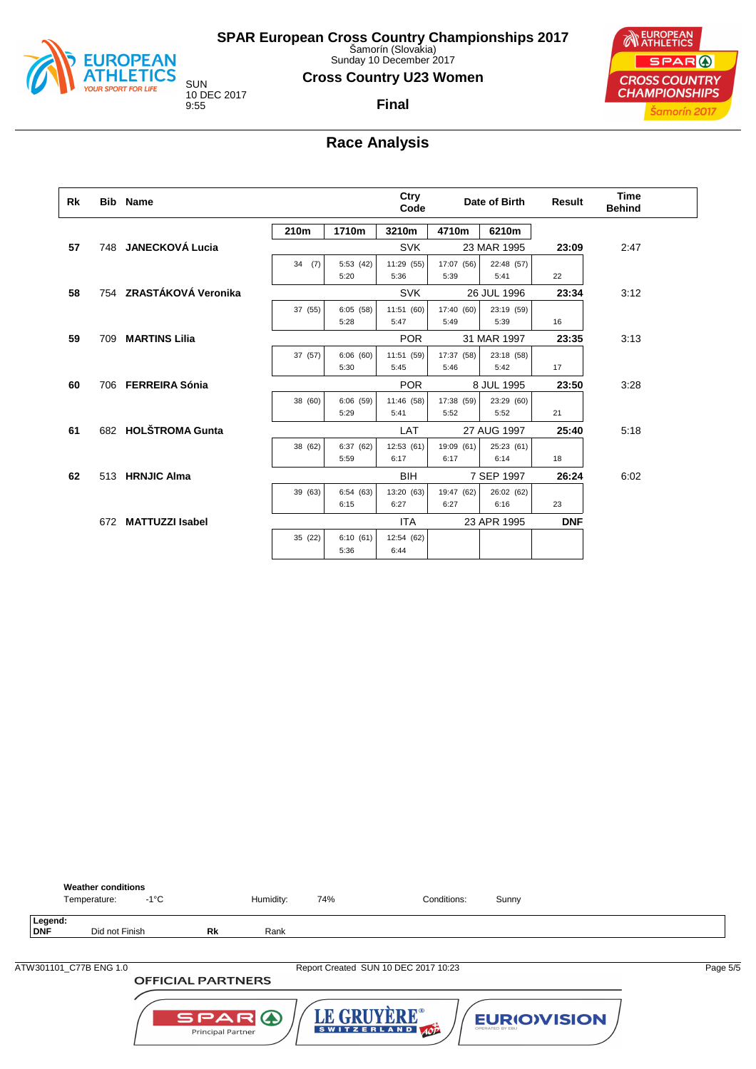

Sunday 10 December 2017

### **Cross Country U23 Women**

**Final**

10 DEC 2017

SPAR ( **CROSS COUNTRY CHAMPIONSHIPS** Šamorín 2017

**NEUROPEAN** 

**Race Analysis**

| Rk |     | <b>Bib</b> Name         |         |          | Ctry<br>Code |            | Date of Birth | Result     | <b>Time</b><br><b>Behind</b> |
|----|-----|-------------------------|---------|----------|--------------|------------|---------------|------------|------------------------------|
|    |     |                         | 210m    | 1710m    | 3210m        | 4710m      | 6210m         |            |                              |
| 57 |     | 748 JANECKOVÁ Lucia     |         |          | <b>SVK</b>   |            | 23 MAR 1995   | 23:09      | 2:47                         |
|    |     |                         | 34(7)   | 5:53(42) | 11:29 (55)   | 17:07 (56) | 22:48 (57)    |            |                              |
|    |     |                         |         | 5:20     | 5:36         | 5:39       | 5:41          | 22         |                              |
| 58 |     | 754 ZRASTÁKOVÁ Veronika |         |          | <b>SVK</b>   |            | 26 JUL 1996   | 23:34      | 3:12                         |
|    |     |                         | 37 (55) | 6:05(58) | 11:51 (60)   | 17:40 (60) | 23:19 (59)    |            |                              |
|    |     |                         |         | 5:28     | 5:47         | 5:49       | 5:39          | 16         |                              |
| 59 | 709 | <b>MARTINS Lilia</b>    |         |          | <b>POR</b>   |            | 31 MAR 1997   | 23:35      | 3:13                         |
|    |     |                         | 37 (57) | 6:06(60) | 11:51 (59)   | 17:37 (58) | 23:18 (58)    |            |                              |
|    |     |                         |         | 5:30     | 5:45         | 5:46       | 5:42          | 17         |                              |
| 60 |     | 706 FERREIRA Sónia      |         |          | <b>POR</b>   |            | 8 JUL 1995    | 23:50      | 3:28                         |
|    |     |                         | 38 (60) | 6:06(59) | 11:46 (58)   | 17:38 (59) | 23:29 (60)    |            |                              |
|    |     |                         |         | 5:29     | 5:41         | 5:52       | 5:52          | 21         |                              |
| 61 |     | 682 HOLŠTROMA Gunta     |         |          | LAT          |            | 27 AUG 1997   | 25:40      | 5:18                         |
|    |     |                         | 38 (62) | 6:37(62) | 12:53 (61)   | 19:09 (61) | 25:23 (61)    |            |                              |
|    |     |                         |         | 5:59     | 6:17         | 6:17       | 6:14          | 18         |                              |
| 62 |     | 513 HRNJIC Alma         |         |          | <b>BIH</b>   |            | 7 SEP 1997    | 26:24      | 6:02                         |
|    |     |                         | 39 (63) | 6:54(63) | 13:20 (63)   | 19:47 (62) | 26:02 (62)    |            |                              |
|    |     |                         |         | 6:15     | 6:27         | 6:27       | 6:16          | 23         |                              |
|    |     | 672 MATTUZZI Isabel     |         |          | <b>ITA</b>   |            | 23 APR 1995   | <b>DNF</b> |                              |
|    |     |                         | 35 (22) | 6:10(61) | 12:54 (62)   |            |               |            |                              |
|    |     |                         |         | 5:36     | 6:44         |            |               |            |                              |

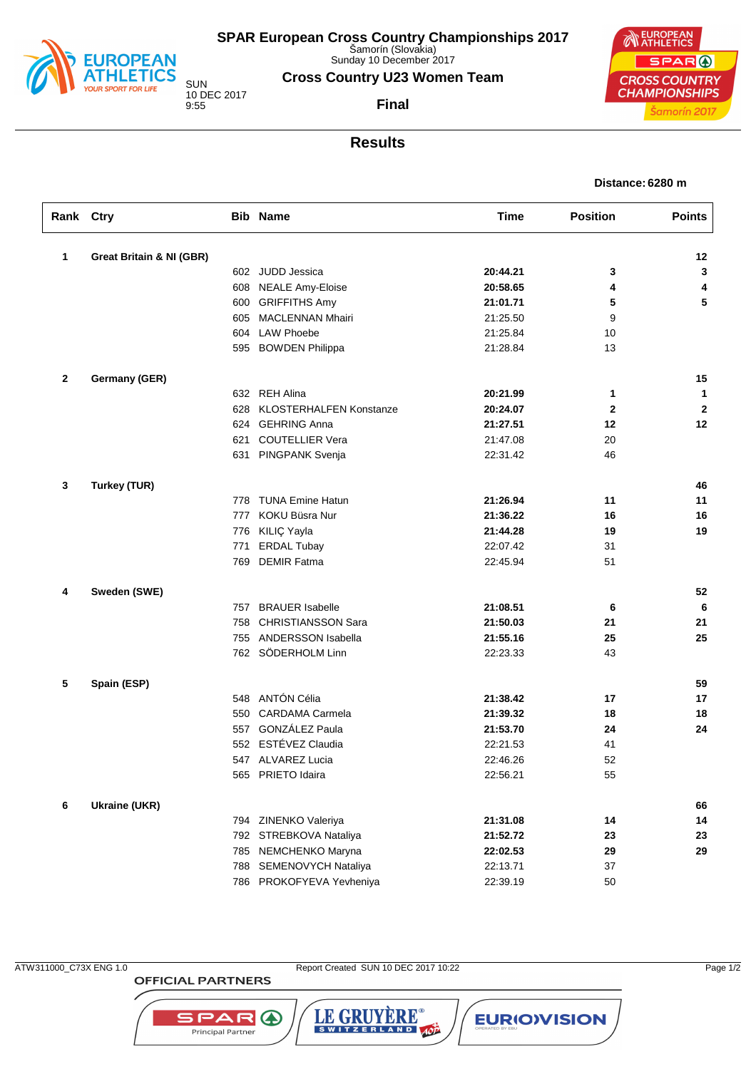

Sunday 10 December 2017

**Cross Country U23 Women Team**

**Final**

10 DEC 2017

EUROPEAN SPAR ( **CROSS COUNTRY CHAMPIONSHIPS** Šamorín 2017

### **Results**

| Distance: 6280 m |  |  |
|------------------|--|--|
|------------------|--|--|

| Rank Ctry    |                                     |     | <b>Bib Name</b>          | <b>Time</b> | <b>Position</b> | <b>Points</b> |
|--------------|-------------------------------------|-----|--------------------------|-------------|-----------------|---------------|
| $\mathbf{1}$ | <b>Great Britain &amp; NI (GBR)</b> |     |                          |             |                 | 12            |
|              |                                     |     | 602 JUDD Jessica         | 20:44.21    | 3               | 3             |
|              |                                     | 608 | <b>NEALE Amy-Eloise</b>  | 20:58.65    | 4               | 4             |
|              |                                     | 600 | <b>GRIFFITHS Amy</b>     | 21:01.71    | 5               | 5             |
|              |                                     | 605 | <b>MACLENNAN Mhairi</b>  | 21:25.50    | 9               |               |
|              |                                     | 604 | <b>LAW Phoebe</b>        | 21:25.84    | 10              |               |
|              |                                     |     | 595 BOWDEN Philippa      | 21:28.84    | 13              |               |
|              |                                     |     |                          |             |                 |               |
| $\mathbf{2}$ | Germany (GER)                       |     |                          |             |                 | 15            |
|              |                                     |     | 632 REH Alina            | 20:21.99    | 1               | $\mathbf{1}$  |
|              |                                     | 628 | KLOSTERHALFEN Konstanze  | 20:24.07    | $\mathbf{2}$    | $\mathbf{2}$  |
|              |                                     | 624 | <b>GEHRING Anna</b>      | 21:27.51    | 12              | 12            |
|              |                                     | 621 | <b>COUTELLIER Vera</b>   | 21:47.08    | 20              |               |
|              |                                     |     | 631 PINGPANK Svenja      | 22:31.42    | 46              |               |
|              |                                     |     |                          |             |                 |               |
| 3            | <b>Turkey (TUR)</b>                 |     |                          |             |                 | 46            |
|              |                                     |     | 778 TUNA Emine Hatun     | 21:26.94    | 11              | 11            |
|              |                                     | 777 | KOKU Büsra Nur           | 21:36.22    | 16              | 16            |
|              |                                     | 776 | KILIÇ Yayla              | 21:44.28    | 19              | 19            |
|              |                                     | 771 | <b>ERDAL Tubay</b>       | 22:07.42    | 31              |               |
|              |                                     | 769 | <b>DEMIR Fatma</b>       | 22:45.94    | 51              |               |
| 4            | Sweden (SWE)                        |     |                          |             |                 | 52            |
|              |                                     | 757 | <b>BRAUER</b> Isabelle   | 21:08.51    | 6               | 6             |
|              |                                     | 758 | CHRISTIANSSON Sara       | 21:50.03    | 21              | 21            |
|              |                                     | 755 | ANDERSSON Isabella       | 21:55.16    | 25              | 25            |
|              |                                     |     | 762 SÖDERHOLM Linn       | 22:23.33    | 43              |               |
|              |                                     |     |                          |             |                 |               |
| 5            | Spain (ESP)                         |     |                          |             |                 | 59            |
|              |                                     |     | 548 ANTÓN Célia          | 21:38.42    | 17              | 17            |
|              |                                     | 550 | <b>CARDAMA Carmela</b>   | 21:39.32    | 18              | 18            |
|              |                                     | 557 | GONZÁLEZ Paula           | 21:53.70    | 24              | 24            |
|              |                                     | 552 | ESTÉVEZ Claudia          | 22:21.53    | 41              |               |
|              |                                     |     | 547 ALVAREZ Lucia        | 22:46.26    | 52              |               |
|              |                                     |     | 565 PRIETO Idaira        | 22:56.21    | 55              |               |
| 6            | <b>Ukraine (UKR)</b>                |     |                          |             |                 | 66            |
|              |                                     |     | 794 ZINENKO Valeriya     | 21:31.08    | 14              | 14            |
|              |                                     |     | 792 STREBKOVA Nataliya   | 21:52.72    | 23              | 23            |
|              |                                     | 785 | NEMCHENKO Maryna         | 22:02.53    | 29              | 29            |
|              |                                     | 788 | SEMENOVYCH Nataliya      | 22:13.71    | 37              |               |
|              |                                     |     | 786 PROKOFYEVA Yevheniya | 22:39.19    | 50              |               |
|              |                                     |     |                          |             |                 |               |

**OFFICIAL PARTNERS** 

**SPAR A** Principal Partner

ATW311000\_C73X ENG 1.0 Report Created SUN 10 DEC 2017 10:22 Page 1/2

LE GRUYÈRE®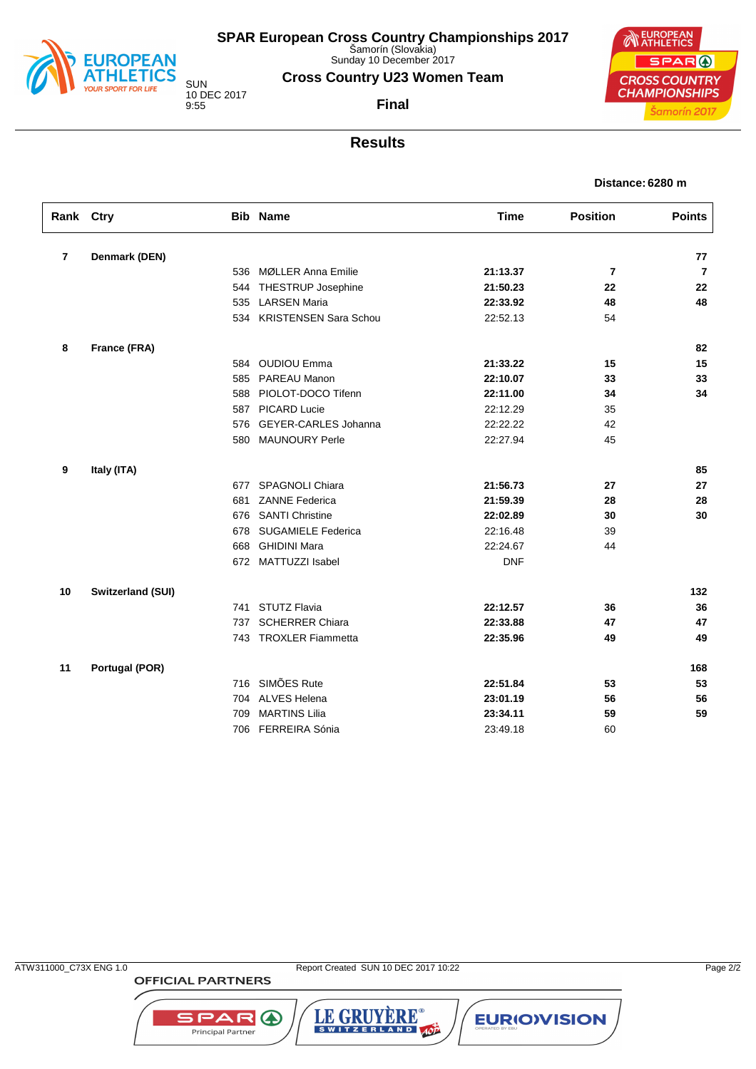

Sunday 10 December 2017

**Cross Country U23 Women Team**

10 DEC 2017

**Final**



### **Results**

| Distance: 6280 m |  |  |
|------------------|--|--|
|------------------|--|--|

| Rank Ctry      |                          |     | <b>Bib Name</b>                           | <b>Time</b> | <b>Position</b> | <b>Points</b>  |
|----------------|--------------------------|-----|-------------------------------------------|-------------|-----------------|----------------|
| $\overline{7}$ | Denmark (DEN)            |     |                                           |             |                 | 77             |
|                |                          | 536 | MØLLER Anna Emilie                        | 21:13.37    |                 | $\overline{7}$ |
|                |                          | 544 |                                           | 21:50.23    | 7<br>22         | 22             |
|                |                          | 535 | THESTRUP Josephine<br><b>LARSEN Maria</b> | 22:33.92    | 48              | 48             |
|                |                          |     | 534 KRISTENSEN Sara Schou                 | 22:52.13    | 54              |                |
|                |                          |     |                                           |             |                 |                |
| 8              | France (FRA)             |     |                                           |             |                 | 82             |
|                |                          | 584 | <b>OUDIOU Emma</b>                        | 21:33.22    | 15              | 15             |
|                |                          | 585 | PAREAU Manon                              | 22:10.07    | 33              | 33             |
|                |                          | 588 | PIOLOT-DOCO Tifenn                        | 22:11.00    | 34              | 34             |
|                |                          | 587 | PICARD Lucie                              | 22:12.29    | 35              |                |
|                |                          | 576 | GEYER-CARLES Johanna                      | 22:22.22    | 42              |                |
|                |                          | 580 | <b>MAUNOURY Perle</b>                     | 22:27.94    | 45              |                |
| 9              | Italy (ITA)              |     |                                           |             |                 | 85             |
|                |                          |     | 677 SPAGNOLI Chiara                       | 21:56.73    | 27              | 27             |
|                |                          | 681 | <b>ZANNE Federica</b>                     | 21:59.39    | 28              | 28             |
|                |                          | 676 | <b>SANTI Christine</b>                    | 22:02.89    | 30              | 30             |
|                |                          | 678 | <b>SUGAMIELE Federica</b>                 | 22:16.48    | 39              |                |
|                |                          | 668 | <b>GHIDINI Mara</b>                       | 22:24.67    | 44              |                |
|                |                          |     | 672 MATTUZZI Isabel                       | <b>DNF</b>  |                 |                |
| 10             | <b>Switzerland (SUI)</b> |     |                                           |             |                 | 132            |
|                |                          | 741 | <b>STUTZ Flavia</b>                       | 22:12.57    | 36              | 36             |
|                |                          | 737 | <b>SCHERRER Chiara</b>                    | 22:33.88    | 47              | 47             |
|                |                          |     | 743 TROXLER Fiammetta                     | 22:35.96    | 49              | 49             |
|                |                          |     |                                           |             |                 |                |
| 11             | Portugal (POR)           |     |                                           |             |                 | 168            |
|                |                          |     | 716 SIMÕES Rute                           | 22:51.84    | 53              | 53             |
|                |                          | 704 | <b>ALVES Helena</b>                       | 23:01.19    | 56              | 56             |
|                |                          | 709 | <b>MARTINS Lilia</b>                      | 23:34.11    | 59              | 59             |
|                |                          |     | 706 FERREIRA Sónia                        | 23:49.18    | 60              |                |

LE GRUYÈRE®

**SPAR A** Principal Partner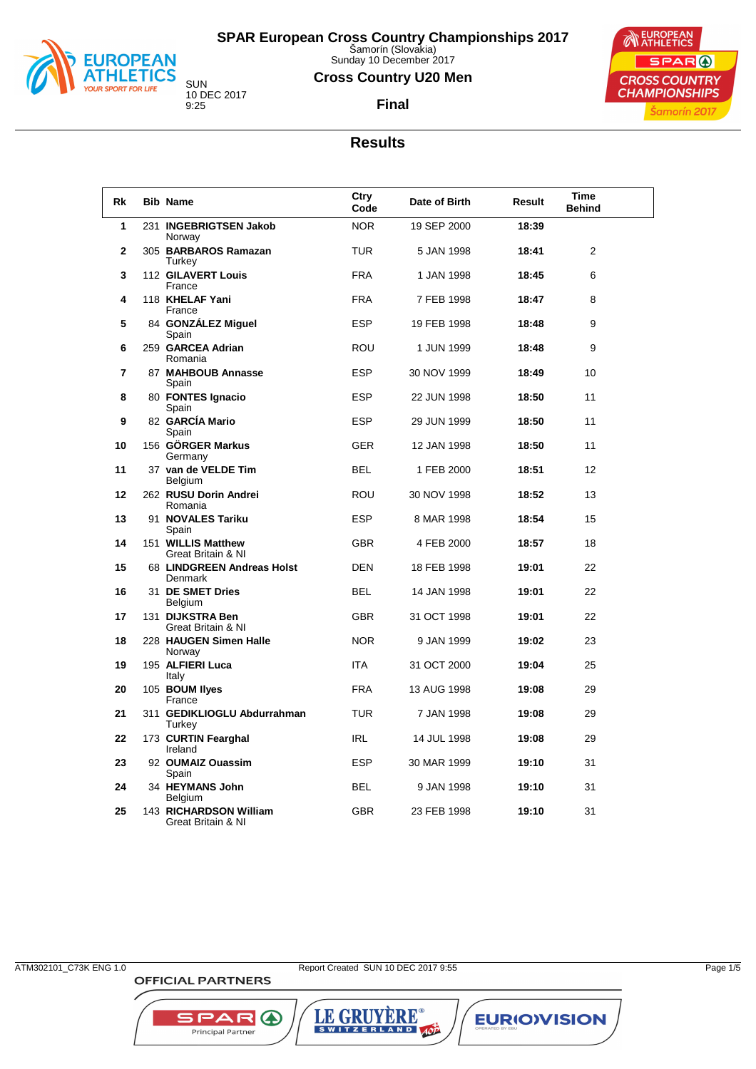

Sunday 10 December 2017

### **Cross Country U20 Men**





**Final**

### **Results**

| Rk | <b>Bib Name</b>                              | Ctry<br>Code | Date of Birth | Result | Time<br><b>Behind</b> |  |
|----|----------------------------------------------|--------------|---------------|--------|-----------------------|--|
| 1  | 231 INGEBRIGTSEN Jakob<br>Norway             | <b>NOR</b>   | 19 SEP 2000   | 18:39  |                       |  |
| 2  | 305 BARBAROS Ramazan<br>Turkey               | <b>TUR</b>   | 5 JAN 1998    | 18:41  | 2                     |  |
| 3  | 112 GILAVERT Louis<br>France                 | <b>FRA</b>   | 1 JAN 1998    | 18:45  | 6                     |  |
| 4  | 118 KHELAF Yani<br>France                    | <b>FRA</b>   | 7 FEB 1998    | 18:47  | 8                     |  |
| 5  | 84 GONZALEZ Miguel<br>Spain                  | <b>ESP</b>   | 19 FEB 1998   | 18:48  | 9                     |  |
| 6  | 259 GARCEA Adrian<br>Romania                 | <b>ROU</b>   | 1 JUN 1999    | 18:48  | 9                     |  |
| 7  | 87 MAHBOUB Annasse<br>Spain                  | <b>ESP</b>   | 30 NOV 1999   | 18:49  | 10                    |  |
| 8  | 80 FONTES Ignacio<br>Spain                   | <b>ESP</b>   | 22 JUN 1998   | 18:50  | 11                    |  |
| 9  | 82 GARCÍA Mario<br>Spain                     | <b>ESP</b>   | 29 JUN 1999   | 18:50  | 11                    |  |
| 10 | 156 GÖRGER Markus<br>Germany                 | <b>GER</b>   | 12 JAN 1998   | 18:50  | 11                    |  |
| 11 | 37 van de VELDE Tim<br><b>Belgium</b>        | <b>BEL</b>   | 1 FEB 2000    | 18:51  | 12                    |  |
| 12 | 262 RUSU Dorin Andrei<br>Romania             | <b>ROU</b>   | 30 NOV 1998   | 18:52  | 13                    |  |
| 13 | 91 NOVALES Tariku<br>Spain                   | <b>ESP</b>   | 8 MAR 1998    | 18:54  | 15                    |  |
| 14 | 151 WILLIS Matthew<br>Great Britain & NI     | <b>GBR</b>   | 4 FEB 2000    | 18:57  | 18                    |  |
| 15 | 68 LINDGREEN Andreas Holst<br>Denmark        | <b>DEN</b>   | 18 FEB 1998   | 19:01  | 22                    |  |
| 16 | 31 DE SMET Dries<br>Belgium                  | <b>BEL</b>   | 14 JAN 1998   | 19:01  | 22                    |  |
| 17 | 131 DIJKSTRA Ben<br>Great Britain & NI       | <b>GBR</b>   | 31 OCT 1998   | 19:01  | 22                    |  |
| 18 | 228 HAUGEN Simen Halle<br>Norway             | <b>NOR</b>   | 9 JAN 1999    | 19:02  | 23                    |  |
| 19 | 195 ALFIERI Luca<br>Italy                    | <b>ITA</b>   | 31 OCT 2000   | 19:04  | 25                    |  |
| 20 | 105 BOUM llyes<br>France                     | <b>FRA</b>   | 13 AUG 1998   | 19:08  | 29                    |  |
| 21 | 311 GEDIKLIOGLU Abdurrahman<br>Turkey        | <b>TUR</b>   | 7 JAN 1998    | 19:08  | 29                    |  |
| 22 | 173 CURTIN Fearghal<br>Ireland               | <b>IRL</b>   | 14 JUL 1998   | 19:08  | 29                    |  |
| 23 | 92 OUMAIZ Ouassim<br>Spain                   | <b>ESP</b>   | 30 MAR 1999   | 19:10  | 31                    |  |
| 24 | 34 HEYMANS John<br>Belgium                   | <b>BEL</b>   | 9 JAN 1998    | 19:10  | 31                    |  |
| 25 | 143 RICHARDSON William<br>Great Britain & NI | <b>GBR</b>   | 23 FEB 1998   | 19:10  | 31                    |  |

**OFFICIAL PARTNERS** 

**SPAR A** 

Principal Partner

ATM302101\_C73K ENG 1.0 Page 1/5

LE GRUYÈRE®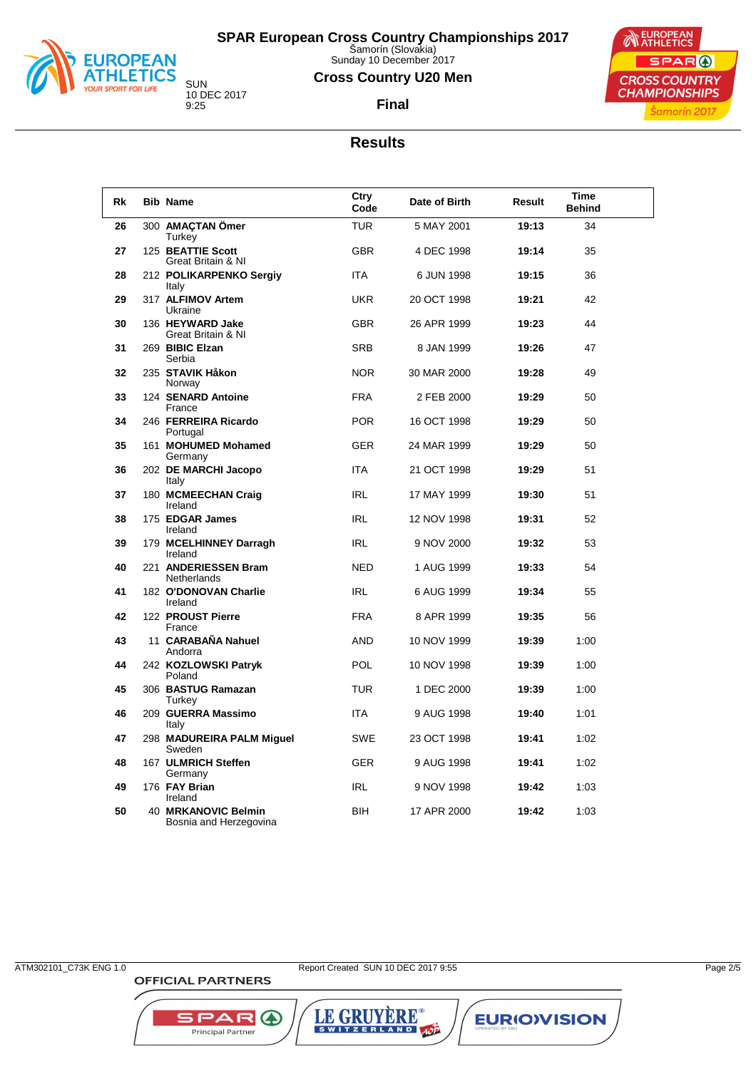

Sunday 10 December 2017

### **Cross Country U20 Men**





**Final**

### **Results**

| Rk | <b>Bib Name</b>                               | Ctry<br>Code | Date of Birth | Result | <b>Time</b><br><b>Behind</b> |
|----|-----------------------------------------------|--------------|---------------|--------|------------------------------|
| 26 | 300 AMACTAN Ömer<br>Turkey                    | <b>TUR</b>   | 5 MAY 2001    | 19:13  | 34                           |
| 27 | 125 BEATTIE Scott<br>Great Britain & NI       | <b>GBR</b>   | 4 DEC 1998    | 19:14  | 35                           |
| 28 | 212 POLIKARPENKO Sergiy<br>Italy              | <b>ITA</b>   | 6 JUN 1998    | 19:15  | 36                           |
| 29 | 317 ALFIMOV Artem<br>Ukraine                  | <b>UKR</b>   | 20 OCT 1998   | 19:21  | 42                           |
| 30 | 136 HEYWARD Jake<br>Great Britain & NI        | <b>GBR</b>   | 26 APR 1999   | 19:23  | 44                           |
| 31 | 269 BIBIC Elzan<br>Serbia                     | <b>SRB</b>   | 8 JAN 1999    | 19:26  | 47                           |
| 32 | 235 STAVIK Håkon<br>Norway                    | <b>NOR</b>   | 30 MAR 2000   | 19:28  | 49                           |
| 33 | 124 SENARD Antoine<br>France                  | <b>FRA</b>   | 2 FEB 2000    | 19:29  | 50                           |
| 34 | 246 FERREIRA Ricardo<br>Portugal              | <b>POR</b>   | 16 OCT 1998   | 19:29  | 50                           |
| 35 | 161 MOHUMED Mohamed<br>Germany                | <b>GER</b>   | 24 MAR 1999   | 19:29  | 50                           |
| 36 | 202 DE MARCHI Jacopo<br>Italy                 | <b>ITA</b>   | 21 OCT 1998   | 19:29  | 51                           |
| 37 | 180 MCMEECHAN Craig<br>Ireland                | <b>IRL</b>   | 17 MAY 1999   | 19:30  | 51                           |
| 38 | 175 EDGAR James<br>Ireland                    | <b>IRL</b>   | 12 NOV 1998   | 19:31  | 52                           |
| 39 | 179 MCELHINNEY Darragh<br>Ireland             | <b>IRL</b>   | 9 NOV 2000    | 19:32  | 53                           |
| 40 | 221 ANDERIESSEN Bram<br><b>Netherlands</b>    | <b>NED</b>   | 1 AUG 1999    | 19:33  | 54                           |
| 41 | 182 O'DONOVAN Charlie<br>Ireland              | <b>IRL</b>   | 6 AUG 1999    | 19:34  | 55                           |
| 42 | 122 PROUST Pierre<br>France                   | <b>FRA</b>   | 8 APR 1999    | 19:35  | 56                           |
| 43 | 11 CARABAÑA Nahuel<br>Andorra                 | <b>AND</b>   | 10 NOV 1999   | 19:39  | 1:00                         |
| 44 | 242 KOZLOWSKI Patryk<br>Poland                | <b>POL</b>   | 10 NOV 1998   | 19:39  | 1:00                         |
| 45 | 306 BASTUG Ramazan<br>Turkey                  | <b>TUR</b>   | 1 DEC 2000    | 19:39  | 1:00                         |
| 46 | 209 GUERRA Massimo<br>Italy                   | <b>ITA</b>   | 9 AUG 1998    | 19:40  | 1:01                         |
| 47 | 298 MADUREIRA PALM Miguel<br>Sweden           | SWE          | 23 OCT 1998   | 19:41  | 1:02                         |
| 48 | 167 ULMRICH Steffen<br>Germany                | GER          | 9 AUG 1998    | 19:41  | 1:02                         |
| 49 | 176 FAY Brian<br>Ireland                      | <b>IRL</b>   | 9 NOV 1998    | 19:42  | 1:03                         |
| 50 | 40 MRKANOVIC Belmin<br>Bosnia and Herzegovina | <b>BIH</b>   | 17 APR 2000   | 19:42  | 1:03                         |

**OFFICIAL PARTNERS** 

**SPAR A** 

Principal Partner

ATM302101\_C73K ENG 1.0 Report Created SUN 10 DEC 2017 9:55 Page 2/5

LE GRUYÈRE®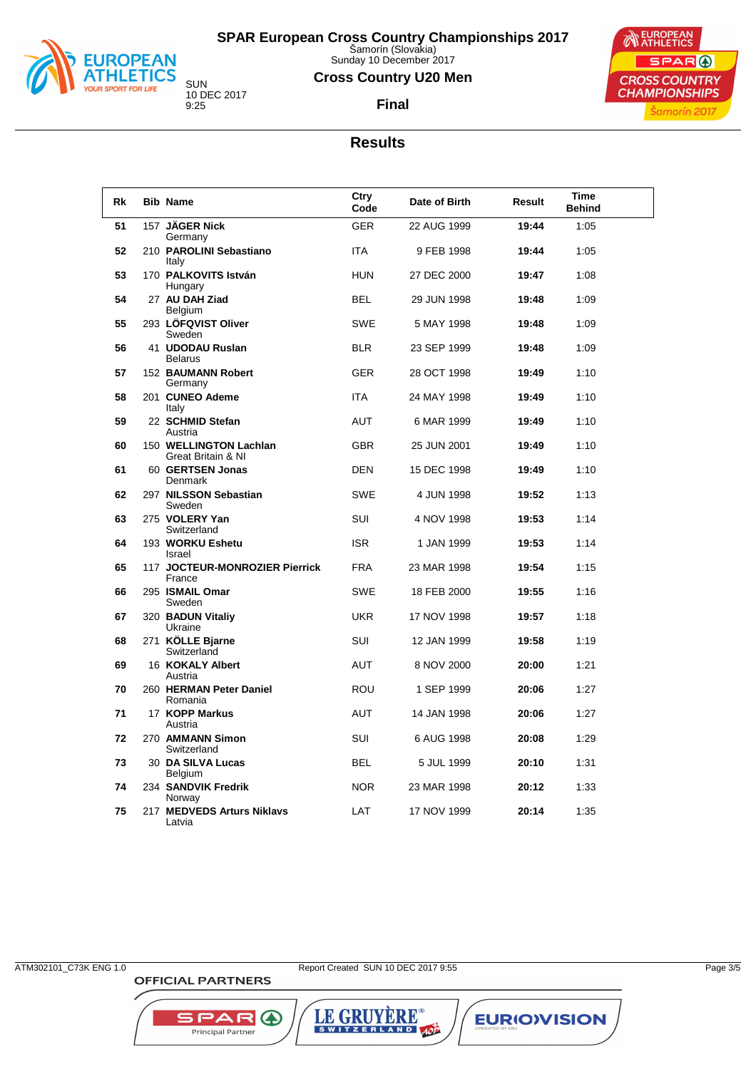

Sunday 10 December 2017

### **Cross Country U20 Men**

**Final**



10 DEC 2017

# **Results**

| <b>Rk</b> | <b>Bib Name</b>                              | Ctry<br>Code | Date of Birth | Result | Time<br><b>Behind</b> |
|-----------|----------------------------------------------|--------------|---------------|--------|-----------------------|
| 51        | 157 JÄGER Nick                               | <b>GER</b>   | 22 AUG 1999   | 19:44  | 1:05                  |
| 52        | Germany<br>210 PAROLINI Sebastiano<br>Italy  | <b>ITA</b>   | 9 FEB 1998    | 19:44  | 1:05                  |
| 53        | 170 PALKOVITS István<br>Hungary              | <b>HUN</b>   | 27 DEC 2000   | 19:47  | 1:08                  |
| 54        | 27 AU DAH Ziad<br>Belgium                    | <b>BEL</b>   | 29 JUN 1998   | 19:48  | 1:09                  |
| 55        | 293 LÖFQVIST Oliver<br>Sweden                | <b>SWE</b>   | 5 MAY 1998    | 19:48  | 1:09                  |
| 56        | 41 UDODAU Ruslan<br><b>Belarus</b>           | <b>BLR</b>   | 23 SEP 1999   | 19:48  | 1:09                  |
| 57        | 152 BAUMANN Robert<br>Germany                | <b>GER</b>   | 28 OCT 1998   | 19:49  | 1:10                  |
| 58        | 201 CUNEO Ademe<br>Italy                     | <b>ITA</b>   | 24 MAY 1998   | 19:49  | 1:10                  |
| 59        | 22 SCHMID Stefan<br>Austria                  | AUT          | 6 MAR 1999    | 19:49  | 1:10                  |
| 60        | 150 WELLINGTON Lachlan<br>Great Britain & NI | <b>GBR</b>   | 25 JUN 2001   | 19:49  | 1:10                  |
| 61        | 60 GERTSEN Jonas<br>Denmark                  | <b>DEN</b>   | 15 DEC 1998   | 19:49  | 1:10                  |
| 62        | 297 NILSSON Sebastian<br>Sweden              | SWE          | 4 JUN 1998    | 19:52  | 1:13                  |
| 63        | 275 VOLERY Yan<br>Switzerland                | <b>SUI</b>   | 4 NOV 1998    | 19:53  | 1:14                  |
| 64        | 193 WORKU Eshetu<br>Israel                   | <b>ISR</b>   | 1 JAN 1999    | 19:53  | 1:14                  |
| 65        | 117 JOCTEUR-MONROZIER Pierrick<br>France     | <b>FRA</b>   | 23 MAR 1998   | 19:54  | 1:15                  |
| 66        | 295 ISMAIL Omar<br>Sweden                    | <b>SWE</b>   | 18 FEB 2000   | 19:55  | 1:16                  |
| 67        | 320 BADUN Vitaliy<br>Ukraine                 | <b>UKR</b>   | 17 NOV 1998   | 19:57  | 1:18                  |
| 68        | 271 KÖLLE Bjarne<br>Switzerland              | SUI          | 12 JAN 1999   | 19:58  | 1:19                  |
| 69        | 16 KOKALY Albert<br>Austria                  | AUT          | 8 NOV 2000    | 20:00  | 1:21                  |
| 70        | 260 HERMAN Peter Daniel<br>Romania           | <b>ROU</b>   | 1 SEP 1999    | 20:06  | 1:27                  |
| 71        | 17 KOPP Markus<br>Austria                    | <b>AUT</b>   | 14 JAN 1998   | 20:06  | 1:27                  |
| 72        | 270 AMMANN Simon<br>Switzerland              | <b>SUI</b>   | 6 AUG 1998    | 20:08  | 1:29                  |
| 73        | 30 DA SILVA Lucas<br>Belgium                 | <b>BEL</b>   | 5 JUL 1999    | 20:10  | 1:31                  |
| 74        | 234 SANDVIK Fredrik<br>Norway                | <b>NOR</b>   | 23 MAR 1998   | 20:12  | 1:33                  |
| 75        | 217 MEDVEDS Arturs Niklavs<br>Latvia         | LAT          | 17 NOV 1999   | 20:14  | 1:35                  |

**OFFICIAL PARTNERS** 

**SPAR A** Principal Partner

ATM302101\_C73K ENG 1.0 Page 3/5

LE GRUYÈRE®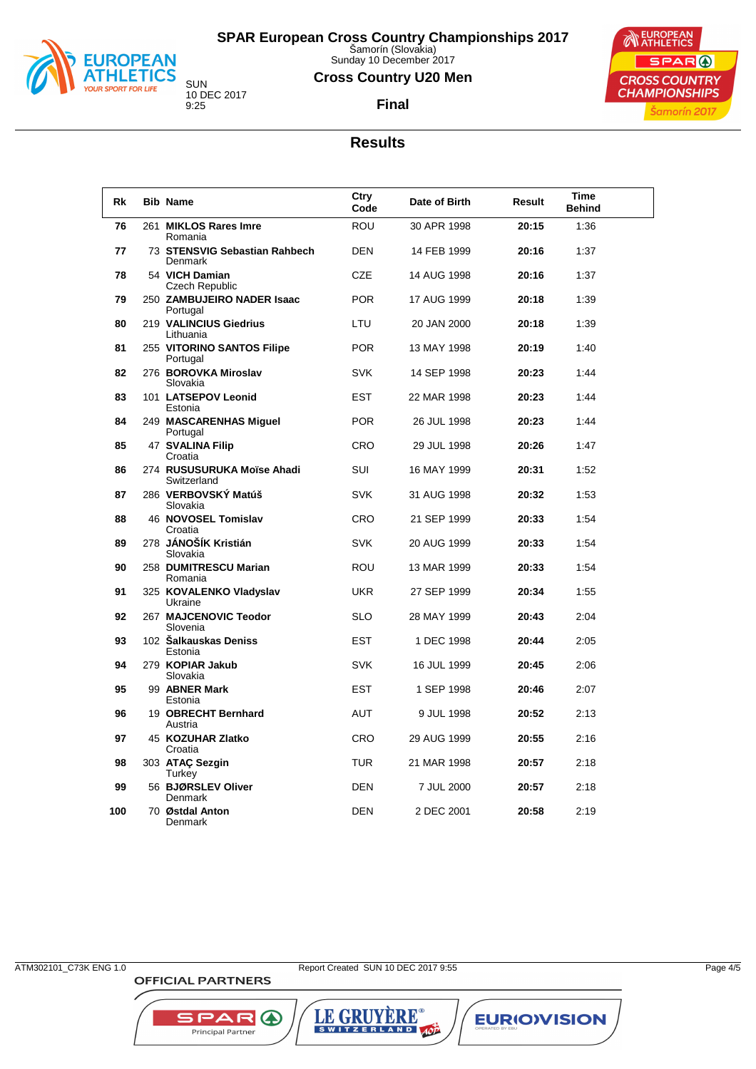

Sunday 10 December 2017

### **Cross Country U20 Men**

**Final**



10 DEC 2017

### **Results**

| <b>Rk</b> | <b>Bib Name</b>                           | Ctry<br>Code | Date of Birth | Result | Time<br><b>Behind</b> |  |
|-----------|-------------------------------------------|--------------|---------------|--------|-----------------------|--|
| 76        | 261 MIKLOS Rares Imre<br>Romania          | <b>ROU</b>   | 30 APR 1998   | 20:15  | 1:36                  |  |
| 77        | 73 STENSVIG Sebastian Rahbech<br>Denmark  | <b>DEN</b>   | 14 FEB 1999   | 20:16  | 1:37                  |  |
| 78        | 54 VICH Damian<br>Czech Republic          | <b>CZE</b>   | 14 AUG 1998   | 20:16  | 1:37                  |  |
| 79        | 250 ZAMBUJEIRO NADER Isaac<br>Portugal    | <b>POR</b>   | 17 AUG 1999   | 20:18  | 1:39                  |  |
| 80        | 219 VALINCIUS Giedrius<br>Lithuania       | LTU          | 20 JAN 2000   | 20:18  | 1:39                  |  |
| 81        | 255 VITORINO SANTOS Filipe<br>Portugal    | <b>POR</b>   | 13 MAY 1998   | 20:19  | 1:40                  |  |
| 82        | 276 BOROVKA Miroslav<br>Slovakia          | <b>SVK</b>   | 14 SEP 1998   | 20:23  | 1:44                  |  |
| 83        | 101 LATSEPOV Leonid<br>Estonia            | <b>EST</b>   | 22 MAR 1998   | 20:23  | 1:44                  |  |
| 84        | 249 MASCARENHAS Miguel<br>Portugal        | <b>POR</b>   | 26 JUL 1998   | 20:23  | 1:44                  |  |
| 85        | 47 SVALINA Filip<br>Croatia               | <b>CRO</b>   | 29 JUL 1998   | 20:26  | 1:47                  |  |
| 86        | 274 RUSUSURUKA Moïse Ahadi<br>Switzerland | <b>SUI</b>   | 16 MAY 1999   | 20:31  | 1:52                  |  |
| 87        | 286 VERBOVSKÝ Matúš<br>Slovakia           | <b>SVK</b>   | 31 AUG 1998   | 20:32  | 1:53                  |  |
| 88        | 46 NOVOSEL Tomislav<br>Croatia            | <b>CRO</b>   | 21 SEP 1999   | 20:33  | 1:54                  |  |
| 89        | 278 JÁNOŠÍK Kristián<br>Slovakia          | <b>SVK</b>   | 20 AUG 1999   | 20:33  | 1:54                  |  |
| 90        | 258 DUMITRESCU Marian<br>Romania          | <b>ROU</b>   | 13 MAR 1999   | 20:33  | 1:54                  |  |
| 91        | 325 KOVALENKO Vladyslav<br>Ukraine        | <b>UKR</b>   | 27 SEP 1999   | 20:34  | 1:55                  |  |
| 92        | 267 MAJCENOVIC Teodor<br>Slovenia         | <b>SLO</b>   | 28 MAY 1999   | 20:43  | 2:04                  |  |
| 93        | 102 Šalkauskas Deniss<br>Estonia          | <b>EST</b>   | 1 DEC 1998    | 20:44  | 2:05                  |  |
| 94        | 279 KOPIAR Jakub<br>Slovakia              | <b>SVK</b>   | 16 JUL 1999   | 20:45  | 2:06                  |  |
| 95        | 99 ABNER Mark<br>Estonia                  | <b>EST</b>   | 1 SEP 1998    | 20:46  | 2:07                  |  |
| 96        | 19 OBRECHT Bernhard<br>Austria            | AUT          | 9 JUL 1998    | 20:52  | 2:13                  |  |
| 97        | 45 KOZUHAR Zlatko<br>Croatia              | CRO          | 29 AUG 1999   | 20:55  | 2:16                  |  |
| 98        | 303 ATAC Sezgin<br>Turkey                 | TUR          | 21 MAR 1998   | 20:57  | 2:18                  |  |
| 99        | 56 BJØRSLEV Oliver<br><b>Denmark</b>      | <b>DEN</b>   | 7 JUL 2000    | 20:57  | 2:18                  |  |
| 100       | 70 Østdal Anton<br>Denmark                | <b>DEN</b>   | 2 DEC 2001    | 20:58  | 2:19                  |  |

**OFFICIAL PARTNERS** 

**SPARO** 

Principal Partner

ATM302101\_C73K ENG 1.0 Report Created SUN 10 DEC 2017 9:55 Page 4/5

LE GRUYÈRE®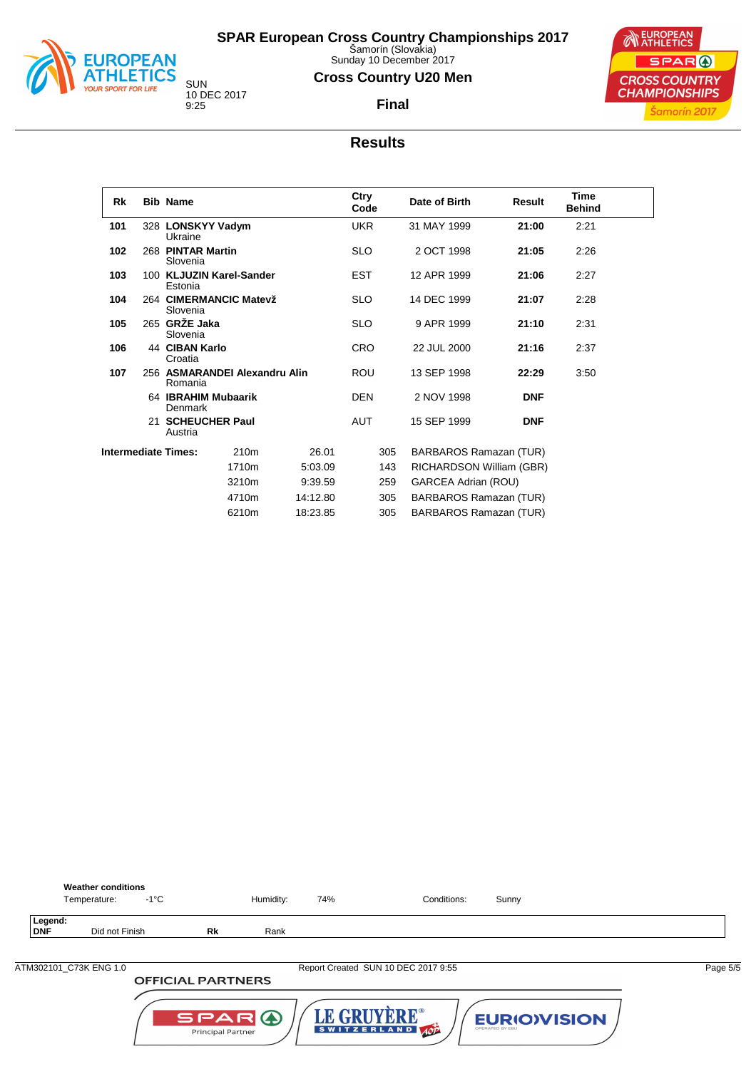

Sunday 10 December 2017

### **Cross Country U20 Men**

**Final**



### **Results**

| Rk                         | <b>Bib Name</b>               |                               |          | Ctry<br>Code |     | Date of Birth            | Result     | <b>Time</b><br><b>Behind</b> |  |
|----------------------------|-------------------------------|-------------------------------|----------|--------------|-----|--------------------------|------------|------------------------------|--|
| 101                        | 328 LONSKYY Vadym<br>Ukraine  |                               |          | <b>UKR</b>   |     | 31 MAY 1999              | 21:00      | 2:21                         |  |
| 102                        | 268 PINTAR Martin<br>Slovenia |                               |          | <b>SLO</b>   |     | 2 OCT 1998               | 21:05      | 2:26                         |  |
| 103                        | Estonia                       | 100 KLJUZIN Karel-Sander      |          | <b>EST</b>   |     | 12 APR 1999              | 21:06      | 2:27                         |  |
| 104                        | Slovenia                      | 264 CIMERMANCIC Matevž        |          | <b>SLO</b>   |     | 14 DEC 1999              | 21:07      | 2:28                         |  |
| 105                        | 265 GRŽE Jaka<br>Slovenia     |                               |          | <b>SLO</b>   |     | 9 APR 1999               | 21:10      | 2:31                         |  |
| 106                        | 44 CIBAN Karlo<br>Croatia     |                               |          | <b>CRO</b>   |     | 22 JUL 2000              | 21:16      | 2:37                         |  |
| 107                        | Romania                       | 256 ASMARANDEI Alexandru Alin |          | <b>ROU</b>   |     | 13 SEP 1998              | 22:29      | 3:50                         |  |
|                            | Denmark                       | 64 IBRAHIM Mubaarik           |          | <b>DEN</b>   |     | 2 NOV 1998               | <b>DNF</b> |                              |  |
|                            | 21 SCHEUCHER Paul<br>Austria  |                               |          | <b>AUT</b>   |     | 15 SEP 1999              | <b>DNF</b> |                              |  |
| <b>Intermediate Times:</b> |                               | 210 <sub>m</sub>              | 26.01    |              | 305 | BARBAROS Ramazan (TUR)   |            |                              |  |
|                            |                               | 1710m                         | 5:03.09  |              | 143 | RICHARDSON William (GBR) |            |                              |  |
|                            |                               | 3210m                         | 9:39.59  |              | 259 | GARCEA Adrian (ROU)      |            |                              |  |
|                            |                               | 4710m                         | 14:12.80 |              | 305 | BARBAROS Ramazan (TUR)   |            |                              |  |
|                            |                               | 6210m                         | 18:23.85 |              | 305 | BARBAROS Ramazan (TUR)   |            |                              |  |

|                       | <b>Weather conditions</b><br>$-1^{\circ}$ C<br>Temperature: |    | Humidity: | 74% | Conditions:                         | Sunny |          |
|-----------------------|-------------------------------------------------------------|----|-----------|-----|-------------------------------------|-------|----------|
| Legend:<br><b>DNF</b> | Did not Finish                                              | Rk | Rank      |     |                                     |       |          |
|                       | ATM302101_C73K ENG 1.0                                      |    |           |     | Report Created SUN 10 DEC 2017 9:55 |       | Page 5/5 |
|                       | <b>OFFICIAL PARTNERS</b>                                    |    |           |     |                                     |       |          |

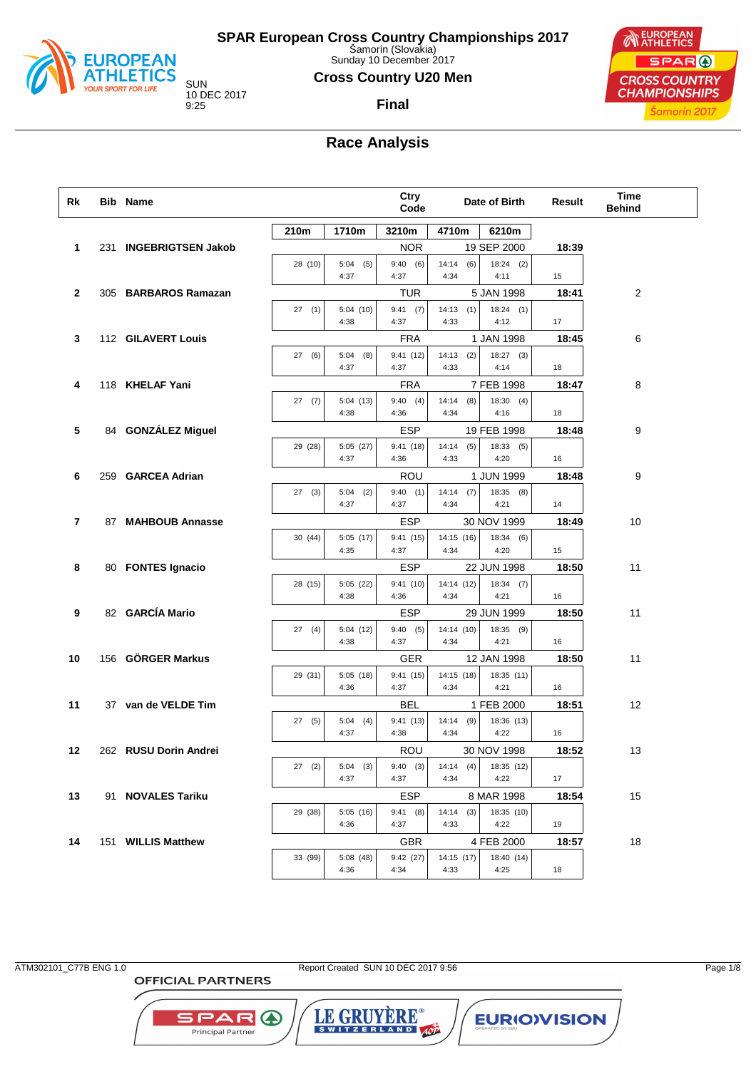

Sunday 10 December 2017

### **Cross Country U20 Men**

10 DEC 2017

**Final**



## **Race Analysis**

| Rk             | <b>Bib Name</b>        |         |                     | Ctry<br>Code       |                      | Date of Birth       | Result | <b>Time</b><br><b>Behind</b> |
|----------------|------------------------|---------|---------------------|--------------------|----------------------|---------------------|--------|------------------------------|
|                |                        | 210m    | 1710m               | 3210m              | 4710m                | 6210m               |        |                              |
| $\mathbf{1}$   | 231 INGEBRIGTSEN Jakob |         |                     | <b>NOR</b>         |                      | 19 SEP 2000         | 18:39  |                              |
|                |                        | 28 (10) | $5:04$ (5)<br>4:37  | 9:40(6)<br>4:37    | 14:14<br>(6)<br>4:34 | $18:24$ (2)<br>4:11 | 15     |                              |
| $\mathbf{2}$   | 305 BARBAROS Ramazan   |         |                     | TUR                |                      | 5 JAN 1998          | 18:41  | 2                            |
|                |                        | 27(1)   | 5:04(10)<br>4:38    | $9:41$ (7)<br>4:37 | 14:13(1)<br>4:33     | 18:24(1)<br>4:12    | 17     |                              |
| 3              | 112 GILAVERT Louis     |         |                     | <b>FRA</b>         |                      | 1 JAN 1998          | 18:45  | 6                            |
|                |                        | 27(6)   | $5:04$ (8)<br>4:37  | 9:41(12)<br>4:37   | (2)<br>14:13<br>4:33 | $18:27$ (3)<br>4:14 | 18     |                              |
| 4              | 118 KHELAF Yani        |         |                     | <b>FRA</b>         |                      | 7 FEB 1998          | 18:47  | 8                            |
|                |                        | 27(7)   | 5:04(13)<br>4:38    | 9:40(4)<br>4:36    | 14:14<br>(8)<br>4:34 | 18:30(4)<br>4:16    | 18     |                              |
| 5              | 84 GONZÁLEZ Miguel     |         |                     | <b>ESP</b>         |                      | 19 FEB 1998         | 18:48  | 9                            |
|                |                        | 29 (28) | 5:05 (27)<br>4:37   | 9:41(18)<br>4:36   | 14:14<br>(5)<br>4:33 | 18:33(5)<br>4:20    | 16     |                              |
| 6              | 259 GARCEA Adrian      |         |                     | ROU                |                      | 1 JUN 1999          | 18:48  | 9                            |
|                |                        | 27(3)   | $5:04$ (2)<br>4:37  | 9:40(1)<br>4:37    | $14:14$ (7)<br>4:34  | 18:35(8)<br>4:21    | 14     |                              |
| $\overline{7}$ | 87 MAHBOUB Annasse     |         |                     | <b>ESP</b>         |                      | 30 NOV 1999         | 18:49  | 10                           |
|                |                        | 30(44)  | 5:05(17)<br>4:35    | 9:41(15)<br>4:37   | 14:15 (16)<br>4:34   | 18:34(6)<br>4:20    | 15     |                              |
| 8              | 80 FONTES Ignacio      |         |                     | <b>ESP</b>         |                      | 22 JUN 1998         | 18:50  | 11                           |
|                |                        | 28 (15) | 5:05(22)<br>4:38    | 9:41(10)<br>4:36   | 14:14 (12)<br>4:34   | 18:34(7)<br>4:21    | 16     |                              |
| 9              | 82 GARCÍA Mario        |         |                     | <b>ESP</b>         |                      | 29 JUN 1999         | 18:50  | 11                           |
|                |                        | 27(4)   | 5:04(12)<br>4:38    | 9:40(5)<br>4:37    | 14:14 (10)<br>4:34   | 18:35 (9)<br>4:21   | 16     |                              |
| 10             | 156 GÖRGER Markus      |         |                     | GER                |                      | 12 JAN 1998         | 18:50  | 11                           |
|                |                        | 29 (31) | 5:05(18)<br>4:36    | 9:41(15)<br>4:37   | 14:15 (18)<br>4:34   | 18:35 (11)<br>4:21  | 16     |                              |
| 11             | 37 van de VELDE Tim    |         |                     | BEL                |                      | 1 FEB 2000          | 18:51  | 12                           |
|                |                        | 27(5)   | 5:04<br>(4)<br>4:37 | 9:41(13)<br>4:38   | 14:14<br>(9)<br>4:34 | 18:36 (13)<br>4:22  | 16     |                              |
| 12             | 262 RUSU Dorin Andrei  |         |                     | ROU                |                      | 30 NOV 1998         | 18:52  | 13                           |
|                |                        | 27(2)   | $5:04$ (3)<br>4:37  | 9:40(3)<br>4:37    | 14:14<br>(4)<br>4:34 | 18:35 (12)<br>4:22  | 17     |                              |
| 13             | 91 NOVALES Tariku      |         |                     | <b>ESP</b>         |                      | 8 MAR 1998          | 18:54  | 15                           |
|                |                        | 29 (38) | 5:05(16)<br>4:36    | 9:41(8)<br>4:37    | (3)<br>14:14<br>4:33 | 18:35 (10)<br>4:22  | 19     |                              |
| 14             | 151 WILLIS Matthew     |         |                     | <b>GBR</b>         |                      | 4 FEB 2000          | 18:57  | 18                           |
|                |                        | 33 (99) | 5:08 (48)<br>4:36   | 9:42(27)<br>4:34   | 14:15 (17)<br>4:33   | 18:40 (14)<br>4:25  | 18     |                              |

ATM302101\_C77B ENG 1.0 Report Created SUN 10 DEC 2017 9:56 Page 1/8

LE GRUYERE®

**EURIOVISION** 

**OFFICIAL PARTNERS** 

**SPARO**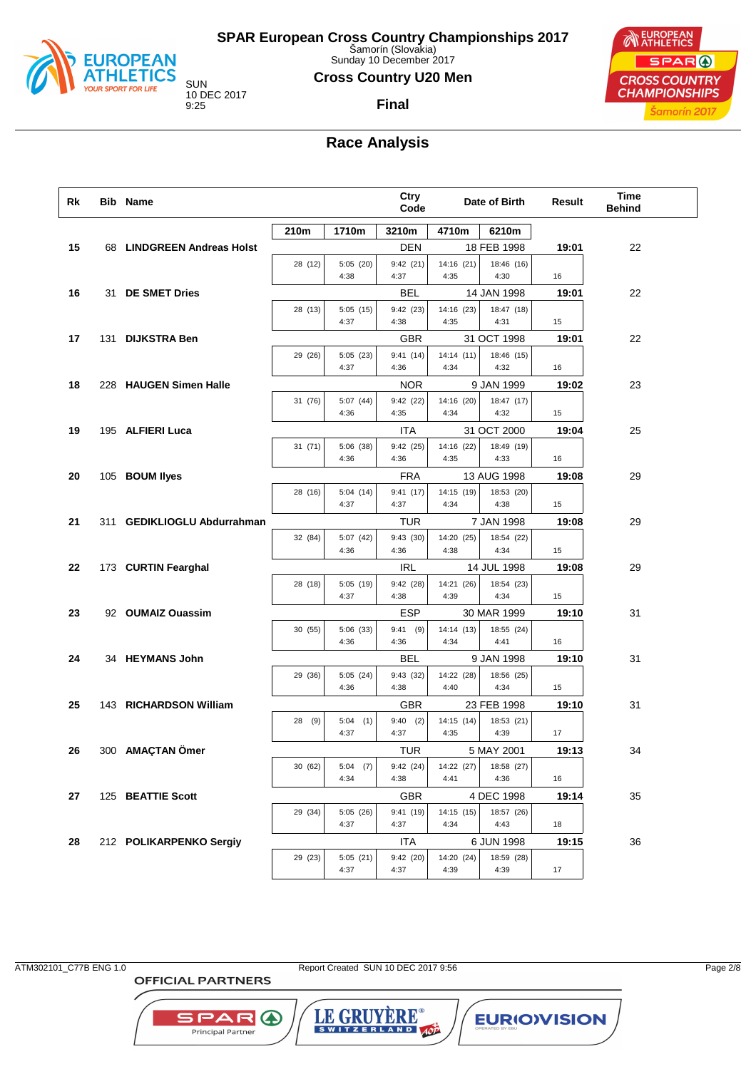

Sunday 10 December 2017

### **Cross Country U20 Men**

**Final**

10 DEC 2017

EUROPEAN SPAR ( **CROSS COUNTRY CHAMPIONSHIPS** Šamorín 2017

## **Race Analysis**

| Rk | <b>Bib Name</b>             |         |                     | Ctry<br>Code           |                    | Date of Birth             | Result | <b>Time</b><br><b>Behind</b> |  |
|----|-----------------------------|---------|---------------------|------------------------|--------------------|---------------------------|--------|------------------------------|--|
|    |                             | 210m    | 1710m               | 3210m                  | 4710m              | 6210m                     |        |                              |  |
| 15 | 68 LINDGREEN Andreas Holst  |         |                     | DEN                    |                    | 18 FEB 1998               | 19:01  | 22                           |  |
|    |                             | 28 (12) | 5:05(20)            | 9:42(21)               | 14:16 (21)         | 18:46 (16)                |        |                              |  |
|    |                             |         | 4:38                | 4:37                   | 4:35               | 4:30                      | 16     |                              |  |
| 16 | 31 DE SMET Dries            |         |                     | BEL                    |                    | 14 JAN 1998               | 19:01  | 22                           |  |
|    |                             | 28 (13) | 5:05(15)<br>4:37    | 9:42(23)<br>4:38       | 14:16 (23)<br>4:35 | 18:47 (18)<br>4:31        | 15     |                              |  |
| 17 | 131 DIJKSTRA Ben            |         |                     | GBR                    |                    | 31 OCT 1998               | 19:01  | 22                           |  |
|    |                             | 29 (26) | 5:05(23)            | 9:41(14)               | 14:14(11)          | 18:46 (15)                |        |                              |  |
|    |                             |         | 4:37                | 4:36                   | 4:34               | 4:32                      | 16     |                              |  |
| 18 | 228 HAUGEN Simen Halle      |         |                     | <b>NOR</b>             |                    | 9 JAN 1999                | 19:02  | 23                           |  |
|    |                             | 31 (76) | 5:07 (44)           | 9:42(22)               | 14:16 (20)         | 18:47 (17)                |        |                              |  |
|    |                             |         | 4:36                | 4:35                   | 4:34               | 4:32                      | 15     |                              |  |
| 19 | 195 ALFIERI Luca            |         |                     | ITA                    |                    | 31 OCT 2000               | 19:04  | 25                           |  |
|    |                             | 31(71)  | 5:06 (38)<br>4:36   | 9:42(25)<br>4:36       | 14:16 (22)<br>4:35 | 18:49 (19)<br>4:33        | 16     |                              |  |
|    |                             |         |                     |                        |                    |                           |        |                              |  |
| 20 | 105 BOUM llyes              | 28 (16) | 5:04(14)            | <b>FRA</b><br>9:41(17) | 14:15 (19)         | 13 AUG 1998<br>18:53 (20) | 19:08  | 29                           |  |
|    |                             |         | 4:37                | 4:37                   | 4:34               | 4:38                      | 15     |                              |  |
| 21 | 311 GEDIKLIOGLU Abdurrahman |         |                     | TUR                    |                    | 7 JAN 1998                | 19:08  | 29                           |  |
|    |                             | 32 (84) | 5:07(42)            | 9:43(30)               | 14:20 (25)         | 18:54 (22)                |        |                              |  |
|    |                             |         | 4:36                | 4:36                   | 4:38               | 4:34                      | 15     |                              |  |
| 22 | 173 CURTIN Fearghal         |         |                     | IRL                    |                    | 14 JUL 1998               | 19:08  | 29                           |  |
|    |                             | 28 (18) | 5:05(19)            | 9:42(28)               | 14:21 (26)         | 18:54 (23)                |        |                              |  |
|    |                             |         | 4:37                | 4:38                   | 4:39               | 4:34                      | 15     |                              |  |
| 23 | 92 OUMAIZ Ouassim           |         |                     | ESP<br>$9:41$ (9)      | 14:14 (13)         | 30 MAR 1999<br>18:55 (24) | 19:10  | 31                           |  |
|    |                             | 30 (55) | 5:06 (33)<br>4:36   | 4:36                   | 4:34               | 4:41                      | 16     |                              |  |
| 24 | 34 HEYMANS John             |         |                     | BEL                    |                    | 9 JAN 1998                | 19:10  | 31                           |  |
|    |                             | 29 (36) | 5:05(24)            | 9:43 (32)              | 14:22 (28)         | 18:56 (25)                |        |                              |  |
|    |                             |         | 4:36                | 4:38                   | 4:40               | 4:34                      | 15     |                              |  |
| 25 | 143 RICHARDSON William      |         |                     | GBR                    |                    | 23 FEB 1998               | 19:10  | 31                           |  |
|    |                             | 28 (9)  | 5:04<br>(1)         | $9:40$ (2)             | 14:15 (14)         | 18:53 (21)                |        |                              |  |
|    |                             |         | 4:37                | 4:37                   | 4:35               | 4:39                      | 17     |                              |  |
| 26 | 300 AMAÇTAN Ömer            |         |                     | TUR                    |                    | 5 MAY 2001                | 19:13  | 34                           |  |
|    |                             | 30 (62) | 5:04<br>(7)<br>4:34 | 9:42(24)<br>4:38       | 14:22 (27)<br>4:41 | 18:58 (27)<br>4:36        | 16     |                              |  |
| 27 | 125 BEATTIE Scott           |         |                     | <b>GBR</b>             |                    | 4 DEC 1998                | 19:14  | 35                           |  |
|    |                             | 29 (34) | 5:05 (26)           | 9:41 (19)              | 14:15 (15)         | 18:57 (26)                |        |                              |  |
|    |                             |         | 4:37                | 4:37                   | 4:34               | 4:43                      | 18     |                              |  |
| 28 | 212 POLIKARPENKO Sergiy     |         |                     | ITA                    |                    | 6 JUN 1998                | 19:15  | 36                           |  |
|    |                             | 29 (23) | 5:05(21)            | 9:42(20)               | 14:20 (24)         | 18:59 (28)                |        |                              |  |
|    |                             |         | 4:37                | 4:37                   | 4:39               | 4:39                      | 17     |                              |  |

**OFFICIAL PARTNERS** 

**SPARO** 

Principal Partner

ATM302101\_C77B ENG 1.0 Report Created SUN 10 DEC 2017 9:56 Page 2/8

LE GRUYERE®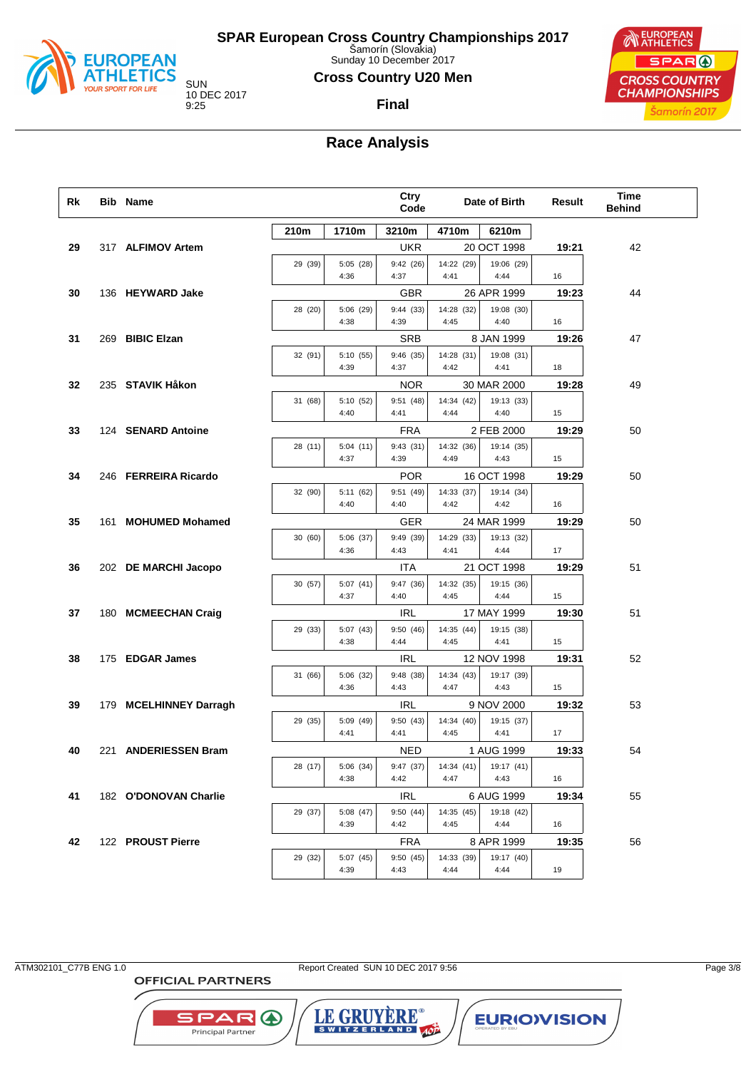

Sunday 10 December 2017

### **Cross Country U20 Men**

**Final**

10 DEC 2017

EUROPEAN SPAR ( **CROSS COUNTRY CHAMPIONSHIPS** Šamorín 2017

## **Race Analysis**

| Rk | <b>Bib Name</b>        |         |                   | Ctry<br>Code      |                    | Date of Birth      | Result | Time<br><b>Behind</b> |
|----|------------------------|---------|-------------------|-------------------|--------------------|--------------------|--------|-----------------------|
|    |                        | 210m    | 1710m             | 3210m             | 4710m              | 6210m              |        |                       |
| 29 | 317 ALFIMOV Artem      |         |                   | UKR               |                    | 20 OCT 1998        | 19:21  | 42                    |
|    |                        | 29 (39) | 5:05 (28)<br>4:36 | 9:42(26)<br>4:37  | 14:22 (29)<br>4:41 | 19:06 (29)<br>4:44 | 16     |                       |
| 30 | 136 HEYWARD Jake       |         |                   | GBR               |                    | 26 APR 1999        | 19:23  | 44                    |
|    |                        | 28 (20) | 5:06 (29)<br>4:38 | 9:44(33)<br>4:39  | 14:28 (32)<br>4:45 | 19:08 (30)<br>4:40 | 16     |                       |
| 31 | 269 BIBIC Elzan        |         |                   | <b>SRB</b>        |                    | 8 JAN 1999         | 19:26  | 47                    |
|    |                        | 32 (91) | 5:10 (55)         | 9:46(35)          | 14:28 (31)         | 19:08 (31)         |        |                       |
|    |                        |         | 4:39              | 4:37              | 4:42               | 4:41               | 18     |                       |
| 32 | 235 STAVIK Håkon       |         |                   | <b>NOR</b>        |                    | 30 MAR 2000        | 19:28  | 49                    |
|    |                        | 31 (68) | 5:10 (52)<br>4:40 | 9:51(48)<br>4:41  | 14:34 (42)<br>4:44 | 19:13 (33)<br>4:40 | 15     |                       |
| 33 | 124 SENARD Antoine     |         |                   | <b>FRA</b>        |                    | 2 FEB 2000         | 19:29  | 50                    |
|    |                        | 28 (11) | 5:04(11)<br>4:37  | 9:43(31)<br>4:39  | 14:32 (36)<br>4:49 | 19:14 (35)<br>4:43 | 15     |                       |
| 34 | 246 FERREIRA Ricardo   |         |                   | <b>POR</b>        |                    | 16 OCT 1998        | 19:29  | 50                    |
|    |                        | 32 (90) | 5:11 (62)<br>4:40 | 9:51(49)<br>4:40  | 14:33 (37)<br>4:42 | 19:14 (34)<br>4:42 | 16     |                       |
| 35 | 161 MOHUMED Mohamed    |         |                   | GER               |                    | 24 MAR 1999        | 19:29  | 50                    |
|    |                        | 30 (60) | 5:06 (37)<br>4:36 | 9:49 (39)<br>4:43 | 14:29 (33)<br>4:41 | 19:13 (32)<br>4:44 | 17     |                       |
| 36 | 202 DE MARCHI Jacopo   |         |                   | ITA               |                    | 21 OCT 1998        | 19:29  | 51                    |
|    |                        | 30 (57) | 5:07(41)<br>4:37  | 9:47(36)<br>4:40  | 14:32 (35)<br>4:45 | 19:15 (36)<br>4:44 | 15     |                       |
| 37 | 180 MCMEECHAN Craig    |         |                   | IRL               |                    | 17 MAY 1999        | 19:30  | 51                    |
|    |                        | 29 (33) | 5:07 (43)<br>4:38 | 9:50(46)<br>4:44  | 14:35 (44)<br>4:45 | 19:15 (38)<br>4:41 | 15     |                       |
| 38 | 175 EDGAR James        |         |                   | IRL               |                    | 12 NOV 1998        | 19:31  | 52                    |
|    |                        | 31 (66) | 5:06 (32)<br>4:36 | 9:48(38)<br>4:43  | 14:34 (43)<br>4:47 | 19:17 (39)<br>4:43 | 15     |                       |
| 39 | 179 MCELHINNEY Darragh |         |                   | IRL               |                    | 9 NOV 2000         | 19:32  | 53                    |
|    |                        | 29 (35) | 5:09 (49)<br>4:41 | 9:50(43)<br>4:41  | 14:34 (40)<br>4:45 | 19:15 (37)<br>4:41 | 17     |                       |
| 40 | 221 ANDERIESSEN Bram   |         |                   | NED               |                    | 1 AUG 1999         | 19:33  | 54                    |
|    |                        | 28 (17) | 5:06 (34)<br>4:38 | 9:47 (37)<br>4:42 | 14:34(41)<br>4:47  | 19:17 (41)<br>4:43 | 16     |                       |
| 41 | 182 O'DONOVAN Charlie  |         |                   | IRL               |                    | 6 AUG 1999         | 19:34  | 55                    |
|    |                        | 29 (37) | 5:08 (47)<br>4:39 | 9:50(44)<br>4:42  | 14:35 (45)<br>4:45 | 19:18 (42)<br>4:44 | 16     |                       |
| 42 | 122 PROUST Pierre      |         |                   | <b>FRA</b>        |                    | 8 APR 1999         | 19:35  | 56                    |
|    |                        | 29 (32) | 5:07 (45)<br>4:39 | 9:50(45)<br>4:43  | 14:33 (39)<br>4:44 | 19:17 (40)<br>4:44 | 19     |                       |

**OFFICIAL PARTNERS** 

**SPARO** 

Principal Partner

ATM302101\_C77B ENG 1.0 Report Created SUN 10 DEC 2017 9:56 Page 3/8

LE GRUYERE®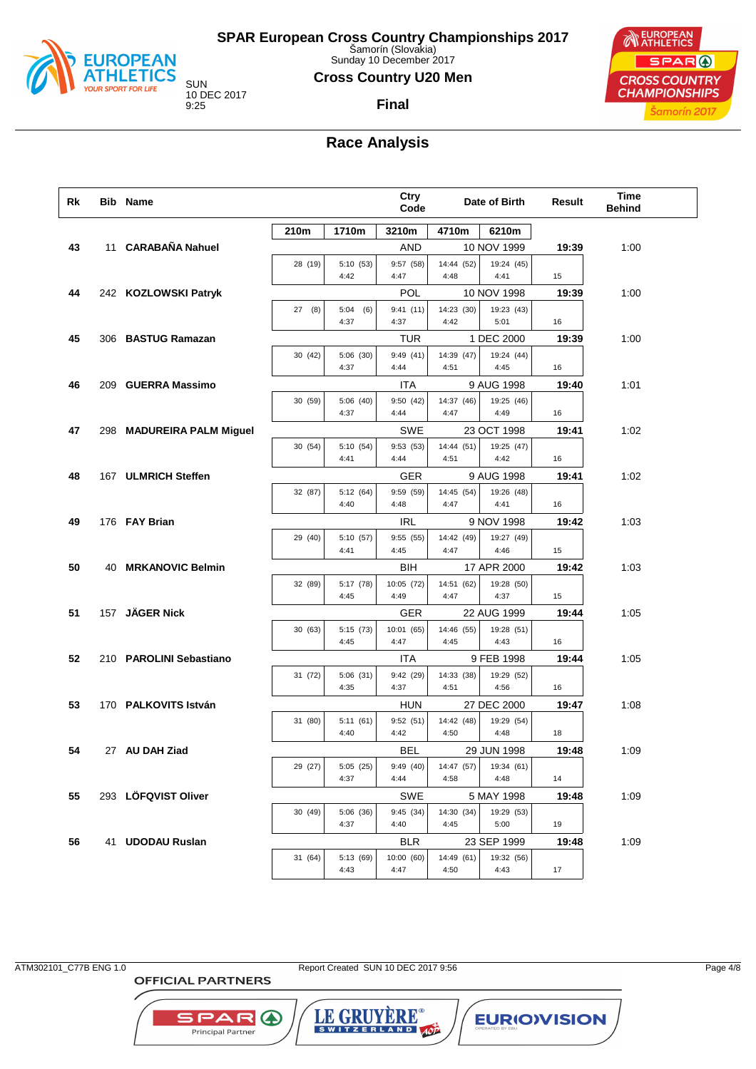

Sunday 10 December 2017

### **Cross Country U20 Men**

**Final**

10 DEC 2017



## **Race Analysis**

| Rk | <b>Bib Name</b>           |         |                   | <b>Ctry</b><br>Code |                    | Date of Birth            | Result | Time<br><b>Behind</b> |
|----|---------------------------|---------|-------------------|---------------------|--------------------|--------------------------|--------|-----------------------|
|    |                           | 210m    | 1710m             | 3210m               | 4710m              | 6210m                    |        |                       |
| 43 | 11 CARABAÑA Nahuel        |         |                   | <b>AND</b>          |                    | 10 NOV 1999              | 19:39  | 1:00                  |
|    |                           | 28 (19) | 5:10 (53)         | 9:57 (58)           | 14:44 (52)         | 19:24 (45)               |        |                       |
|    |                           |         | 4:42              | 4:47                | 4:48               | 4:41                     | 15     |                       |
| 44 | 242 KOZLOWSKI Patryk      |         |                   | POL                 |                    | 10 NOV 1998              | 19:39  | 1:00                  |
|    |                           | 27(8)   | 5:04(6)           | 9:41(11)            | 14:23 (30)         | 19:23 (43)               |        |                       |
|    |                           |         | 4:37              | 4:37                | 4:42               | 5:01                     | 16     |                       |
| 45 | 306 BASTUG Ramazan        |         |                   | TUR                 |                    | 1 DEC 2000               | 19:39  | 1:00                  |
|    |                           | 30 (42) | 5:06 (30)<br>4:37 | 9:49(41)<br>4:44    | 14:39 (47)<br>4:51 | 19:24 (44)<br>4:45       | 16     |                       |
|    |                           |         |                   |                     |                    |                          | 19:40  |                       |
| 46 | 209 GUERRA Massimo        |         | 5:06 (40)         | ITA                 | 14:37 (46)         | 9 AUG 1998<br>19:25 (46) |        | 1:01                  |
|    |                           | 30 (59) | 4:37              | 9:50 (42)<br>4:44   | 4:47               | 4:49                     | 16     |                       |
| 47 | 298 MADUREIRA PALM Miguel |         |                   | SWE                 |                    | 23 OCT 1998              | 19:41  | 1:02                  |
|    |                           | 30 (54) | 5:10 (54)         | 9:53 (53)           | 14:44 (51)         | 19:25 (47)               |        |                       |
|    |                           |         | 4:41              | 4:44                | 4:51               | 4:42                     | 16     |                       |
| 48 | 167 ULMRICH Steffen       |         |                   | <b>GER</b>          |                    | 9 AUG 1998               | 19:41  | 1:02                  |
|    |                           | 32 (87) | 5:12 (64)         | 9:59 (59)           | 14:45 (54)         | 19:26 (48)               |        |                       |
|    |                           |         | 4:40              | 4:48                | 4:47               | 4:41                     | 16     |                       |
| 49 | 176 FAY Brian             |         |                   | <b>IRL</b>          |                    | 9 NOV 1998               | 19:42  | 1:03                  |
|    |                           | 29 (40) | 5:10 (57)         | 9:55 (55)           | 14:42 (49)         | 19:27 (49)               |        |                       |
|    |                           |         | 4:41              | 4:45                | 4:47               | 4:46                     | 15     |                       |
| 50 | 40 MRKANOVIC Belmin       |         |                   | BIH                 |                    | 17 APR 2000              | 19:42  | 1:03                  |
|    |                           | 32 (89) | 5:17 (78)         | 10:05 (72)          | 14:51 (62)         | 19:28 (50)               |        |                       |
|    |                           |         | 4:45              | 4:49                | 4:47               | 4:37                     | 15     |                       |
| 51 | 157 JÄGER Nick            |         |                   | <b>GER</b>          |                    | 22 AUG 1999              | 19:44  | 1:05                  |
|    |                           | 30(63)  | 5:15 (73)<br>4:45 | 10:01 (65)<br>4:47  | 14:46 (55)<br>4:45 | 19:28 (51)<br>4:43       | 16     |                       |
| 52 | 210 PAROLINI Sebastiano   |         |                   | ITA                 |                    | 9 FEB 1998               | 19:44  | 1:05                  |
|    |                           | 31 (72) | 5:06(31)          | 9:42 (29)           | 14:33 (38)         | 19:29 (52)               |        |                       |
|    |                           |         | 4:35              | 4:37                | 4:51               | 4:56                     | 16     |                       |
| 53 | 170 PALKOVITS István      |         |                   | <b>HUN</b>          |                    | 27 DEC 2000              | 19:47  | 1:08                  |
|    |                           | 31 (80) | 5:11(61)          | 9:52(51)            | 14:42 (48)         | 19:29 (54)               |        |                       |
|    |                           |         | 4:40              | 4:42                | 4:50               | 4:48                     | 18     |                       |
| 54 | 27 AU DAH Ziad            |         |                   | BEL                 |                    | 29 JUN 1998              | 19:48  | 1:09                  |
|    |                           | 29 (27) | 5:05(25)          | 9:49(40)            | 14:47 (57)         | 19:34 (61)               |        |                       |
|    |                           |         | 4:37              | 4:44                | 4:58               | 4:48                     | 14     |                       |
| 55 | 293 LÖFQVIST Oliver       |         |                   | SWE                 |                    | 5 MAY 1998               | 19:48  | 1:09                  |
|    |                           | 30 (49) | 5:06 (36)         | 9:45(34)            | 14:30 (34)         | 19:29 (53)               |        |                       |
|    |                           |         | 4:37              | 4:40                | 4:45               | 5:00                     | 19     |                       |
| 56 | 41 UDODAU Ruslan          |         |                   | <b>BLR</b>          |                    | 23 SEP 1999              | 19:48  | 1:09                  |
|    |                           | 31 (64) | 5:13 (69)<br>4:43 | 10:00 (60)<br>4:47  | 14:49 (61)<br>4:50 | 19:32 (56)<br>4:43       | 17     |                       |
|    |                           |         |                   |                     |                    |                          |        |                       |

ATM302101\_C77B ENG 1.0 Report Created SUN 10 DEC 2017 9:56 Page 4/8

**OFFICIAL PARTNERS** 

**SPARO** Principal Partner

LE GRUYERE® **EURIOVISION**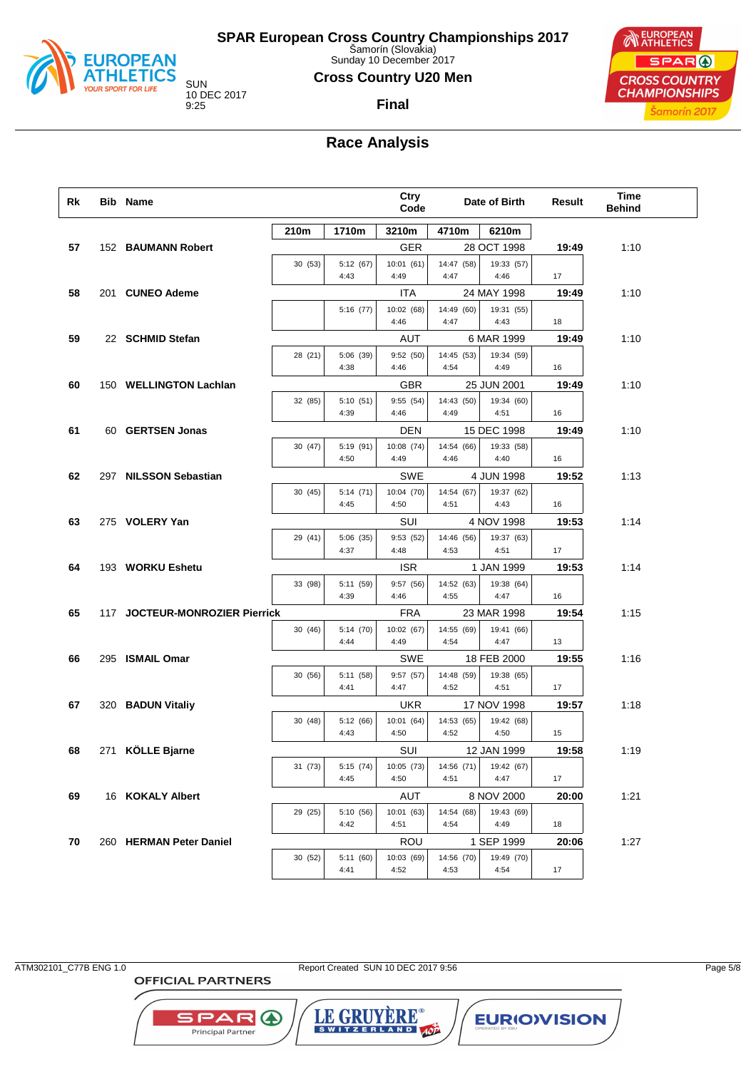

Sunday 10 December 2017

### **Cross Country U20 Men**

**Final**

EUROPEAN SPAR ( **CROSS COUNTRY CHAMPIONSHIPS** Šamorín 2017

## **Race Analysis**

| Rk | <b>Bib Name</b>                |         |                   | <b>Ctry</b><br>Code |                    | Date of Birth      | Result | <b>Time</b><br><b>Behind</b> |  |
|----|--------------------------------|---------|-------------------|---------------------|--------------------|--------------------|--------|------------------------------|--|
|    |                                | 210m    | 1710m             | 3210m               | 4710m              | 6210m              |        |                              |  |
| 57 | 152 BAUMANN Robert             |         |                   | <b>GER</b>          |                    | 28 OCT 1998        | 19:49  | 1:10                         |  |
|    |                                | 30(53)  | 5:12 (67)         | 10:01(61)           | 14:47 (58)         | 19:33 (57)         |        |                              |  |
|    |                                |         | 4:43              | 4:49                | 4:47               | 4:46               | 17     |                              |  |
| 58 | 201 CUNEO Ademe                |         |                   | ITA                 |                    | 24 MAY 1998        | 19:49  | 1:10                         |  |
|    |                                |         | 5:16 (77)         | 10:02 (68)          | 14:49 (60)         | 19:31 (55)         |        |                              |  |
|    |                                |         |                   | 4:46                | 4:47               | 4:43               | 18     |                              |  |
| 59 | 22 SCHMID Stefan               |         |                   | AUT                 |                    | 6 MAR 1999         | 19:49  | 1:10                         |  |
|    |                                | 28 (21) | 5:06 (39)<br>4:38 | 9:52(50)<br>4:46    | 14:45 (53)<br>4:54 | 19:34 (59)<br>4:49 | 16     |                              |  |
| 60 | 150 WELLINGTON Lachlan         |         |                   | <b>GBR</b>          |                    | 25 JUN 2001        | 19:49  | 1:10                         |  |
|    |                                | 32 (85) | 5:10(51)          | 9:55(54)            | 14:43 (50)         | 19:34 (60)         |        |                              |  |
|    |                                |         | 4:39              | 4:46                | 4:49               | 4:51               | 16     |                              |  |
| 61 | 60 GERTSEN Jonas               |         |                   | <b>DEN</b>          |                    | 15 DEC 1998        | 19:49  | 1:10                         |  |
|    |                                | 30(47)  | 5:19 (91)         | 10:08 (74)          | 14:54 (66)         | 19:33 (58)         |        |                              |  |
|    |                                |         | 4:50              | 4:49                | 4:46               | 4:40               | 16     |                              |  |
| 62 | 297 NILSSON Sebastian          |         |                   | SWE                 |                    | 4 JUN 1998         | 19:52  | 1:13                         |  |
|    |                                | 30(45)  | 5:14 (71)         | 10:04 (70)          | 14:54 (67)         | 19:37 (62)         |        |                              |  |
|    |                                |         | 4:45              | 4:50                | 4:51               | 4:43               | 16     |                              |  |
| 63 | 275 VOLERY Yan                 |         |                   | SUI                 |                    | 4 NOV 1998         | 19:53  | 1:14                         |  |
|    |                                | 29 (41) | 5:06 (35)<br>4:37 | 9:53 (52)<br>4:48   | 14:46 (56)<br>4:53 | 19:37 (63)<br>4:51 |        |                              |  |
|    |                                |         |                   |                     |                    |                    | 17     |                              |  |
| 64 | 193 WORKU Eshetu               |         |                   | <b>ISR</b>          |                    | 1 JAN 1999         | 19:53  | 1:14                         |  |
|    |                                | 33 (98) | 5:11 (59)<br>4:39 | 9:57 (56)<br>4:46   | 14:52 (63)<br>4:55 | 19:38 (64)<br>4:47 | 16     |                              |  |
| 65 | 117 JOCTEUR-MONROZIER Pierrick |         |                   | <b>FRA</b>          |                    | 23 MAR 1998        | 19:54  | 1:15                         |  |
|    |                                | 30 (46) | 5:14 (70)         | 10:02 (67)          | 14:55 (69)         | 19:41 (66)         |        |                              |  |
|    |                                |         | 4:44              | 4:49                | 4:54               | 4:47               | 13     |                              |  |
| 66 | 295 ISMAIL Omar                |         |                   | SWE                 |                    | 18 FEB 2000        | 19:55  | 1:16                         |  |
|    |                                | 30 (56) | 5:11 (58)         | 9:57(57)            | 14:48 (59)         | 19:38 (65)         |        |                              |  |
|    |                                |         | 4:41              | 4:47                | 4:52               | 4:51               | 17     |                              |  |
| 67 | 320 BADUN Vitaliy              |         |                   | <b>UKR</b>          |                    | 17 NOV 1998        | 19:57  | 1:18                         |  |
|    |                                | 30(48)  | 5:12 (66)         | 10:01 (64)          | 14:53 (65)         | 19:42 (68)         |        |                              |  |
|    |                                |         | 4:43              | 4:50                | 4:52               | 4:50               | 15     |                              |  |
| 68 | 271 KÖLLE Bjarne               |         |                   | SUI                 |                    | 12 JAN 1999        | 19:58  | 1:19                         |  |
|    |                                | 31 (73) | 5:15 (74)<br>4:45 | 10:05 (73)<br>4:50  | 14:56 (71)<br>4:51 | 19:42 (67)<br>4:47 | 17     |                              |  |
| 69 | 16 KOKALY Albert               |         |                   | AUT                 |                    | 8 NOV 2000         | 20:00  | 1:21                         |  |
|    |                                | 29 (25) | 5:10 (56)         | 10:01 (63)          | 14:54 (68)         | 19:43 (69)         |        |                              |  |
|    |                                |         | 4:42              | 4:51                | 4:54               | 4:49               | 18     |                              |  |
| 70 | 260 HERMAN Peter Daniel        |         |                   | ROU                 |                    | 1 SEP 1999         | 20:06  | 1:27                         |  |
|    |                                | 30 (52) | 5:11(60)          | 10:03 (69)          | 14:56 (70)         | 19:49 (70)         |        |                              |  |
|    |                                |         | 4:41              | 4:52                | 4:53               | 4:54               | 17     |                              |  |

**OFFICIAL PARTNERS** 

**SPARO** 

Principal Partner

ATM302101\_C77B ENG 1.0 Report Created SUN 10 DEC 2017 9:56 Page 5/8

LE GRUYERE®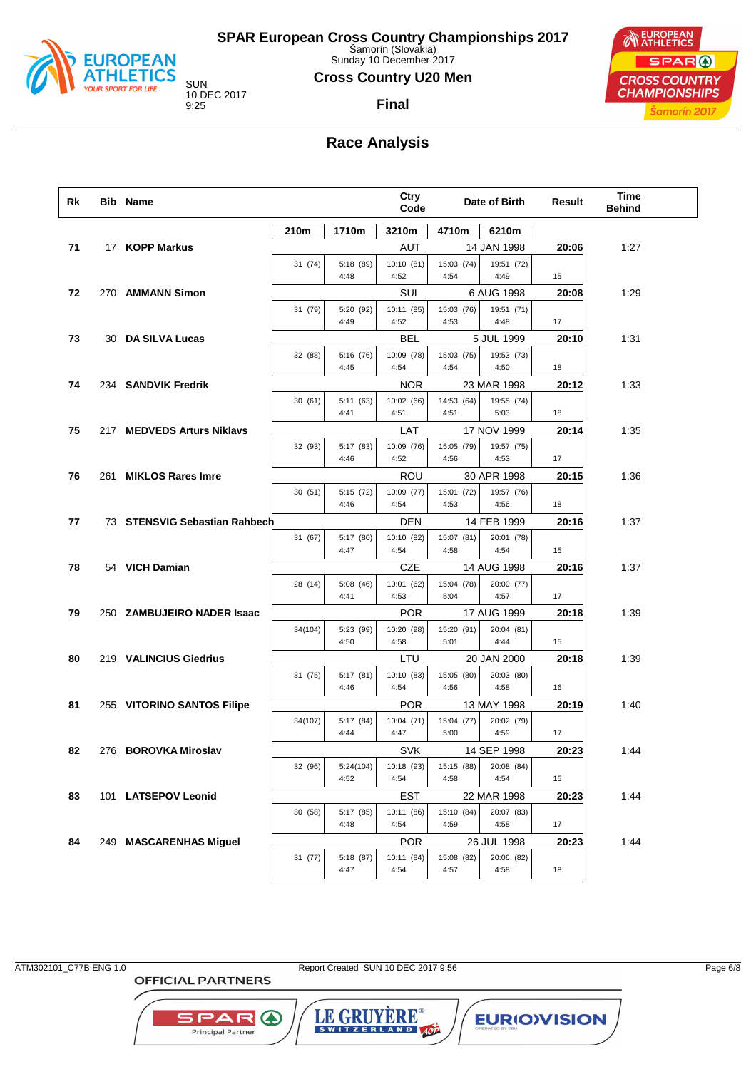

Sunday 10 December 2017

### **Cross Country U20 Men**

10 DEC 2017

## **Final**



## **Race Analysis**

| Rk | <b>Bib Name</b>               |         |                   | Ctry<br>Code       |                    | Date of Birth             | Result | Time<br><b>Behind</b> |
|----|-------------------------------|---------|-------------------|--------------------|--------------------|---------------------------|--------|-----------------------|
|    |                               | 210m    | 1710m             | 3210m              | 4710m              | 6210m                     |        |                       |
| 71 | 17 KOPP Markus                |         |                   | AUT                |                    | 14 JAN 1998               | 20:06  | 1:27                  |
|    |                               | 31 (74) | 5:18 (89)<br>4:48 | 10:10 (81)<br>4:52 | 15:03 (74)<br>4:54 | 19:51 (72)<br>4:49        | 15     |                       |
| 72 | 270 AMMANN Simon              |         |                   | SUI                |                    | 6 AUG 1998                | 20:08  | 1:29                  |
|    |                               | 31 (79) | 5:20 (92)         | 10:11 (85)         | 15:03 (76)         | 19:51 (71)                |        |                       |
|    |                               |         | 4:49              | 4:52               | 4:53               | 4:48                      | 17     |                       |
| 73 | 30 DA SILVA Lucas             |         |                   | BEL                |                    | 5 JUL 1999                | 20:10  | 1:31                  |
|    |                               | 32 (88) | 5:16(76)          | 10:09 (78)         | 15:03 (75)         | 19:53 (73)                |        |                       |
|    |                               |         | 4:45              | 4:54               | 4:54               | 4:50                      | 18     |                       |
| 74 | 234 SANDVIK Fredrik           |         |                   | <b>NOR</b>         |                    | 23 MAR 1998               | 20:12  | 1:33                  |
|    |                               | 30(61)  | 5:11(63)<br>4:41  | 10:02 (66)<br>4:51 | 14:53 (64)<br>4:51 | 19:55 (74)<br>5:03        | 18     |                       |
|    |                               |         |                   |                    |                    |                           |        |                       |
| 75 | 217 MEDVEDS Arturs Niklavs    | 32 (93) | 5:17 (83)         | LAT<br>10:09 (76)  | 15:05 (79)         | 17 NOV 1999<br>19:57 (75) | 20:14  | 1:35                  |
|    |                               |         | 4:46              | 4:52               | 4:56               | 4:53                      | 17     |                       |
| 76 | 261 MIKLOS Rares Imre         |         |                   | ROU                |                    | 30 APR 1998               | 20:15  | 1:36                  |
|    |                               | 30(51)  | 5:15 (72)         | 10:09 (77)         | 15:01 (72)         | 19:57 (76)                |        |                       |
|    |                               |         | 4:46              | 4:54               | 4:53               | 4:56                      | 18     |                       |
| 77 | 73 STENSVIG Sebastian Rahbech |         |                   | DEN                |                    | 14 FEB 1999               | 20:16  | 1:37                  |
|    |                               | 31 (67) | 5:17 (80)         | 10:10 (82)         | 15:07 (81)         | 20:01 (78)                |        |                       |
|    |                               |         | 4:47              | 4:54               | 4:58               | 4:54                      | 15     |                       |
| 78 | 54 VICH Damian                |         |                   | CZE                |                    | 14 AUG 1998               | 20:16  | 1:37                  |
|    |                               | 28 (14) | 5:08(46)<br>4:41  | 10:01 (62)<br>4:53 | 15:04 (78)<br>5:04 | 20:00 (77)<br>4:57        | 17     |                       |
| 79 | 250 ZAMBUJEIRO NADER Isaac    |         |                   | <b>POR</b>         |                    | 17 AUG 1999               | 20:18  | 1:39                  |
|    |                               | 34(104) | 5:23 (99)         | 10:20 (98)         | 15:20 (91)         | 20:04 (81)                |        |                       |
|    |                               |         | 4:50              | 4:58               | 5:01               | 4:44                      | 15     |                       |
| 80 | 219 VALINCIUS Giedrius        |         |                   | LTU                |                    | 20 JAN 2000               | 20:18  | 1:39                  |
|    |                               | 31 (75) | 5:17 (81)         | 10:10 (83)         | 15:05 (80)         | 20:03 (80)                |        |                       |
|    |                               |         | 4:46              | 4:54               | 4:56               | 4:58                      | 16     |                       |
| 81 | 255 VITORINO SANTOS Filipe    |         |                   | <b>POR</b>         |                    | 13 MAY 1998               | 20:19  | 1:40                  |
|    |                               | 34(107) | 5:17 (84)<br>4:44 | 10:04 (71)<br>4:47 | 15:04 (77)<br>5:00 | 20:02 (79)<br>4:59        | 17     |                       |
| 82 | 276 BOROVKA Miroslav          |         |                   | <b>SVK</b>         |                    | 14 SEP 1998               | 20:23  | 1:44                  |
|    |                               | 32 (96) | 5:24(104)         | 10:18 (93)         | 15:15 (88)         | 20:08 (84)                |        |                       |
|    |                               |         | 4:52              | 4:54               | 4:58               | 4:54                      | 15     |                       |
| 83 | 101 LATSEPOV Leonid           |         |                   | EST                |                    | 22 MAR 1998               | 20:23  | 1:44                  |
|    |                               | 30 (58) | 5:17 (85)         | 10:11 (86)         | 15:10 (84)         | 20:07 (83)                |        |                       |
|    |                               |         | 4:48              | 4:54               | 4:59               | 4:58                      | 17     |                       |
| 84 | 249 MASCARENHAS Miguel        |         |                   | <b>POR</b>         |                    | 26 JUL 1998               | 20:23  | 1:44                  |
|    |                               | 31 (77) | 5:18 (87)<br>4:47 | 10:11 (84)<br>4:54 | 15:08 (82)<br>4:57 | 20:06 (82)<br>4:58        | 18     |                       |
|    |                               |         |                   |                    |                    |                           |        |                       |

ATM302101\_C77B ENG 1.0 Report Created SUN 10 DEC 2017 9:56 Page 6/8

**OFFICIAL PARTNERS** 

**SPARO** Principal Partner

LE GRUYERE® **EURIOVISION**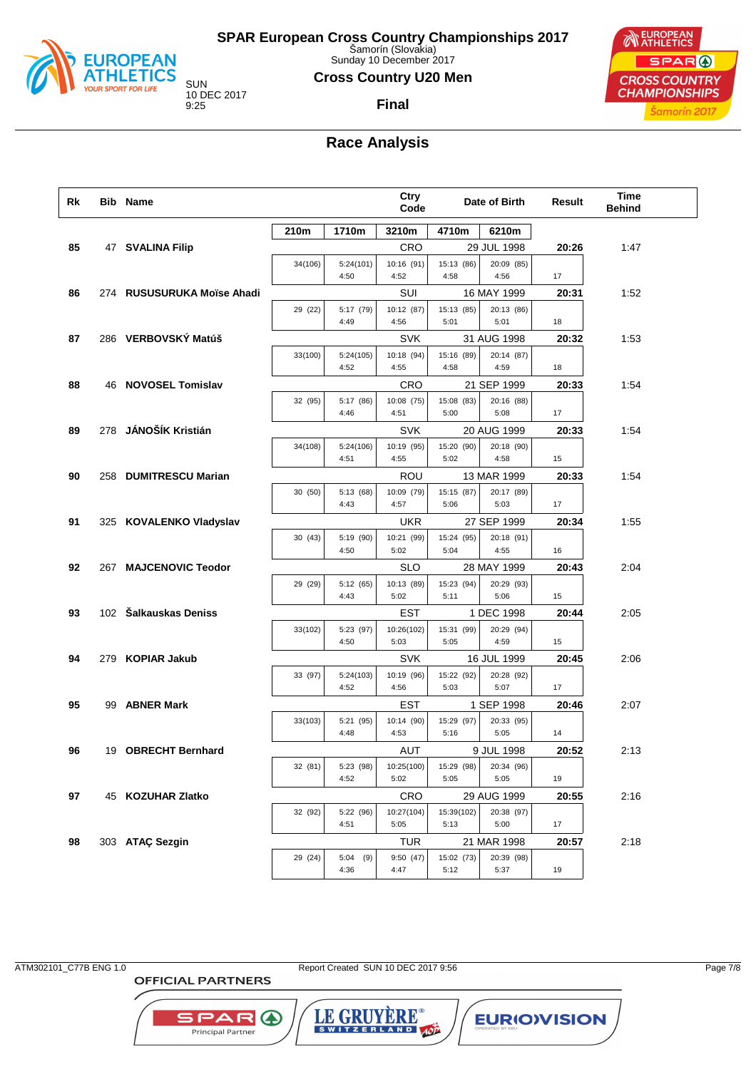

Sunday 10 December 2017

### **Cross Country U20 Men**

**Final**

10 DEC 2017



# **Race Analysis**

| Rk | <b>Bib Name</b>            |         |                     | Ctry<br>Code       |                    | Date of Birth             | Result | Time<br><b>Behind</b> |  |
|----|----------------------------|---------|---------------------|--------------------|--------------------|---------------------------|--------|-----------------------|--|
|    |                            | 210m    | 1710m               | 3210m              | 4710m              | 6210m                     |        |                       |  |
| 85 | 47 SVALINA Filip           |         |                     | CRO                |                    | 29 JUL 1998               | 20:26  | 1:47                  |  |
|    |                            | 34(106) | 5:24(101)           | 10:16 (91)         | 15:13 (86)         | 20:09 (85)                |        |                       |  |
|    |                            |         | 4:50                | 4:52               | 4:58               | 4:56                      | 17     |                       |  |
| 86 | 274 RUSUSURUKA Moïse Ahadi |         |                     | SUI                |                    | 16 MAY 1999               | 20:31  | 1:52                  |  |
|    |                            | 29 (22) | 5:17 (79)<br>4:49   | 10:12 (87)<br>4:56 | 15:13 (85)<br>5:01 | 20:13 (86)<br>5:01        | 18     |                       |  |
| 87 | 286 VERBOVSKÝ Matúš        |         |                     | <b>SVK</b>         |                    | 31 AUG 1998               | 20:32  | 1:53                  |  |
|    |                            | 33(100) | 5:24(105)           | 10:18 (94)         | 15:16 (89)         | 20:14 (87)                |        |                       |  |
|    |                            |         | 4:52                | 4:55               | 4:58               | 4:59                      | 18     |                       |  |
| 88 | 46 NOVOSEL Tomislav        |         |                     | <b>CRO</b>         |                    | 21 SEP 1999               | 20:33  | 1:54                  |  |
|    |                            | 32 (95) | 5:17 (86)           | 10:08 (75)         | 15:08 (83)         | 20:16 (88)                |        |                       |  |
|    |                            |         | 4:46                | 4:51               | 5:00               | 5:08                      | 17     |                       |  |
| 89 | 278 JÁNOŠÍK Kristián       |         |                     | <b>SVK</b>         |                    | 20 AUG 1999               | 20:33  | 1:54                  |  |
|    |                            | 34(108) | 5:24(106)<br>4:51   | 10:19 (95)<br>4:55 | 15:20 (90)<br>5:02 | 20:18 (90)<br>4:58        | 15     |                       |  |
| 90 | 258 DUMITRESCU Marian      |         |                     | ROU                |                    | 13 MAR 1999               | 20:33  | 1:54                  |  |
|    |                            | 30 (50) | 5:13 (68)           | 10:09 (79)         | 15:15 (87)         | 20:17 (89)                |        |                       |  |
|    |                            |         | 4:43                | 4:57               | 5:06               | 5:03                      | 17     |                       |  |
| 91 | 325 KOVALENKO Vladyslav    |         |                     | <b>UKR</b>         |                    | 27 SEP 1999               | 20:34  | 1:55                  |  |
|    |                            | 30 (43) | 5:19 (90)           | 10:21 (99)         | 15:24 (95)         | 20:18 (91)                |        |                       |  |
|    |                            |         | 4:50                | 5:02               | 5:04               | 4:55                      | 16     |                       |  |
| 92 | 267 MAJCENOVIC Teodor      |         |                     | SLO                |                    | 28 MAY 1999               | 20:43  | 2:04                  |  |
|    |                            | 29 (29) | 5:12 (65)<br>4:43   | 10:13 (89)<br>5:02 | 15:23 (94)<br>5:11 | 20:29 (93)<br>5:06        | 15     |                       |  |
| 93 | 102 Šalkauskas Deniss      |         |                     | <b>EST</b>         |                    | 1 DEC 1998                | 20:44  | 2:05                  |  |
|    |                            | 33(102) | 5:23 (97)           | 10:26(102)         | 15:31 (99)         | 20:29 (94)                |        |                       |  |
|    |                            |         | 4:50                | 5:03               | 5:05               | 4:59                      | 15     |                       |  |
| 94 | 279 KOPIAR Jakub           |         |                     | <b>SVK</b>         |                    | 16 JUL 1999               | 20:45  | 2:06                  |  |
|    |                            | 33 (97) | 5:24(103)           | 10:19 (96)         | 15:22 (92)         | 20:28 (92)                |        |                       |  |
|    |                            |         | 4:52                | 4:56               | 5:03               | 5:07                      | 17     |                       |  |
| 95 | 99 ABNER Mark              | 33(103) | 5:21 (95)           | EST                |                    | 1 SEP 1998<br>20:33 (95)  | 20:46  | 2:07                  |  |
|    |                            |         | 4:48                | 10:14 (90)<br>4:53 | 15:29 (97)<br>5:16 | 5:05                      | 14     |                       |  |
| 96 | 19 OBRECHT Bernhard        |         |                     | AUT                |                    | 9 JUL 1998                | 20:52  | 2:13                  |  |
|    |                            | 32 (81) | 5:23 (98)           | 10:25(100)         | 15:29 (98)         | 20:34 (96)                |        |                       |  |
|    |                            |         | 4:52                | 5:02               | 5:05               | 5:05                      | 19     |                       |  |
| 97 | 45 KOZUHAR Zlatko          |         |                     | <b>CRO</b>         |                    | 29 AUG 1999               | 20:55  | 2:16                  |  |
|    |                            | 32 (92) | 5:22 (96)           | 10:27(104)         | 15:39(102)         | 20:38 (97)                |        |                       |  |
|    |                            |         | 4:51                | 5:05               | 5:13               | 5:00                      | 17     |                       |  |
| 98 | 303 ATAÇ Sezgin            | 29 (24) |                     | TUR                |                    | 21 MAR 1998<br>20:39 (98) | 20:57  | 2:18                  |  |
|    |                            |         | 5:04<br>(9)<br>4:36 | 9:50 (47)<br>4:47  | 15:02 (73)<br>5:12 | 5:37                      | 19     |                       |  |
|    |                            |         |                     |                    |                    |                           |        |                       |  |

ATM302101\_C77B ENG 1.0 Report Created SUN 10 DEC 2017 9:56 Page 7/8

LE GRUYERE®

**EURIOVISION** 

**OFFICIAL PARTNERS** 

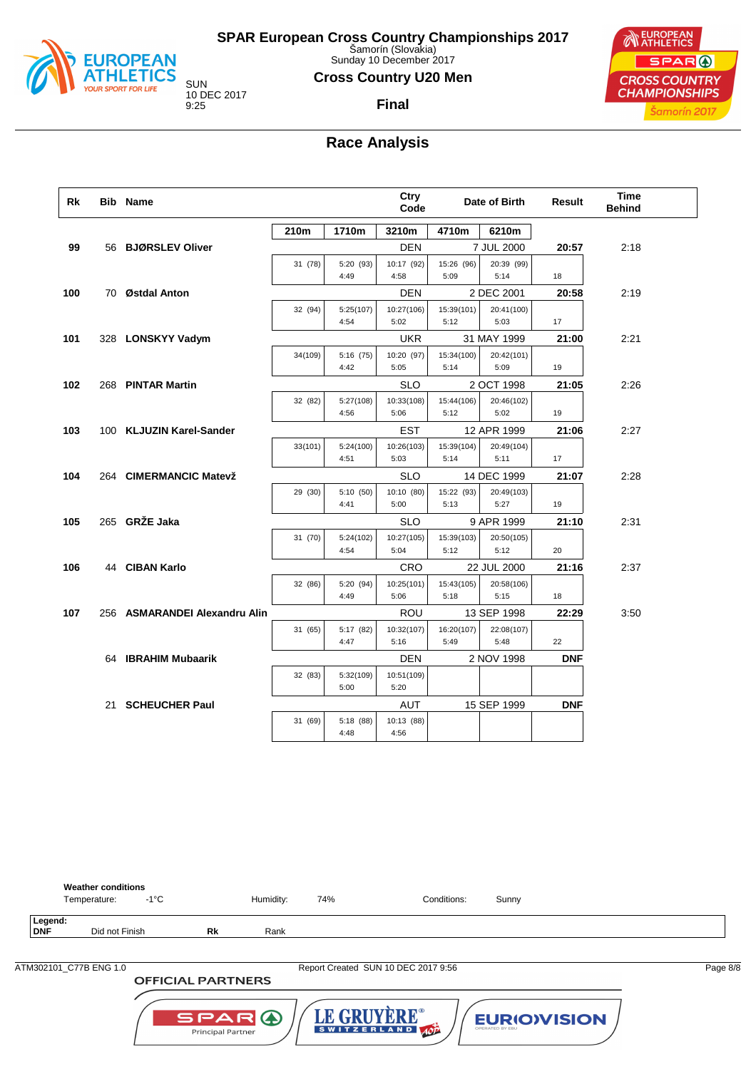

Sunday 10 December 2017

### **Cross Country U20 Men**

**Final**

10 DEC 2017

**NEUROPEAN** SPAR ( **CROSS COUNTRY CHAMPIONSHIPS** Šamorín 2017

## **Race Analysis**

| Rk  | <b>Bib Name</b>               |         |                   | Ctry<br>Code       |                    | Date of Birth      | Result     | <b>Time</b><br><b>Behind</b> |
|-----|-------------------------------|---------|-------------------|--------------------|--------------------|--------------------|------------|------------------------------|
|     |                               | 210m    | 1710m             | 3210m              | 4710m              | 6210m              |            |                              |
| 99  | 56 BJØRSLEV Oliver            |         |                   | <b>DEN</b>         |                    | 7 JUL 2000         | 20:57      | 2:18                         |
|     |                               | 31 (78) | 5:20 (93)<br>4:49 | 10:17 (92)<br>4:58 | 15:26 (96)<br>5:09 | 20:39 (99)<br>5:14 | 18         |                              |
| 100 | 70 Østdal Anton               |         |                   | <b>DEN</b>         |                    | 2 DEC 2001         | 20:58      | 2:19                         |
|     |                               | 32 (94) | 5:25(107)         | 10:27(106)         | 15:39(101)         | 20:41(100)         |            |                              |
|     |                               |         | 4:54              | 5:02               | 5:12               | 5:03               | 17         |                              |
| 101 | 328 LONSKYY Vadym             |         |                   | <b>UKR</b>         |                    | 31 MAY 1999        | 21:00      | 2:21                         |
|     |                               | 34(109) | 5:16(75)          | 10:20 (97)         | 15:34(100)         | 20:42(101)         |            |                              |
|     |                               |         | 4:42              | 5:05               | 5:14               | 5:09               | 19         |                              |
| 102 | 268 PINTAR Martin             |         |                   | <b>SLO</b>         |                    | 2 OCT 1998         | 21:05      | 2:26                         |
|     |                               | 32 (82) | 5:27(108)         | 10:33(108)         | 15:44(106)         | 20:46(102)         |            |                              |
|     |                               |         | 4:56              | 5:06               | 5:12               | 5:02               | 19         |                              |
| 103 | 100 KLJUZIN Karel-Sander      |         |                   | <b>EST</b>         |                    | 12 APR 1999        | 21:06      | 2:27                         |
|     |                               | 33(101) | 5:24(100)         | 10:26(103)         | 15:39(104)         | 20:49(104)         | 17         |                              |
|     |                               |         | 4:51              | 5:03               | 5:14               | 5:11               |            |                              |
| 104 | 264 CIMERMANCIC Matevž        |         |                   | <b>SLO</b>         |                    | 14 DEC 1999        | 21:07      | 2:28                         |
|     |                               | 29 (30) | 5:10 (50)<br>4:41 | 10:10 (80)<br>5:00 | 15:22 (93)<br>5:13 | 20:49(103)<br>5:27 | 19         |                              |
| 105 | 265 GRŽE Jaka                 |         |                   | <b>SLO</b>         |                    | 9 APR 1999         | 21:10      | 2:31                         |
|     |                               | 31 (70) | 5:24(102)         | 10:27(105)         | 15:39(103)         | 20:50(105)         |            |                              |
|     |                               |         | 4:54              | 5:04               | 5:12               | 5:12               | 20         |                              |
| 106 | 44 CIBAN Karlo                |         |                   | <b>CRO</b>         |                    | 22 JUL 2000        | 21:16      | 2:37                         |
|     |                               | 32 (86) | 5:20 (94)         | 10:25(101)         | 15:43(105)         | 20:58(106)         |            |                              |
|     |                               |         | 4:49              | 5:06               | 5:18               | 5:15               | 18         |                              |
| 107 | 256 ASMARANDEI Alexandru Alin |         |                   | <b>ROU</b>         |                    | 13 SEP 1998        | 22:29      | 3:50                         |
|     |                               | 31 (65) | 5:17 (82)         | 10:32(107)         | 16:20(107)         | 22:08(107)         |            |                              |
|     |                               |         | 4:47              | 5:16               | 5:49               | 5:48               | 22         |                              |
|     | 64 IBRAHIM Mubaarik           |         |                   | <b>DEN</b>         |                    | 2 NOV 1998         | <b>DNF</b> |                              |
|     |                               | 32 (83) | 5:32(109)<br>5:00 | 10:51(109)<br>5:20 |                    |                    |            |                              |
|     |                               |         |                   |                    |                    |                    |            |                              |
|     | 21 SCHEUCHER Paul             |         |                   | AUT                |                    | 15 SEP 1999        | <b>DNF</b> |                              |
|     |                               | 31 (69) | 5:18 (88)<br>4:48 | 10:13 (88)<br>4:56 |                    |                    |            |                              |



**OFFICIAL PARTNERS** 

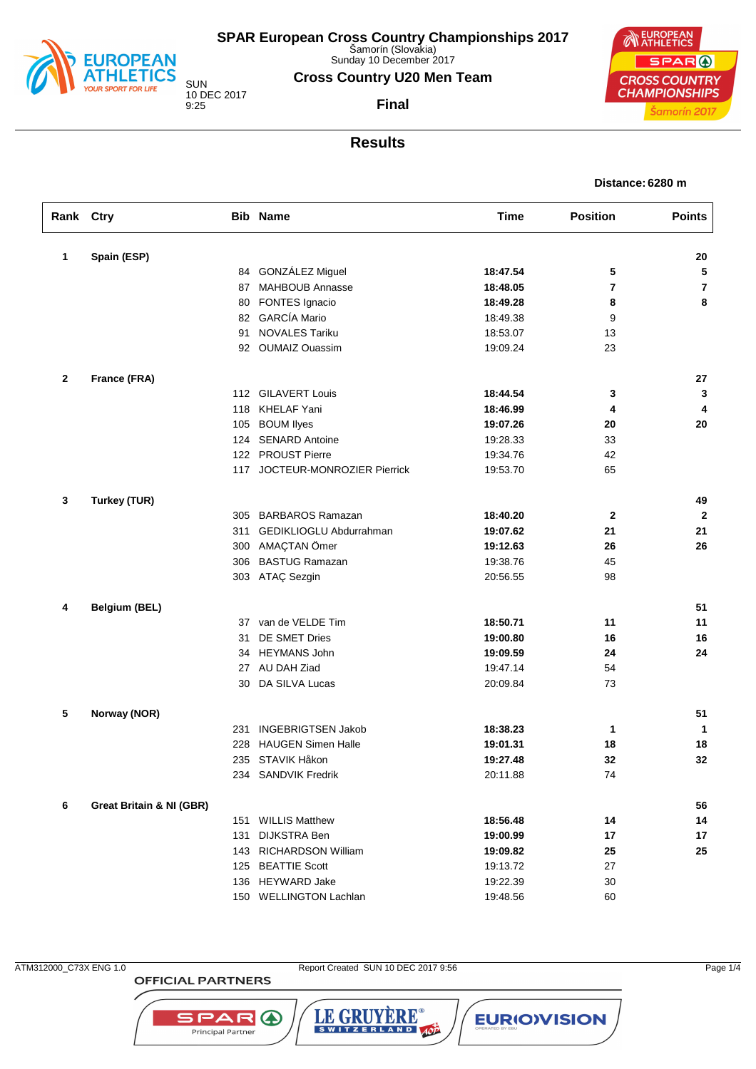

Sunday 10 December 2017

### **Cross Country U20 Men Team**

**Final**

SUN 10 DEC 2017 9:25

EUROPEAN SPAR ( **CROSS COUNTRY CHAMPIONSHIPS** Šamorín 2017

### **Results**

| Distance: 6280 m |  |  |
|------------------|--|--|
|------------------|--|--|

| Rank Ctry |                                     |     | <b>Bib Name</b>                | <b>Time</b> | <b>Position</b> | <b>Points</b> |
|-----------|-------------------------------------|-----|--------------------------------|-------------|-----------------|---------------|
| 1         | Spain (ESP)                         |     |                                |             |                 | 20            |
|           |                                     | 84  | GONZÁLEZ Miguel                | 18:47.54    | 5               | 5             |
|           |                                     | 87  | MAHBOUB Annasse                | 18:48.05    | 7               | 7             |
|           |                                     | 80  | FONTES Ignacio                 | 18:49.28    | 8               | 8             |
|           |                                     |     | 82 GARCÍA Mario                | 18:49.38    | 9               |               |
|           |                                     | 91  | <b>NOVALES Tariku</b>          | 18:53.07    | 13              |               |
|           |                                     |     | 92 OUMAIZ Ouassim              | 19:09.24    | 23              |               |
| 2         | France (FRA)                        |     |                                |             |                 | 27            |
|           |                                     |     | 112 GILAVERT Louis             | 18:44.54    | 3               | 3             |
|           |                                     |     | 118 KHELAF Yani                | 18:46.99    | 4               | 4             |
|           |                                     | 105 | <b>BOUM llyes</b>              | 19:07.26    | 20              | 20            |
|           |                                     | 124 | <b>SENARD Antoine</b>          | 19:28.33    | 33              |               |
|           |                                     |     | 122 PROUST Pierre              | 19:34.76    | 42              |               |
|           |                                     |     | 117 JOCTEUR-MONROZIER Pierrick | 19:53.70    | 65              |               |
| 3         | <b>Turkey (TUR)</b>                 |     |                                |             |                 | 49            |
|           |                                     | 305 | <b>BARBAROS Ramazan</b>        | 18:40.20    | $\mathbf{2}$    | $\mathbf{2}$  |
|           |                                     | 311 | GEDIKLIOGLU Abdurrahman        | 19:07.62    | 21              | 21            |
|           |                                     | 300 | AMAÇTAN Ömer                   | 19:12.63    | 26              | 26            |
|           |                                     |     | 306 BASTUG Ramazan             | 19:38.76    | 45              |               |
|           |                                     |     | 303 ATAÇ Sezgin                | 20:56.55    | 98              |               |
| 4         | <b>Belgium (BEL)</b>                |     |                                |             |                 | 51            |
|           |                                     | 37  | van de VELDE Tim               | 18:50.71    | 11              | 11            |
|           |                                     | 31  | DE SMET Dries                  | 19:00.80    | 16              | 16            |
|           |                                     | 34  | <b>HEYMANS John</b>            | 19:09.59    | 24              | 24            |
|           |                                     | 27  | AU DAH Ziad                    | 19:47.14    | 54              |               |
|           |                                     | 30  | DA SILVA Lucas                 | 20:09.84    | 73              |               |
| 5         | Norway (NOR)                        |     |                                |             |                 | 51            |
|           |                                     | 231 | <b>INGEBRIGTSEN Jakob</b>      | 18:38.23    | 1               | 1             |
|           |                                     | 228 | <b>HAUGEN Simen Halle</b>      | 19:01.31    | 18              | 18            |
|           |                                     |     | 235 STAVIK Håkon               | 19:27.48    | 32              | 32            |
|           |                                     |     | 234 SANDVIK Fredrik            | 20:11.88    | 74              |               |
| 6         | <b>Great Britain &amp; NI (GBR)</b> |     |                                |             |                 | 56            |
|           |                                     | 151 | <b>WILLIS Matthew</b>          | 18:56.48    | 14              | 14            |
|           |                                     | 131 | <b>DIJKSTRA Ben</b>            | 19:00.99    | 17              | 17            |
|           |                                     |     | 143 RICHARDSON William         | 19:09.82    | 25              | 25            |
|           |                                     |     | 125 BEATTIE Scott              | 19:13.72    | 27              |               |
|           |                                     |     | 136 HEYWARD Jake               | 19:22.39    | 30              |               |
|           |                                     |     | 150 WELLINGTON Lachlan         | 19:48.56    | 60              |               |

**OFFICIAL PARTNERS** 

**SPAR A** Principal Partner

ATM312000\_C73X ENG 1.0 Report Created SUN 10 DEC 2017 9:56 Page 1/4

LE GRUYÈRE®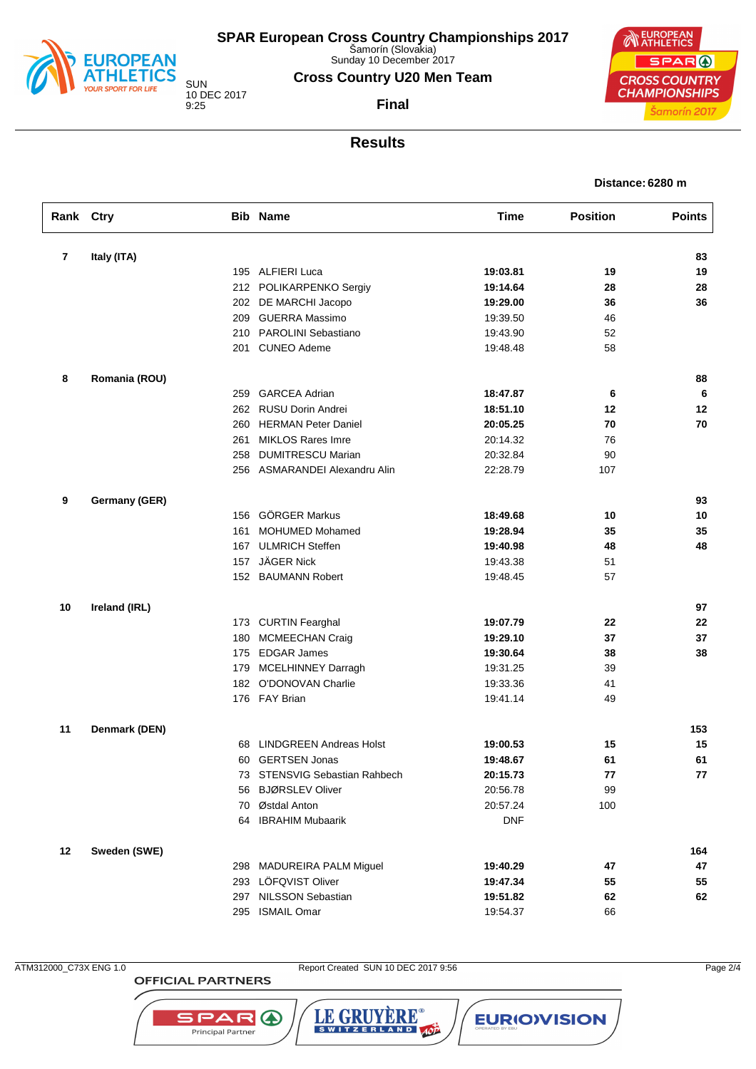

Sunday 10 December 2017

### **Cross Country U20 Men Team**

SUN 10 DEC 2017 9:25

**Final**



### **Results**

| Distance: 6280 m |  |
|------------------|--|
|                  |  |

| Rank Ctry      |               |     | <b>Bib Name</b>                | <b>Time</b> | <b>Position</b> | <b>Points</b> |
|----------------|---------------|-----|--------------------------------|-------------|-----------------|---------------|
| $\overline{7}$ | Italy (ITA)   |     |                                |             |                 | 83            |
|                |               |     | 195 ALFIERI Luca               | 19:03.81    | 19              | 19            |
|                |               |     | 212 POLIKARPENKO Sergiy        | 19:14.64    | 28              | 28            |
|                |               |     | 202 DE MARCHI Jacopo           | 19:29.00    | 36              | 36            |
|                |               |     | 209 GUERRA Massimo             | 19:39.50    | 46              |               |
|                |               | 210 | PAROLINI Sebastiano            | 19:43.90    | 52              |               |
|                |               |     | 201 CUNEO Ademe                | 19:48.48    | 58              |               |
| 8              | Romania (ROU) |     |                                |             |                 | 88            |
|                |               | 259 | <b>GARCEA Adrian</b>           | 18:47.87    | 6               | 6             |
|                |               |     | 262 RUSU Dorin Andrei          | 18:51.10    | 12              | 12            |
|                |               | 260 | <b>HERMAN Peter Daniel</b>     | 20:05.25    | 70              | 70            |
|                |               | 261 | <b>MIKLOS Rares Imre</b>       | 20:14.32    | 76              |               |
|                |               | 258 | <b>DUMITRESCU Marian</b>       | 20:32.84    | 90              |               |
|                |               |     | 256 ASMARANDEI Alexandru Alin  | 22:28.79    | 107             |               |
| 9              | Germany (GER) |     |                                |             |                 | 93            |
|                |               |     | 156 GÖRGER Markus              | 18:49.68    | 10              | 10            |
|                |               | 161 | <b>MOHUMED Mohamed</b>         | 19:28.94    | 35              | 35            |
|                |               |     | 167 ULMRICH Steffen            | 19:40.98    | 48              | 48            |
|                |               | 157 | JÄGER Nick                     | 19:43.38    | 51              |               |
|                |               |     | 152 BAUMANN Robert             | 19:48.45    | 57              |               |
| 10             | Ireland (IRL) |     |                                |             |                 | 97            |
|                |               |     | 173 CURTIN Fearghal            | 19:07.79    | 22              | 22            |
|                |               | 180 | <b>MCMEECHAN Craig</b>         | 19:29.10    | 37              | 37            |
|                |               | 175 | <b>EDGAR James</b>             | 19:30.64    | 38              | 38            |
|                |               |     | 179 MCELHINNEY Darragh         | 19:31.25    | 39              |               |
|                |               |     | 182 O'DONOVAN Charlie          | 19:33.36    | 41              |               |
|                |               |     | 176 FAY Brian                  | 19:41.14    | 49              |               |
| 11             | Denmark (DEN) |     |                                |             |                 | 153           |
|                |               | 68  | <b>LINDGREEN Andreas Holst</b> | 19:00.53    | 15              | 15            |
|                |               |     | 60 GERTSEN Jonas               | 19:48.67    | 61              | 61            |
|                |               |     | 73 STENSVIG Sebastian Rahbech  | 20:15.73    | 77              | 77            |
|                |               |     | 56 BJØRSLEV Oliver             | 20:56.78    | 99              |               |
|                |               |     | 70 Østdal Anton                | 20:57.24    | 100             |               |
|                |               |     | 64 IBRAHIM Mubaarik            | <b>DNF</b>  |                 |               |
| 12             | Sweden (SWE)  |     |                                |             |                 | 164           |
|                |               |     | 298 MADUREIRA PALM Miguel      | 19:40.29    | 47              | 47            |
|                |               |     | 293 LÖFQVIST Oliver            | 19:47.34    | 55              | 55            |
|                |               |     | 297 NILSSON Sebastian          | 19:51.82    | 62              | 62            |
|                |               |     | 295 ISMAIL Omar                | 19:54.37    | 66              |               |
|                |               |     |                                |             |                 |               |

**OFFICIAL PARTNERS** 

**SPAR A** Principal Partner

ATM312000\_C73X ENG 1.0 Report Created SUN 10 DEC 2017 9:56 Page 2/4

LE GRUYÈRE®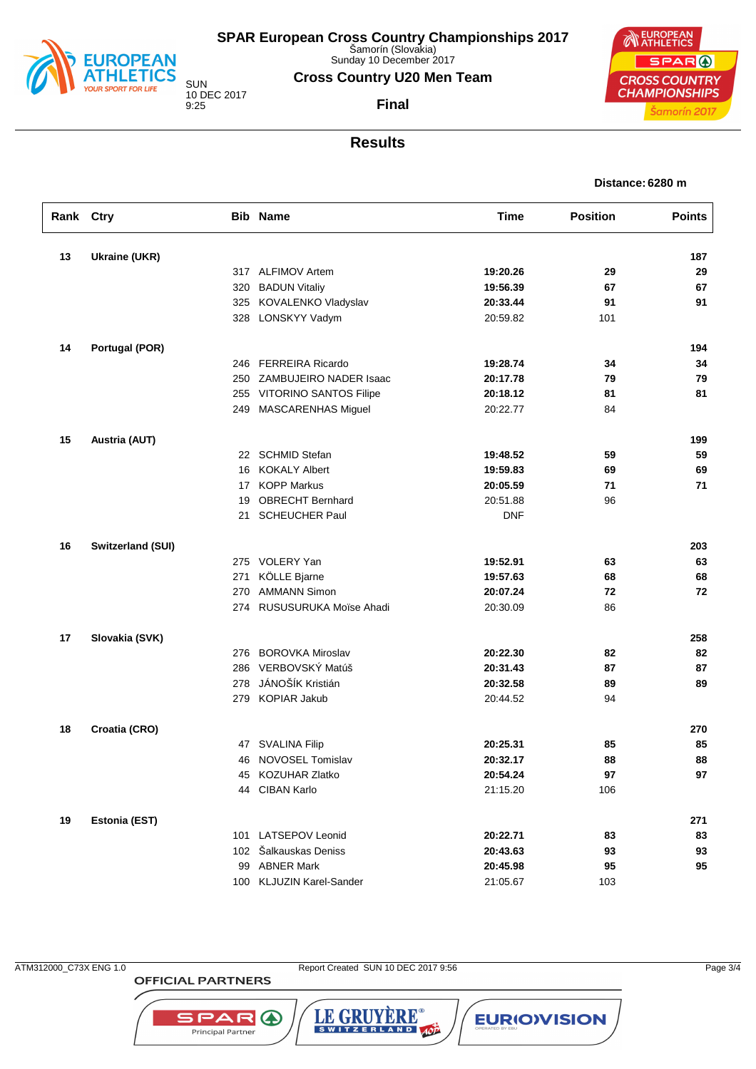

Šamorín (Slovakia) Sunday 10 December 2017

**Cross Country U20 Men Team**

**Final**

10 DEC 2017

**NEUROPEAN** SPAR ( **CROSS COUNTRY CHAMPIONSHIPS** Šamorín 2017

**Distance: 6280 m**

## **Results**

**Rank Ctry Bib Name Time Position Points**

**13 Ukraine (UKR) 187**

|    |                          | 317 ALFIMOV Artem          | 19:20.26   | 29  | 29  |
|----|--------------------------|----------------------------|------------|-----|-----|
|    | 320                      | <b>BADUN Vitaliv</b>       | 19:56.39   | 67  | 67  |
|    |                          | 325 KOVALENKO Vladyslav    | 20:33.44   | 91  | 91  |
|    |                          | 328 LONSKYY Vadym          | 20:59.82   | 101 |     |
| 14 | Portugal (POR)           |                            |            |     | 194 |
|    |                          | 246 FERREIRA Ricardo       | 19:28.74   | 34  | 34  |
|    | 250                      | ZAMBUJEIRO NADER Isaac     | 20:17.78   | 79  | 79  |
|    |                          | 255 VITORINO SANTOS Filipe | 20:18.12   | 81  | 81  |
|    |                          | 249 MASCARENHAS Miguel     | 20:22.77   | 84  |     |
| 15 | <b>Austria (AUT)</b>     |                            |            |     | 199 |
|    |                          | 22 SCHMID Stefan           | 19:48.52   | 59  | 59  |
|    | 16                       | <b>KOKALY Albert</b>       | 19:59.83   | 69  | 69  |
|    |                          | 17 KOPP Markus             | 20:05.59   | 71  | 71  |
|    | 19                       | <b>OBRECHT Bernhard</b>    | 20:51.88   | 96  |     |
|    | 21                       | <b>SCHEUCHER Paul</b>      | <b>DNF</b> |     |     |
| 16 | <b>Switzerland (SUI)</b> |                            |            |     | 203 |
|    |                          | 275 VOLERY Yan             | 19:52.91   | 63  | 63  |
|    | 271                      | KÖLLE Bjarne               | 19:57.63   | 68  | 68  |
|    | 270                      | <b>AMMANN Simon</b>        | 20:07.24   | 72  | 72  |
|    |                          | 274 RUSUSURUKA Moïse Ahadi | 20:30.09   | 86  |     |
| 17 | Slovakia (SVK)           |                            |            |     | 258 |
|    |                          | 276 BOROVKA Miroslav       | 20:22.30   | 82  | 82  |
|    | 286                      | VERBOVSKÝ Matúš            | 20:31.43   | 87  | 87  |
|    | 278                      | JÁNOŠÍK Kristián           | 20:32.58   | 89  | 89  |
|    |                          | 279 KOPIAR Jakub           | 20:44.52   | 94  |     |
| 18 | Croatia (CRO)            |                            |            |     | 270 |
|    |                          | 47 SVALINA Filip           | 20:25.31   | 85  | 85  |

## 46 NOVOSEL Tomislav **20:32.17 88 88** 45 KOZUHAR Zlatko **20:54.24 97 97** 44 CIBAN Karlo 21:15.20 106 **19 Estonia (EST) 271** 101 LATSEPOV Leonid **20:22.71 83 83** 102 Šalkauskas Deniss **20:43.63 93 93** 99 ABNER Mark **20:45.98 95 95** 100 KLJUZIN Karel-Sander 21:05.67 103

**OFFICIAL PARTNERS** 

**SPAR**O Principal Partner

ATM312000\_C73X ENG 1.0 Report Created SUN 10 DEC 2017 9:56 Page 3/4

LE GRUYERE®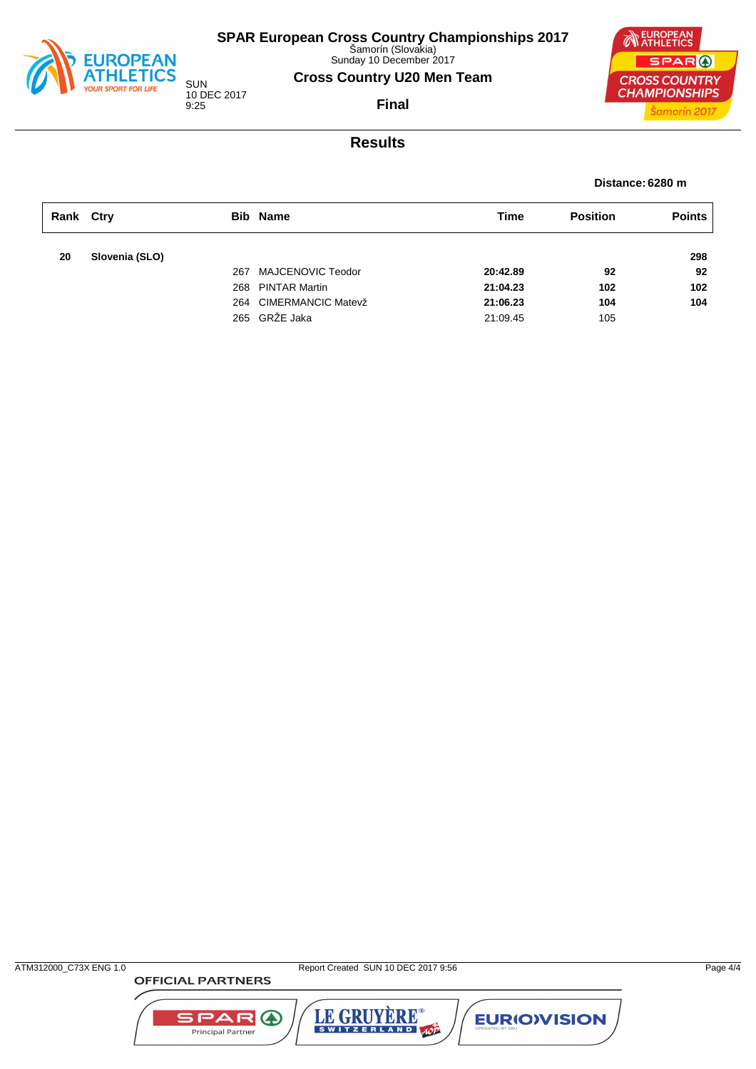

Sunday 10 December 2017

### **Cross Country U20 Men Team**

SUN 10 DEC 2017 9:25

**NEUROPEAN** SPAR ( **CROSS COUNTRY CHAMPIONSHIPS** Šamorín 2017

**Final**

## **Results**

**Distance: 6280 m**

| Rank Ctry |                |     | <b>Bib Name</b>        | Time     | <b>Position</b> | <b>Points</b> |
|-----------|----------------|-----|------------------------|----------|-----------------|---------------|
| 20        | Slovenia (SLO) |     |                        |          |                 | 298           |
|           |                | 267 | MAJCENOVIC Teodor      | 20:42.89 | 92              | 92            |
|           |                |     | 268 PINTAR Martin      | 21:04.23 | 102             | 102           |
|           |                |     | 264 CIMERMANCIC Matevž | 21:06.23 | 104             | 104           |
|           |                |     | 265 GRŽE Jaka          | 21:09.45 | 105             |               |

**OFFICIAL PARTNERS** 

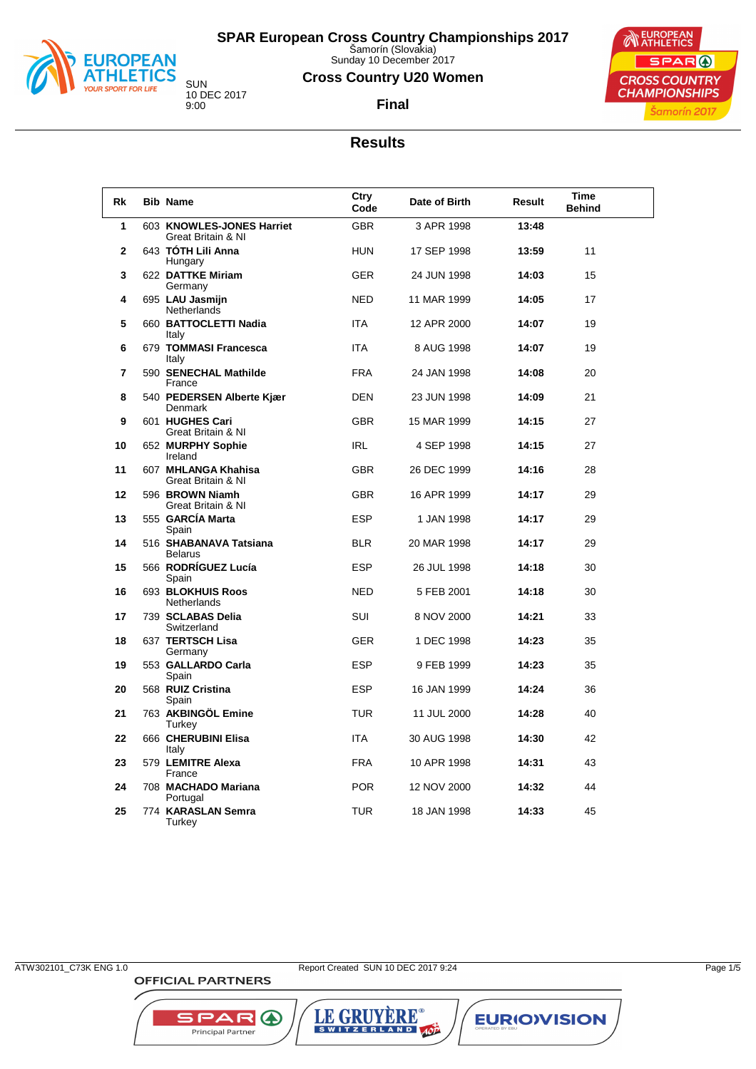

Sunday 10 December 2017

### **Cross Country U20 Women**

**Final**



10 DEC 2017 9:00

# **Results**

| Rk | <b>Bib Name</b>                                 | Ctry<br>Code | Date of Birth | Result | Time<br><b>Behind</b> |
|----|-------------------------------------------------|--------------|---------------|--------|-----------------------|
| 1  | 603 KNOWLES-JONES Harriet<br>Great Britain & NI | <b>GBR</b>   | 3 APR 1998    | 13:48  |                       |
| 2  | 643 TÓTH Lili Anna<br>Hungary                   | <b>HUN</b>   | 17 SEP 1998   | 13:59  | 11                    |
| 3  | 622 DATTKE Miriam<br>Germany                    | GER          | 24 JUN 1998   | 14:03  | 15                    |
| 4  | 695 LAU Jasmijn<br><b>Netherlands</b>           | <b>NED</b>   | 11 MAR 1999   | 14:05  | 17                    |
| 5  | 660 BATTOCLETTI Nadia<br>Italy                  | <b>ITA</b>   | 12 APR 2000   | 14:07  | 19                    |
| 6  | 679 TOMMASI Francesca<br>Italy                  | <b>ITA</b>   | 8 AUG 1998    | 14:07  | 19                    |
| 7  | 590 SENECHAL Mathilde<br>France                 | <b>FRA</b>   | 24 JAN 1998   | 14:08  | 20                    |
| 8  | 540 PEDERSEN Alberte Kjær<br>Denmark            | DEN          | 23 JUN 1998   | 14:09  | 21                    |
| 9  | 601 HUGHES Cari<br>Great Britain & NI           | <b>GBR</b>   | 15 MAR 1999   | 14:15  | 27                    |
| 10 | 652 MURPHY Sophie<br>Ireland                    | <b>IRL</b>   | 4 SEP 1998    | 14:15  | 27                    |
| 11 | 607 MHLANGA Khahisa<br>Great Britain & NI       | <b>GBR</b>   | 26 DEC 1999   | 14:16  | 28                    |
| 12 | 596 BROWN Niamh<br>Great Britain & NI           | <b>GBR</b>   | 16 APR 1999   | 14:17  | 29                    |
| 13 | 555 GARCÍA Marta<br>Spain                       | <b>ESP</b>   | 1 JAN 1998    | 14:17  | 29                    |
| 14 | 516 SHABANAVA Tatsiana<br><b>Belarus</b>        | <b>BLR</b>   | 20 MAR 1998   | 14:17  | 29                    |
| 15 | 566 RODRÍGUEZ Lucía<br>Spain                    | <b>ESP</b>   | 26 JUL 1998   | 14:18  | 30                    |
| 16 | 693 BLOKHUIS Roos<br><b>Netherlands</b>         | <b>NED</b>   | 5 FEB 2001    | 14:18  | 30                    |
| 17 | 739 SCLABAS Delia<br>Switzerland                | <b>SUI</b>   | 8 NOV 2000    | 14:21  | 33                    |
| 18 | 637 TERTSCH Lisa<br>Germany                     | <b>GER</b>   | 1 DEC 1998    | 14:23  | 35                    |
| 19 | 553 GALLARDO Carla<br>Spain                     | <b>ESP</b>   | 9 FEB 1999    | 14:23  | 35                    |
| 20 | 568 RUIZ Cristina<br>Spain                      | <b>ESP</b>   | 16 JAN 1999   | 14:24  | 36                    |
| 21 | 763 AKBINGÖL Emine<br>Turkey                    | <b>TUR</b>   | 11 JUL 2000   | 14:28  | 40                    |
| 22 | 666 CHERUBINI Elisa<br>Italy                    | <b>ITA</b>   | 30 AUG 1998   | 14:30  | 42                    |
| 23 | 579 LEMITRE Alexa<br>France                     | <b>FRA</b>   | 10 APR 1998   | 14:31  | 43                    |
| 24 | 708 MACHADO Mariana<br>Portugal                 | <b>POR</b>   | 12 NOV 2000   | 14:32  | 44                    |
| 25 | 774 KARASLAN Semra<br>Turkey                    | TUR          | 18 JAN 1998   | 14:33  | 45                    |

**OFFICIAL PARTNERS** 

ATW302101\_C73K ENG 1.0 Report Created SUN 10 DEC 2017 9:24 Page 1/5

LE GRUYÈRE®

**EURIOVISION** 

SPAR A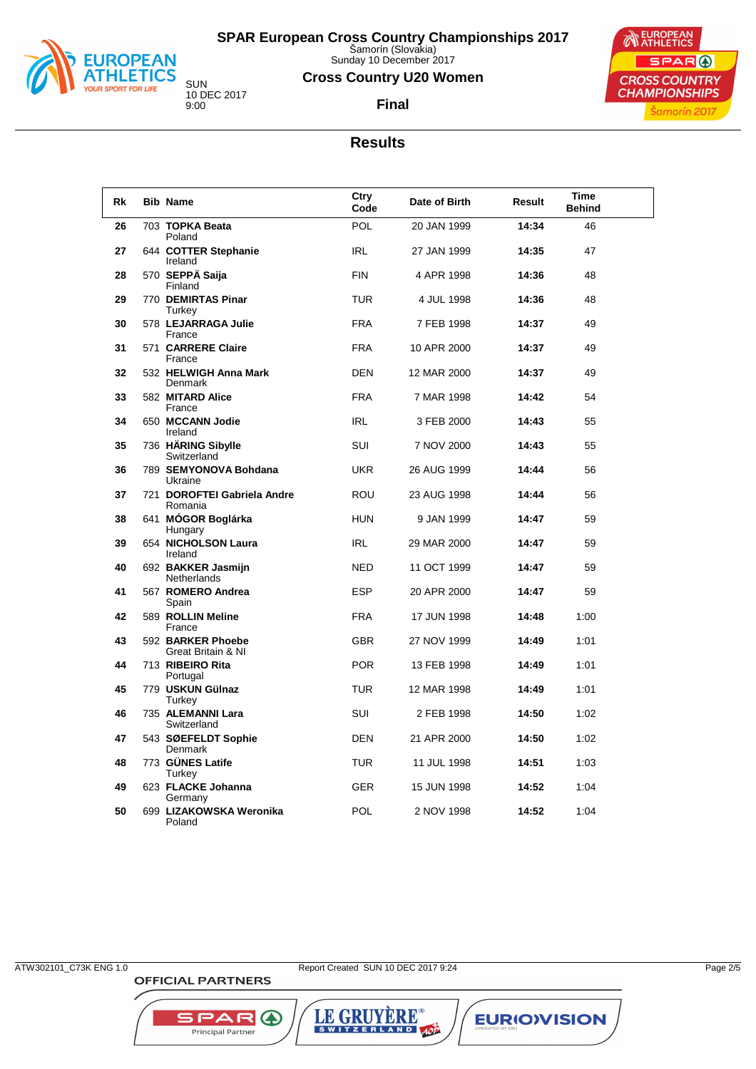

Sunday 10 December 2017

### **Cross Country U20 Women**

**Final**



10 DEC 2017

# **Results**

| Rk | <b>Bib Name</b>                         | Ctry<br>Code | Date of Birth | Result | <b>Time</b><br><b>Behind</b> |
|----|-----------------------------------------|--------------|---------------|--------|------------------------------|
| 26 | 703 TOPKA Beata<br>Poland               | POL          | 20 JAN 1999   | 14:34  | 46                           |
| 27 | 644 COTTER Stephanie<br>Ireland         | <b>IRL</b>   | 27 JAN 1999   | 14:35  | 47                           |
| 28 | 570 SEPPÄ Saija<br>Finland              | <b>FIN</b>   | 4 APR 1998    | 14:36  | 48                           |
| 29 | 770 DEMIRTAS Pinar                      | <b>TUR</b>   | 4 JUL 1998    | 14:36  | 48                           |
| 30 | Turkey<br>578 LEJARRAGA Julie           | <b>FRA</b>   | 7 FEB 1998    | 14:37  | 49                           |
| 31 | France<br>571 CARRERE Claire            | <b>FRA</b>   | 10 APR 2000   | 14:37  | 49                           |
| 32 | France<br>532 HELWIGH Anna Mark         | <b>DEN</b>   | 12 MAR 2000   | 14:37  | 49                           |
| 33 | Denmark<br>582 MITARD Alice             | <b>FRA</b>   | 7 MAR 1998    | 14:42  | 54                           |
| 34 | France<br>650 MCCANN Jodie              | <b>IRL</b>   | 3 FEB 2000    | 14:43  | 55                           |
| 35 | Ireland<br>736 HÄRING Sibylle           | SUI          | 7 NOV 2000    | 14:43  | 55                           |
| 36 | Switzerland<br>789 SEMYONOVA Bohdana    | <b>UKR</b>   | 26 AUG 1999   | 14:44  | 56                           |
| 37 | Ukraine<br>721 DOROFTEI Gabriela Andre  | ROU          | 23 AUG 1998   | 14:44  | 56                           |
| 38 | Romania<br>641 MOGOR Boglárka           | <b>HUN</b>   | 9 JAN 1999    | 14:47  | 59                           |
| 39 | Hungary<br>654 NICHOLSON Laura          | <b>IRL</b>   | 29 MAR 2000   | 14:47  | 59                           |
| 40 | Ireland<br>692 BAKKER Jasmijn           | <b>NED</b>   | 11 OCT 1999   | 14:47  | 59                           |
|    | <b>Netherlands</b>                      |              |               |        |                              |
| 41 | 567 ROMERO Andrea<br>Spain              | <b>ESP</b>   | 20 APR 2000   | 14:47  | 59                           |
| 42 | 589 ROLLIN Meline<br>France             | <b>FRA</b>   | 17 JUN 1998   | 14:48  | 1:00                         |
| 43 | 592 BARKER Phoebe<br>Great Britain & NI | <b>GBR</b>   | 27 NOV 1999   | 14:49  | 1:01                         |
| 44 | 713 RIBEIRO Rita<br>Portugal            | <b>POR</b>   | 13 FEB 1998   | 14:49  | 1:01                         |
| 45 | 779 USKUN Gülnaz<br>Turkey              | <b>TUR</b>   | 12 MAR 1998   | 14:49  | 1:01                         |
| 46 | 735 ALEMANNI Lara<br>Switzerland        | <b>SUI</b>   | 2 FEB 1998    | 14:50  | 1:02                         |
| 47 | 543 SØEFELDT Sophie<br><b>Denmark</b>   | <b>DEN</b>   | 21 APR 2000   | 14:50  | 1:02                         |
| 48 | 773 GÜNES Latife<br>Turkey              | <b>TUR</b>   | 11 JUL 1998   | 14:51  | 1:03                         |
| 49 | 623 FLACKE Johanna<br>Germany           | <b>GER</b>   | 15 JUN 1998   | 14:52  | 1:04                         |
| 50 | 699 LIZAKOWSKA Weronika<br>Poland       | <b>POL</b>   | 2 NOV 1998    | 14:52  | 1:04                         |

**OFFICIAL PARTNERS** 

LE GRUYÈRE®

**EURIOVISION** 

SPAR A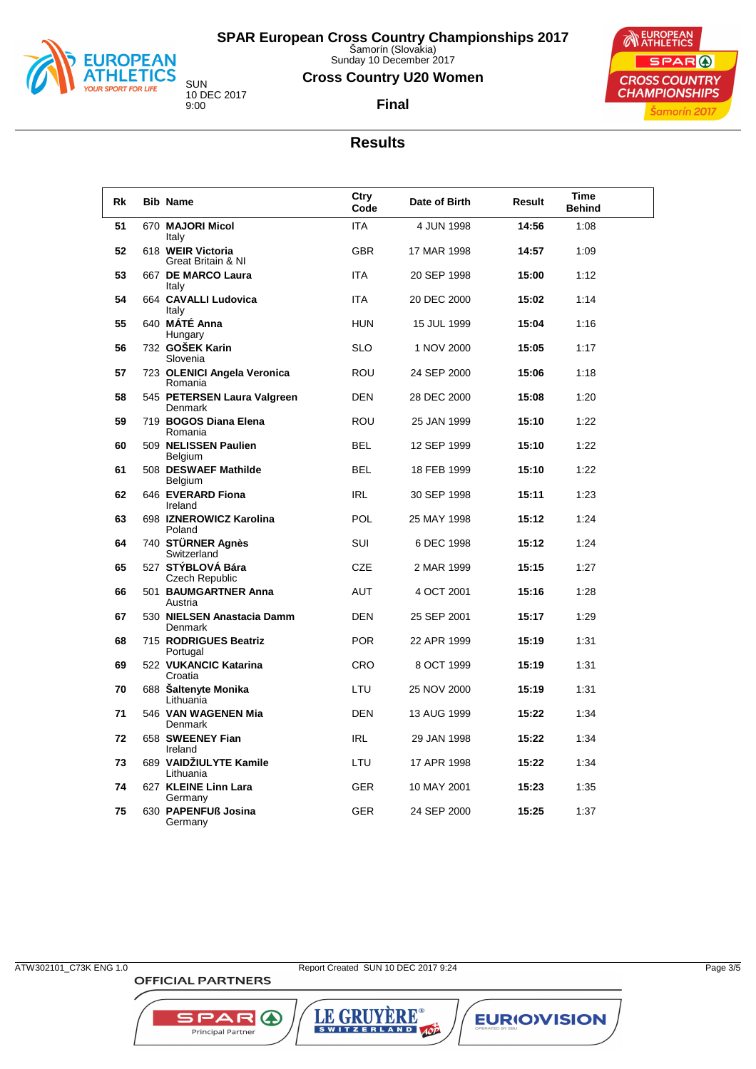

Sunday 10 December 2017

### **Cross Country U20 Women**

**Final**



10 DEC 2017

## **Results**

| <b>Rk</b> | <b>Bib Name</b>                         | Ctry<br>Code | Date of Birth | Result | Time<br>Behind |
|-----------|-----------------------------------------|--------------|---------------|--------|----------------|
| 51        | 670 MAJORI Micol<br>Italy               | <b>ITA</b>   | 4 JUN 1998    | 14:56  | 1:08           |
| 52        | 618 WEIR Victoria<br>Great Britain & NI | <b>GBR</b>   | 17 MAR 1998   | 14:57  | 1:09           |
| 53        | 667 DE MARCO Laura<br>Italy             | <b>ITA</b>   | 20 SEP 1998   | 15:00  | 1:12           |
| 54        | 664 CAVALLI Ludovica<br>Italy           | <b>ITA</b>   | 20 DEC 2000   | 15:02  | 1:14           |
| 55        | 640 MÁTÉ Anna<br>Hungary                | <b>HUN</b>   | 15 JUL 1999   | 15:04  | 1:16           |
| 56        | 732 GOŠEK Karin<br>Slovenia             | <b>SLO</b>   | 1 NOV 2000    | 15:05  | 1:17           |
| 57        | 723 OLENICI Angela Veronica<br>Romania  | ROU          | 24 SEP 2000   | 15:06  | 1:18           |
| 58        | 545 PETERSEN Laura Valgreen<br>Denmark  | <b>DEN</b>   | 28 DEC 2000   | 15:08  | 1:20           |
| 59        | 719 BOGOS Diana Elena<br>Romania        | <b>ROU</b>   | 25 JAN 1999   | 15:10  | 1:22           |
| 60        | 509 NELISSEN Paulien<br>Belgium         | <b>BEL</b>   | 12 SEP 1999   | 15:10  | 1:22           |
| 61        | 508 DESWAEF Mathilde<br>Belgium         | <b>BEL</b>   | 18 FEB 1999   | 15:10  | 1:22           |
| 62        | 646 EVERARD Fiona<br>Ireland            | IRL          | 30 SEP 1998   | 15:11  | 1:23           |
| 63        | 698 IZNEROWICZ Karolina<br>Poland       | <b>POL</b>   | 25 MAY 1998   | 15:12  | 1:24           |
| 64        | 740 STÜRNER Agnès<br>Switzerland        | SUI          | 6 DEC 1998    | 15:12  | 1:24           |
| 65        | 527 STÝBLOVÁ Bára<br>Czech Republic     | <b>CZE</b>   | 2 MAR 1999    | 15:15  | 1:27           |
| 66        | 501 BAUMGARTNER Anna<br>Austria         | <b>AUT</b>   | 4 OCT 2001    | 15:16  | 1:28           |
| 67        | 530 NIELSEN Anastacia Damm<br>Denmark   | <b>DEN</b>   | 25 SEP 2001   | 15:17  | 1:29           |
| 68        | 715 RODRIGUES Beatriz<br>Portugal       | <b>POR</b>   | 22 APR 1999   | 15:19  | 1:31           |
| 69        | 522 VUKANCIC Katarina<br>Croatia        | <b>CRO</b>   | 8 OCT 1999    | 15:19  | 1:31           |
| 70        | 688 Saltenyte Monika<br>Lithuania       | LTU          | 25 NOV 2000   | 15:19  | 1:31           |
| 71        | 546 VAN WAGENEN Mia<br>Denmark          | <b>DEN</b>   | 13 AUG 1999   | 15:22  | 1:34           |
| 72        | 658 SWEENEY Fian<br>Ireland             | IRL          | 29 JAN 1998   | 15:22  | 1:34           |
| 73        | 689 VAIDŽIULYTE Kamile<br>Lithuania     | LTU          | 17 APR 1998   | 15:22  | 1:34           |
| 74        | 627 KLEINE Linn Lara<br>Germany         | <b>GER</b>   | 10 MAY 2001   | 15:23  | 1:35           |
| 75        | 630 PAPENFUß Josina<br>Germany          | GER          | 24 SEP 2000   | 15:25  | 1:37           |

**OFFICIAL PARTNERS** 

ATW302101\_C73K ENG 1.0 Report Created SUN 10 DEC 2017 9:24 Page 3/5

LE GRUYÈRE®

**EURIOVISION** 

SPAR A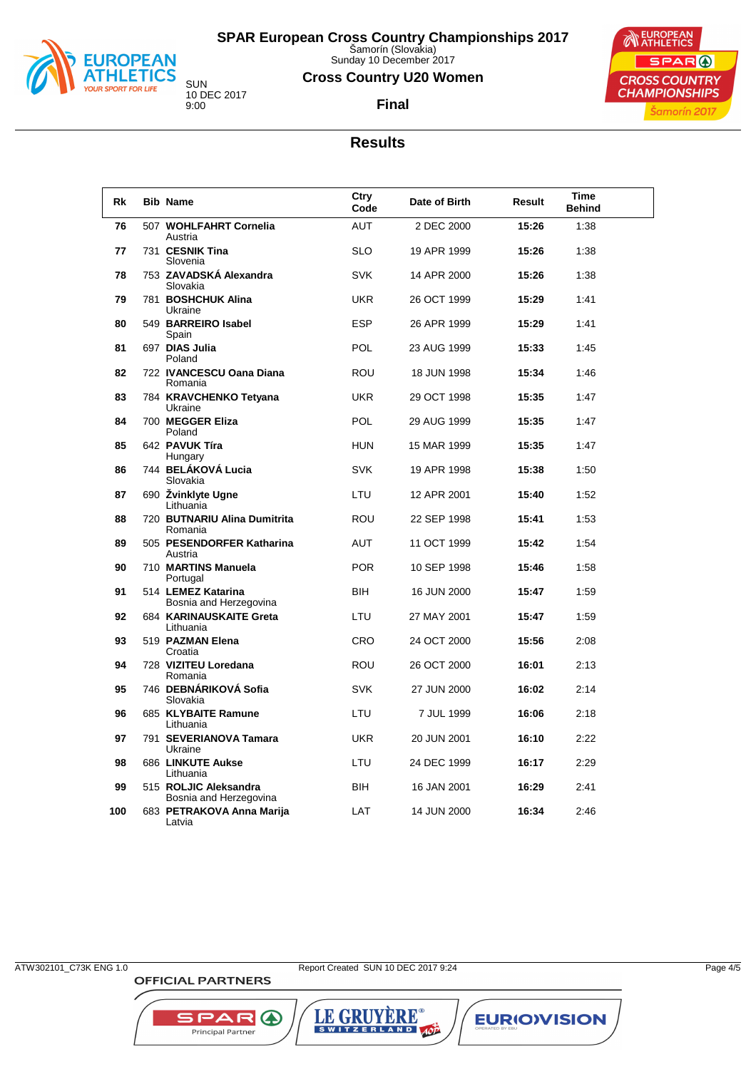

Sunday 10 December 2017

### **Cross Country U20 Women**



SUN 10 DEC 2017 9:00

**Final**

### **Results**

| Rk  | <b>Bib Name</b>                                 | Ctry<br>Code | Date of Birth | Result | Time<br><b>Behind</b> |
|-----|-------------------------------------------------|--------------|---------------|--------|-----------------------|
| 76  | 507 WOHLFAHRT Cornelia<br>Austria               | <b>AUT</b>   | 2 DEC 2000    | 15:26  | 1:38                  |
| 77  | 731 CESNIK Tina<br>Slovenia                     | <b>SLO</b>   | 19 APR 1999   | 15:26  | 1:38                  |
| 78  | 753 ZAVADSKÁ Alexandra<br>Slovakia              | <b>SVK</b>   | 14 APR 2000   | 15:26  | 1:38                  |
| 79  | 781 BOSHCHUK Alina<br>Ukraine                   | <b>UKR</b>   | 26 OCT 1999   | 15:29  | 1:41                  |
| 80  | 549 BARREIRO Isabel<br>Spain                    | <b>ESP</b>   | 26 APR 1999   | 15:29  | 1:41                  |
| 81  | 697 DIAS Julia<br>Poland                        | POL          | 23 AUG 1999   | 15:33  | 1:45                  |
| 82  | 722 IVANCESCU Oana Diana<br>Romania             | <b>ROU</b>   | 18 JUN 1998   | 15:34  | 1:46                  |
| 83  | 784 KRAVCHENKO Tetyana<br>Ukraine               | <b>UKR</b>   | 29 OCT 1998   | 15:35  | 1:47                  |
| 84  | 700 MEGGER Eliza<br>Poland                      | POL          | 29 AUG 1999   | 15:35  | 1:47                  |
| 85  | 642 PAVUK Tíra<br>Hungary                       | <b>HUN</b>   | 15 MAR 1999   | 15:35  | 1:47                  |
| 86  | 744 BELÁKOVÁ Lucia<br>Slovakia                  | <b>SVK</b>   | 19 APR 1998   | 15:38  | 1:50                  |
| 87  | 690 Žvinklyte Ugne<br>Lithuania                 | LTU          | 12 APR 2001   | 15:40  | 1:52                  |
| 88  | 720 BUTNARIU Alina Dumitrita<br>Romania         | <b>ROU</b>   | 22 SEP 1998   | 15:41  | 1:53                  |
| 89  | 505 PESENDORFER Katharina<br>Austria            | <b>AUT</b>   | 11 OCT 1999   | 15:42  | 1:54                  |
| 90  | 710 MARTINS Manuela<br>Portugal                 | <b>POR</b>   | 10 SEP 1998   | 15:46  | 1:58                  |
| 91  | 514 LEMEZ Katarina<br>Bosnia and Herzegovina    | <b>BIH</b>   | 16 JUN 2000   | 15:47  | 1:59                  |
| 92  | 684 KARINAUSKAITE Greta<br>Lithuania            | LTU          | 27 MAY 2001   | 15:47  | 1:59                  |
| 93  | 519 PAZMAN Elena<br>Croatia                     | <b>CRO</b>   | 24 OCT 2000   | 15:56  | 2:08                  |
| 94  | 728 VIZITEU Loredana<br>Romania                 | <b>ROU</b>   | 26 OCT 2000   | 16:01  | 2:13                  |
| 95  | 746 DEBNÁRIKOVÁ Sofia<br>Slovakia               | <b>SVK</b>   | 27 JUN 2000   | 16:02  | 2:14                  |
| 96  | 685 KLYBAITE Ramune<br>Lithuania                | LTU          | 7 JUL 1999    | 16:06  | 2:18                  |
| 97  | 791 SEVERIANOVA Tamara<br>Ukraine               | <b>UKR</b>   | 20 JUN 2001   | 16:10  | 2:22                  |
| 98  | 686 LINKUTE Aukse<br>Lithuania                  | LTU          | 24 DEC 1999   | 16:17  | 2:29                  |
| 99  | 515 ROLJIC Aleksandra<br>Bosnia and Herzegovina | <b>BIH</b>   | 16 JAN 2001   | 16:29  | 2:41                  |
| 100 | 683 PETRAKOVA Anna Marija<br>Latvia             | LAT          | 14 JUN 2000   | 16:34  | 2:46                  |

**OFFICIAL PARTNERS** 

ATW302101\_C73K ENG 1.0 Report Created SUN 10 DEC 2017 9:24 Page 4/5

LE GRUYÈRE®

**EURIOVISION** 

SPAR A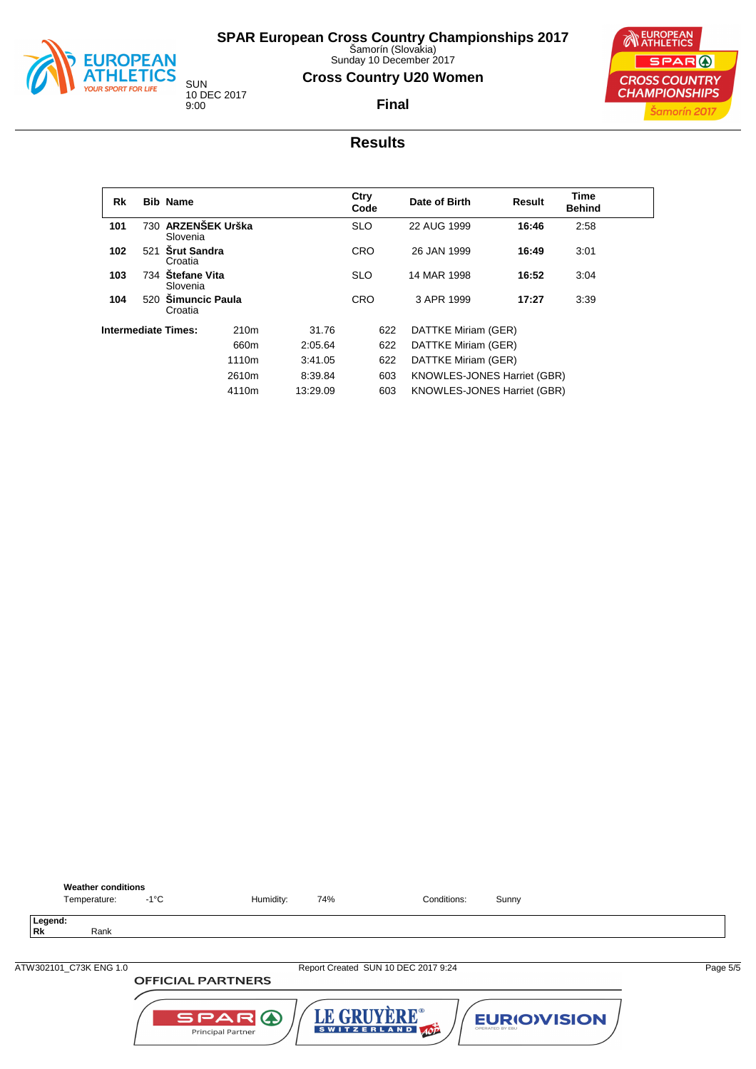

**Weather conditions**<br>Temperature: -1°C

**Legend:**

# **SPAR European Cross Country Championships 2017** Šamorín (Slovakia)

Sunday 10 December 2017

## **Cross Country U20 Women**

**Final**



10 DEC 2017 9:00

## **Results**

| Rk                         |     | <b>Bib Name</b>                 |                  |            | Ctry<br>Code | Date of Birth                      | <b>Result</b> | Time<br><b>Behind</b> |  |
|----------------------------|-----|---------------------------------|------------------|------------|--------------|------------------------------------|---------------|-----------------------|--|
| 101                        |     | 730 ARZENŠEK Urška<br>Slovenia  |                  |            | <b>SLO</b>   | 22 AUG 1999                        |               | 2:58                  |  |
| 102                        | 521 | <b>Srut Sandra</b><br>Croatia   |                  | <b>CRO</b> |              | 26 JAN 1999                        | 16:49         | 3:01                  |  |
| 103                        | 734 | <b>Stefane Vita</b><br>Slovenia |                  |            |              | 14 MAR 1998                        | 16:52         | 3:04                  |  |
| 104                        |     | 520 Simuncic Paula<br>Croatia   |                  |            | <b>CRO</b>   | 3 APR 1999                         | 17:27         | 3:39                  |  |
| <b>Intermediate Times:</b> |     |                                 | 210 <sub>m</sub> | 31.76      | 622          | DATTKE Miriam (GER)                |               |                       |  |
|                            |     |                                 | 660m             | 2:05.64    | 622          | DATTKE Miriam (GER)                |               |                       |  |
|                            |     |                                 | 1110m            | 3:41.05    | 622          | DATTKE Miriam (GER)                |               |                       |  |
|                            |     |                                 | 2610m            | 8:39.84    | 603          | KNOWLES-JONES Harriet (GBR)        |               |                       |  |
|                            |     |                                 | 4110m            | 13:29.09   | 603          | <b>KNOWLES-JONES Harriet (GBR)</b> |               |                       |  |

| Rk                     | Rank                     |                                                                                                              |          |
|------------------------|--------------------------|--------------------------------------------------------------------------------------------------------------|----------|
|                        |                          |                                                                                                              |          |
| ATW302101 C73K ENG 1.0 |                          | Report Created SUN 10 DEC 2017 9:24                                                                          | Page 5/5 |
|                        | <b>OFFICIAL PARTNERS</b> |                                                                                                              |          |
|                        |                          | LE GRUYÈRE®<br>SPARO<br><b>EURIOVISION</b><br>SWITZERLAND 40P<br>OPERATED BY EBU<br><b>Principal Partner</b> |          |

Temperature:  $-1^{\circ}$ C Humidity: 74% Conditions: Sunny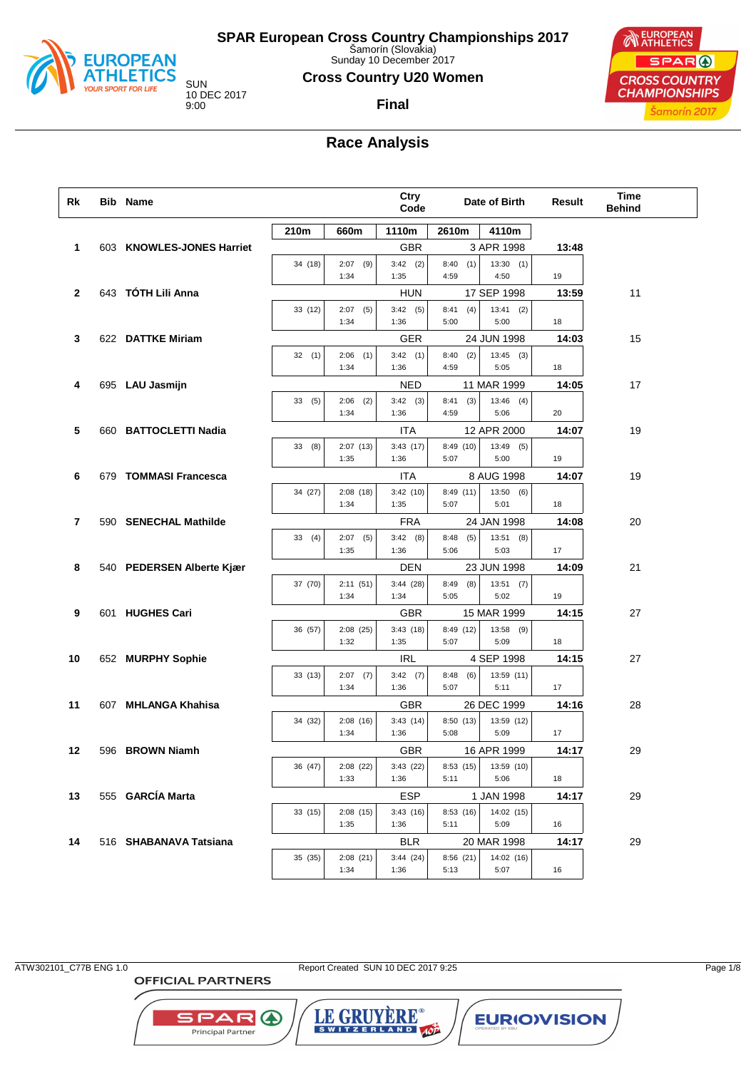

Sunday 10 December 2017

### **Cross Country U20 Women**

10 DEC 2017

## **Final**



## **Race Analysis**

| Rk           | <b>Bib Name</b>           |         |                     | Ctry<br>Code       |                     | Date of Birth       |       | <b>Time</b><br><b>Behind</b> |
|--------------|---------------------------|---------|---------------------|--------------------|---------------------|---------------------|-------|------------------------------|
|              |                           | 210m    | 660m                | 1110m              | 2610m               | 4110m               |       |                              |
| 1            | 603 KNOWLES-JONES Harriet |         |                     | <b>GBR</b>         |                     | 3 APR 1998          | 13:48 |                              |
|              |                           | 34 (18) | 2:07<br>(9)<br>1:34 | $3:42$ (2)<br>1:35 | 8:40<br>(1)<br>4:59 | 13:30(1)<br>4:50    | 19    |                              |
| $\mathbf{2}$ | 643 TÓTH Lili Anna        |         |                     | <b>HUN</b>         |                     | 17 SEP 1998         | 13:59 | 11                           |
|              |                           | 33 (12) | 2:07<br>(5)<br>1:34 | 3:42(5)<br>1:36    | 8:41<br>(4)<br>5:00 | $13:41$ (2)<br>5:00 | 18    |                              |
| 3            | 622 DATTKE Miriam         |         |                     | <b>GER</b>         |                     | 24 JUN 1998         | 14:03 | 15                           |
|              |                           | 32(1)   | $2:06$ (1)<br>1:34  | 3:42(1)<br>1:36    | (2)<br>8:40<br>4:59 | $13:45$ (3)<br>5:05 | 18    |                              |
| 4            | 695 LAU Jasmijn           |         |                     | <b>NED</b>         |                     | 11 MAR 1999         | 14:05 | 17                           |
|              |                           | 33(5)   | 2:06<br>(2)<br>1:34 | $3:42$ (3)<br>1:36 | 8:41<br>(3)<br>4:59 | $13:46$ (4)<br>5:06 | 20    |                              |
| 5            | 660 BATTOCLETTI Nadia     |         |                     | ITA                |                     | 12 APR 2000         | 14:07 | 19                           |
|              |                           | 33(8)   | 2:07(13)<br>1:35    | 3:43(17)<br>1:36   | 8:49(10)<br>5:07    | $13:49$ (5)<br>5:00 | 19    |                              |
| 6            | 679 TOMMASI Francesca     |         |                     | ITA                |                     | 8 AUG 1998          | 14:07 | 19                           |
|              |                           | 34 (27) | 2:08(18)<br>1:34    | 3:42(10)<br>1:35   | 8:49(11)<br>5:07    | 13:50(6)<br>5:01    | 18    |                              |
| 7            | 590 SENECHAL Mathilde     |         |                     | <b>FRA</b>         |                     | 24 JAN 1998         | 14:08 | 20                           |
|              |                           | 33(4)   | 2:07<br>(5)<br>1:35 | 3:42(8)<br>1:36    | 8:48<br>(5)<br>5:06 | 13:51(8)<br>5:03    | 17    |                              |
| 8            | 540 PEDERSEN Alberte Kjær |         |                     | <b>DEN</b>         |                     | 23 JUN 1998         | 14:09 | 21                           |
|              |                           | 37 (70) | 2:11(51)<br>1:34    | 3:44(28)<br>1:34   | (8)<br>8:49<br>5:05 | 13:51(7)<br>5:02    | 19    |                              |
| 9            | 601 HUGHES Cari           |         |                     | <b>GBR</b>         |                     | 15 MAR 1999         | 14:15 | 27                           |
|              |                           | 36 (57) | 2:08(25)<br>1:32    | 3:43(18)<br>1:35   | 8:49 (12)<br>5:07   | 13:58 (9)<br>5:09   | 18    |                              |
| 10           | 652 MURPHY Sophie         |         |                     | <b>IRL</b>         |                     | 4 SEP 1998          | 14:15 | 27                           |
|              |                           | 33 (13) | 2:07<br>(7)<br>1:34 | 3:42(7)<br>1:36    | 8:48<br>(6)<br>5:07 | 13:59 (11)<br>5:11  | 17    |                              |
| 11           | 607 MHLANGA Khahisa       |         |                     | <b>GBR</b>         |                     | 26 DEC 1999         | 14:16 | 28                           |
|              |                           | 34 (32) | 2:08(16)<br>1:34    | 3:43(14)<br>1:36   | 8:50 (13)<br>5:08   | 13:59 (12)<br>5:09  | 17    |                              |
| 12           | 596 BROWN Niamh           |         |                     | <b>GBR</b>         |                     | 16 APR 1999         | 14:17 | 29                           |
|              |                           | 36 (47) | 2:08(22)<br>1:33    | 3:43(22)<br>1:36   | 8:53(15)<br>5:11    | 13:59 (10)<br>5:06  | 18    |                              |
| 13           | 555 GARCÍA Marta          |         |                     | <b>ESP</b>         |                     | 1 JAN 1998          | 14:17 | 29                           |
|              |                           | 33 (15) | 2:08(15)<br>1:35    | 3:43(16)<br>1:36   | 8:53(16)<br>5:11    | 14:02 (15)<br>5:09  | 16    |                              |
| 14           | 516 SHABANAVA Tatsiana    |         |                     | <b>BLR</b>         |                     | 20 MAR 1998         | 14:17 | 29                           |
|              |                           | 35 (35) | 2:08(21)<br>1:34    | 3:44(24)<br>1:36   | 8:56(21)<br>5:13    | 14:02(16)<br>5:07   | 16    |                              |

ATW302101\_C77B ENG 1.0 Report Created SUN 10 DEC 2017 9:25 Page 1/8

**OFFICIAL PARTNERS** 



LE GRUYERE® **EURIOVISION**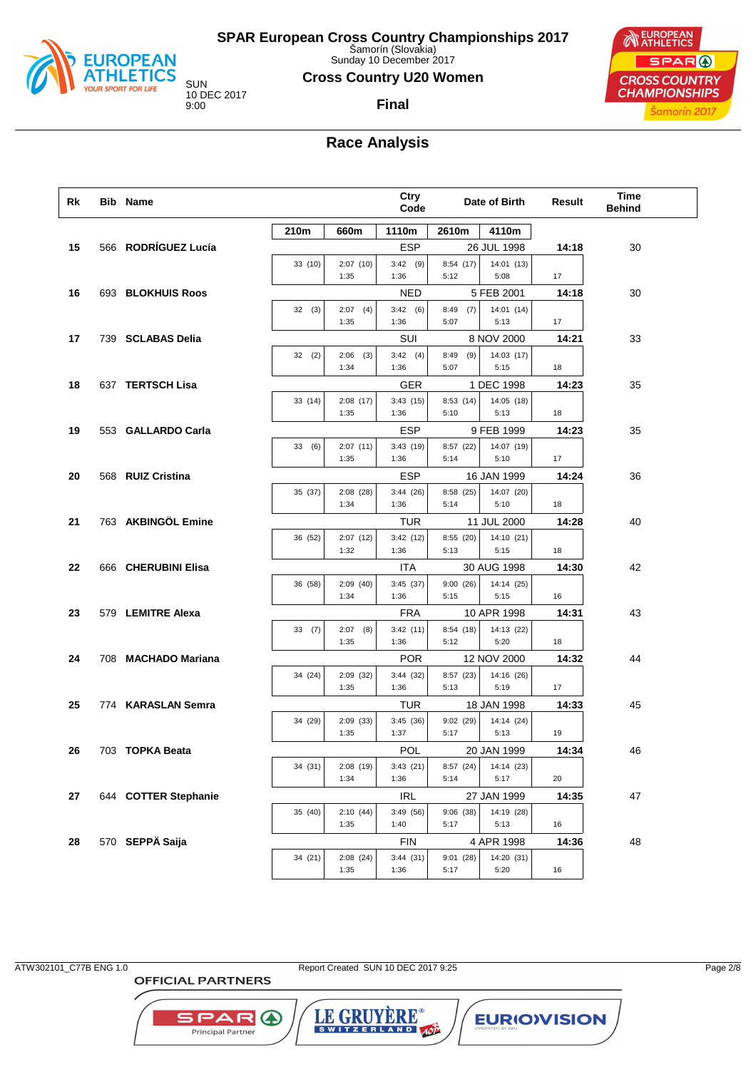

Sunday 10 December 2017

#### **Cross Country U20 Women**

**Final**

10 DEC 2017

## **EUROPEAN** SPAR ( **CROSS COUNTRY CHAMPIONSHIPS** Šamorín 2017

## **Race Analysis**

| Rk | <b>Bib Name</b>      |         |                     | Ctry<br>Code           |                     | Date of Birth             | Result      | <b>Time</b><br><b>Behind</b> |
|----|----------------------|---------|---------------------|------------------------|---------------------|---------------------------|-------------|------------------------------|
|    |                      | 210m    | 660m                | 1110m                  | 2610m               | 4110m                     |             |                              |
| 15 | 566 RODRÍGUEZ Lucía  |         |                     | <b>ESP</b>             |                     | 26 JUL 1998               | 14:18       | 30                           |
|    |                      | 33 (10) | 2:07(10)<br>1:35    | $3:42$ (9)<br>1:36     | 8:54(17)<br>5:12    | 14:01(13)<br>5:08         | 17          |                              |
| 16 | 693 BLOKHUIS Roos    |         |                     | <b>NED</b>             |                     | 5 FEB 2001                | 14:18       | 30                           |
|    |                      | 32(3)   | $2:07$ (4)<br>1:35  | 3:42(6)<br>1:36        | (7)<br>8:49<br>5:07 | 14:01 (14)<br>5:13        | 17          |                              |
| 17 | 739 SCLABAS Delia    |         |                     | SUI                    |                     | 8 NOV 2000                | 14:21       | 33                           |
|    |                      | 32(2)   | 2:06<br>(3)<br>1:34 | 3:42(4)<br>1:36        | 8:49<br>(9)<br>5:07 | 14:03(17)<br>5:15         | 18          |                              |
| 18 | 637 TERTSCH Lisa     |         |                     | GER                    |                     | 1 DEC 1998                | 14:23       | 35                           |
|    |                      | 33 (14) | 2:08(17)<br>1:35    | 3:43(15)<br>1:36       | 8:53(14)<br>5:10    | 14:05 (18)<br>5:13        | 18          |                              |
| 19 | 553 GALLARDO Carla   |         |                     | <b>ESP</b>             |                     | 9 FEB 1999                | 14:23       | 35                           |
|    |                      | 33(6)   | 2:07(11)<br>1:35    | 3:43(19)<br>1:36       | 8:57 (22)<br>5:14   | 14:07 (19)<br>5:10        | 17          |                              |
| 20 | 568 RUIZ Cristina    |         |                     | <b>ESP</b>             |                     | 16 JAN 1999               | 14:24       | 36                           |
|    |                      | 35 (37) | 2:08(28)<br>1:34    | 3:44(26)<br>1:36       | 8:58 (25)<br>5:14   | 14:07 (20)<br>5:10        | 18          |                              |
| 21 | 763 AKBINGÖL Emine   |         |                     | TUR                    |                     | 11 JUL 2000               | 14:28       | 40                           |
|    |                      | 36 (52) | 2:07(12)<br>1:32    | 3:42(12)<br>1:36       | 8:55 (20)<br>5:13   | 14:10 (21)<br>5:15        | 18          |                              |
| 22 | 666 CHERUBINI Elisa  |         |                     | <b>ITA</b>             |                     | 30 AUG 1998               | 14:30       | 42                           |
|    |                      | 36 (58) | 2:09(40)            | 3:45(37)               | 9:00(26)            | 14:14 (25)                |             |                              |
|    |                      |         | 1:34                | 1:36                   | 5:15                | 5:15                      | 16          |                              |
| 23 | 579 LEMITRE Alexa    | 33(7)   | $2:07$ (8)          | <b>FRA</b><br>3:42(11) | 8:54 (18)           | 10 APR 1998<br>14:13 (22) | 14:31       | 43                           |
|    |                      |         | 1:35                | 1:36                   | 5:12                | 5:20                      | 18          |                              |
| 24 | 708 MACHADO Mariana  |         |                     | <b>POR</b>             |                     | 12 NOV 2000               | 14:32       | 44                           |
|    |                      | 34 (24) | 2:09(32)<br>1:35    | 3:44(32)               | 8:57 (23)<br>5:13   | 14:16 (26)<br>5:19        | 17          |                              |
| 25 | 774 KARASLAN Semra   |         |                     | 1:36<br>TUR            |                     | 18 JAN 1998               | 14:33       | 45                           |
|    |                      | 34 (29) | 2:09(33)            | 3:45(36)               | 9:02(29)            | 14:14 (24)                |             |                              |
|    |                      |         | 1:35                | 1:37                   | 5:17                | 5:13                      | 19          |                              |
| 26 | 703 TOPKA Beata      |         |                     | POL                    |                     | 20 JAN 1999               | 14:34       | 46                           |
|    |                      | 34 (31) | 2:08(19)<br>1:34    | 3:43(21)<br>1:36       | 8:57 (24)<br>5:14   | 14:14 (23)<br>5:17        |             |                              |
| 27 | 644 COTTER Stephanie |         |                     | <b>IRL</b>             |                     | 27 JAN 1999               | 20<br>14:35 | 47                           |
|    |                      | 35 (40) | 2:10(44)            | 3:49(56)               | 9:06(38)            | 14:19 (28)                |             |                              |
|    |                      |         | 1:35                | 1:40                   | 5:17                | 5:13                      | 16          |                              |
| 28 | 570 SEPPÄ Saija      |         |                     | <b>FIN</b>             |                     | 4 APR 1998                | 14:36       | 48                           |
|    |                      | 34 (21) | 2:08(24)<br>1:35    | 3:44(31)<br>1:36       | 9:01(28)<br>5:17    | 14:20 (31)<br>5:20        | 16          |                              |
|    |                      |         |                     |                        |                     |                           |             |                              |

**OFFICIAL PARTNERS** 

**SPAR A** 

Principal Partner

ATW302101\_C77B ENG 1.0 Report Created SUN 10 DEC 2017 9:25 Page 2/8

LE GRUYERE®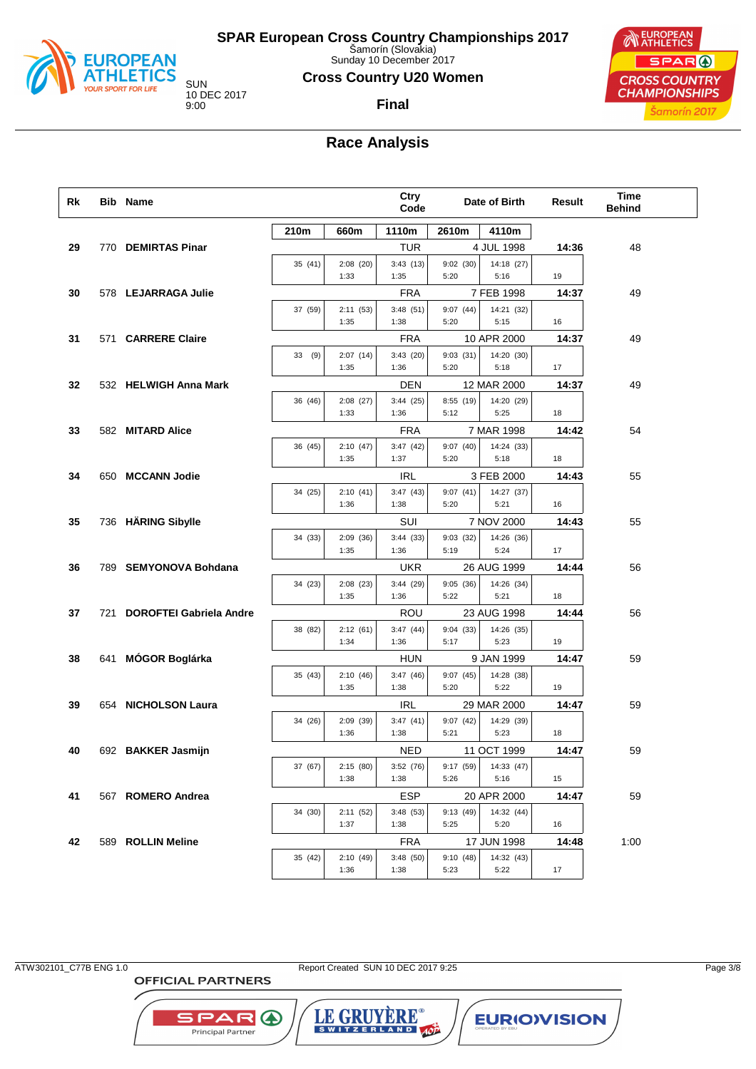

Sunday 10 December 2017

#### **Cross Country U20 Women**

**Final**

10 DEC 2017

## **EUROPEAN** SPAR ( **CROSS COUNTRY CHAMPIONSHIPS** Šamorín 2017

## **Race Analysis**

| Rk |     | <b>Bib Name</b>                |         |                  | Ctry<br>Code     |                  | Date of Birth      | Result | <b>Time</b><br><b>Behind</b> |  |
|----|-----|--------------------------------|---------|------------------|------------------|------------------|--------------------|--------|------------------------------|--|
|    |     |                                | 210m    | 660m             | 1110m            | 2610m            | 4110m              |        |                              |  |
| 29 |     | 770 DEMIRTAS Pinar             |         |                  | <b>TUR</b>       |                  | 4 JUL 1998         | 14:36  | 48                           |  |
|    |     |                                | 35 (41) | 2:08(20)<br>1:33 | 3:43(13)<br>1:35 | 9:02(30)<br>5:20 | 14:18 (27)<br>5:16 | 19     |                              |  |
| 30 |     | 578 LEJARRAGA Julie            |         |                  | <b>FRA</b>       |                  | 7 FEB 1998         | 14:37  | 49                           |  |
|    |     |                                | 37 (59) | 2:11(53)         | 3:48(51)         | 9:07(44)         | 14:21 (32)         |        |                              |  |
|    |     |                                |         | 1:35             | 1:38             | 5:20             | 5:15               | 16     |                              |  |
| 31 |     | 571 CARRERE Claire             |         |                  | <b>FRA</b>       |                  | 10 APR 2000        | 14:37  | 49                           |  |
|    |     |                                | 33 (9)  | 2:07(14)         | 3:43(20)         | 9:03(31)         | 14:20 (30)         |        |                              |  |
|    |     |                                |         | 1:35             | 1:36             | 5:20             | 5:18               | 17     |                              |  |
| 32 |     | 532 HELWIGH Anna Mark          |         |                  | DEN              |                  | 12 MAR 2000        | 14:37  | 49                           |  |
|    |     |                                | 36 (46) | 2:08(27)         | 3:44(25)         | 8:55 (19)        | 14:20 (29)         |        |                              |  |
|    |     |                                |         | 1:33             | 1:36             | 5:12             | 5:25               | 18     |                              |  |
| 33 |     | 582 MITARD Alice               |         |                  | <b>FRA</b>       |                  | 7 MAR 1998         | 14:42  | 54                           |  |
|    |     |                                | 36 (45) | 2:10(47)         | 3:47(42)         | 9:07(40)         | 14:24 (33)         |        |                              |  |
|    |     |                                |         | 1:35             | 1:37             | 5:20             | 5:18               | 18     |                              |  |
| 34 |     | 650 MCCANN Jodie               |         |                  | <b>IRL</b>       |                  | 3 FEB 2000         | 14:43  | 55                           |  |
|    |     |                                | 34 (25) | 2:10(41)<br>1:36 | 3:47(43)<br>1:38 | 9:07(41)<br>5:20 | 14:27 (37)<br>5:21 | 16     |                              |  |
| 35 |     | 736 HÄRING Sibylle             |         |                  | SUI              |                  | 7 NOV 2000         | 14:43  | 55                           |  |
|    |     |                                | 34 (33) | 2:09(36)         | 3:44(33)         | 9:03(32)         | 14:26 (36)         |        |                              |  |
|    |     |                                |         | 1:35             | 1:36             | 5:19             | 5:24               | 17     |                              |  |
| 36 |     | 789 SEMYONOVA Bohdana          |         |                  | UKR              |                  | 26 AUG 1999        | 14:44  | 56                           |  |
|    |     |                                | 34 (23) | 2:08(23)         | 3:44(29)         | 9:05(36)         | 14:26 (34)         |        |                              |  |
|    |     |                                |         | 1:35             | 1:36             | 5:22             | 5:21               | 18     |                              |  |
| 37 | 721 | <b>DOROFTEI Gabriela Andre</b> |         |                  | ROU              |                  | 23 AUG 1998        | 14:44  | 56                           |  |
|    |     |                                | 38 (82) | 2:12(61)         | 3:47(44)         | 9:04(33)         | 14:26 (35)         |        |                              |  |
|    |     |                                |         | 1:34             | 1:36             | 5:17             | 5:23               | 19     |                              |  |
| 38 |     | 641 MÓGOR Boglárka             |         |                  | <b>HUN</b>       |                  | 9 JAN 1999         | 14:47  | 59                           |  |
|    |     |                                | 35 (43) | 2:10(46)<br>1:35 | 3:47(46)<br>1:38 | 9:07(45)<br>5:20 | 14:28 (38)<br>5:22 | 19     |                              |  |
| 39 |     | 654 NICHOLSON Laura            |         |                  | <b>IRL</b>       |                  | 29 MAR 2000        | 14:47  | 59                           |  |
|    |     |                                | 34 (26) | 2:09(39)         | 3:47(41)         | 9:07(42)         | 14:29 (39)         |        |                              |  |
|    |     |                                |         | 1:36             | 1:38             | 5:21             | 5:23               | 18     |                              |  |
| 40 |     | 692 BAKKER Jasmijn             |         |                  | NED              |                  | 11 OCT 1999        | 14:47  | 59                           |  |
|    |     |                                | 37 (67) | 2:15(80)         | 3:52(76)         | 9:17 (59)        | 14:33 (47)         |        |                              |  |
|    |     |                                |         | 1:38             | 1:38             | 5:26             | 5:16               | 15     |                              |  |
| 41 |     | 567 ROMERO Andrea              |         |                  | ESP              |                  | 20 APR 2000        | 14:47  | 59                           |  |
|    |     |                                | 34 (30) | 2:11(52)         | 3:48(53)         | 9:13 (49)        | 14:32 (44)         |        |                              |  |
|    |     |                                |         | 1:37             | 1:38             | 5:25             | 5:20               | 16     |                              |  |
| 42 |     | 589 ROLLIN Meline              |         |                  | <b>FRA</b>       |                  | 17 JUN 1998        | 14:48  | 1:00                         |  |
|    |     |                                | 35 (42) | 2:10(49)<br>1:36 | 3:48(50)<br>1:38 | 9:10(48)<br>5:23 | 14:32 (43)<br>5:22 | 17     |                              |  |
|    |     |                                |         |                  |                  |                  |                    |        |                              |  |

ATW302101\_C77B ENG 1.0 Report Created SUN 10 DEC 2017 9:25 Page 3/8

LE GRUYERE®

**EURIOVISION** 

**OFFICIAL PARTNERS** 

**SPAR A** 

Principal Partner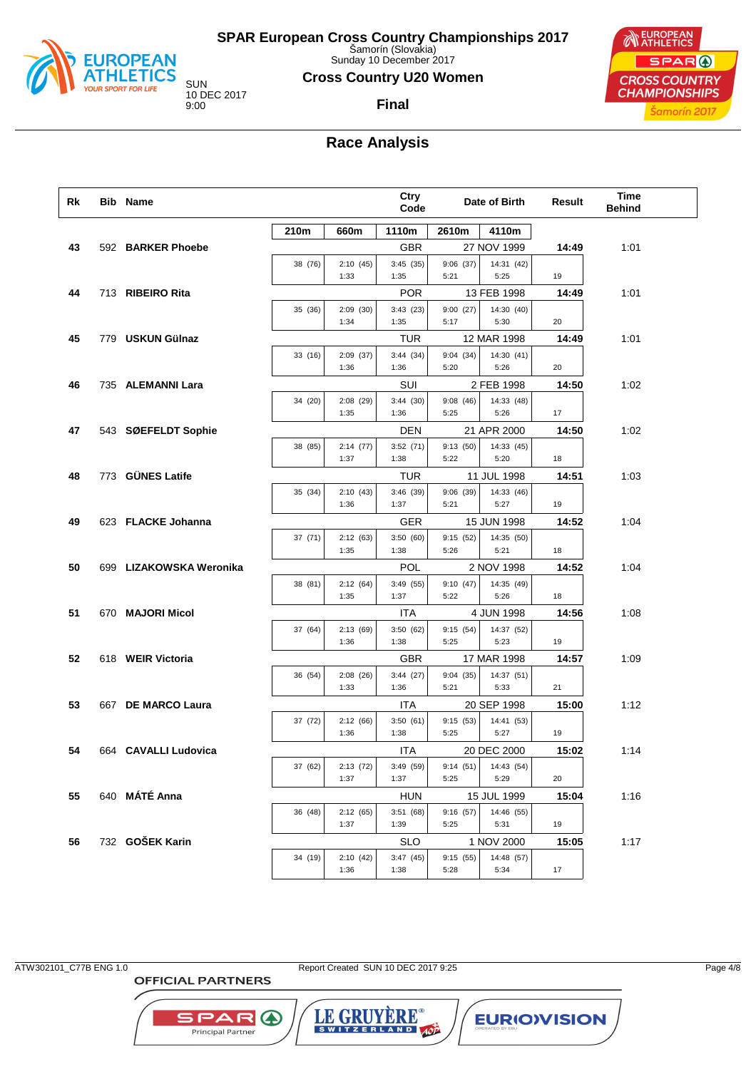

Sunday 10 December 2017

#### **Cross Country U20 Women**

**Final**

10 DEC 2017

## **EUROPEAN** SPAR ( **CROSS COUNTRY CHAMPIONSHIPS** Šamorín 2017

## **Race Analysis**

| Rk | <b>Bib Name</b>         |         |                  | Ctry<br>Code     |                  | Date of Birth             | Result | Time<br><b>Behind</b> |
|----|-------------------------|---------|------------------|------------------|------------------|---------------------------|--------|-----------------------|
|    |                         | 210m    | 660m             | 1110m            | 2610m            | 4110m                     |        |                       |
| 43 | 592 BARKER Phoebe       |         |                  | <b>GBR</b>       |                  | 27 NOV 1999               | 14:49  | 1:01                  |
|    |                         | 38 (76) | 2:10(45)<br>1:33 | 3:45(35)<br>1:35 | 9:06(37)<br>5:21 | 14:31 (42)<br>5:25        | 19     |                       |
| 44 | 713 RIBEIRO Rita        |         |                  | <b>POR</b>       |                  | 13 FEB 1998               | 14:49  | 1:01                  |
|    |                         | 35 (36) | 2:09(30)         | 3:43(23)         | 9:00(27)         | 14:30 (40)                |        |                       |
|    |                         |         | 1:34             | 1:35             | 5:17             | 5:30                      | 20     |                       |
| 45 | 779 USKUN Gülnaz        |         |                  | TUR              |                  | 12 MAR 1998               | 14:49  | 1:01                  |
|    |                         | 33 (16) | 2:09(37)         | 3:44(34)         | 9:04(34)         | 14:30 (41)                |        |                       |
|    |                         |         | 1:36             | 1:36             | 5:20             | 5:26                      | 20     |                       |
| 46 | 735 ALEMANNI Lara       |         |                  | SUI              |                  | 2 FEB 1998                | 14:50  | 1:02                  |
|    |                         | 34 (20) | 2:08(29)         | 3:44(30)         | 9:08(46)         | 14:33 (48)                |        |                       |
|    |                         |         | 1:35             | 1:36             | 5:25             | 5:26                      | 17     |                       |
| 47 | 543 SØEFELDT Sophie     |         |                  | <b>DEN</b>       |                  | 21 APR 2000               | 14:50  | 1:02                  |
|    |                         | 38 (85) | 2:14(77)<br>1:37 | 3:52(71)<br>1:38 | 9:13(50)<br>5:22 | 14:33 (45)<br>5:20        | 18     |                       |
| 48 | 773 GÜNES Latife        |         |                  |                  |                  |                           |        |                       |
|    |                         | 35 (34) | 2:10(43)         | TUR<br>3:46(39)  |                  | 11 JUL 1998<br>14:33 (46) | 14:51  | 1:03                  |
|    |                         |         | 1:36             | 1:37             | 9:06(39)<br>5:21 | 5:27                      | 19     |                       |
| 49 | 623 FLACKE Johanna      |         |                  | GER              |                  | 15 JUN 1998               | 14:52  | 1:04                  |
|    |                         | 37 (71) | 2:12(63)         | 3:50(60)         | 9:15(52)         | 14:35 (50)                |        |                       |
|    |                         |         | 1:35             | 1:38             | 5:26             | 5:21                      | 18     |                       |
| 50 | 699 LIZAKOWSKA Weronika |         |                  | <b>POL</b>       |                  | 2 NOV 1998                | 14:52  | 1:04                  |
|    |                         | 38 (81) | 2:12(64)         | 3:49 (55)        | 9:10(47)         | 14:35 (49)                |        |                       |
|    |                         |         | 1:35             | 1:37             | 5:22             | 5:26                      | 18     |                       |
| 51 | 670 MAJORI Micol        |         |                  | <b>ITA</b>       |                  | 4 JUN 1998                | 14:56  | 1:08                  |
|    |                         | 37 (64) | 2:13(69)<br>1:36 | 3:50(62)<br>1:38 | 9:15(54)<br>5:25 | 14:37 (52)<br>5:23        | 19     |                       |
|    |                         |         |                  |                  |                  |                           |        |                       |
| 52 | 618 WEIR Victoria       |         | 2:08(26)         | <b>GBR</b>       |                  | 17 MAR 1998<br>14:37 (51) | 14:57  | 1:09                  |
|    |                         | 36 (54) | 1:33             | 3:44(27)<br>1:36 | 9:04(35)<br>5:21 | 5:33                      | 21     |                       |
| 53 | 667 DE MARCO Laura      |         |                  | ITA              |                  | 20 SEP 1998               | 15:00  | 1:12                  |
|    |                         | 37 (72) | 2:12(66)         | 3:50(61)         | 9:15(53)         | 14:41 (53)                |        |                       |
|    |                         |         | 1:36             | 1:38             | 5:25             | 5:27                      | 19     |                       |
| 54 | 664 CAVALLI Ludovica    |         |                  | ITA              |                  | 20 DEC 2000               | 15:02  | 1:14                  |
|    |                         | 37 (62) | 2:13(72)         | 3:49 (59)        | 9:14(51)         | 14:43 (54)                |        |                       |
|    |                         |         | 1:37             | 1:37             | 5:25             | 5:29                      | 20     |                       |
| 55 | 640 MÁTÉ Anna           |         |                  | <b>HUN</b>       |                  | 15 JUL 1999               | 15:04  | 1:16                  |
|    |                         | 36 (48) | 2:12(65)<br>1:37 | 3:51(68)         | 9:16(57)<br>5:25 | 14:46 (55)                |        |                       |
|    | 732 GOŠEK Karin         |         |                  | 1:39             |                  | 5:31                      | 19     |                       |
| 56 |                         |         |                  | <b>SLO</b>       |                  | 1 NOV 2000                | 15:05  | 1:17                  |
|    |                         | 34 (19) | 2:10(42)<br>1:36 | 3:47(45)<br>1:38 | 9:15(55)<br>5:28 | 14:48 (57)<br>5:34        | 17     |                       |
|    |                         |         |                  |                  |                  |                           |        |                       |

ATW302101\_C77B ENG 1.0 Report Created SUN 10 DEC 2017 9:25 Page 4/8

**OFFICIAL PARTNERS** 



**EURIOVISION** 

LE GRUYERE®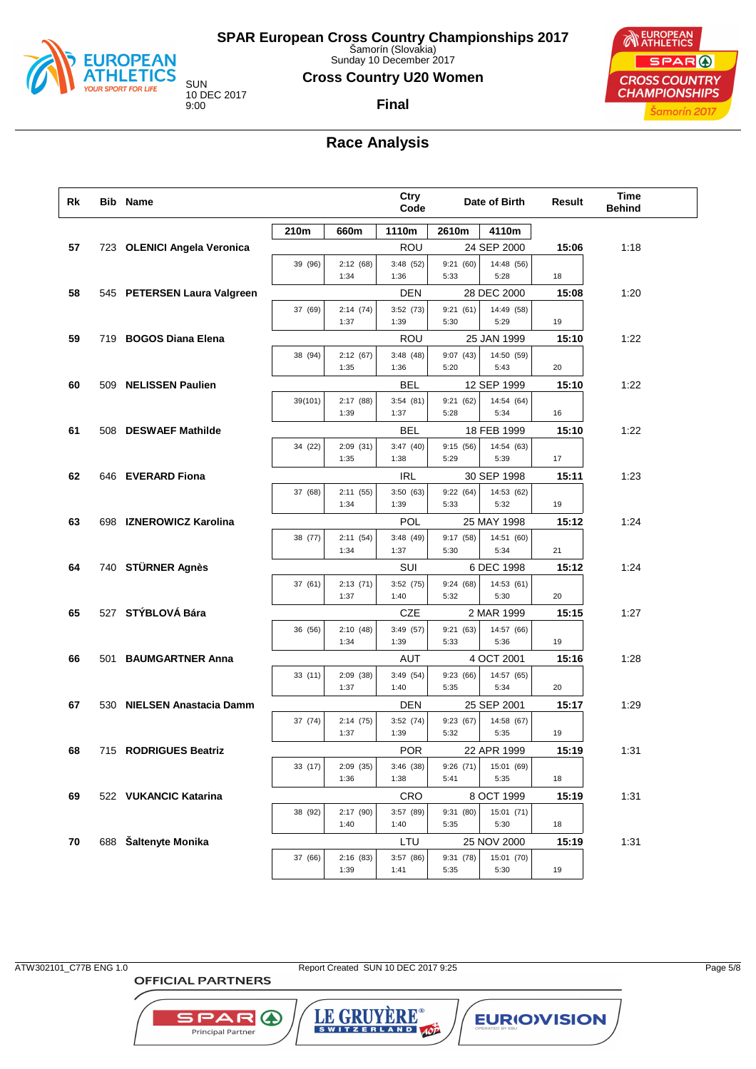

Sunday 10 December 2017

#### **Cross Country U20 Women**

10 DEC 2017

## **Final**



## **Race Analysis**

| Rk | Bib Name                    |         |                  | Ctry<br>Code      |                   | Date of Birth      | Result | Time<br><b>Behind</b> |
|----|-----------------------------|---------|------------------|-------------------|-------------------|--------------------|--------|-----------------------|
|    |                             | 210m    | 660m             | 1110m             | 2610m             | 4110m              |        |                       |
| 57 | 723 OLENICI Angela Veronica |         |                  | ROU               |                   | 24 SEP 2000        | 15:06  | 1:18                  |
|    |                             | 39 (96) | 2:12(68)         | 3:48(52)          | 9:21(60)          | 14:48 (56)         |        |                       |
|    |                             |         | 1:34             | 1:36              | 5:33              | 5:28               | 18     |                       |
| 58 | 545 PETERSEN Laura Valgreen |         |                  | <b>DEN</b>        |                   | 28 DEC 2000        | 15:08  | 1:20                  |
|    |                             | 37 (69) | 2:14(74)<br>1:37 | 3:52(73)<br>1:39  | 9:21(61)<br>5:30  | 14:49 (58)<br>5:29 | 19     |                       |
| 59 | 719 BOGOS Diana Elena       |         |                  | ROU               |                   | 25 JAN 1999        | 15:10  | 1:22                  |
|    |                             | 38 (94) | 2:12(67)         | 3:48(48)          | 9:07(43)          | 14:50 (59)         |        |                       |
|    |                             |         | 1:35             | 1:36              | 5:20              | 5:43               | 20     |                       |
| 60 | 509 NELISSEN Paulien        |         |                  | BEL               |                   | 12 SEP 1999        | 15:10  | 1:22                  |
|    |                             | 39(101) | 2:17(88)<br>1:39 | 3:54(81)<br>1:37  | 9:21(62)<br>5:28  | 14:54 (64)<br>5:34 | 16     |                       |
| 61 | 508 DESWAEF Mathilde        |         |                  | BEL               |                   | 18 FEB 1999        | 15:10  | 1:22                  |
|    |                             | 34 (22) | 2:09(31)         | 3:47(40)          | 9:15(56)          | 14:54 (63)         |        |                       |
|    |                             |         | 1:35             | 1:38              | 5:29              | 5:39               | 17     |                       |
| 62 | 646 EVERARD Fiona           |         |                  | <b>IRL</b>        |                   | 30 SEP 1998        | 15:11  | 1:23                  |
|    |                             | 37 (68) | 2:11(55)         | 3:50(63)          | 9:22(64)          | 14:53 (62)         |        |                       |
|    |                             |         | 1:34             | 1:39              | 5:33              | 5:32               | 19     |                       |
| 63 | 698 IZNEROWICZ Karolina     |         |                  | <b>POL</b>        |                   | 25 MAY 1998        | 15:12  | 1:24                  |
|    |                             | 38 (77) | 2:11(54)<br>1:34 | 3:48(49)<br>1:37  | 9:17(58)<br>5:30  | 14:51 (60)<br>5:34 | 21     |                       |
| 64 | 740 STÜRNER Agnès           |         |                  | SUI               |                   | 6 DEC 1998         | 15:12  | 1:24                  |
|    |                             | 37 (61) | 2:13(71)         | 3:52(75)          | 9:24(68)          | 14:53 (61)         |        |                       |
|    |                             |         | 1:37             | 1:40              | 5:32              | 5:30               | 20     |                       |
| 65 | 527 STÝBLOVÁ Bára           |         |                  | CZE               |                   | 2 MAR 1999         | 15:15  | 1:27                  |
|    |                             | 36 (56) | 2:10(48)         | 3:49 (57)         | 9:21(63)          | 14:57 (66)         |        |                       |
|    |                             |         | 1:34             | 1:39              | 5:33              | 5:36               | 19     |                       |
| 66 | 501 BAUMGARTNER Anna        |         |                  | AUT               |                   | 4 OCT 2001         | 15:16  | 1:28                  |
|    |                             | 33(11)  | 2:09(38)<br>1:37 | 3:49(54)<br>1:40  | 9:23(66)<br>5:35  | 14:57 (65)<br>5:34 | 20     |                       |
| 67 | 530 NIELSEN Anastacia Damm  |         |                  | <b>DEN</b>        |                   | 25 SEP 2001        | 15:17  | 1:29                  |
|    |                             | 37 (74) | 2:14(75)         | 3:52(74)          | 9:23(67)          | 14:58 (67)         |        |                       |
|    |                             |         | 1:37             | 1:39              | 5:32              | 5:35               | 19     |                       |
| 68 | 715 RODRIGUES Beatriz       |         |                  | <b>POR</b>        |                   | 22 APR 1999        | 15:19  | 1:31                  |
|    |                             | 33 (17) | 2:09(35)         | 3:46(38)          | 9:26(71)          | 15:01 (69)         |        |                       |
|    |                             |         | 1:36             | 1:38              | 5:41              | 5:35               | 18     |                       |
| 69 | 522 VUKANCIC Katarina       |         |                  | <b>CRO</b>        |                   | 8 OCT 1999         | 15:19  | 1:31                  |
|    |                             | 38 (92) | 2:17(90)<br>1:40 | 3:57 (89)<br>1:40 | 9:31 (80)<br>5:35 | 15:01 (71)<br>5:30 | 18     |                       |
| 70 | 688 Šaltenyte Monika        |         |                  | LTU               |                   | 25 NOV 2000        | 15:19  | 1:31                  |
|    |                             | 37 (66) | 2:16(83)         | 3:57(86)          | 9:31 (78)         | 15:01 (70)         |        |                       |
|    |                             |         | 1:39             | 1:41              | 5:35              | 5:30               | 19     |                       |

**OFFICIAL PARTNERS** 

**SPAR A** 

Principal Partner

ATW302101\_C77B ENG 1.0 Report Created SUN 10 DEC 2017 9:25 Page 5/8

LE GRUYERE®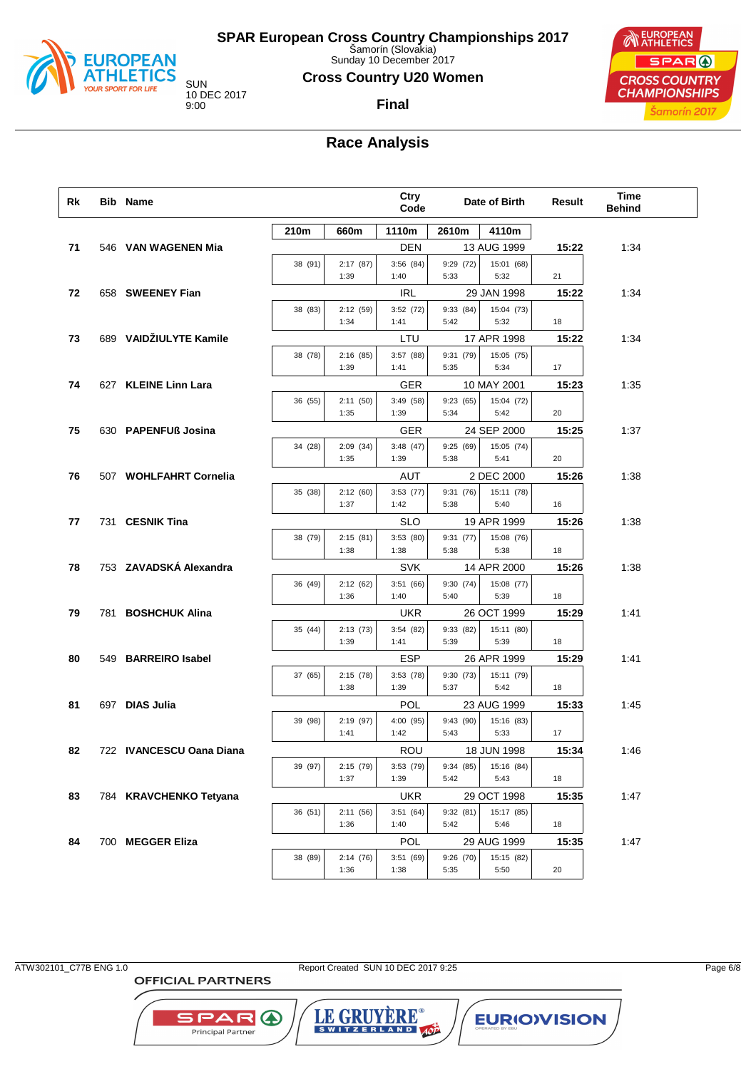

Sunday 10 December 2017

#### **Cross Country U20 Women**

**Final**

10 DEC 2017

## EUROPEAN SPAR ( **CROSS COUNTRY CHAMPIONSHIPS** Šamorín 2017

# **Race Analysis**

| 1110m<br>210m<br>660m<br>2610m<br>4110m<br>DEN<br>13 AUG 1999<br>15:22<br>1:34<br>71<br>546 VAN WAGENEN Mia<br>38 (91)<br>2:17(87)<br>3:56(84)<br>9:29(72)<br>15:01 (68)<br>1:39<br>5:33<br>5:32<br>1:40<br>21<br>IRL<br>15:22<br>1:34<br>72<br>658 SWEENEY Fian<br>29 JAN 1998<br>2:12(59)<br>3:52(72)<br>9:33(84)<br>15:04 (73)<br>38 (83)<br>5:42<br>5:32<br>1:34<br>1:41<br>18<br>689 VAIDŽIULYTE Kamile<br>73<br>LTU<br>17 APR 1998<br>15:22<br>1:34<br>9:31(79)<br>15:05 (75)<br>38 (78)<br>2:16(85)<br>3:57(88)<br>5:35<br>5:34<br>1:39<br>1:41<br>17<br>1:35<br>627 KLEINE Linn Lara<br><b>GER</b><br>10 MAY 2001<br>15:23<br>74<br>2:11(50)<br>3:49(58)<br>9:23(65)<br>15:04 (72)<br>36 (55)<br>5:34<br>5:42<br>1:35<br>1:39<br>20<br>75<br>630 PAPENFUß Josina<br><b>GER</b><br>24 SEP 2000<br>15:25<br>1:37<br>2:09(34)<br>3:48(47)<br>9:25(69)<br>15:05 (74)<br>34 (28)<br>1:39<br>5:38<br>5:41<br>1:35<br>20<br>2 DEC 2000<br>1:38<br>76<br>507 WOHLFAHRT Cornelia<br>AUT<br>15:26<br>2:12(60)<br>15:11 (78)<br>35 (38)<br>3:53(77)<br>9:31(76)<br>1:37<br>1:42<br>5:38<br>5:40<br>16<br>731 CESNIK Tina<br><b>SLO</b><br>19 APR 1999<br>1:38<br>15:26<br>77<br>3:53(80)<br>9:31(77)<br>15:08 (76)<br>38 (79)<br>2:15(81)<br>5:38<br>5:38<br>1:38<br>1:38<br>18<br>753 ZAVADSKÁ Alexandra<br>78<br><b>SVK</b><br>14 APR 2000<br>15:26<br>1:38<br>9:30(74)<br>15:08 (77)<br>36 (49)<br>2:12(62)<br>3:51(66)<br>5:39<br>1:36<br>1:40<br>5:40<br>18<br>79<br>781 BOSHCHUK Alina<br><b>UKR</b><br>26 OCT 1999<br>15:29<br>1:41<br>9:33 (82)<br>15:11 (80)<br>35 (44)<br>2:13(73)<br>3:54(82)<br>5:39<br>5:39<br>1:39<br>1:41<br>18<br><b>ESP</b><br>549 BARREIRO Isabel<br>26 APR 1999<br>15:29<br>1:41<br>80<br>9:30 (73)<br>15:11 (79)<br>37 (65)<br>2:15(78)<br>3:53(78)<br>5:37<br>5:42<br>1:38<br>1:39<br>18<br>81<br>697 DIAS Julia<br><b>POL</b><br>23 AUG 1999<br>1:45<br>15:33<br>4:00 (95)<br>9:43(90)<br>15:16 (83)<br>39 (98)<br>2:19(97)<br>1:41<br>1:42<br>5:43<br>5:33<br>17<br>82<br>722 IVANCESCU Oana Diana<br>ROU<br>18 JUN 1998<br>15:34<br>1:46<br>39 (97)<br>2:15(79)<br>3:53(79)<br>9:34 (85)<br>15:16 (84)<br>5:42<br>5:43<br>1:37<br>1:39<br>18<br>83<br>29 OCT 1998<br>784 KRAVCHENKO Tetyana<br><b>UKR</b><br>15:35<br>1:47<br>36 (51)<br>2:11(56)<br>3:51(64)<br>9:32(81)<br>15:17 (85)<br>1:36<br>1:40<br>5:42<br>5:46<br>18<br>700 MEGGER Eliza<br><b>POL</b><br>29 AUG 1999<br>15:35<br>1:47<br>84<br>38 (89)<br>3:51(69)<br>9:26(70)<br>15:15 (82)<br>2:14(76)<br>5:35<br>5:50<br>1:36<br>1:38<br>20 | Rk | Bib Name |  | Ctry<br>Code | Date of Birth | Result | <b>Time</b><br><b>Behind</b> |  |
|-----------------------------------------------------------------------------------------------------------------------------------------------------------------------------------------------------------------------------------------------------------------------------------------------------------------------------------------------------------------------------------------------------------------------------------------------------------------------------------------------------------------------------------------------------------------------------------------------------------------------------------------------------------------------------------------------------------------------------------------------------------------------------------------------------------------------------------------------------------------------------------------------------------------------------------------------------------------------------------------------------------------------------------------------------------------------------------------------------------------------------------------------------------------------------------------------------------------------------------------------------------------------------------------------------------------------------------------------------------------------------------------------------------------------------------------------------------------------------------------------------------------------------------------------------------------------------------------------------------------------------------------------------------------------------------------------------------------------------------------------------------------------------------------------------------------------------------------------------------------------------------------------------------------------------------------------------------------------------------------------------------------------------------------------------------------------------------------------------------------------------------------------------------------------------------------------------------------------------------------------------------------------------------------------------------------------------------------------------------------------------------------------------------------------------------------------------------------------------------------------------------------------------------------------|----|----------|--|--------------|---------------|--------|------------------------------|--|
|                                                                                                                                                                                                                                                                                                                                                                                                                                                                                                                                                                                                                                                                                                                                                                                                                                                                                                                                                                                                                                                                                                                                                                                                                                                                                                                                                                                                                                                                                                                                                                                                                                                                                                                                                                                                                                                                                                                                                                                                                                                                                                                                                                                                                                                                                                                                                                                                                                                                                                                                               |    |          |  |              |               |        |                              |  |
|                                                                                                                                                                                                                                                                                                                                                                                                                                                                                                                                                                                                                                                                                                                                                                                                                                                                                                                                                                                                                                                                                                                                                                                                                                                                                                                                                                                                                                                                                                                                                                                                                                                                                                                                                                                                                                                                                                                                                                                                                                                                                                                                                                                                                                                                                                                                                                                                                                                                                                                                               |    |          |  |              |               |        |                              |  |
|                                                                                                                                                                                                                                                                                                                                                                                                                                                                                                                                                                                                                                                                                                                                                                                                                                                                                                                                                                                                                                                                                                                                                                                                                                                                                                                                                                                                                                                                                                                                                                                                                                                                                                                                                                                                                                                                                                                                                                                                                                                                                                                                                                                                                                                                                                                                                                                                                                                                                                                                               |    |          |  |              |               |        |                              |  |
|                                                                                                                                                                                                                                                                                                                                                                                                                                                                                                                                                                                                                                                                                                                                                                                                                                                                                                                                                                                                                                                                                                                                                                                                                                                                                                                                                                                                                                                                                                                                                                                                                                                                                                                                                                                                                                                                                                                                                                                                                                                                                                                                                                                                                                                                                                                                                                                                                                                                                                                                               |    |          |  |              |               |        |                              |  |
|                                                                                                                                                                                                                                                                                                                                                                                                                                                                                                                                                                                                                                                                                                                                                                                                                                                                                                                                                                                                                                                                                                                                                                                                                                                                                                                                                                                                                                                                                                                                                                                                                                                                                                                                                                                                                                                                                                                                                                                                                                                                                                                                                                                                                                                                                                                                                                                                                                                                                                                                               |    |          |  |              |               |        |                              |  |
|                                                                                                                                                                                                                                                                                                                                                                                                                                                                                                                                                                                                                                                                                                                                                                                                                                                                                                                                                                                                                                                                                                                                                                                                                                                                                                                                                                                                                                                                                                                                                                                                                                                                                                                                                                                                                                                                                                                                                                                                                                                                                                                                                                                                                                                                                                                                                                                                                                                                                                                                               |    |          |  |              |               |        |                              |  |
|                                                                                                                                                                                                                                                                                                                                                                                                                                                                                                                                                                                                                                                                                                                                                                                                                                                                                                                                                                                                                                                                                                                                                                                                                                                                                                                                                                                                                                                                                                                                                                                                                                                                                                                                                                                                                                                                                                                                                                                                                                                                                                                                                                                                                                                                                                                                                                                                                                                                                                                                               |    |          |  |              |               |        |                              |  |
|                                                                                                                                                                                                                                                                                                                                                                                                                                                                                                                                                                                                                                                                                                                                                                                                                                                                                                                                                                                                                                                                                                                                                                                                                                                                                                                                                                                                                                                                                                                                                                                                                                                                                                                                                                                                                                                                                                                                                                                                                                                                                                                                                                                                                                                                                                                                                                                                                                                                                                                                               |    |          |  |              |               |        |                              |  |
|                                                                                                                                                                                                                                                                                                                                                                                                                                                                                                                                                                                                                                                                                                                                                                                                                                                                                                                                                                                                                                                                                                                                                                                                                                                                                                                                                                                                                                                                                                                                                                                                                                                                                                                                                                                                                                                                                                                                                                                                                                                                                                                                                                                                                                                                                                                                                                                                                                                                                                                                               |    |          |  |              |               |        |                              |  |
|                                                                                                                                                                                                                                                                                                                                                                                                                                                                                                                                                                                                                                                                                                                                                                                                                                                                                                                                                                                                                                                                                                                                                                                                                                                                                                                                                                                                                                                                                                                                                                                                                                                                                                                                                                                                                                                                                                                                                                                                                                                                                                                                                                                                                                                                                                                                                                                                                                                                                                                                               |    |          |  |              |               |        |                              |  |
|                                                                                                                                                                                                                                                                                                                                                                                                                                                                                                                                                                                                                                                                                                                                                                                                                                                                                                                                                                                                                                                                                                                                                                                                                                                                                                                                                                                                                                                                                                                                                                                                                                                                                                                                                                                                                                                                                                                                                                                                                                                                                                                                                                                                                                                                                                                                                                                                                                                                                                                                               |    |          |  |              |               |        |                              |  |
|                                                                                                                                                                                                                                                                                                                                                                                                                                                                                                                                                                                                                                                                                                                                                                                                                                                                                                                                                                                                                                                                                                                                                                                                                                                                                                                                                                                                                                                                                                                                                                                                                                                                                                                                                                                                                                                                                                                                                                                                                                                                                                                                                                                                                                                                                                                                                                                                                                                                                                                                               |    |          |  |              |               |        |                              |  |
|                                                                                                                                                                                                                                                                                                                                                                                                                                                                                                                                                                                                                                                                                                                                                                                                                                                                                                                                                                                                                                                                                                                                                                                                                                                                                                                                                                                                                                                                                                                                                                                                                                                                                                                                                                                                                                                                                                                                                                                                                                                                                                                                                                                                                                                                                                                                                                                                                                                                                                                                               |    |          |  |              |               |        |                              |  |
|                                                                                                                                                                                                                                                                                                                                                                                                                                                                                                                                                                                                                                                                                                                                                                                                                                                                                                                                                                                                                                                                                                                                                                                                                                                                                                                                                                                                                                                                                                                                                                                                                                                                                                                                                                                                                                                                                                                                                                                                                                                                                                                                                                                                                                                                                                                                                                                                                                                                                                                                               |    |          |  |              |               |        |                              |  |
|                                                                                                                                                                                                                                                                                                                                                                                                                                                                                                                                                                                                                                                                                                                                                                                                                                                                                                                                                                                                                                                                                                                                                                                                                                                                                                                                                                                                                                                                                                                                                                                                                                                                                                                                                                                                                                                                                                                                                                                                                                                                                                                                                                                                                                                                                                                                                                                                                                                                                                                                               |    |          |  |              |               |        |                              |  |
|                                                                                                                                                                                                                                                                                                                                                                                                                                                                                                                                                                                                                                                                                                                                                                                                                                                                                                                                                                                                                                                                                                                                                                                                                                                                                                                                                                                                                                                                                                                                                                                                                                                                                                                                                                                                                                                                                                                                                                                                                                                                                                                                                                                                                                                                                                                                                                                                                                                                                                                                               |    |          |  |              |               |        |                              |  |
|                                                                                                                                                                                                                                                                                                                                                                                                                                                                                                                                                                                                                                                                                                                                                                                                                                                                                                                                                                                                                                                                                                                                                                                                                                                                                                                                                                                                                                                                                                                                                                                                                                                                                                                                                                                                                                                                                                                                                                                                                                                                                                                                                                                                                                                                                                                                                                                                                                                                                                                                               |    |          |  |              |               |        |                              |  |
|                                                                                                                                                                                                                                                                                                                                                                                                                                                                                                                                                                                                                                                                                                                                                                                                                                                                                                                                                                                                                                                                                                                                                                                                                                                                                                                                                                                                                                                                                                                                                                                                                                                                                                                                                                                                                                                                                                                                                                                                                                                                                                                                                                                                                                                                                                                                                                                                                                                                                                                                               |    |          |  |              |               |        |                              |  |
|                                                                                                                                                                                                                                                                                                                                                                                                                                                                                                                                                                                                                                                                                                                                                                                                                                                                                                                                                                                                                                                                                                                                                                                                                                                                                                                                                                                                                                                                                                                                                                                                                                                                                                                                                                                                                                                                                                                                                                                                                                                                                                                                                                                                                                                                                                                                                                                                                                                                                                                                               |    |          |  |              |               |        |                              |  |
|                                                                                                                                                                                                                                                                                                                                                                                                                                                                                                                                                                                                                                                                                                                                                                                                                                                                                                                                                                                                                                                                                                                                                                                                                                                                                                                                                                                                                                                                                                                                                                                                                                                                                                                                                                                                                                                                                                                                                                                                                                                                                                                                                                                                                                                                                                                                                                                                                                                                                                                                               |    |          |  |              |               |        |                              |  |
|                                                                                                                                                                                                                                                                                                                                                                                                                                                                                                                                                                                                                                                                                                                                                                                                                                                                                                                                                                                                                                                                                                                                                                                                                                                                                                                                                                                                                                                                                                                                                                                                                                                                                                                                                                                                                                                                                                                                                                                                                                                                                                                                                                                                                                                                                                                                                                                                                                                                                                                                               |    |          |  |              |               |        |                              |  |
|                                                                                                                                                                                                                                                                                                                                                                                                                                                                                                                                                                                                                                                                                                                                                                                                                                                                                                                                                                                                                                                                                                                                                                                                                                                                                                                                                                                                                                                                                                                                                                                                                                                                                                                                                                                                                                                                                                                                                                                                                                                                                                                                                                                                                                                                                                                                                                                                                                                                                                                                               |    |          |  |              |               |        |                              |  |
|                                                                                                                                                                                                                                                                                                                                                                                                                                                                                                                                                                                                                                                                                                                                                                                                                                                                                                                                                                                                                                                                                                                                                                                                                                                                                                                                                                                                                                                                                                                                                                                                                                                                                                                                                                                                                                                                                                                                                                                                                                                                                                                                                                                                                                                                                                                                                                                                                                                                                                                                               |    |          |  |              |               |        |                              |  |
|                                                                                                                                                                                                                                                                                                                                                                                                                                                                                                                                                                                                                                                                                                                                                                                                                                                                                                                                                                                                                                                                                                                                                                                                                                                                                                                                                                                                                                                                                                                                                                                                                                                                                                                                                                                                                                                                                                                                                                                                                                                                                                                                                                                                                                                                                                                                                                                                                                                                                                                                               |    |          |  |              |               |        |                              |  |
|                                                                                                                                                                                                                                                                                                                                                                                                                                                                                                                                                                                                                                                                                                                                                                                                                                                                                                                                                                                                                                                                                                                                                                                                                                                                                                                                                                                                                                                                                                                                                                                                                                                                                                                                                                                                                                                                                                                                                                                                                                                                                                                                                                                                                                                                                                                                                                                                                                                                                                                                               |    |          |  |              |               |        |                              |  |
|                                                                                                                                                                                                                                                                                                                                                                                                                                                                                                                                                                                                                                                                                                                                                                                                                                                                                                                                                                                                                                                                                                                                                                                                                                                                                                                                                                                                                                                                                                                                                                                                                                                                                                                                                                                                                                                                                                                                                                                                                                                                                                                                                                                                                                                                                                                                                                                                                                                                                                                                               |    |          |  |              |               |        |                              |  |
|                                                                                                                                                                                                                                                                                                                                                                                                                                                                                                                                                                                                                                                                                                                                                                                                                                                                                                                                                                                                                                                                                                                                                                                                                                                                                                                                                                                                                                                                                                                                                                                                                                                                                                                                                                                                                                                                                                                                                                                                                                                                                                                                                                                                                                                                                                                                                                                                                                                                                                                                               |    |          |  |              |               |        |                              |  |
|                                                                                                                                                                                                                                                                                                                                                                                                                                                                                                                                                                                                                                                                                                                                                                                                                                                                                                                                                                                                                                                                                                                                                                                                                                                                                                                                                                                                                                                                                                                                                                                                                                                                                                                                                                                                                                                                                                                                                                                                                                                                                                                                                                                                                                                                                                                                                                                                                                                                                                                                               |    |          |  |              |               |        |                              |  |
|                                                                                                                                                                                                                                                                                                                                                                                                                                                                                                                                                                                                                                                                                                                                                                                                                                                                                                                                                                                                                                                                                                                                                                                                                                                                                                                                                                                                                                                                                                                                                                                                                                                                                                                                                                                                                                                                                                                                                                                                                                                                                                                                                                                                                                                                                                                                                                                                                                                                                                                                               |    |          |  |              |               |        |                              |  |

ATW302101\_C77B ENG 1.0 Report Created SUN 10 DEC 2017 9:25 Page 6/8

**OFFICIAL PARTNERS** 

SPAR A Principal Partner

LE GRUYERE®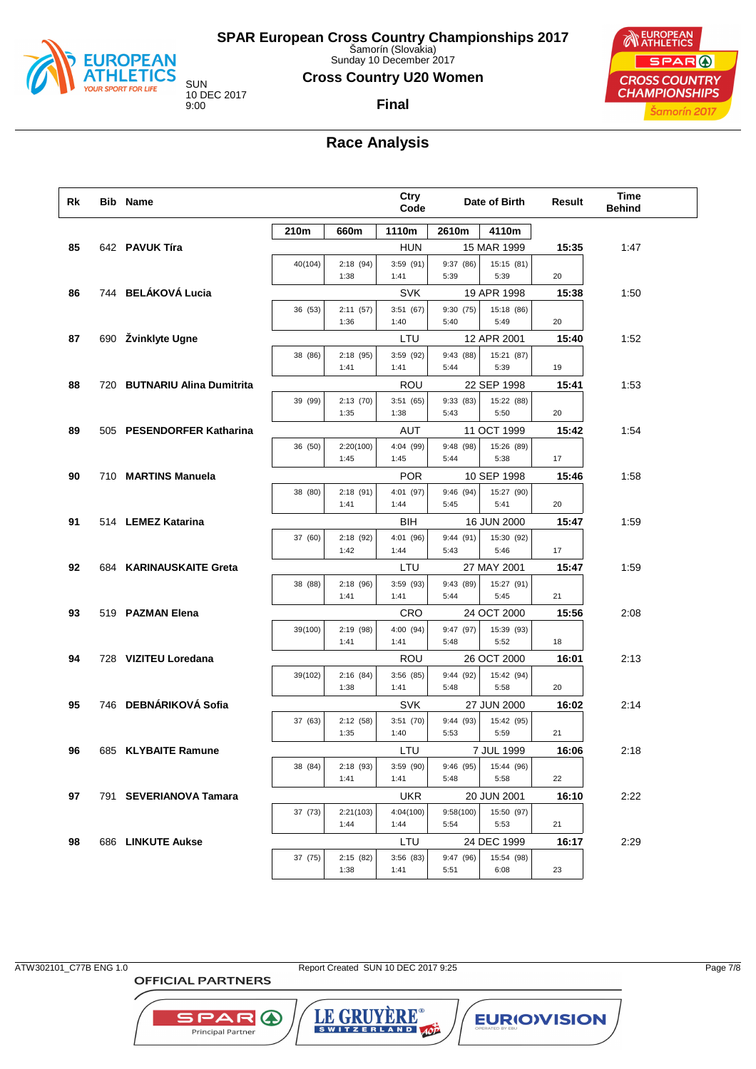

Sunday 10 December 2017

#### **Cross Country U20 Women**

10 DEC 2017

#### **Final**



## **Race Analysis**

| Rk | <b>Bib Name</b>              |         |                   | Ctry<br>Code      |                   | Date of Birth      | Result | Time<br><b>Behind</b> |
|----|------------------------------|---------|-------------------|-------------------|-------------------|--------------------|--------|-----------------------|
|    |                              | 210m    | 660m              | 1110m             | 2610m             | 4110m              |        |                       |
| 85 | 642 PAVUK Tíra               |         |                   | <b>HUN</b>        |                   | 15 MAR 1999        | 15:35  | 1:47                  |
|    |                              | 40(104) | 2:18(94)          | 3:59(91)          | 9:37(86)          | 15:15 (81)         |        |                       |
|    |                              |         | 1:38              | 1:41              | 5:39              | 5:39               | 20     |                       |
| 86 | 744 BELÁKOVÁ Lucia           |         |                   | <b>SVK</b>        |                   | 19 APR 1998        | 15:38  | 1:50                  |
|    |                              | 36 (53) | 2:11(57)<br>1:36  | 3:51(67)<br>1:40  | 9:30(75)<br>5:40  | 15:18 (86)<br>5:49 | 20     |                       |
| 87 | 690 Žvinklyte Ugne           |         |                   | LTU               |                   | 12 APR 2001        | 15:40  | 1:52                  |
|    |                              | 38 (86) | 2:18(95)          | 3:59 (92)         | 9:43(88)          | 15:21 (87)         |        |                       |
|    |                              |         | 1:41              | 1:41              | 5:44              | 5:39               | 19     |                       |
| 88 | 720 BUTNARIU Alina Dumitrita |         |                   | ROU               |                   | 22 SEP 1998        | 15:41  | 1:53                  |
|    |                              | 39 (99) | 2:13(70)          | 3:51(65)          | 9:33(83)          | 15:22 (88)         |        |                       |
|    |                              |         | 1:35              | 1:38              | 5:43              | 5:50               | 20     |                       |
| 89 | 505 PESENDORFER Katharina    |         |                   | AUT               |                   | 11 OCT 1999        | 15:42  | 1:54                  |
|    |                              | 36 (50) | 2:20(100)<br>1:45 | 4:04 (99)<br>1:45 | 9:48 (98)<br>5:44 | 15:26 (89)<br>5:38 | 17     |                       |
| 90 | 710 MARTINS Manuela          |         |                   | <b>POR</b>        |                   | 10 SEP 1998        | 15:46  | 1:58                  |
|    |                              | 38 (80) | 2:18(91)          | 4:01 (97)         | 9:46(94)          | 15:27 (90)         |        |                       |
|    |                              |         | 1:41              | 1:44              | 5:45              | 5:41               | 20     |                       |
| 91 | 514 LEMEZ Katarina           |         |                   | BIH               |                   | 16 JUN 2000        | 15:47  | 1:59                  |
|    |                              | 37 (60) | 2:18(92)          | 4:01 (96)         | 9:44(91)          | 15:30 (92)         |        |                       |
|    |                              |         | 1:42              | 1:44              | 5:43              | 5:46               | 17     |                       |
| 92 | 684 KARINAUSKAITE Greta      |         |                   | LTU               |                   | 27 MAY 2001        | 15:47  | 1:59                  |
|    |                              | 38 (88) | 2:18(96)<br>1:41  | 3:59(93)<br>1:41  | 9:43 (89)<br>5:44 | 15:27 (91)<br>5:45 | 21     |                       |
| 93 | 519 PAZMAN Elena             |         |                   | CRO               |                   | 24 OCT 2000        | 15:56  | 2:08                  |
|    |                              | 39(100) | 2:19(98)          | 4:00 (94)         | 9:47 (97)         | 15:39 (93)         |        |                       |
|    |                              |         | 1:41              | 1:41              | 5:48              | 5:52               | 18     |                       |
| 94 | 728 VIZITEU Loredana         |         |                   | ROU               |                   | 26 OCT 2000        | 16:01  | 2:13                  |
|    |                              | 39(102) | 2:16(84)          | 3:56(85)          | 9:44 (92)         | 15:42 (94)         |        |                       |
|    |                              |         | 1:38              | 1:41              | 5:48              | 5:58               | 20     |                       |
| 95 | 746 DEBNÁRIKOVÁ Sofia        |         |                   | <b>SVK</b>        |                   | 27 JUN 2000        | 16:02  | 2:14                  |
|    |                              | 37 (63) | 2:12(58)<br>1:35  | 3:51(70)<br>1:40  | 9:44 (93)<br>5:53 | 15:42 (95)<br>5:59 | 21     |                       |
| 96 | 685 KLYBAITE Ramune          |         |                   | LTU               |                   | 7 JUL 1999         | 16:06  | 2:18                  |
|    |                              | 38 (84) | 2:18(93)          | 3:59(90)          | 9:46 (95)         | 15:44 (96)         |        |                       |
|    |                              |         | 1:41              | 1:41              | 5:48              | 5:58               | 22     |                       |
| 97 | 791 SEVERIANOVA Tamara       |         |                   | <b>UKR</b>        |                   | 20 JUN 2001        | 16:10  | 2:22                  |
|    |                              | 37 (73) | 2:21(103)         | 4:04(100)         | 9:58(100)         | 15:50 (97)         |        |                       |
|    |                              |         | 1:44              | 1:44              | 5:54              | 5:53               | 21     |                       |
| 98 | 686 LINKUTE Aukse            |         |                   | LTU               |                   | 24 DEC 1999        | 16:17  | 2:29                  |
|    |                              | 37 (75) | 2:15(82)<br>1:38  | 3:56(83)<br>1:41  | 9:47 (96)<br>5:51 | 15:54 (98)<br>6:08 | 23     |                       |
|    |                              |         |                   |                   |                   |                    |        |                       |

ATW302101\_C77B ENG 1.0 Report Created SUN 10 DEC 2017 9:25 Page 7/8

**OFFICIAL PARTNERS** 

**SPAR A** Principal Partner

LE GRUYERE® **EURIOVISION**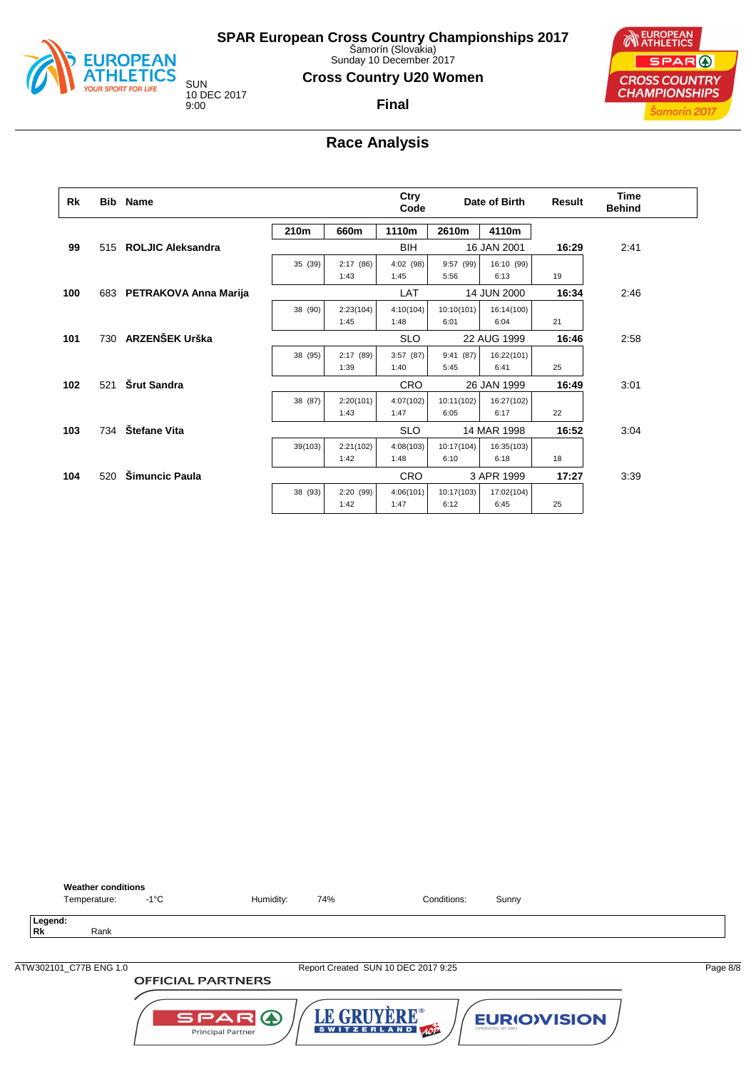

**Weather conditions**<br>Temperature: -1°C

**SPAR European Cross Country Championships 2017** Šamorín (Slovakia)

Sunday 10 December 2017

#### **Cross Country U20 Women**

**Final**

**NEUROPEAN** SPAR ( **CROSS COUNTRY CHAMPIONSHIPS** Šamorín 2017

10 DEC 2017 9:00

## **Race Analysis**

| Rk  |     | <b>Bib</b> Name           |         |           | Ctry<br>Code |            | Date of Birth | <b>Result</b> | Time<br><b>Behind</b> |
|-----|-----|---------------------------|---------|-----------|--------------|------------|---------------|---------------|-----------------------|
|     |     |                           | 210m    | 660m      | 1110m        | 2610m      | 4110m         |               |                       |
| 99  | 515 | <b>ROLJIC Aleksandra</b>  |         |           | BIH          |            | 16 JAN 2001   | 16:29         | 2:41                  |
|     |     |                           | 35 (39) | 2:17(86)  | 4:02(98)     | 9:57(99)   | 16:10 (99)    |               |                       |
|     |     |                           |         | 1:43      | 1:45         | 5:56       | 6:13          | 19            |                       |
| 100 |     | 683 PETRAKOVA Anna Marija |         |           | <b>LAT</b>   |            | 14 JUN 2000   | 16:34         | 2:46                  |
|     |     |                           | 38 (90) | 2:23(104) | 4:10(104)    | 10:10(101) | 16:14(100)    |               |                       |
|     |     |                           |         | 1:45      | 1:48         | 6:01       | 6:04          | 21            |                       |
| 101 | 730 | <b>ARZENŠEK Urška</b>     |         |           | <b>SLO</b>   |            | 22 AUG 1999   | 16:46         | 2:58                  |
|     |     |                           | 38 (95) | 2:17(89)  | 3:57(87)     | 9:41(87)   | 16:22(101)    |               |                       |
|     |     |                           |         | 1:39      | 1:40         | 5:45       | 6:41          | 25            |                       |
| 102 | 521 | Šrut Sandra               |         |           | <b>CRO</b>   |            | 26 JAN 1999   | 16:49         | 3:01                  |
|     |     |                           | 38 (87) | 2:20(101) | 4:07(102)    | 10:11(102) | 16:27(102)    |               |                       |
|     |     |                           |         | 1:43      | 1:47         | 6:05       | 6:17          | 22            |                       |
| 103 | 734 | Štefane Vita              |         |           | <b>SLO</b>   |            | 14 MAR 1998   | 16:52         | 3:04                  |
|     |     |                           | 39(103) | 2:21(102) | 4:08(103)    | 10:17(104) | 16:35(103)    |               |                       |
|     |     |                           |         | 1:42      | 1:48         | 6:10       | 6:18          | 18            |                       |
| 104 | 520 | <b>Šimuncic Paula</b>     |         |           | <b>CRO</b>   |            | 3 APR 1999    | 17:27         | 3:39                  |
|     |     |                           | 38 (93) | 2:20(99)  | 4:06(101)    | 10:17(103) | 17:02(104)    |               |                       |
|     |     |                           |         | 1:42      | 1:47         | 6:12       | 6:45          | 25            |                       |



Temperature: -1°C Humidity: 74% Conditions: Sunny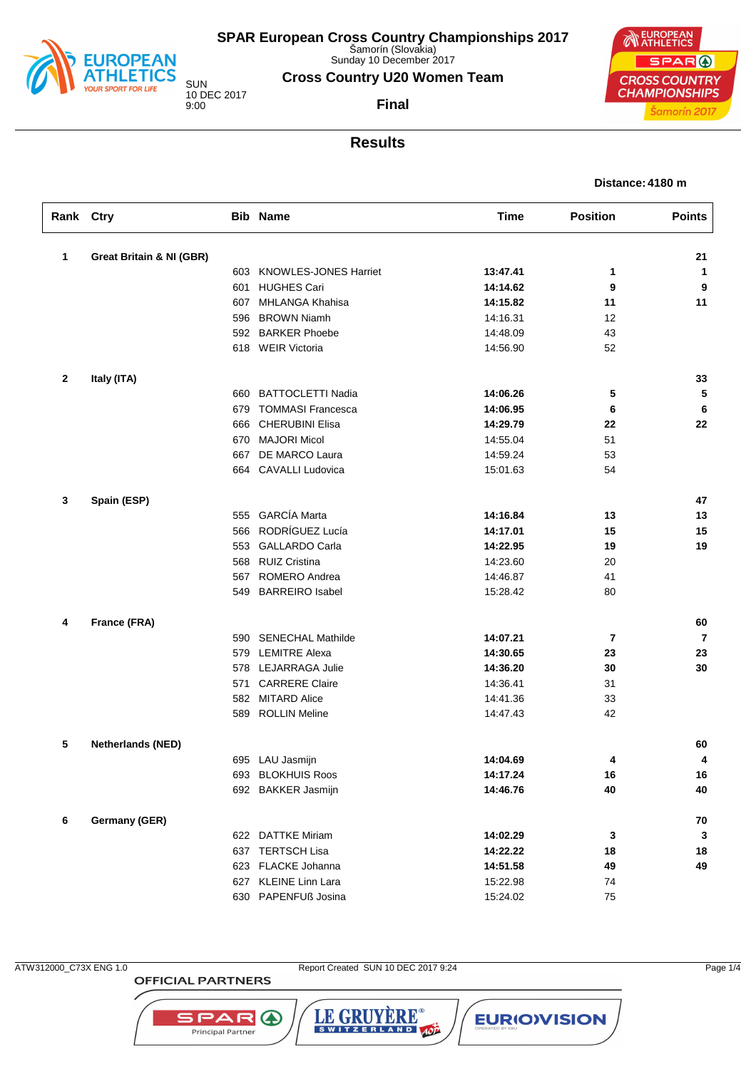

Sunday 10 December 2017

**Cross Country U20 Women Team**

10 DEC 2017

**Final**



### **Results**

| Distance: 4180 m |  |  |
|------------------|--|--|
|                  |  |  |

| Rank Ctry    |                                     |     | <b>Bib Name</b>           | <b>Time</b> | <b>Position</b> | <b>Points</b>  |
|--------------|-------------------------------------|-----|---------------------------|-------------|-----------------|----------------|
| 1            | <b>Great Britain &amp; NI (GBR)</b> |     |                           |             |                 | 21             |
|              |                                     |     | 603 KNOWLES-JONES Harriet | 13:47.41    | 1               | $\mathbf{1}$   |
|              |                                     | 601 | <b>HUGHES Cari</b>        | 14:14.62    | 9               | 9              |
|              |                                     |     | 607 MHLANGA Khahisa       | 14:15.82    | 11              | 11             |
|              |                                     |     | 596 BROWN Niamh           | 14:16.31    | 12              |                |
|              |                                     |     | 592 BARKER Phoebe         | 14:48.09    | 43              |                |
|              |                                     |     | 618 WEIR Victoria         | 14:56.90    | 52              |                |
| $\mathbf{2}$ | Italy (ITA)                         |     |                           |             |                 | 33             |
|              |                                     |     | 660 BATTOCLETTI Nadia     | 14:06.26    | 5               | 5              |
|              |                                     |     | 679 TOMMASI Francesca     | 14:06.95    | 6               | 6              |
|              |                                     |     | 666 CHERUBINI Elisa       | 14:29.79    | 22              | 22             |
|              |                                     |     | 670 MAJORI Micol          | 14:55.04    | 51              |                |
|              |                                     |     | 667 DE MARCO Laura        | 14:59.24    | 53              |                |
|              |                                     |     | 664 CAVALLI Ludovica      | 15:01.63    | 54              |                |
| 3            | Spain (ESP)                         |     |                           |             |                 | 47             |
|              |                                     |     | 555 GARCÍA Marta          | 14:16.84    | 13              | 13             |
|              |                                     |     | 566 RODRÍGUEZ Lucía       | 14:17.01    | 15              | 15             |
|              |                                     |     | 553 GALLARDO Carla        | 14:22.95    | 19              | 19             |
|              |                                     |     | 568 RUIZ Cristina         | 14:23.60    | 20              |                |
|              |                                     |     | 567 ROMERO Andrea         | 14:46.87    | 41              |                |
|              |                                     |     | 549 BARREIRO Isabel       | 15:28.42    | 80              |                |
| 4            | France (FRA)                        |     |                           |             |                 | 60             |
|              |                                     |     | 590 SENECHAL Mathilde     | 14:07.21    | 7               | $\overline{7}$ |
|              |                                     |     | 579 LEMITRE Alexa         | 14:30.65    | 23              | 23             |
|              |                                     |     | 578 LEJARRAGA Julie       | 14:36.20    | 30              | 30             |
|              |                                     |     | 571 CARRERE Claire        | 14:36.41    | 31              |                |
|              |                                     |     | 582 MITARD Alice          | 14:41.36    | 33              |                |
|              |                                     |     | 589 ROLLIN Meline         | 14:47.43    | 42              |                |
| 5            | <b>Netherlands (NED)</b>            |     |                           |             |                 | 60             |
|              |                                     |     | 695 LAU Jasmijn           | 14:04.69    | 4               | 4              |
|              |                                     |     | 693 BLOKHUIS Roos         | 14:17.24    | 16              | $16\,$         |
|              |                                     |     | 692 BAKKER Jasmijn        | 14:46.76    | 40              | 40             |
| 6            | Germany (GER)                       |     |                           |             |                 | 70             |
|              |                                     |     | 622 DATTKE Miriam         | 14:02.29    | $\mathbf{3}$    | $\mathbf{3}$   |
|              |                                     |     | 637 TERTSCH Lisa          | 14:22.22    | 18              | 18             |
|              |                                     |     | 623 FLACKE Johanna        | 14:51.58    | 49              | 49             |
|              |                                     |     | 627 KLEINE Linn Lara      | 15:22.98    | 74              |                |
|              |                                     |     | 630 PAPENFUß Josina       | 15:24.02    | 75              |                |

**OFFICIAL PARTNERS** 

**SPAR A** 

Principal Partner

ATW312000\_C73X ENG 1.0 Report Created SUN 10 DEC 2017 9:24 Page 1/4

LE GRUYÈRE®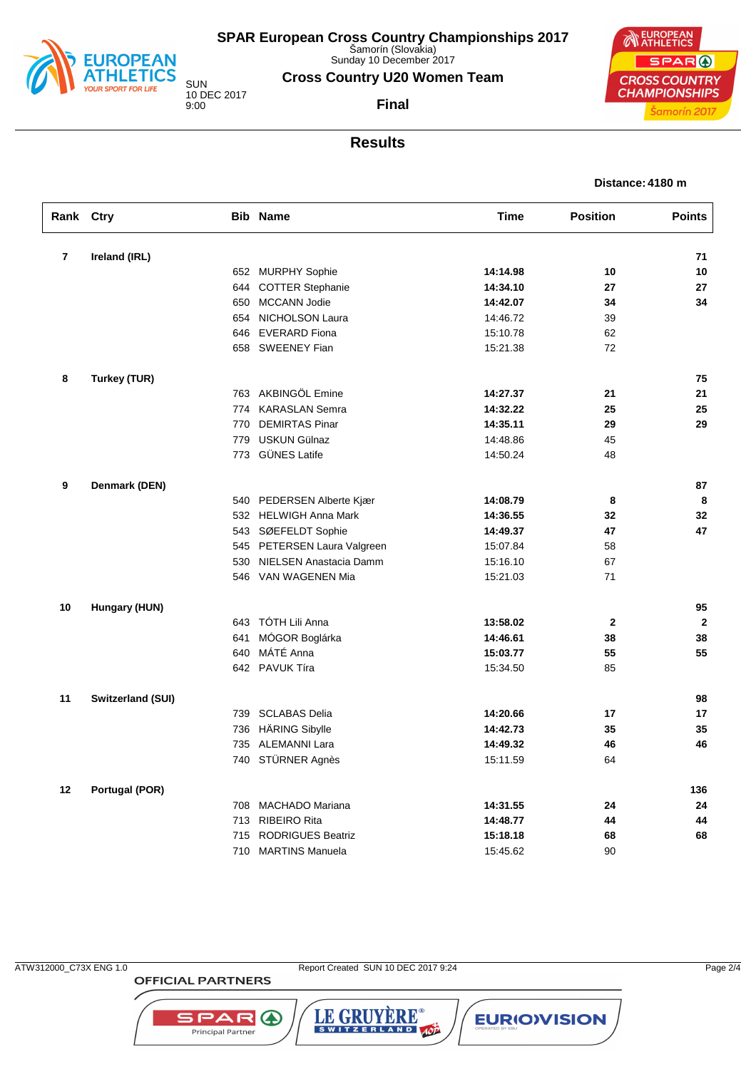

Sunday 10 December 2017

**Cross Country U20 Women Team**

10 DEC 2017

**Final**



#### **Results**

| Distance: 4180 m |  |  |
|------------------|--|--|
|                  |  |  |

| Rank Ctry               |                          |     | <b>Bib Name</b>             | <b>Time</b> | <b>Position</b> | <b>Points</b> |
|-------------------------|--------------------------|-----|-----------------------------|-------------|-----------------|---------------|
| $\overline{\mathbf{r}}$ | Ireland (IRL)            |     |                             |             |                 | 71            |
|                         |                          |     | 652 MURPHY Sophie           | 14:14.98    | 10              | 10            |
|                         |                          | 644 | <b>COTTER Stephanie</b>     | 14:34.10    | 27              | 27            |
|                         |                          | 650 | <b>MCCANN Jodie</b>         | 14:42.07    | 34              | 34            |
|                         |                          | 654 | NICHOLSON Laura             | 14:46.72    | 39              |               |
|                         |                          | 646 | <b>EVERARD Fiona</b>        | 15:10.78    | 62              |               |
|                         |                          |     | 658 SWEENEY Fian            | 15:21.38    | 72              |               |
| 8                       | Turkey (TUR)             |     |                             |             |                 | 75            |
|                         |                          |     | 763 AKBINGÖL Emine          | 14:27.37    | 21              | 21            |
|                         |                          | 774 | <b>KARASLAN Semra</b>       | 14:32.22    | 25              | 25            |
|                         |                          | 770 | <b>DEMIRTAS Pinar</b>       | 14:35.11    | 29              | 29            |
|                         |                          | 779 | <b>USKUN Gülnaz</b>         | 14:48.86    | 45              |               |
|                         |                          |     | 773 GÜNES Latife            | 14:50.24    | 48              |               |
| 9                       | Denmark (DEN)            |     |                             |             |                 | 87            |
|                         |                          |     | 540 PEDERSEN Alberte Kjær   | 14:08.79    | 8               | 8             |
|                         |                          | 532 | <b>HELWIGH Anna Mark</b>    | 14:36.55    | 32              | 32            |
|                         |                          |     | 543 SØEFELDT Sophie         | 14:49.37    | 47              | 47            |
|                         |                          |     | 545 PETERSEN Laura Valgreen | 15:07.84    | 58              |               |
|                         |                          |     | 530 NIELSEN Anastacia Damm  | 15:16.10    | 67              |               |
|                         |                          |     | 546 VAN WAGENEN Mia         | 15:21.03    | 71              |               |
| 10                      | Hungary (HUN)            |     |                             |             |                 | 95            |
|                         |                          | 643 | TÓTH Lili Anna              | 13:58.02    | $\mathbf{2}$    | $\mathbf{2}$  |
|                         |                          | 641 | MÓGOR Boglárka              | 14:46.61    | 38              | 38            |
|                         |                          | 640 | MÁTÉ Anna                   | 15:03.77    | 55              | 55            |
|                         |                          |     | 642 PAVUK Tíra              | 15:34.50    | 85              |               |
| 11                      | <b>Switzerland (SUI)</b> |     |                             |             |                 | 98            |
|                         |                          | 739 | <b>SCLABAS Delia</b>        | 14:20.66    | 17              | 17            |
|                         |                          | 736 | HÄRING Sibylle              | 14:42.73    | 35              | 35            |
|                         |                          | 735 | <b>ALEMANNI Lara</b>        | 14:49.32    | 46              | 46            |
|                         |                          |     | 740 STÜRNER Agnès           | 15:11.59    | 64              |               |
| 12                      | Portugal (POR)           |     |                             |             |                 | 136           |
|                         |                          | 708 | <b>MACHADO Mariana</b>      | 14:31.55    | 24              | 24            |
|                         |                          | 713 | <b>RIBEIRO Rita</b>         | 14:48.77    | 44              | 44            |
|                         |                          | 715 | <b>RODRIGUES Beatriz</b>    | 15:18.18    | 68              | 68            |
|                         |                          | 710 | <b>MARTINS Manuela</b>      | 15:45.62    | 90              |               |

**OFFICIAL PARTNERS** 

**SPAR A** Principal Partner

LE GRUYÈRE®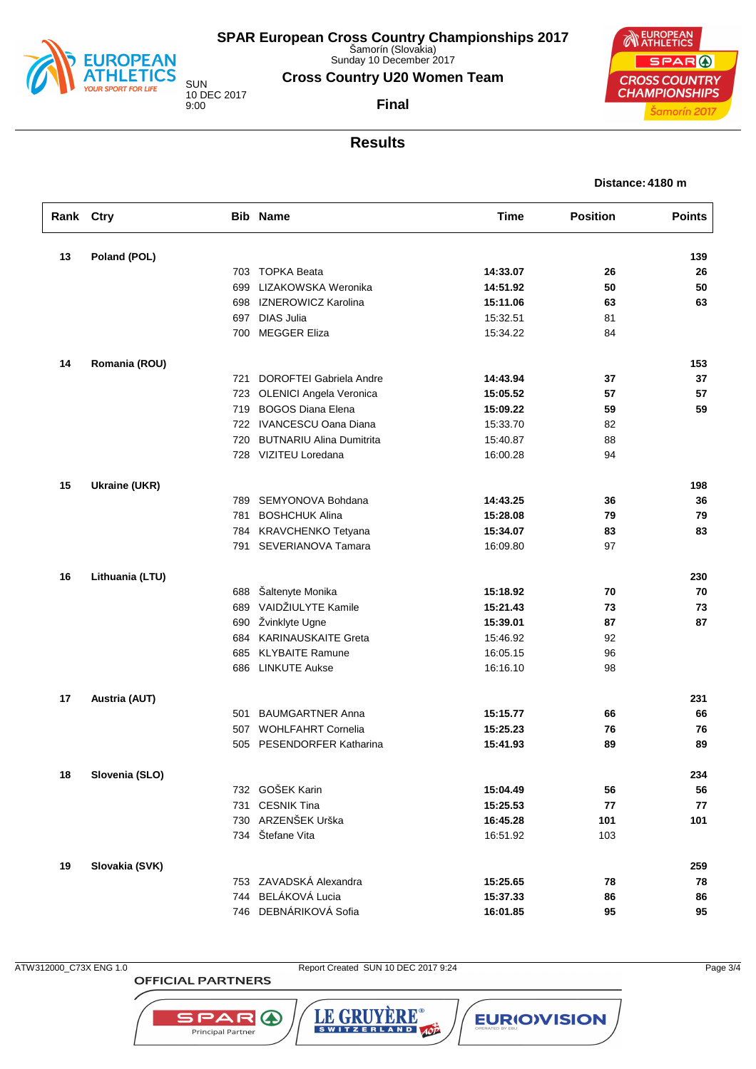

Sunday 10 December 2017

**Cross Country U20 Women Team**

10 DEC 2017

**Final**



#### **Results**

| Distance: 4180 m |  |
|------------------|--|
|------------------|--|

| Rank Ctry |                      |     | <b>Bib Name</b>                 | <b>Time</b> | <b>Position</b> | <b>Points</b> |
|-----------|----------------------|-----|---------------------------------|-------------|-----------------|---------------|
| 13        | Poland (POL)         |     |                                 |             |                 | 139           |
|           |                      |     | 703 TOPKA Beata                 | 14:33.07    | 26              | 26            |
|           |                      | 699 | LIZAKOWSKA Weronika             | 14:51.92    | 50              | 50            |
|           |                      | 698 | <b>IZNEROWICZ Karolina</b>      | 15:11.06    | 63              | 63            |
|           |                      | 697 | <b>DIAS Julia</b>               | 15:32.51    | 81              |               |
|           |                      | 700 | <b>MEGGER Eliza</b>             | 15:34.22    | 84              |               |
| 14        | Romania (ROU)        |     |                                 |             |                 | 153           |
|           |                      | 721 | DOROFTEI Gabriela Andre         | 14:43.94    | 37              | 37            |
|           |                      | 723 | <b>OLENICI Angela Veronica</b>  | 15:05.52    | 57              | 57            |
|           |                      | 719 | <b>BOGOS Diana Elena</b>        | 15:09.22    | 59              | 59            |
|           |                      |     | 722 IVANCESCU Oana Diana        | 15:33.70    | 82              |               |
|           |                      | 720 | <b>BUTNARIU Alina Dumitrita</b> | 15:40.87    | 88              |               |
|           |                      |     | 728 VIZITEU Loredana            | 16:00.28    | 94              |               |
| 15        | <b>Ukraine (UKR)</b> |     |                                 |             |                 | 198           |
|           |                      | 789 | SEMYONOVA Bohdana               | 14:43.25    | 36              | 36            |
|           |                      | 781 | <b>BOSHCHUK Alina</b>           | 15:28.08    | 79              | 79            |
|           |                      | 784 | KRAVCHENKO Tetyana              | 15:34.07    | 83              | 83            |
|           |                      | 791 | SEVERIANOVA Tamara              | 16:09.80    | 97              |               |
| 16        | Lithuania (LTU)      |     |                                 |             |                 | 230           |
|           |                      | 688 | Šaltenyte Monika                | 15:18.92    | 70              | 70            |
|           |                      | 689 | VAIDŽIULYTE Kamile              | 15:21.43    | 73              | 73            |
|           |                      | 690 | Žvinklyte Ugne                  | 15:39.01    | 87              | 87            |
|           |                      | 684 | <b>KARINAUSKAITE Greta</b>      | 15:46.92    | 92              |               |
|           |                      | 685 | <b>KLYBAITE Ramune</b>          | 16:05.15    | 96              |               |
|           |                      | 686 | <b>LINKUTE Aukse</b>            | 16:16.10    | 98              |               |
| 17        | Austria (AUT)        |     |                                 |             |                 | 231           |
|           |                      | 501 | <b>BAUMGARTNER Anna</b>         | 15:15.77    | 66              | 66            |
|           |                      | 507 | <b>WOHLFAHRT Cornelia</b>       | 15:25.23    | 76              | 76            |
|           |                      | 505 | PESENDORFER Katharina           | 15:41.93    | 89              | 89            |
| 18        | Slovenia (SLO)       |     |                                 |             |                 | 234           |
|           |                      |     | 732 GOŠEK Karin                 | 15:04.49    | 56              | 56            |
|           |                      | 731 | <b>CESNIK Tina</b>              | 15:25.53    | 77              | 77            |
|           |                      | 730 | ARZENŠEK Urška                  | 16:45.28    | 101             | 101           |
|           |                      |     | 734 Štefane Vita                | 16:51.92    | 103             |               |
| 19        | Slovakia (SVK)       |     |                                 |             |                 | 259           |
|           |                      |     | 753 ZAVADSKÁ Alexandra          | 15:25.65    | 78              | 78            |
|           |                      | 744 | BELÁKOVÁ Lucia                  | 15:37.33    | 86              | 86            |
|           |                      |     | 746 DEBNÁRIKOVÁ Sofia           | 16:01.85    | 95              | 95            |

**OFFICIAL PARTNERS** 

SPAR A

Principal Partner

ATW312000\_C73X ENG 1.0 Report Created SUN 10 DEC 2017 9:24 Page 3/4

LE GRUYÈRE®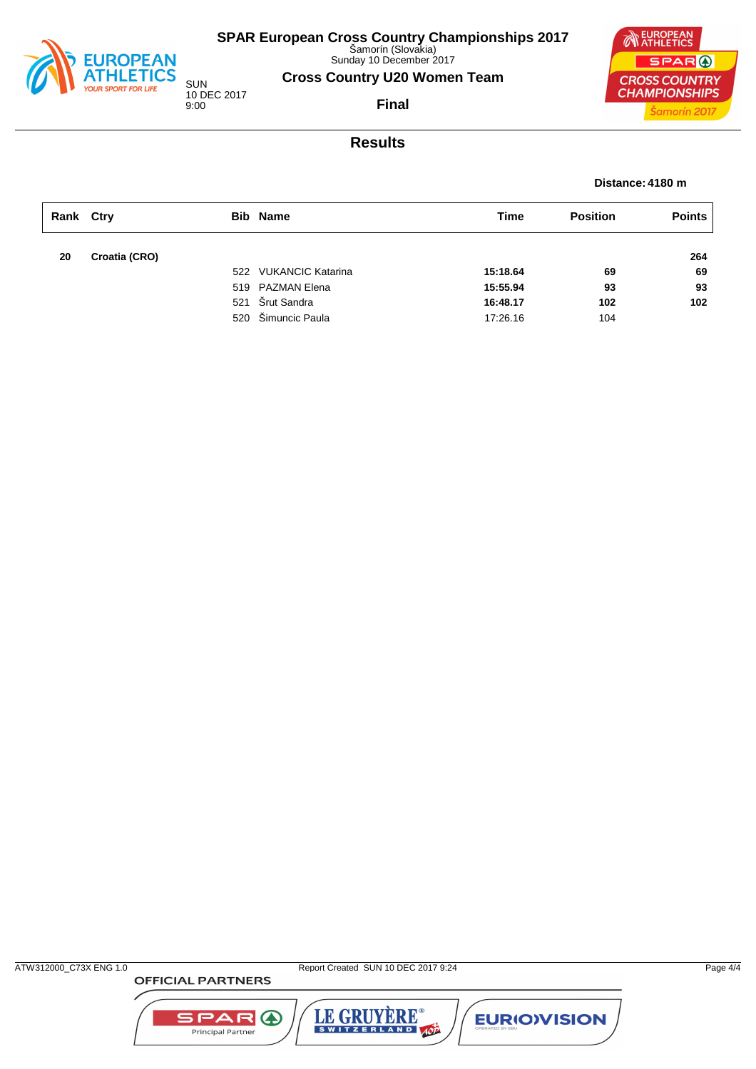

Sunday 10 December 2017

**Cross Country U20 Women Team**

SUN 10 DEC 2017 9:00

**Final**



## **Results**

#### **Distance: 4180 m**

| Rank Ctry |               | <b>Bib Name</b>       | Time     | <b>Position</b> | <b>Points</b> |
|-----------|---------------|-----------------------|----------|-----------------|---------------|
| 20        | Croatia (CRO) |                       |          |                 | 264           |
|           |               | 522 VUKANCIC Katarina | 15:18.64 | 69              | 69            |
|           |               | 519 PAZMAN Elena      | 15:55.94 | 93              | 93            |
|           |               | 521 Šrut Sandra       | 16:48.17 | 102             | 102           |
|           |               | 520 Šimuncic Paula    | 17:26.16 | 104             |               |

LE GRUYÈRE®

**EURIOVISION** 

**SPAR A** 

Principal Partner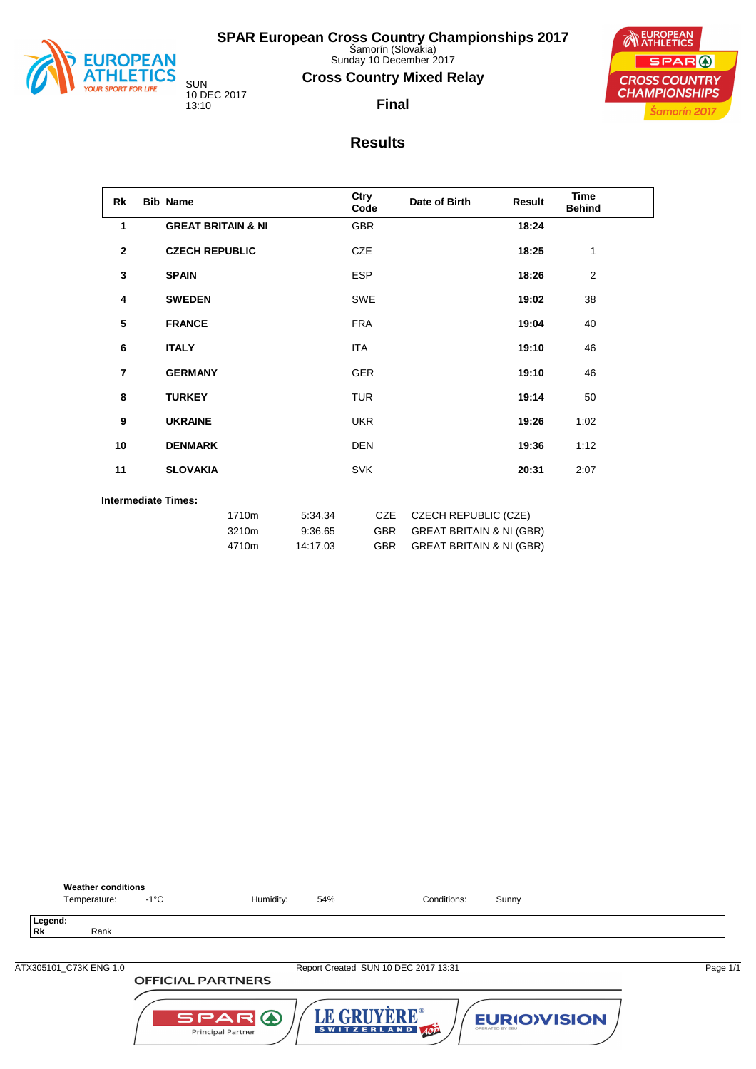

**Weather conditions**<br>Temperature: -1°C

**Legend: Rk** Rank **SPAR European Cross Country Championships 2017** Šamorín (Slovakia)

Sunday 10 December 2017

### **Cross Country Mixed Relay**



**EUROPEAN** SPAR ( **CROSS COUNTRY CHAMPIONSHIPS** Šamorín 2017

**Final**

### **Results**

| <b>Rk</b>    | <b>Bib Name</b>               |                         |                                | Ctry<br>Code             | Date of Birth                                                                                             | Result | <b>Time</b><br><b>Behind</b> |  |
|--------------|-------------------------------|-------------------------|--------------------------------|--------------------------|-----------------------------------------------------------------------------------------------------------|--------|------------------------------|--|
| 1            | <b>GREAT BRITAIN &amp; NI</b> |                         |                                | <b>GBR</b>               |                                                                                                           | 18:24  |                              |  |
| $\mathbf{2}$ | <b>CZECH REPUBLIC</b>         |                         |                                | <b>CZE</b>               |                                                                                                           | 18:25  | 1                            |  |
| 3            | <b>SPAIN</b>                  |                         |                                | <b>ESP</b>               |                                                                                                           | 18:26  | 2                            |  |
| 4            | <b>SWEDEN</b>                 |                         |                                | SWE                      |                                                                                                           | 19:02  | 38                           |  |
| 5            | <b>FRANCE</b>                 |                         |                                | <b>FRA</b>               |                                                                                                           | 19:04  | 40                           |  |
| 6            | <b>ITALY</b>                  |                         |                                | <b>ITA</b>               |                                                                                                           | 19:10  | 46                           |  |
| 7            | <b>GERMANY</b>                |                         |                                | <b>GER</b>               |                                                                                                           | 19:10  | 46                           |  |
| 8            | <b>TURKEY</b>                 |                         |                                | <b>TUR</b>               |                                                                                                           | 19:14  | 50                           |  |
| 9            | <b>UKRAINE</b>                |                         |                                | <b>UKR</b>               |                                                                                                           | 19:26  | 1:02                         |  |
| 10           | <b>DENMARK</b>                |                         |                                | <b>DEN</b>               |                                                                                                           | 19:36  | 1:12                         |  |
| 11           | <b>SLOVAKIA</b>               |                         |                                | <b>SVK</b>               |                                                                                                           | 20:31  | 2:07                         |  |
|              | <b>Intermediate Times:</b>    |                         |                                |                          |                                                                                                           |        |                              |  |
|              |                               | 1710m<br>3210m<br>4710m | 5:34.34<br>9:36.65<br>14:17.03 | CZE<br>GBR<br><b>GBR</b> | <b>CZECH REPUBLIC (CZE)</b><br><b>GREAT BRITAIN &amp; NI (GBR)</b><br><b>GREAT BRITAIN &amp; NI (GBR)</b> |        |                              |  |

| ATX305101 C73K ENG 1.0 |                                   | Report Created SUN 10 DEC 2017 13:31 |                                       | Page 1/1 |
|------------------------|-----------------------------------|--------------------------------------|---------------------------------------|----------|
|                        | <b>OFFICIAL PARTNERS</b>          |                                      |                                       |          |
|                        | SPARA<br><b>Principal Partner</b> | LE GRUYERE®<br>SWITZERLAND AOP       | <b>EURIOVISION</b><br>OPERATED BY EBU |          |

Temperature:  $-1^{\circ}$ C Humidity: 54% Conditions: Sunny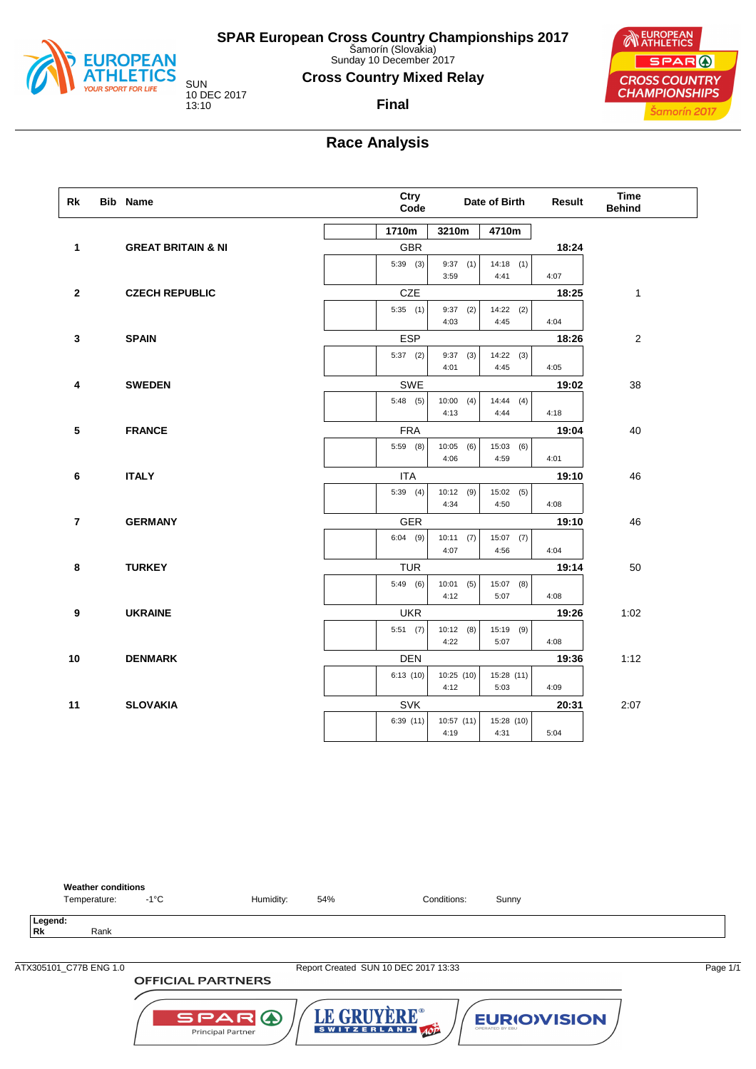

Sunday 10 December 2017

#### **Cross Country Mixed Relay**

**Final**

10 DEC 2017

**NEUROPEAN** SPAR ( **CROSS COUNTRY CHAMPIONSHIPS** Šamorín 2017

## **Race Analysis**

| Rk                      | <b>Bib Name</b> |                               | Ctry<br>Code |            |             | Date of Birth | <b>Result</b> | <b>Time</b><br><b>Behind</b> |
|-------------------------|-----------------|-------------------------------|--------------|------------|-------------|---------------|---------------|------------------------------|
|                         |                 |                               |              | 1710m      | 3210m       | 4710m         |               |                              |
| $\mathbf{1}$            |                 | <b>GREAT BRITAIN &amp; NI</b> |              | <b>GBR</b> |             |               | 18:24         |                              |
|                         |                 |                               |              | $5:39$ (3) | $9:37$ (1)  | 14:18(1)      |               |                              |
|                         |                 |                               |              |            | 3:59        | 4:41          | 4:07          |                              |
| $\mathbf{2}$            |                 | <b>CZECH REPUBLIC</b>         |              | CZE        |             |               | 18:25         | 1                            |
|                         |                 |                               |              | 5:35(1)    | $9:37$ (2)  | $14:22$ (2)   |               |                              |
|                         |                 |                               |              |            | 4:03        | 4:45          | 4:04          |                              |
| 3                       |                 | <b>SPAIN</b>                  |              | <b>ESP</b> |             |               | 18:26         | $\overline{2}$               |
|                         |                 |                               |              | $5:37$ (2) | $9:37$ (3)  | 14:22(3)      |               |                              |
|                         |                 |                               |              |            | 4:01        | 4:45          | 4:05          |                              |
| 4                       |                 | <b>SWEDEN</b>                 |              | SWE        |             |               | 19:02         | 38                           |
|                         |                 |                               |              | 5:48(5)    | 10:00(4)    | 14:44(4)      |               |                              |
|                         |                 |                               |              |            | 4:13        | 4:44          | 4:18          |                              |
| $\sqrt{5}$              |                 | <b>FRANCE</b>                 |              | <b>FRA</b> |             |               | 19:04         | 40                           |
|                         |                 |                               |              | $5:59$ (8) | $10:05$ (6) | 15:03(6)      |               |                              |
|                         |                 |                               |              |            | 4:06        | 4:59          | 4:01          |                              |
| $\bf 6$                 |                 | <b>ITALY</b>                  |              | <b>ITA</b> |             |               | 19:10         | 46                           |
|                         |                 |                               |              | $5:39$ (4) | $10:12$ (9) | 15:02(5)      |               |                              |
|                         |                 |                               |              |            | 4:34        | 4:50          | 4:08          |                              |
| $\overline{\mathbf{r}}$ |                 | <b>GERMANY</b>                |              | GER        |             |               | 19:10         | 46                           |
|                         |                 |                               |              | $6:04$ (9) | 10:11(7)    | $15:07$ (7)   |               |                              |
|                         |                 |                               |              |            | 4:07        | 4:56          | 4:04          |                              |
| 8                       |                 | <b>TURKEY</b>                 |              | <b>TUR</b> |             |               | 19:14         | 50                           |
|                         |                 |                               |              | 5:49(6)    | $10:01$ (5) | $15:07$ (8)   |               |                              |
|                         |                 |                               |              |            | 4:12        | 5:07          | 4:08          |                              |
| 9                       |                 | <b>UKRAINE</b>                |              | <b>UKR</b> |             |               | 19:26         | 1:02                         |
|                         |                 |                               |              | 5:51(7)    | 10:12(8)    | 15:19 (9)     |               |                              |
|                         |                 |                               |              |            | 4:22        | 5:07          | 4:08          |                              |
| 10                      |                 | <b>DENMARK</b>                |              | <b>DEN</b> |             |               | 19:36         | 1:12                         |
|                         |                 |                               |              | 6:13(10)   | 10:25 (10)  | 15:28 (11)    |               |                              |
|                         |                 |                               |              |            | 4:12        | 5:03          | 4:09          |                              |
| 11                      |                 | <b>SLOVAKIA</b>               |              | SVK        |             |               | 20:31         | 2:07                         |
|                         |                 |                               |              | 6:39(11)   | 10:57 (11)  | 15:28 (10)    |               |                              |
|                         |                 |                               |              |            | 4:19        | 4:31          | 5:04          |                              |



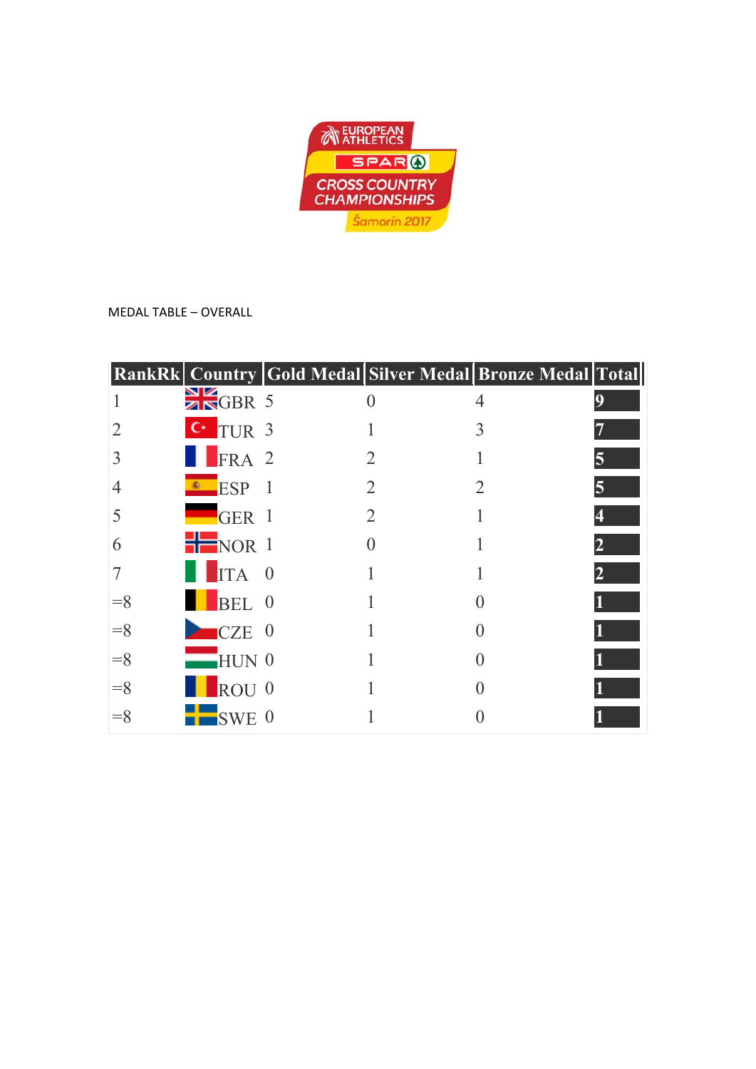

MEDAL TABLE – OVERALL

|       |                      |          |                             | RankRk   Country   Gold Medal Silver Medal   Bronze Medal   Total |   |
|-------|----------------------|----------|-----------------------------|-------------------------------------------------------------------|---|
|       | $\frac{N}{2N}$ GBR 5 |          |                             |                                                                   | 9 |
|       | $C^{\dagger}$ TUR 3  |          |                             | 3                                                                 |   |
|       | FRA 2                |          | 2                           |                                                                   |   |
|       | <b>E</b> SP          |          | $\overline{2}$              |                                                                   | 5 |
|       | $\blacksquare$ GER 1 |          | $\mathcal{D}_{\mathcal{L}}$ |                                                                   |   |
| 6     | NOR <sub>1</sub>     |          |                             |                                                                   |   |
|       | ITA                  | $\theta$ |                             |                                                                   |   |
| $=$ 8 | BEL 0                |          |                             |                                                                   |   |
| $=$ 8 | $\blacksquare$ CZE 0 |          |                             |                                                                   |   |
| $=$ 8 | $HUN$ 0              |          |                             |                                                                   |   |
| $=$ 8 | ROU <sub>0</sub>     |          |                             |                                                                   |   |
| $=$ 8 | <b>SWE</b>           | $\theta$ |                             |                                                                   |   |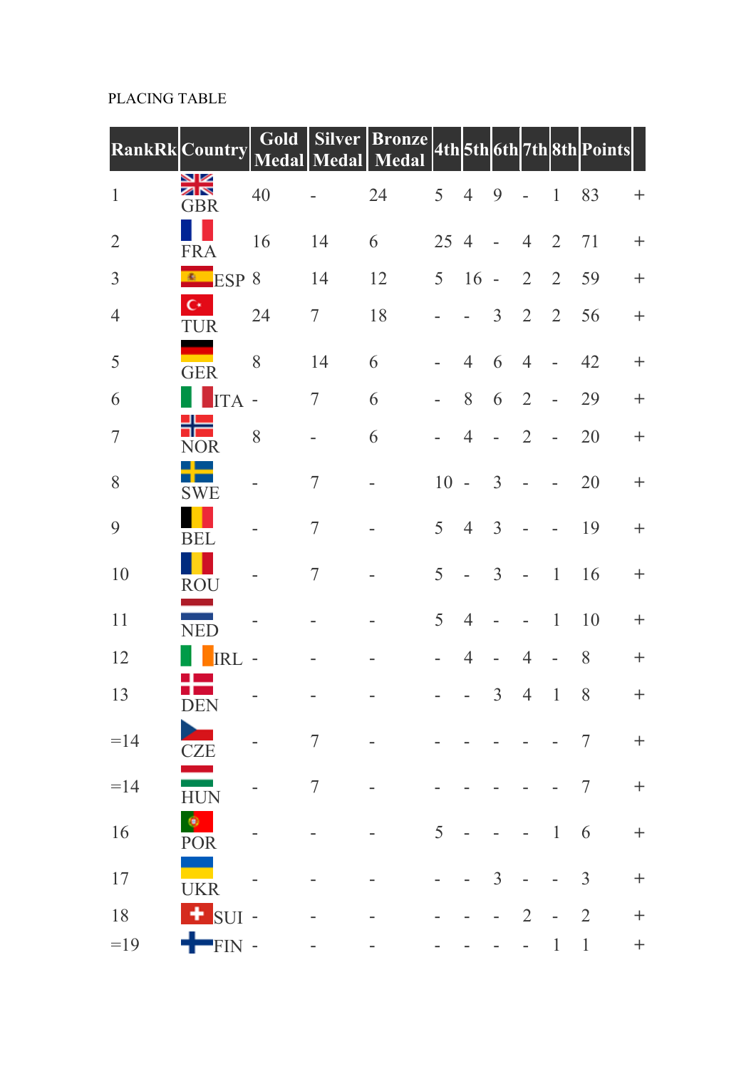## PLACING TABLE

|                          | <b>RankRk</b> Country            | Gold                     | Medal Medal    | Silver Bronze 4th 5th 6th 7th 8th Points |                          |                |                          |                          |                          |                |                    |
|--------------------------|----------------------------------|--------------------------|----------------|------------------------------------------|--------------------------|----------------|--------------------------|--------------------------|--------------------------|----------------|--------------------|
| $\mathbf{1}$             | ¥≼<br>GBR                        | 40                       |                | 24                                       | 5                        | $\overline{4}$ | 9                        | $\overline{a}$           | $\mathbf{1}$             | 83             | $^{+}$             |
| $\overline{2}$           | <b>FRA</b>                       | 16                       | 14             | 6                                        | 25 4                     |                | $\overline{\phantom{a}}$ | $\overline{4}$           | $\overline{2}$           | 71             | $\ddot{}$          |
| $\overline{3}$           | $ESP$ 8                          |                          | 14             | 12                                       | 5                        | 16             | $\sim$                   | $\overline{2}$           | $\overline{2}$           | 59             | $^{+}$             |
| $\overline{4}$           | $\mathbf{C}^*$<br>TUR            | 24                       | 7              | 18                                       |                          |                | $\overline{3}$           | $\overline{2}$           | $\overline{2}$           | 56             | $^{+}$             |
| 5                        | <b>GER</b>                       | 8                        | 14             | 6                                        | L,                       | $\overline{4}$ | 6                        | $\overline{4}$           | $\overline{\phantom{a}}$ | 42             | $\ddot{}$          |
| 6                        | <b>ITA</b>                       | $\overline{\phantom{m}}$ | 7              | 6                                        | $\overline{\phantom{m}}$ | 8              | 6                        | $\overline{2}$           |                          | 29             | $+$                |
| $\overline{\mathcal{I}}$ | <b>NOR</b>                       | 8                        |                | 6                                        |                          | $\overline{4}$ | $\overline{\phantom{0}}$ | $\overline{2}$           | $\overline{a}$           | 20             | $^{+}$             |
| 8                        | <b>SWE</b>                       |                          | 7              |                                          | 10                       | $\sim$         | $\overline{3}$           | $\bar{a}$                |                          | 20             | $\! + \!$          |
| 9                        | <b>BEL</b>                       |                          | 7              |                                          | 5                        | $\overline{4}$ | $\overline{3}$           |                          |                          | 19             | $\! + \!$          |
| 10                       | <b>ROU</b>                       |                          | 7              |                                          | 5                        |                | $\overline{3}$           | $\overline{\phantom{a}}$ | $\mathbf{1}$             | 16             | $\ddot{}$          |
| 11                       | <b>NED</b>                       |                          |                |                                          | 5                        | $\overline{4}$ |                          |                          | $\,1\,$                  | 10             | $^{+}$             |
| 12                       | <b>RI</b>                        |                          |                |                                          |                          | $\overline{4}$ |                          | $\overline{4}$           | $\overline{\phantom{a}}$ | 8              | $+$                |
| 13                       | <b>DEN</b>                       |                          |                |                                          |                          |                | $\mathfrak{Z}$           |                          | $4 \quad 1 \quad 8$      |                | $^{+}$             |
| $=14$                    | <b>CZE</b>                       |                          | $\tau$         |                                          |                          |                |                          |                          |                          | 7              | $\boldsymbol{+}$   |
| $=14$                    | <u>a shekara t</u><br><b>HUN</b> |                          | $\overline{7}$ |                                          |                          |                |                          |                          |                          | $\overline{7}$ | $\boldsymbol{+}$   |
| 16                       | <b>POR</b>                       |                          |                |                                          | 5                        |                |                          |                          | $\mathbf{1}$             | 6              | $\hspace{1.0cm} +$ |
| 17                       | <b>UKR</b>                       |                          |                |                                          |                          |                | $\overline{3}$           |                          |                          | $\mathfrak{Z}$ | $\ddag$            |
| 18                       | + SUI -                          |                          |                |                                          |                          |                |                          | $\overline{2}$           |                          | $\overline{2}$ | $\boldsymbol{+}$   |
| $=19$                    | $+$ FIN -                        |                          |                |                                          |                          |                |                          |                          | $\mathbf{1}$             | $\mathbf{1}$   | $\boldsymbol{+}$   |